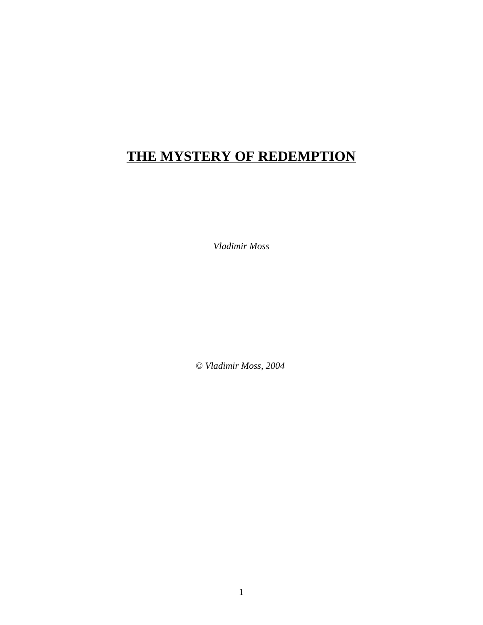# **THE MYSTERY OF REDEMPTION**

*Vladimir Moss*

*© Vladimir Moss, 2004*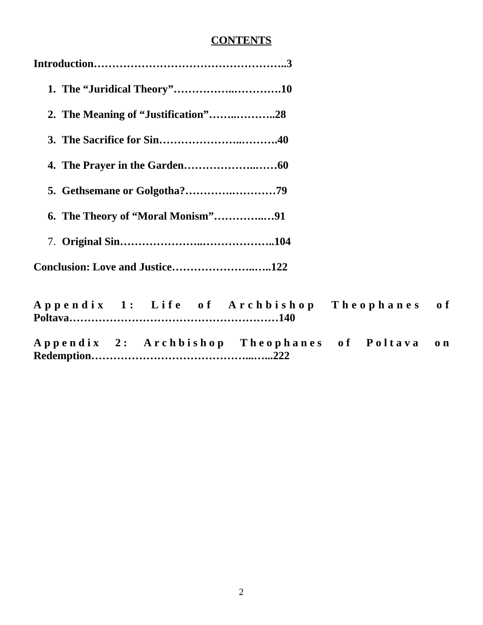# **CONTENTS**

| 2. The Meaning of "Justification"28          |                |
|----------------------------------------------|----------------|
|                                              |                |
|                                              |                |
|                                              |                |
|                                              |                |
|                                              |                |
|                                              |                |
| Appendix 1: Life of Archbishop Theophanes    | $\mathbf{o}$ f |
| Appendix 2: Archbishop Theophanes of Poltava | 0 <sub>n</sub> |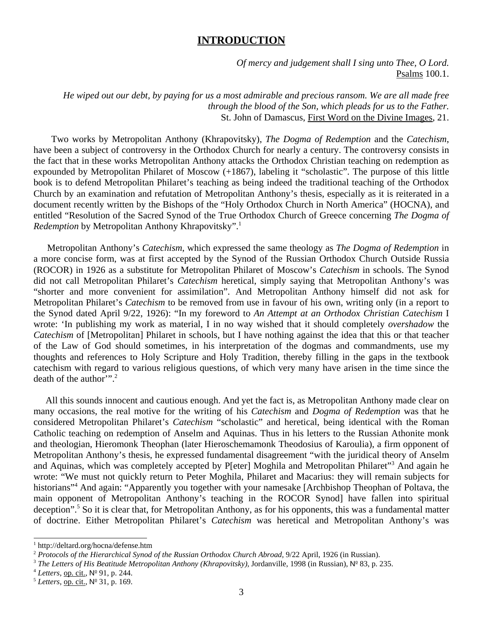#### **INTRODUCTION**

*Of mercy and judgement shall I sing unto Thee, O Lord.* Psalms 100.1.

*He wiped out our debt, by paying for us a most admirable and precious ransom. We are all made free through the blood of the Son, which pleads for us to the Father.* St. John of Damascus, First Word on the Divine Images, 21.

 Two works by Metropolitan Anthony (Khrapovitsky), *The Dogma of Redemption* and the *Catechism*, have been a subject of controversy in the Orthodox Church for nearly a century. The controversy consists in the fact that in these works Metropolitan Anthony attacks the Orthodox Christian teaching on redemption as expounded by Metropolitan Philaret of Moscow (+1867), labeling it "scholastic". The purpose of this little book is to defend Metropolitan Philaret's teaching as being indeed the traditional teaching of the Orthodox Church by an examination and refutation of Metropolitan Anthony's thesis, especially as it is reiterated in a document recently written by the Bishops of the "Holy Orthodox Church in North America" (HOCNA), and entitled "Resolution of the Sacred Synod of the True Orthodox Church of Greece concerning *The Dogma of Redemption* by Metropolitan Anthony Khrapovitsky".<sup>1</sup>

 Metropolitan Anthony's *Catechism*, which expressed the same theology as *The Dogma of Redemption* in a more concise form, was at first accepted by the Synod of the Russian Orthodox Church Outside Russia (ROCOR) in 1926 as a substitute for Metropolitan Philaret of Moscow's *Catechism* in schools. The Synod did not call Metropolitan Philaret's *Catechism* heretical, simply saying that Metropolitan Anthony's was "shorter and more convenient for assimilation". And Metropolitan Anthony himself did not ask for Metropolitan Philaret's *Catechism* to be removed from use in favour of his own, writing only (in a report to the Synod dated April 9/22, 1926): "In my foreword to *An Attempt at an Orthodox Christian Catechism* I wrote: 'In publishing my work as material, I in no way wished that it should completely *overshadow* the *Catechism* of [Metropolitan] Philaret in schools, but I have nothing against the idea that this or that teacher of the Law of God should sometimes, in his interpretation of the dogmas and commandments, use my thoughts and references to Holy Scripture and Holy Tradition, thereby filling in the gaps in the textbook catechism with regard to various religious questions, of which very many have arisen in the time since the death of the author'".2

 All this sounds innocent and cautious enough. And yet the fact is, as Metropolitan Anthony made clear on many occasions, the real motive for the writing of his *Catechism* and *Dogma of Redemption* was that he considered Metropolitan Philaret's *Catechism* "scholastic" and heretical, being identical with the Roman Catholic teaching on redemption of Anselm and Aquinas. Thus in his letters to the Russian Athonite monk and theologian, Hieromonk Theophan (later Hieroschemamonk Theodosius of Karoulia), a firm opponent of Metropolitan Anthony's thesis, he expressed fundamental disagreement "with the juridical theory of Anselm and Aquinas, which was completely accepted by P[eter] Moghila and Metropolitan Philaret"<sup>3</sup> And again he wrote: "We must not quickly return to Peter Moghila, Philaret and Macarius: they will remain subjects for historians"<sup>4</sup> And again: "Apparently you together with your namesake [Archbishop Theophan of Poltava, the main opponent of Metropolitan Anthony's teaching in the ROCOR Synod] have fallen into spiritual deception".<sup>5</sup> So it is clear that, for Metropolitan Anthony, as for his opponents, this was a fundamental matter of doctrine. Either Metropolitan Philaret's *Catechism* was heretical and Metropolitan Anthony's was

<sup>1</sup> http://deltard.org/hocna/defense.htm

<sup>2</sup> *Protocols of the Hierarchical Synod of the Russian Orthodox Church Abroad,* 9/22 April, 1926 (in Russian).

 $3$  The Letters of His Beatitude Metropolitan Anthony (Khrapovitsky), Jordanville, 1998 (in Russian),  $N^{\circ}$  83, p. 235.

<sup>&</sup>lt;sup>4</sup> Letters, <u>op. cit.</u>, Nº 91, p. 244.

 $5$  *Letters*, <u>op. cit.,</u>  $N^{\circ}$  31, p. 169.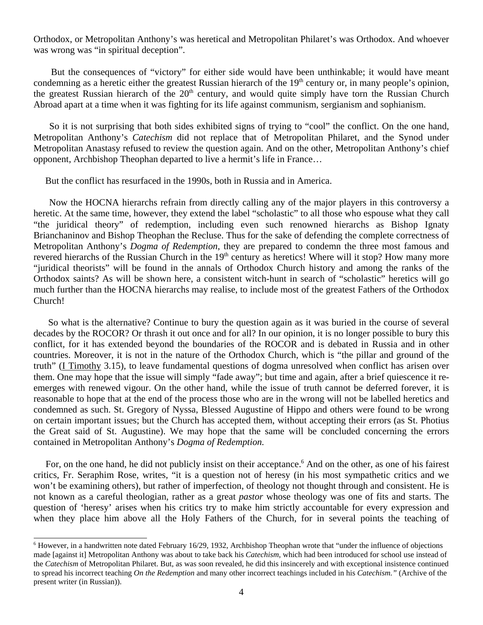Orthodox, or Metropolitan Anthony's was heretical and Metropolitan Philaret's was Orthodox. And whoever was wrong was "in spiritual deception".

 But the consequences of "victory" for either side would have been unthinkable; it would have meant condemning as a heretic either the greatest Russian hierarch of the  $19<sup>th</sup>$  century or, in many people's opinion, the greatest Russian hierarch of the  $20<sup>th</sup>$  century, and would quite simply have torn the Russian Church Abroad apart at a time when it was fighting for its life against communism, sergianism and sophianism.

 So it is not surprising that both sides exhibited signs of trying to "cool" the conflict. On the one hand, Metropolitan Anthony's *Catechism* did not replace that of Metropolitan Philaret, and the Synod under Metropolitan Anastasy refused to review the question again. And on the other, Metropolitan Anthony's chief opponent, Archbishop Theophan departed to live a hermit's life in France…

But the conflict has resurfaced in the 1990s, both in Russia and in America.

 Now the HOCNA hierarchs refrain from directly calling any of the major players in this controversy a heretic. At the same time, however, they extend the label "scholastic" to all those who espouse what they call "the juridical theory" of redemption, including even such renowned hierarchs as Bishop Ignaty Brianchaninov and Bishop Theophan the Recluse. Thus for the sake of defending the complete correctness of Metropolitan Anthony's *Dogma of Redemption*, they are prepared to condemn the three most famous and revered hierarchs of the Russian Church in the 19<sup>th</sup> century as heretics! Where will it stop? How many more "juridical theorists" will be found in the annals of Orthodox Church history and among the ranks of the Orthodox saints? As will be shown here, a consistent witch-hunt in search of "scholastic" heretics will go much further than the HOCNA hierarchs may realise, to include most of the greatest Fathers of the Orthodox Church!

 So what is the alternative? Continue to bury the question again as it was buried in the course of several decades by the ROCOR? Or thrash it out once and for all? In our opinion, it is no longer possible to bury this conflict, for it has extended beyond the boundaries of the ROCOR and is debated in Russia and in other countries. Moreover, it is not in the nature of the Orthodox Church, which is "the pillar and ground of the truth" (I Timothy 3.15), to leave fundamental questions of dogma unresolved when conflict has arisen over them. One may hope that the issue will simply "fade away"; but time and again, after a brief quiescence it reemerges with renewed vigour. On the other hand, while the issue of truth cannot be deferred forever, it is reasonable to hope that at the end of the process those who are in the wrong will not be labelled heretics and condemned as such. St. Gregory of Nyssa, Blessed Augustine of Hippo and others were found to be wrong on certain important issues; but the Church has accepted them, without accepting their errors (as St. Photius the Great said of St. Augustine). We may hope that the same will be concluded concerning the errors contained in Metropolitan Anthony's *Dogma of Redemption.*

For, on the one hand, he did not publicly insist on their acceptance.<sup>6</sup> And on the other, as one of his fairest critics, Fr. Seraphim Rose, writes, "it is a question not of heresy (in his most sympathetic critics and we won't be examining others), but rather of imperfection, of theology not thought through and consistent. He is not known as a careful theologian, rather as a great *pastor* whose theology was one of fits and starts. The question of 'heresy' arises when his critics try to make him strictly accountable for every expression and when they place him above all the Holy Fathers of the Church, for in several points the teaching of

<sup>&</sup>lt;sup>6</sup> However, in a handwritten note dated February 16/29, 1932, Archbishop Theophan wrote that "under the influence of objections made [against it] Metropolitan Anthony was about to take back his *Catechism*, which had been introduced for school use instead of the *Catechism* of Metropolitan Philaret. But, as was soon revealed, he did this insincerely and with exceptional insistence continued to spread his incorrect teaching *On the Redemption* and many other incorrect teachings included in his *Catechism."* (Archive of the present writer (in Russian)).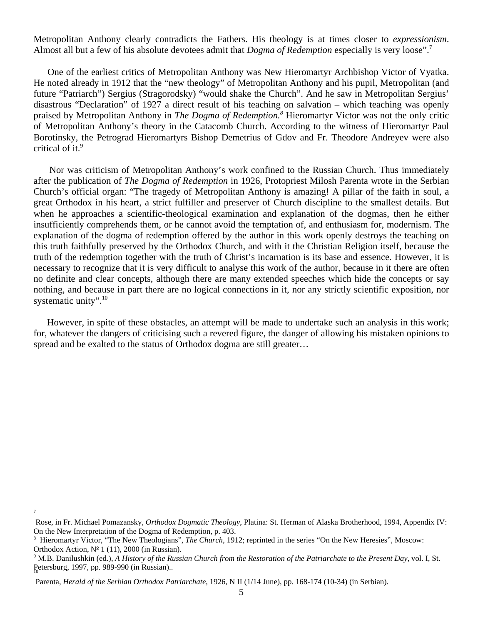Metropolitan Anthony clearly contradicts the Fathers. His theology is at times closer to *expressionism*. Almost all but a few of his absolute devotees admit that *Dogma of Redemption* especially is very loose".7

 One of the earliest critics of Metropolitan Anthony was New Hieromartyr Archbishop Victor of Vyatka. He noted already in 1912 that the "new theology" of Metropolitan Anthony and his pupil, Metropolitan (and future "Patriarch") Sergius (Stragorodsky) "would shake the Church". And he saw in Metropolitan Sergius' disastrous "Declaration" of 1927 a direct result of his teaching on salvation – which teaching was openly praised by Metropolitan Anthony in *The Dogma of Redemption*.<sup>8</sup> Hieromartyr Victor was not the only critic of Metropolitan Anthony's theory in the Catacomb Church. According to the witness of Hieromartyr Paul Borotinsky, the Petrograd Hieromartyrs Bishop Demetrius of Gdov and Fr. Theodore Andreyev were also critical of it.<sup>9</sup>

 Nor was criticism of Metropolitan Anthony's work confined to the Russian Church. Thus immediately after the publication of *The Dogma of Redemption* in 1926, Protopriest Milosh Parenta wrote in the Serbian Church's official organ: "The tragedy of Metropolitan Anthony is amazing! A pillar of the faith in soul, a great Orthodox in his heart, a strict fulfiller and preserver of Church discipline to the smallest details. But when he approaches a scientific-theological examination and explanation of the dogmas, then he either insufficiently comprehends them, or he cannot avoid the temptation of, and enthusiasm for, modernism. The explanation of the dogma of redemption offered by the author in this work openly destroys the teaching on this truth faithfully preserved by the Orthodox Church, and with it the Christian Religion itself, because the truth of the redemption together with the truth of Christ's incarnation is its base and essence. However, it is necessary to recognize that it is very difficult to analyse this work of the author, because in it there are often no definite and clear concepts, although there are many extended speeches which hide the concepts or say nothing, and because in part there are no logical connections in it, nor any strictly scientific exposition, nor systematic unity".<sup>10</sup>

 However, in spite of these obstacles, an attempt will be made to undertake such an analysis in this work; for, whatever the dangers of criticising such a revered figure, the danger of allowing his mistaken opinions to spread and be exalted to the status of Orthodox dogma are still greater…

7

Rose, in Fr. Michael Pomazansky, *Orthodox Dogmatic Theology*, Platina: St. Herman of Alaska Brotherhood, 1994, Appendix IV: On the New Interpretation of the Dogma of Redemption, p. 403.

<sup>&</sup>lt;sup>8</sup> Hieromartyr Victor, "The New Theologians", *The Church*, 1912; reprinted in the series "On the New Heresies", Moscow: Orthodox Action,  $N^{\circ}$  1 (11), 2000 (in Russian).

<sup>9</sup> M.B. Danilushkin (ed.), *A History of the Russian Church from the Restoration of the Patriarchate to the Present Day,* vol. I, St. Petersburg, 1997, pp. 989-990 (in Russian)..

Parenta, *Herald of the Serbian Orthodox Patriarchate,* 1926, N II (1/14 June), pp. 168-174 (10-34) (in Serbian).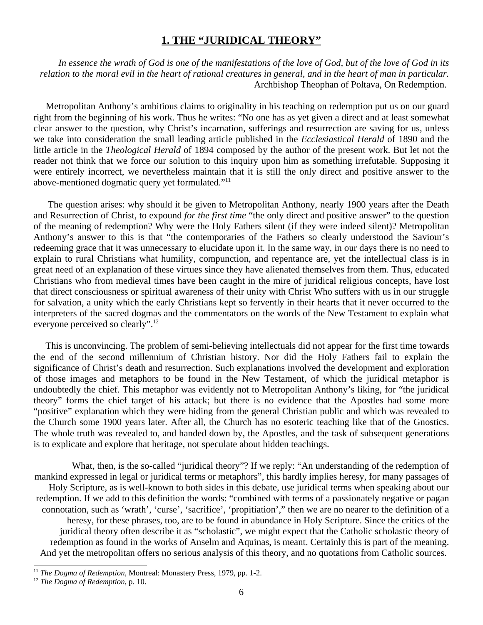## **1. THE "JURIDICAL THEORY"**

*In essence the wrath of God is one of the manifestations of the love of God, but of the love of God in its relation to the moral evil in the heart of rational creatures in general, and in the heart of man in particular.* Archbishop Theophan of Poltava, On Redemption.

 Metropolitan Anthony's ambitious claims to originality in his teaching on redemption put us on our guard right from the beginning of his work. Thus he writes: "No one has as yet given a direct and at least somewhat clear answer to the question, why Christ's incarnation, sufferings and resurrection are saving for us, unless we take into consideration the small leading article published in the *Ecclesiastical Herald* of 1890 and the little article in the *Theological Herald* of 1894 composed by the author of the present work. But let not the reader not think that we force our solution to this inquiry upon him as something irrefutable. Supposing it were entirely incorrect, we nevertheless maintain that it is still the only direct and positive answer to the above-mentioned dogmatic query yet formulated."11

 The question arises: why should it be given to Metropolitan Anthony, nearly 1900 years after the Death and Resurrection of Christ, to expound *for the first time* "the only direct and positive answer" to the question of the meaning of redemption? Why were the Holy Fathers silent (if they were indeed silent)? Metropolitan Anthony's answer to this is that "the contemporaries of the Fathers so clearly understood the Saviour's redeeming grace that it was unnecessary to elucidate upon it. In the same way, in our days there is no need to explain to rural Christians what humility, compunction, and repentance are, yet the intellectual class is in great need of an explanation of these virtues since they have alienated themselves from them. Thus, educated Christians who from medieval times have been caught in the mire of juridical religious concepts, have lost that direct consciousness or spiritual awareness of their unity with Christ Who suffers with us in our struggle for salvation, a unity which the early Christians kept so fervently in their hearts that it never occurred to the interpreters of the sacred dogmas and the commentators on the words of the New Testament to explain what everyone perceived so clearly".<sup>12</sup>

 This is unconvincing. The problem of semi-believing intellectuals did not appear for the first time towards the end of the second millennium of Christian history. Nor did the Holy Fathers fail to explain the significance of Christ's death and resurrection. Such explanations involved the development and exploration of those images and metaphors to be found in the New Testament, of which the juridical metaphor is undoubtedly the chief. This metaphor was evidently not to Metropolitan Anthony's liking, for "the juridical theory" forms the chief target of his attack; but there is no evidence that the Apostles had some more "positive" explanation which they were hiding from the general Christian public and which was revealed to the Church some 1900 years later. After all, the Church has no esoteric teaching like that of the Gnostics. The whole truth was revealed to, and handed down by, the Apostles, and the task of subsequent generations is to explicate and explore that heritage, not speculate about hidden teachings.

 What, then, is the so-called "juridical theory"? If we reply: "An understanding of the redemption of mankind expressed in legal or juridical terms or metaphors", this hardly implies heresy, for many passages of Holy Scripture, as is well-known to both sides in this debate, use juridical terms when speaking about our redemption. If we add to this definition the words: "combined with terms of a passionately negative or pagan connotation, such as 'wrath', 'curse', 'sacrifice', 'propitiation'," then we are no nearer to the definition of a heresy, for these phrases, too, are to be found in abundance in Holy Scripture. Since the critics of the juridical theory often describe it as "scholastic", we might expect that the Catholic scholastic theory of redemption as found in the works of Anselm and Aquinas, is meant. Certainly this is part of the meaning. And yet the metropolitan offers no serious analysis of this theory, and no quotations from Catholic sources.

<sup>11</sup> *The Dogma of Redemption*, Montreal: Monastery Press, 1979, pp. 1-2.

<sup>12</sup> *The Dogma of Redemption*, p. 10.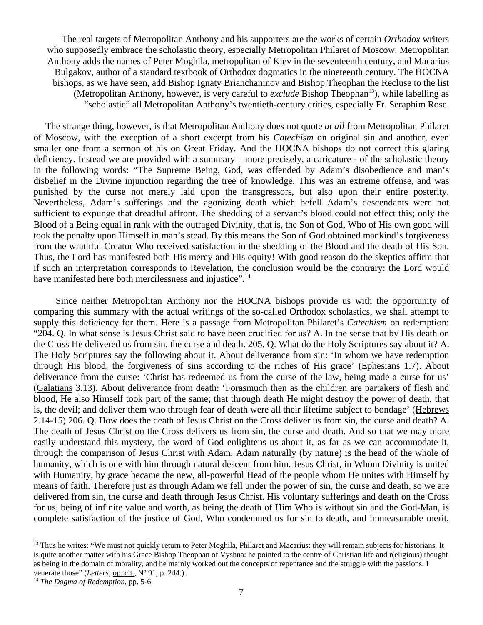The real targets of Metropolitan Anthony and his supporters are the works of certain *Orthodox* writers who supposedly embrace the scholastic theory, especially Metropolitan Philaret of Moscow. Metropolitan Anthony adds the names of Peter Moghila, metropolitan of Kiev in the seventeenth century, and Macarius Bulgakov, author of a standard textbook of Orthodox dogmatics in the nineteenth century. The HOCNA bishops, as we have seen, add Bishop Ignaty Brianchaninov and Bishop Theophan the Recluse to the list (Metropolitan Anthony, however, is very careful to *exclude* Bishop Theophan<sup>13</sup>), while labelling as "scholastic" all Metropolitan Anthony's twentieth-century critics, especially Fr. Seraphim Rose.

 The strange thing, however, is that Metropolitan Anthony does not quote *at all* from Metropolitan Philaret of Moscow, with the exception of a short excerpt from his *Catechism* on original sin and another, even smaller one from a sermon of his on Great Friday. And the HOCNA bishops do not correct this glaring deficiency. Instead we are provided with a summary – more precisely, a caricature - of the scholastic theory in the following words: "The Supreme Being, God, was offended by Adam's disobedience and man's disbelief in the Divine injunction regarding the tree of knowledge. This was an extreme offense, and was punished by the curse not merely laid upon the transgressors, but also upon their entire posterity. Nevertheless, Adam's sufferings and the agonizing death which befell Adam's descendants were not sufficient to expunge that dreadful affront. The shedding of a servant's blood could not effect this; only the Blood of a Being equal in rank with the outraged Divinity, that is, the Son of God, Who of His own good will took the penalty upon Himself in man's stead. By this means the Son of God obtained mankind's forgiveness from the wrathful Creator Who received satisfaction in the shedding of the Blood and the death of His Son. Thus, the Lord has manifested both His mercy and His equity! With good reason do the skeptics affirm that if such an interpretation corresponds to Revelation, the conclusion would be the contrary: the Lord would have manifested here both mercilessness and injustice".<sup>14</sup>

 Since neither Metropolitan Anthony nor the HOCNA bishops provide us with the opportunity of comparing this summary with the actual writings of the so-called Orthodox scholastics, we shall attempt to supply this deficiency for them. Here is a passage from Metropolitan Philaret's *Catechism* on redemption: "204. Q. In what sense is Jesus Christ said to have been crucified for us? A. In the sense that by His death on the Cross He delivered us from sin, the curse and death. 205. Q. What do the Holy Scriptures say about it? A. The Holy Scriptures say the following about it. About deliverance from sin: 'In whom we have redemption through His blood, the forgiveness of sins according to the riches of His grace' (Ephesians 1.7). About deliverance from the curse: 'Christ has redeemed us from the curse of the law, being made a curse for us' (Galatians 3.13). About deliverance from death: 'Forasmuch then as the children are partakers of flesh and blood, He also Himself took part of the same; that through death He might destroy the power of death, that is, the devil; and deliver them who through fear of death were all their lifetime subject to bondage' (Hebrews 2.14-15) 206. Q. How does the death of Jesus Christ on the Cross deliver us from sin, the curse and death? A. The death of Jesus Christ on the Cross delivers us from sin, the curse and death. And so that we may more easily understand this mystery, the word of God enlightens us about it, as far as we can accommodate it, through the comparison of Jesus Christ with Adam. Adam naturally (by nature) is the head of the whole of humanity, which is one with him through natural descent from him. Jesus Christ, in Whom Divinity is united with Humanity, by grace became the new, all-powerful Head of the people whom He unites with Himself by means of faith. Therefore just as through Adam we fell under the power of sin, the curse and death, so we are delivered from sin, the curse and death through Jesus Christ. His voluntary sufferings and death on the Cross for us, being of infinite value and worth, as being the death of Him Who is without sin and the God-Man, is complete satisfaction of the justice of God, Who condemned us for sin to death, and immeasurable merit,

<sup>&</sup>lt;sup>13</sup> Thus he writes: "We must not quickly return to Peter Moghila, Philaret and Macarius: they will remain subjects for historians. It is quite another matter with his Grace Bishop Theophan of Vyshna: he pointed to the centre of Christian life and r(eligious) thought as being in the domain of morality, and he mainly worked out the concepts of repentance and the struggle with the passions. I venerate those" (*Letters*, op. cit.,  $N^{\circ}$  91, p. 244.).

<sup>14</sup> *The Dogma of Redemption*, pp. 5-6.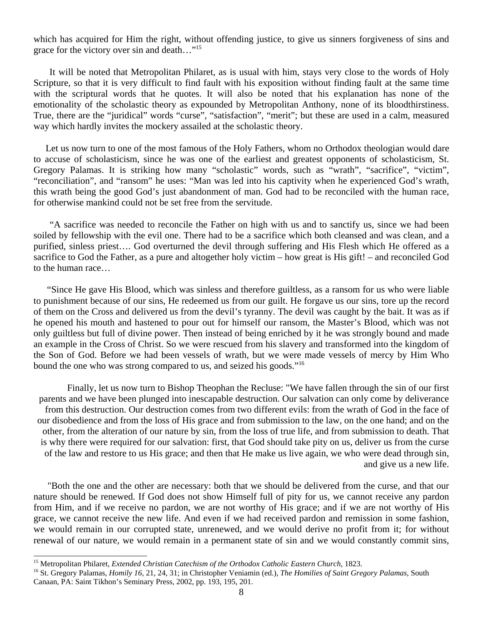which has acquired for Him the right, without offending justice, to give us sinners forgiveness of sins and grace for the victory over sin and death..."<sup>15</sup>

 It will be noted that Metropolitan Philaret, as is usual with him, stays very close to the words of Holy Scripture, so that it is very difficult to find fault with his exposition without finding fault at the same time with the scriptural words that he quotes. It will also be noted that his explanation has none of the emotionality of the scholastic theory as expounded by Metropolitan Anthony, none of its bloodthirstiness. True, there are the "juridical" words "curse", "satisfaction", "merit"; but these are used in a calm, measured way which hardly invites the mockery assailed at the scholastic theory.

Let us now turn to one of the most famous of the Holy Fathers, whom no Orthodox theologian would dare to accuse of scholasticism, since he was one of the earliest and greatest opponents of scholasticism, St. Gregory Palamas. It is striking how many "scholastic" words, such as "wrath", "sacrifice", "victim", "reconciliation", and "ransom" he uses: "Man was led into his captivity when he experienced God's wrath, this wrath being the good God's just abandonment of man. God had to be reconciled with the human race, for otherwise mankind could not be set free from the servitude.

 "A sacrifice was needed to reconcile the Father on high with us and to sanctify us, since we had been soiled by fellowship with the evil one. There had to be a sacrifice which both cleansed and was clean, and a purified, sinless priest…. God overturned the devil through suffering and His Flesh which He offered as a sacrifice to God the Father, as a pure and altogether holy victim – how great is His gift! – and reconciled God to the human race…

 "Since He gave His Blood, which was sinless and therefore guiltless, as a ransom for us who were liable to punishment because of our sins, He redeemed us from our guilt. He forgave us our sins, tore up the record of them on the Cross and delivered us from the devil's tyranny. The devil was caught by the bait. It was as if he opened his mouth and hastened to pour out for himself our ransom, the Master's Blood, which was not only guiltless but full of divine power. Then instead of being enriched by it he was strongly bound and made an example in the Cross of Christ. So we were rescued from his slavery and transformed into the kingdom of the Son of God. Before we had been vessels of wrath, but we were made vessels of mercy by Him Who bound the one who was strong compared to us, and seized his goods."16

Finally, let us now turn to Bishop Theophan the Recluse: "We have fallen through the sin of our first parents and we have been plunged into inescapable destruction. Our salvation can only come by deliverance from this destruction. Our destruction comes from two different evils: from the wrath of God in the face of our disobedience and from the loss of His grace and from submission to the law, on the one hand; and on the other, from the alteration of our nature by sin, from the loss of true life, and from submission to death. That is why there were required for our salvation: first, that God should take pity on us, deliver us from the curse of the law and restore to us His grace; and then that He make us live again, we who were dead through sin, and give us a new life.

 "Both the one and the other are necessary: both that we should be delivered from the curse, and that our nature should be renewed. If God does not show Himself full of pity for us, we cannot receive any pardon from Him, and if we receive no pardon, we are not worthy of His grace; and if we are not worthy of His grace, we cannot receive the new life. And even if we had received pardon and remission in some fashion, we would remain in our corrupted state, unrenewed, and we would derive no profit from it; for without renewal of our nature, we would remain in a permanent state of sin and we would constantly commit sins,

<sup>&</sup>lt;sup>15</sup> Metropolitan Philaret, *Extended Christian Catechism of the Orthodox Catholic Eastern Church*, 1823.<br><sup>16</sup> St. Gregory Palamas, *Homily 16*, 21, 24, 31; in Christopher Veniamin (ed.), *The Homilies of Saint Gregory Pa* Canaan, PA: Saint Tikhon's Seminary Press, 2002, pp. 193, 195, 201.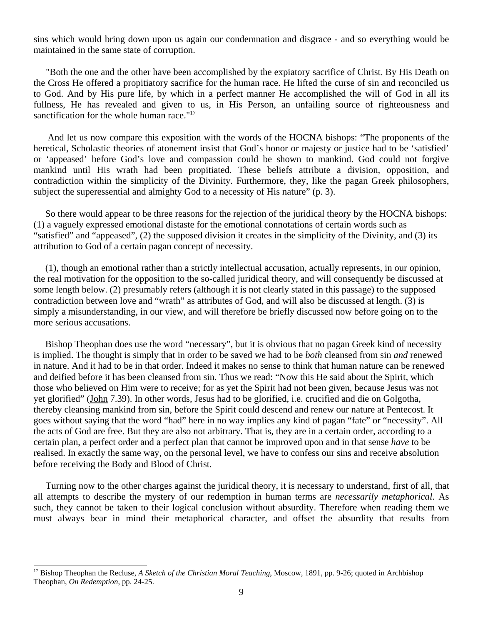sins which would bring down upon us again our condemnation and disgrace - and so everything would be maintained in the same state of corruption.

 "Both the one and the other have been accomplished by the expiatory sacrifice of Christ. By His Death on the Cross He offered a propitiatory sacrifice for the human race. He lifted the curse of sin and reconciled us to God. And by His pure life, by which in a perfect manner He accomplished the will of God in all its fullness, He has revealed and given to us, in His Person, an unfailing source of righteousness and sanctification for the whole human race."<sup>17</sup>

 And let us now compare this exposition with the words of the HOCNA bishops: "The proponents of the heretical, Scholastic theories of atonement insist that God's honor or majesty or justice had to be 'satisfied' or 'appeased' before God's love and compassion could be shown to mankind. God could not forgive mankind until His wrath had been propitiated. These beliefs attribute a division, opposition, and contradiction within the simplicity of the Divinity. Furthermore, they, like the pagan Greek philosophers, subject the superessential and almighty God to a necessity of His nature" (p. 3).

 So there would appear to be three reasons for the rejection of the juridical theory by the HOCNA bishops: (1) a vaguely expressed emotional distaste for the emotional connotations of certain words such as "satisfied" and "appeased", (2) the supposed division it creates in the simplicity of the Divinity, and (3) its attribution to God of a certain pagan concept of necessity.

 (1), though an emotional rather than a strictly intellectual accusation, actually represents, in our opinion, the real motivation for the opposition to the so-called juridical theory, and will consequently be discussed at some length below. (2) presumably refers (although it is not clearly stated in this passage) to the supposed contradiction between love and "wrath" as attributes of God, and will also be discussed at length. (3) is simply a misunderstanding, in our view, and will therefore be briefly discussed now before going on to the more serious accusations.

 Bishop Theophan does use the word "necessary", but it is obvious that no pagan Greek kind of necessity is implied. The thought is simply that in order to be saved we had to be *both* cleansed from sin *and* renewed in nature. And it had to be in that order. Indeed it makes no sense to think that human nature can be renewed and deified before it has been cleansed from sin. Thus we read: "Now this He said about the Spirit, which those who believed on Him were to receive; for as yet the Spirit had not been given, because Jesus was not yet glorified" (John 7.39). In other words, Jesus had to be glorified, i.e. crucified and die on Golgotha, thereby cleansing mankind from sin, before the Spirit could descend and renew our nature at Pentecost. It goes without saying that the word "had" here in no way implies any kind of pagan "fate" or "necessity". All the acts of God are free. But they are also not arbitrary. That is, they are in a certain order, according to a certain plan, a perfect order and a perfect plan that cannot be improved upon and in that sense *have* to be realised. In exactly the same way, on the personal level, we have to confess our sins and receive absolution before receiving the Body and Blood of Christ.

 Turning now to the other charges against the juridical theory, it is necessary to understand, first of all, that all attempts to describe the mystery of our redemption in human terms are *necessarily metaphorical*. As such, they cannot be taken to their logical conclusion without absurdity. Therefore when reading them we must always bear in mind their metaphorical character, and offset the absurdity that results from

<sup>17</sup> Bishop Theophan the Recluse, *A Sketch of the Christian Moral Teaching*, Moscow, 1891, pp. 9-26; quoted in Archbishop Theophan, *On Redemption*, pp. 24-25.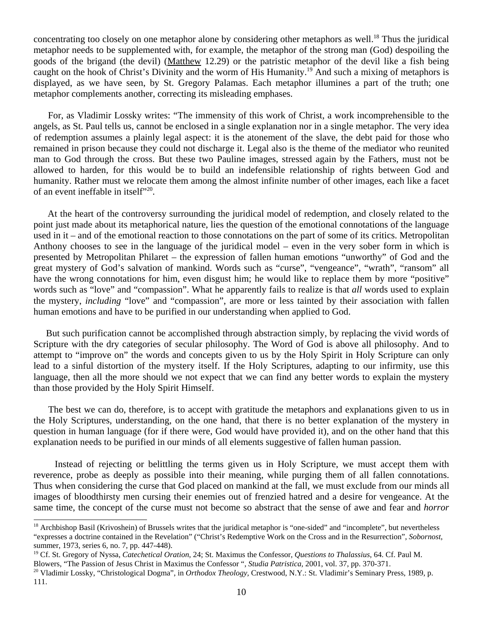concentrating too closely on one metaphor alone by considering other metaphors as well.<sup>18</sup> Thus the juridical metaphor needs to be supplemented with, for example, the metaphor of the strong man (God) despoiling the goods of the brigand (the devil) (Matthew 12.29) or the patristic metaphor of the devil like a fish being caught on the hook of Christ's Divinity and the worm of His Humanity.19 And such a mixing of metaphors is displayed, as we have seen, by St. Gregory Palamas. Each metaphor illumines a part of the truth; one metaphor complements another, correcting its misleading emphases.

 For, as Vladimir Lossky writes: "The immensity of this work of Christ, a work incomprehensible to the angels, as St. Paul tells us, cannot be enclosed in a single explanation nor in a single metaphor. The very idea of redemption assumes a plainly legal aspect: it is the atonement of the slave, the debt paid for those who remained in prison because they could not discharge it. Legal also is the theme of the mediator who reunited man to God through the cross. But these two Pauline images, stressed again by the Fathers, must not be allowed to harden, for this would be to build an indefensible relationship of rights between God and humanity. Rather must we relocate them among the almost infinite number of other images, each like a facet of an event ineffable in itself<sup>"20</sup>.

 At the heart of the controversy surrounding the juridical model of redemption, and closely related to the point just made about its metaphorical nature, lies the question of the emotional connotations of the language used in it – and of the emotional reaction to those connotations on the part of some of its critics. Metropolitan Anthony chooses to see in the language of the juridical model – even in the very sober form in which is presented by Metropolitan Philaret – the expression of fallen human emotions "unworthy" of God and the great mystery of God's salvation of mankind. Words such as "curse", "vengeance", "wrath", "ransom" all have the wrong connotations for him, even disgust him; he would like to replace them by more "positive" words such as "love" and "compassion". What he apparently fails to realize is that *all* words used to explain the mystery, *including* "love" and "compassion", are more or less tainted by their association with fallen human emotions and have to be purified in our understanding when applied to God.

 But such purification cannot be accomplished through abstraction simply, by replacing the vivid words of Scripture with the dry categories of secular philosophy. The Word of God is above all philosophy. And to attempt to "improve on" the words and concepts given to us by the Holy Spirit in Holy Scripture can only lead to a sinful distortion of the mystery itself. If the Holy Scriptures, adapting to our infirmity, use this language, then all the more should we not expect that we can find any better words to explain the mystery than those provided by the Holy Spirit Himself.

 The best we can do, therefore, is to accept with gratitude the metaphors and explanations given to us in the Holy Scriptures, understanding, on the one hand, that there is no better explanation of the mystery in question in human language (for if there were, God would have provided it), and on the other hand that this explanation needs to be purified in our minds of all elements suggestive of fallen human passion.

 Instead of rejecting or belittling the terms given us in Holy Scripture, we must accept them with reverence, probe as deeply as possible into their meaning, while purging them of all fallen connotations. Thus when considering the curse that God placed on mankind at the fall, we must exclude from our minds all images of bloodthirsty men cursing their enemies out of frenzied hatred and a desire for vengeance. At the same time, the concept of the curse must not become so abstract that the sense of awe and fear and *horror*

<sup>&</sup>lt;sup>18</sup> Archbishop Basil (Krivoshein) of Brussels writes that the juridical metaphor is "one-sided" and "incomplete", but nevertheless "expresses a doctrine contained in the Revelation" ("Christ's Redemptive Work on the Cross and in the Resurrection", *Sobornost*, summer, 1973, series 6, no. 7, pp. 447-448).

<sup>19</sup> Cf. St. Gregory of Nyssa, *Catechetical Oration*, 24; St. Maximus the Confessor, *Questions to Thalassius*, 64. Cf. Paul M. Blowers, "The Passion of Jesus Christ in Maximus the Confessor ", *Studia Patristica,* 2001, vol. 37, pp. 370-371.

<sup>20</sup> Vladimir Lossky, "Christological Dogma", in *Orthodox Theology,* Crestwood, N.Y.: St. Vladimir's Seminary Press, 1989, p. 111.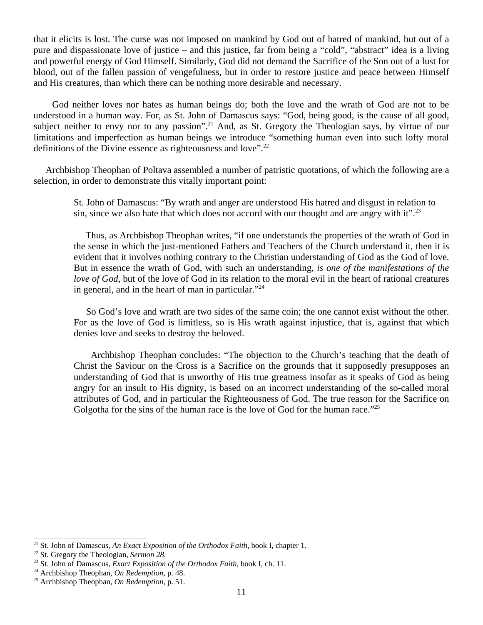that it elicits is lost. The curse was not imposed on mankind by God out of hatred of mankind, but out of a pure and dispassionate love of justice – and this justice, far from being a "cold", "abstract" idea is a living and powerful energy of God Himself. Similarly, God did not demand the Sacrifice of the Son out of a lust for blood, out of the fallen passion of vengefulness, but in order to restore justice and peace between Himself and His creatures, than which there can be nothing more desirable and necessary.

 God neither loves nor hates as human beings do; both the love and the wrath of God are not to be understood in a human way. For, as St. John of Damascus says: "God, being good, is the cause of all good, subject neither to envy nor to any passion".<sup>21</sup> And, as St. Gregory the Theologian says, by virtue of our limitations and imperfection as human beings we introduce "something human even into such lofty moral definitions of the Divine essence as righteousness and love".<sup>22</sup>

 Archbishop Theophan of Poltava assembled a number of patristic quotations, of which the following are a selection, in order to demonstrate this vitally important point:

St. John of Damascus: "By wrath and anger are understood His hatred and disgust in relation to sin, since we also hate that which does not accord with our thought and are angry with it".<sup>23</sup>

 Thus, as Archbishop Theophan writes, "if one understands the properties of the wrath of God in the sense in which the just-mentioned Fathers and Teachers of the Church understand it, then it is evident that it involves nothing contrary to the Christian understanding of God as the God of love. But in essence the wrath of God, with such an understanding, *is one of the manifestations of the love of God*, but of the love of God in its relation to the moral evil in the heart of rational creatures in general, and in the heart of man in particular.<sup> $24$ </sup>

 So God's love and wrath are two sides of the same coin; the one cannot exist without the other. For as the love of God is limitless, so is His wrath against injustice, that is, against that which denies love and seeks to destroy the beloved.

 Archbishop Theophan concludes: "The objection to the Church's teaching that the death of Christ the Saviour on the Cross is a Sacrifice on the grounds that it supposedly presupposes an understanding of God that is unworthy of His true greatness insofar as it speaks of God as being angry for an insult to His dignity, is based on an incorrect understanding of the so-called moral attributes of God, and in particular the Righteousness of God. The true reason for the Sacrifice on Golgotha for the sins of the human race is the love of God for the human race."<sup>25</sup>

<sup>21</sup> St. John of Damascus, *An Exact Exposition of the Orthodox Faith,* book I, chapter 1.

<sup>22</sup> St. Gregory the Theologian, *Sermon 28.*

<sup>23</sup> St. John of Damascus, *Exact Exposition of the Orthodox Faith,* book I, ch. 11.

<sup>24</sup> Archbishop Theophan, *On Redemption,* p. 48.

<sup>25</sup> Archbishop Theophan, *On Redemption*, p. 51.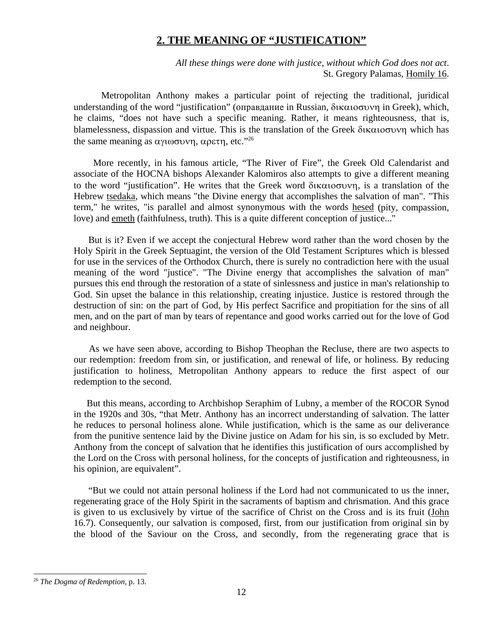# **2. THE MEANING OF "JUSTIFICATION"**

*All these things were done with justice, without which God does not act*. St. Gregory Palamas, Homily 16.

 Metropolitan Anthony makes a particular point of rejecting the traditional, juridical understanding of the word "justification" (oπραвдание in Russian, δικαιοσυνη in Greek), which, he claims, "does not have such a specific meaning. Rather, it means righteousness, that is, blamelessness, dispassion and virtue. This is the translation of the Greek δικαιοσυνη which has the same meaning as αγιωσυνη, αρετη, etc.<sup>"26</sup>

 More recently, in his famous article, "The River of Fire", the Greek Old Calendarist and associate of the HOCNA bishops Alexander Kalomiros also attempts to give a different meaning to the word "justification". He writes that the Greek word δικαιοσυνη, is a translation of the Hebrew tsedaka, which means "the Divine energy that accomplishes the salvation of man". "This term," he writes, "is parallel and almost synonymous with the words hesed (pity, compassion, love) and emeth (faithfulness, truth). This is a quite different conception of justice..."

 But is it? Even if we accept the conjectural Hebrew word rather than the word chosen by the Holy Spirit in the Greek Septuagint, the version of the Old Testament Scriptures which is blessed for use in the services of the Orthodox Church, there is surely no contradiction here with the usual meaning of the word "justice". "The Divine energy that accomplishes the salvation of man" pursues this end through the restoration of a state of sinlessness and justice in man's relationship to God. Sin upset the balance in this relationship, creating injustice. Justice is restored through the destruction of sin: on the part of God, by His perfect Sacrifice and propitiation for the sins of all men, and on the part of man by tears of repentance and good works carried out for the love of God and neighbour.

 As we have seen above, according to Bishop Theophan the Recluse, there are two aspects to our redemption: freedom from sin, or justification, and renewal of life, or holiness. By reducing justification to holiness, Metropolitan Anthony appears to reduce the first aspect of our redemption to the second.

 But this means, according to Archbishop Seraphim of Lubny, a member of the ROCOR Synod in the 1920s and 30s, "that Metr. Anthony has an incorrect understanding of salvation. The latter he reduces to personal holiness alone. While justification, which is the same as our deliverance from the punitive sentence laid by the Divine justice on Adam for his sin, is so excluded by Metr. Anthony from the concept of salvation that he identifies this justification of ours accomplished by the Lord on the Cross with personal holiness, for the concepts of justification and righteousness, in his opinion, are equivalent".

 "But we could not attain personal holiness if the Lord had not communicated to us the inner, regenerating grace of the Holy Spirit in the sacraments of baptism and chrismation. And this grace is given to us exclusively by virtue of the sacrifice of Christ on the Cross and is its fruit (John 16.7). Consequently, our salvation is composed, first, from our justification from original sin by the blood of the Saviour on the Cross, and secondly, from the regenerating grace that is

<sup>26</sup> *The Dogma of Redemption,* p. 13.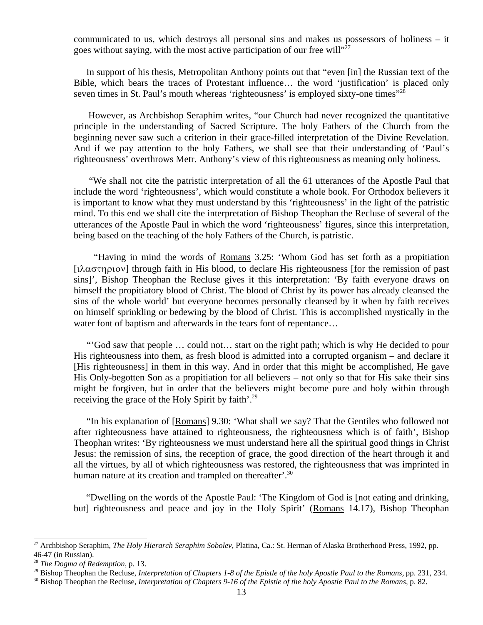communicated to us, which destroys all personal sins and makes us possessors of holiness – it goes without saying, with the most active participation of our free will"<sup>27</sup>

 In support of his thesis, Metropolitan Anthony points out that "even [in] the Russian text of the Bible, which bears the traces of Protestant influence… the word 'justification' is placed only seven times in St. Paul's mouth whereas 'righteousness' is employed sixty-one times"<sup>28</sup>

 However, as Archbishop Seraphim writes, "our Church had never recognized the quantitative principle in the understanding of Sacred Scripture. The holy Fathers of the Church from the beginning never saw such a criterion in their grace-filled interpretation of the Divine Revelation. And if we pay attention to the holy Fathers, we shall see that their understanding of 'Paul's righteousness' overthrows Metr. Anthony's view of this righteousness as meaning only holiness.

 "We shall not cite the patristic interpretation of all the 61 utterances of the Apostle Paul that include the word 'righteousness', which would constitute a whole book. For Orthodox believers it is important to know what they must understand by this 'righteousness' in the light of the patristic mind. To this end we shall cite the interpretation of Bishop Theophan the Recluse of several of the utterances of the Apostle Paul in which the word 'righteousness' figures, since this interpretation, being based on the teaching of the holy Fathers of the Church, is patristic.

 "Having in mind the words of Romans 3.25: 'Whom God has set forth as a propitiation [ιλαστηριον] through faith in His blood, to declare His righteousness [for the remission of past sins]', Bishop Theophan the Recluse gives it this interpretation: 'By faith everyone draws on himself the propitiatory blood of Christ. The blood of Christ by its power has already cleansed the sins of the whole world' but everyone becomes personally cleansed by it when by faith receives on himself sprinkling or bedewing by the blood of Christ. This is accomplished mystically in the water font of baptism and afterwards in the tears font of repentance...

 "'God saw that people … could not… start on the right path; which is why He decided to pour His righteousness into them, as fresh blood is admitted into a corrupted organism – and declare it [His righteousness] in them in this way. And in order that this might be accomplished, He gave His Only-begotten Son as a propitiation for all believers – not only so that for His sake their sins might be forgiven, but in order that the believers might become pure and holy within through receiving the grace of the Holy Spirit by faith'.29

 "In his explanation of [Romans] 9.30: 'What shall we say? That the Gentiles who followed not after righteousness have attained to righteousness, the righteousness which is of faith', Bishop Theophan writes: 'By righteousness we must understand here all the spiritual good things in Christ Jesus: the remission of sins, the reception of grace, the good direction of the heart through it and all the virtues, by all of which righteousness was restored, the righteousness that was imprinted in human nature at its creation and trampled on thereafter'.<sup>30</sup>

 "Dwelling on the words of the Apostle Paul: 'The Kingdom of God is [not eating and drinking, but] righteousness and peace and joy in the Holy Spirit' (Romans 14.17), Bishop Theophan

<sup>27</sup> Archbishop Seraphim, *The Holy Hierarch Seraphim Sobolev,* Platina, Ca.: St. Herman of Alaska Brotherhood Press, 1992, pp. 46-47 (in Russian).

<sup>28</sup> *The Dogma of Redemption,* p. 13.

<sup>&</sup>lt;sup>29</sup> Bishop Theophan the Recluse, *Interpretation of Chapters 1-8 of the Epistle of the holy Apostle Paul to the Romans, pp. 231, 234.* 

<sup>&</sup>lt;sup>30</sup> Bishop Theophan the Recluse, *Interpretation of Chapters 9-16 of the Epistle of the holy Apostle Paul to the Romans, p. 82.*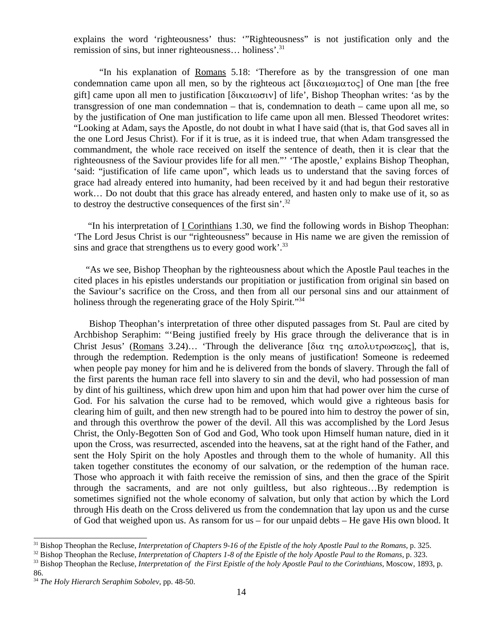explains the word 'righteousness' thus: "Righteousness" is not justification only and the remission of sins, but inner righteousness... holiness'.<sup>31</sup>

 "In his explanation of Romans 5.18: 'Therefore as by the transgression of one man condemnation came upon all men, so by the righteous act [δικαιωματος] of One man [the free gift] came upon all men to justification [δικαιωσιν] of life', Bishop Theophan writes: 'as by the transgression of one man condemnation – that is, condemnation to death – came upon all me, so by the justification of One man justification to life came upon all men. Blessed Theodoret writes: "Looking at Adam, says the Apostle, do not doubt in what I have said (that is, that God saves all in the one Lord Jesus Christ). For if it is true, as it is indeed true, that when Adam transgressed the commandment, the whole race received on itself the sentence of death, then it is clear that the righteousness of the Saviour provides life for all men."' 'The apostle,' explains Bishop Theophan, 'said: "justification of life came upon", which leads us to understand that the saving forces of grace had already entered into humanity, had been received by it and had begun their restorative work… Do not doubt that this grace has already entered, and hasten only to make use of it, so as to destroy the destructive consequences of the first sin'.32

 "In his interpretation of I Corinthians 1.30, we find the following words in Bishop Theophan: 'The Lord Jesus Christ is our "righteousness" because in His name we are given the remission of sins and grace that strengthens us to every good work'.<sup>33</sup>

 "As we see, Bishop Theophan by the righteousness about which the Apostle Paul teaches in the cited places in his epistles understands our propitiation or justification from original sin based on the Saviour's sacrifice on the Cross, and then from all our personal sins and our attainment of holiness through the regenerating grace of the Holy Spirit."<sup>34</sup>

 Bishop Theophan's interpretation of three other disputed passages from St. Paul are cited by Archbishop Seraphim: "'Being justified freely by His grace through the deliverance that is in Christ Jesus' (Romans 3.24)... 'Through the deliverance [δια της απολυτρωσεως], that is, through the redemption. Redemption is the only means of justification! Someone is redeemed when people pay money for him and he is delivered from the bonds of slavery. Through the fall of the first parents the human race fell into slavery to sin and the devil, who had possession of man by dint of his guiltiness, which drew upon him and upon him that had power over him the curse of God. For his salvation the curse had to be removed, which would give a righteous basis for clearing him of guilt, and then new strength had to be poured into him to destroy the power of sin, and through this overthrow the power of the devil. All this was accomplished by the Lord Jesus Christ, the Only-Begotten Son of God and God, Who took upon Himself human nature, died in it upon the Cross, was resurrected, ascended into the heavens, sat at the right hand of the Father, and sent the Holy Spirit on the holy Apostles and through them to the whole of humanity. All this taken together constitutes the economy of our salvation, or the redemption of the human race. Those who approach it with faith receive the remission of sins, and then the grace of the Spirit through the sacraments, and are not only guiltless, but also righteous…By redemption is sometimes signified not the whole economy of salvation, but only that action by which the Lord through His death on the Cross delivered us from the condemnation that lay upon us and the curse of God that weighed upon us. As ransom for us – for our unpaid debts – He gave His own blood. It

<sup>31</sup> Bishop Theophan the Recluse, *Interpretation of Chapters 9-16 of the Epistle of the holy Apostle Paul to the Romans,* p. 325.

<sup>&</sup>lt;sup>32</sup> Bishop Theophan the Recluse, *Interpretation of Chapters 1-8 of the Epistle of the holy Apostle Paul to the Romans*, p. 323.

<sup>&</sup>lt;sup>33</sup> Bishop Theophan the Recluse, *Interpretation of the First Epistle of the holy Apostle Paul to the Corinthians, Moscow, 1893, p.* 

<sup>86.</sup>

<sup>34</sup> *The Holy Hierarch Seraphim Sobolev*, pp. 48-50.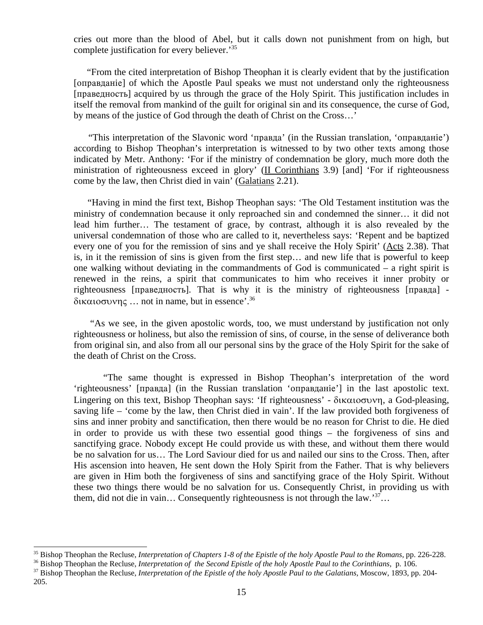cries out more than the blood of Abel, but it calls down not punishment from on high, but complete justification for every believer.'35

 "From the cited interpretation of Bishop Theophan it is clearly evident that by the justification [оправдание] of which the Apostle Paul speaks we must not understand only the righteousness [праведность] acquired by us through the grace of the Holy Spirit. This justification includes in itself the removal from mankind of the guilt for original sin and its consequence, the curse of God, by means of the justice of God through the death of Christ on the Cross…'

"This interpretation of the Slavonic word 'правда' (in the Russian translation, 'оправдание') according to Bishop Theophan's interpretation is witnessed to by two other texts among those indicated by Metr. Anthony: 'For if the ministry of condemnation be glory, much more doth the ministration of righteousness exceed in glory' (II Corinthians 3.9) [and] 'For if righteousness come by the law, then Christ died in vain' (Galatians 2.21).

 "Having in mind the first text, Bishop Theophan says: 'The Old Testament institution was the ministry of condemnation because it only reproached sin and condemned the sinner… it did not lead him further… The testament of grace, by contrast, although it is also revealed by the universal condemnation of those who are called to it, nevertheless says: 'Repent and be baptized every one of you for the remission of sins and ye shall receive the Holy Spirit' (Acts 2.38). That is, in it the remission of sins is given from the first step… and new life that is powerful to keep one walking without deviating in the commandments of God is communicated – a right spirit is renewed in the reins, a spirit that communicates to him who receives it inner probity or  $right$  righteousness [ $праведность$ ]. That is why it is the ministry of righteousness [ $mpanal$  δικαιοσυνης … not in name, but in essence'.36

 "As we see, in the given apostolic words, too, we must understand by justification not only righteousness or holiness, but also the remission of sins, of course, in the sense of deliverance both from original sin, and also from all our personal sins by the grace of the Holy Spirit for the sake of the death of Christ on the Cross.

 "The same thought is expressed in Bishop Theophan's interpretation of the word 'righteousness' [правда] (in the Russian translation 'оправдание'] in the last apostolic text. Lingering on this text, Bishop Theophan says: 'If righteousness' - δικαιοσυνη, a God-pleasing, saving life – 'come by the law, then Christ died in vain'. If the law provided both forgiveness of sins and inner probity and sanctification, then there would be no reason for Christ to die. He died in order to provide us with these two essential good things – the forgiveness of sins and sanctifying grace. Nobody except He could provide us with these, and without them there would be no salvation for us… The Lord Saviour died for us and nailed our sins to the Cross. Then, after His ascension into heaven, He sent down the Holy Spirit from the Father. That is why believers are given in Him both the forgiveness of sins and sanctifying grace of the Holy Spirit. Without these two things there would be no salvation for us. Consequently Christ, in providing us with them, did not die in vain... Consequently righteousness is not through the law.<sup>37</sup>...

<sup>&</sup>lt;sup>35</sup> Bishop Theophan the Recluse, *Interpretation of Chapters 1-8 of the Epistle of the holy Apostle Paul to the Romans, pp. 226-228.* 

<sup>36</sup> Bishop Theophan the Recluse, *Interpretation of the Second Epistle of the holy Apostle Paul to the Corinthians,* p. 106.

<sup>37</sup> Bishop Theophan the Recluse, *Interpretation of the Epistle of the holy Apostle Paul to the Galatians,* Moscow, 1893, pp. 204-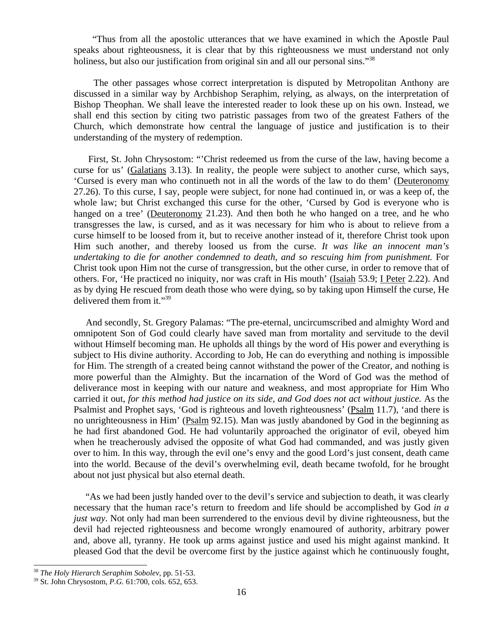"Thus from all the apostolic utterances that we have examined in which the Apostle Paul speaks about righteousness, it is clear that by this righteousness we must understand not only holiness, but also our justification from original sin and all our personal sins."<sup>38</sup>

 The other passages whose correct interpretation is disputed by Metropolitan Anthony are discussed in a similar way by Archbishop Seraphim, relying, as always, on the interpretation of Bishop Theophan. We shall leave the interested reader to look these up on his own. Instead, we shall end this section by citing two patristic passages from two of the greatest Fathers of the Church, which demonstrate how central the language of justice and justification is to their understanding of the mystery of redemption.

 First, St. John Chrysostom: "'Christ redeemed us from the curse of the law, having become a curse for us' (Galatians 3.13). In reality, the people were subject to another curse, which says, 'Cursed is every man who continueth not in all the words of the law to do them' (Deuteronomy 27.26). To this curse, I say, people were subject, for none had continued in, or was a keep of, the whole law; but Christ exchanged this curse for the other, 'Cursed by God is everyone who is hanged on a tree' (Deuteronomy 21.23). And then both he who hanged on a tree, and he who transgresses the law, is cursed, and as it was necessary for him who is about to relieve from a curse himself to be loosed from it, but to receive another instead of it, therefore Christ took upon Him such another, and thereby loosed us from the curse. *It was like an innocent man's undertaking to die for another condemned to death, and so rescuing him from punishment.* For Christ took upon Him not the curse of transgression, but the other curse, in order to remove that of others. For, 'He practiced no iniquity, nor was craft in His mouth' (Isaiah 53.9; I Peter 2.22). And as by dying He rescued from death those who were dying, so by taking upon Himself the curse, He delivered them from it."<sup>39</sup>

 And secondly, St. Gregory Palamas: "The pre-eternal, uncircumscribed and almighty Word and omnipotent Son of God could clearly have saved man from mortality and servitude to the devil without Himself becoming man. He upholds all things by the word of His power and everything is subject to His divine authority. According to Job, He can do everything and nothing is impossible for Him. The strength of a created being cannot withstand the power of the Creator, and nothing is more powerful than the Almighty. But the incarnation of the Word of God was the method of deliverance most in keeping with our nature and weakness, and most appropriate for Him Who carried it out, *for this method had justice on its side, and God does not act without justice.* As the Psalmist and Prophet says, 'God is righteous and loveth righteousness' (Psalm 11.7), 'and there is no unrighteousness in Him' (Psalm 92.15). Man was justly abandoned by God in the beginning as he had first abandoned God. He had voluntarily approached the originator of evil, obeyed him when he treacherously advised the opposite of what God had commanded, and was justly given over to him. In this way, through the evil one's envy and the good Lord's just consent, death came into the world. Because of the devil's overwhelming evil, death became twofold, for he brought about not just physical but also eternal death.

 "As we had been justly handed over to the devil's service and subjection to death, it was clearly necessary that the human race's return to freedom and life should be accomplished by God *in a just way*. Not only had man been surrendered to the envious devil by divine righteousness, but the devil had rejected righteousness and become wrongly enamoured of authority, arbitrary power and, above all, tyranny. He took up arms against justice and used his might against mankind. It pleased God that the devil be overcome first by the justice against which he continuously fought,

<sup>38</sup> *The Holy Hierarch Seraphim Sobolev*, pp. 51-53.

<sup>39</sup> St. John Chrysostom, *P.G.* 61:700, cols. 652, 653.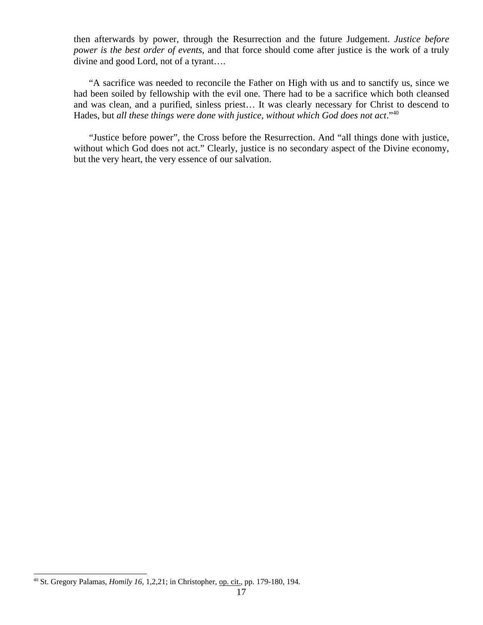then afterwards by power, through the Resurrection and the future Judgement. *Justice before power is the best order of events*, and that force should come after justice is the work of a truly divine and good Lord, not of a tyrant….

 "A sacrifice was needed to reconcile the Father on High with us and to sanctify us, since we had been soiled by fellowship with the evil one. There had to be a sacrifice which both cleansed and was clean, and a purified, sinless priest… It was clearly necessary for Christ to descend to Hades, but *all these things were done with justice, without which God does not act*."40

 "Justice before power", the Cross before the Resurrection. And "all things done with justice, without which God does not act." Clearly, justice is no secondary aspect of the Divine economy, but the very heart, the very essence of our salvation.

<sup>40</sup> St. Gregory Palamas, *Homily 16*, 1,2,21; in Christopher, op. cit., pp. 179-180, 194.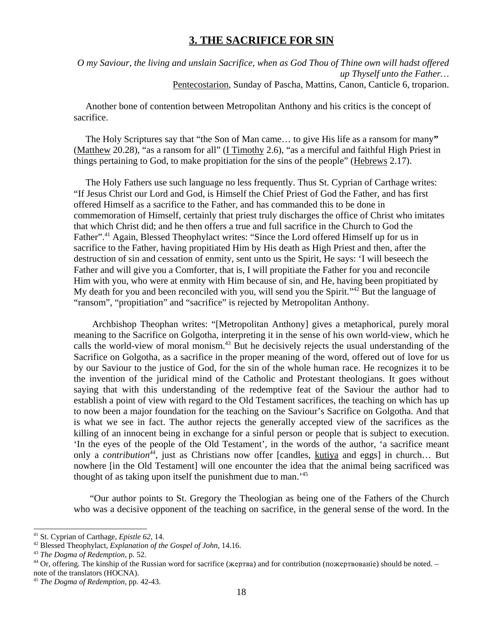# **3. THE SACRIFICE FOR SIN**

*O my Saviour, the living and unslain Sacrifice, when as God Thou of Thine own will hadst offered up Thyself unto the Father…* Pentecostarion*,* Sunday of Pascha, Mattins, Canon, Canticle 6, troparion.

Another bone of contention between Metropolitan Anthony and his critics is the concept of sacrifice.

 The Holy Scriptures say that "the Son of Man came… to give His life as a ransom for many**"** (Matthew 20.28), "as a ransom for all" ( $I$  Timothy 2.6), "as a merciful and faithful High Priest in things pertaining to God, to make propitiation for the sins of the people" (Hebrews 2.17).

 The Holy Fathers use such language no less frequently. Thus St. Cyprian of Carthage writes: "If Jesus Christ our Lord and God, is Himself the Chief Priest of God the Father, and has first offered Himself as a sacrifice to the Father, and has commanded this to be done in commemoration of Himself, certainly that priest truly discharges the office of Christ who imitates that which Christ did; and he then offers a true and full sacrifice in the Church to God the Father".<sup>41</sup> Again, Blessed Theophylact writes: "Since the Lord offered Himself up for us in sacrifice to the Father, having propitiated Him by His death as High Priest and then, after the destruction of sin and cessation of enmity, sent unto us the Spirit, He says: 'I will beseech the Father and will give you a Comforter, that is, I will propitiate the Father for you and reconcile Him with you, who were at enmity with Him because of sin, and He, having been propitiated by My death for you and been reconciled with you, will send you the Spirit."<sup>42</sup> But the language of "ransom", "propitiation" and "sacrifice" is rejected by Metropolitan Anthony.

 Archbishop Theophan writes: "[Metropolitan Anthony] gives a metaphorical, purely moral meaning to the Sacrifice on Golgotha, interpreting it in the sense of his own world-view, which he calls the world-view of moral monism.<sup>43</sup> But he decisively rejects the usual understanding of the Sacrifice on Golgotha, as a sacrifice in the proper meaning of the word, offered out of love for us by our Saviour to the justice of God, for the sin of the whole human race. He recognizes it to be the invention of the juridical mind of the Catholic and Protestant theologians. It goes without saying that with this understanding of the redemptive feat of the Saviour the author had to establish a point of view with regard to the Old Testament sacrifices, the teaching on which has up to now been a major foundation for the teaching on the Saviour's Sacrifice on Golgotha. And that is what we see in fact. The author rejects the generally accepted view of the sacrifices as the killing of an innocent being in exchange for a sinful person or people that is subject to execution. 'In the eyes of the people of the Old Testament', in the words of the author, 'a sacrifice meant only a *contribution*<sup>44</sup>, just as Christians now offer [candles, kutiya and eggs] in church... But nowhere [in the Old Testament] will one encounter the idea that the animal being sacrificed was thought of as taking upon itself the punishment due to man.<sup>'45</sup>

 "Our author points to St. Gregory the Theologian as being one of the Fathers of the Church who was a decisive opponent of the teaching on sacrifice, in the general sense of the word. In the

<sup>41</sup> St. Cyprian of Carthage, *Epistle 62,* 14.

<sup>42</sup> Blessed Theophylact, *Explanation of the Gospel of John,* 14.16.

<sup>43</sup> *The Dogma of Redemption,* p. 52.

 $^{44}$  Or, offering. The kinship of the Russian word for sacrifice (жертва) and for contribution (пожертвование) should be noted. – note of the translators (HOCNA).

<sup>45</sup> *The Dogma of Redemption,* pp. 42-43.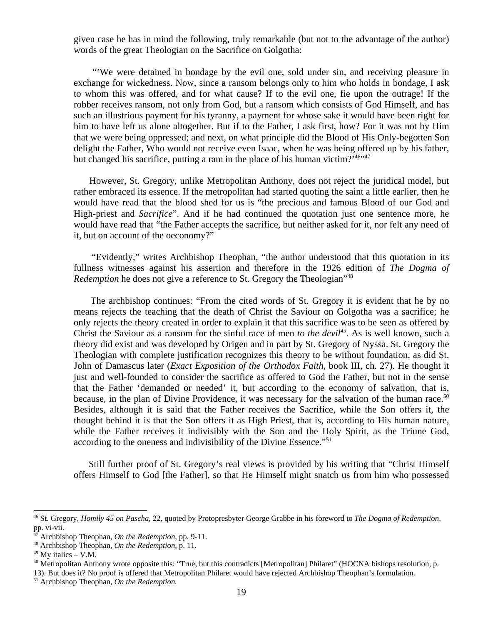given case he has in mind the following, truly remarkable (but not to the advantage of the author) words of the great Theologian on the Sacrifice on Golgotha:

 "'We were detained in bondage by the evil one, sold under sin, and receiving pleasure in exchange for wickedness. Now, since a ransom belongs only to him who holds in bondage, I ask to whom this was offered, and for what cause? If to the evil one, fie upon the outrage! If the robber receives ransom, not only from God, but a ransom which consists of God Himself, and has such an illustrious payment for his tyranny, a payment for whose sake it would have been right for him to have left us alone altogether. But if to the Father, I ask first, how? For it was not by Him that we were being oppressed; and next, on what principle did the Blood of His Only-begotten Son delight the Father, Who would not receive even Isaac, when he was being offered up by his father, but changed his sacrifice, putting a ram in the place of his human victim? $146^{14}$ 

 However, St. Gregory, unlike Metropolitan Anthony, does not reject the juridical model, but rather embraced its essence. If the metropolitan had started quoting the saint a little earlier, then he would have read that the blood shed for us is "the precious and famous Blood of our God and High-priest and *Sacrifice*". And if he had continued the quotation just one sentence more, he would have read that "the Father accepts the sacrifice, but neither asked for it, nor felt any need of it, but on account of the oeconomy?"

 "Evidently," writes Archbishop Theophan, "the author understood that this quotation in its fullness witnesses against his assertion and therefore in the 1926 edition of *The Dogma of Redemption* he does not give a reference to St. Gregory the Theologian<sup>148</sup>

 The archbishop continues: "From the cited words of St. Gregory it is evident that he by no means rejects the teaching that the death of Christ the Saviour on Golgotha was a sacrifice; he only rejects the theory created in order to explain it that this sacrifice was to be seen as offered by Christ the Saviour as a ransom for the sinful race of men *to the devil49*. As is well known, such a theory did exist and was developed by Origen and in part by St. Gregory of Nyssa. St. Gregory the Theologian with complete justification recognizes this theory to be without foundation, as did St. John of Damascus later (*Exact Exposition of the Orthodox Faith*, book III, ch. 27). He thought it just and well-founded to consider the sacrifice as offered to God the Father, but not in the sense that the Father 'demanded or needed' it, but according to the economy of salvation, that is, because, in the plan of Divine Providence, it was necessary for the salvation of the human race.<sup>50</sup> Besides, although it is said that the Father receives the Sacrifice, while the Son offers it, the thought behind it is that the Son offers it as High Priest, that is, according to His human nature, while the Father receives it indivisibly with the Son and the Holy Spirit, as the Triune God, according to the oneness and indivisibility of the Divine Essence."<sup>51</sup>

 Still further proof of St. Gregory's real views is provided by his writing that "Christ Himself offers Himself to God [the Father], so that He Himself might snatch us from him who possessed

<sup>46</sup> St. Gregory, *Homily 45 on Pascha*, 22, quoted by Protopresbyter George Grabbe in his foreword to *The Dogma of Redemption,* pp. vi-vii.

<sup>47</sup> Archbishop Theophan, *On the Redemption,* pp. 9-11.

<sup>48</sup> Archbishop Theophan, *On the Redemption,* p. 11.

 $49$  My italics – V.M.

 $50$  Metropolitan Anthony wrote opposite this: "True, but this contradicts [Metropolitan] Philaret" (HOCNA bishops resolution, p.

<sup>13).</sup> But does it? No proof is offered that Metropolitan Philaret would have rejected Archbishop Theophan's formulation.

<sup>51</sup> Archbishop Theophan, *On the Redemption.*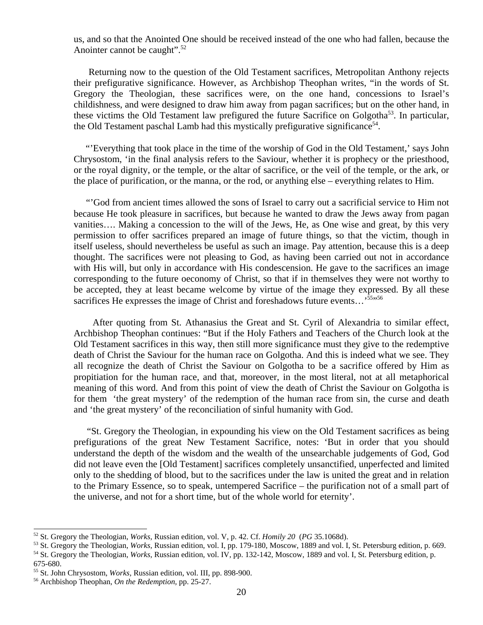us, and so that the Anointed One should be received instead of the one who had fallen, because the Anointer cannot be caught". $52$ 

 Returning now to the question of the Old Testament sacrifices, Metropolitan Anthony rejects their prefigurative significance. However, as Archbishop Theophan writes, "in the words of St. Gregory the Theologian, these sacrifices were, on the one hand, concessions to Israel's childishness, and were designed to draw him away from pagan sacrifices; but on the other hand, in these victims the Old Testament law prefigured the future Sacrifice on Golgotha<sup>53</sup>. In particular, the Old Testament paschal Lamb had this mystically prefigurative significance<sup>54</sup>.

 "'Everything that took place in the time of the worship of God in the Old Testament,' says John Chrysostom, 'in the final analysis refers to the Saviour, whether it is prophecy or the priesthood, or the royal dignity, or the temple, or the altar of sacrifice, or the veil of the temple, or the ark, or the place of purification, or the manna, or the rod, or anything else – everything relates to Him.

 "'God from ancient times allowed the sons of Israel to carry out a sacrificial service to Him not because He took pleasure in sacrifices, but because he wanted to draw the Jews away from pagan vanities…. Making a concession to the will of the Jews, He, as One wise and great, by this very permission to offer sacrifices prepared an image of future things, so that the victim, though in itself useless, should nevertheless be useful as such an image. Pay attention, because this is a deep thought. The sacrifices were not pleasing to God, as having been carried out not in accordance with His will, but only in accordance with His condescension. He gave to the sacrifices an image corresponding to the future oeconomy of Christ, so that if in themselves they were not worthy to be accepted, they at least became welcome by virtue of the image they expressed. By all these sacrifices He expresses the image of Christ and foreshadows future events...<sup>555556</sup>

 After quoting from St. Athanasius the Great and St. Cyril of Alexandria to similar effect, Archbishop Theophan continues: "But if the Holy Fathers and Teachers of the Church look at the Old Testament sacrifices in this way, then still more significance must they give to the redemptive death of Christ the Saviour for the human race on Golgotha. And this is indeed what we see. They all recognize the death of Christ the Saviour on Golgotha to be a sacrifice offered by Him as propitiation for the human race, and that, moreover, in the most literal, not at all metaphorical meaning of this word. And from this point of view the death of Christ the Saviour on Golgotha is for them 'the great mystery' of the redemption of the human race from sin, the curse and death and 'the great mystery' of the reconciliation of sinful humanity with God.

 "St. Gregory the Theologian, in expounding his view on the Old Testament sacrifices as being prefigurations of the great New Testament Sacrifice, notes: 'But in order that you should understand the depth of the wisdom and the wealth of the unsearchable judgements of God, God did not leave even the [Old Testament] sacrifices completely unsanctified, unperfected and limited only to the shedding of blood, but to the sacrifices under the law is united the great and in relation to the Primary Essence, so to speak, untempered Sacrifice – the purification not of a small part of the universe, and not for a short time, but of the whole world for eternity'.

<sup>52</sup> St. Gregory the Theologian, *Works,* Russian edition, vol. V, p. 42. Cf. *Homily 20* (*PG* 35.1068d).

<sup>53</sup> St. Gregory the Theologian, *Works,* Russian edition*,* vol. I, pp. 179-180, Moscow, 1889 and vol. I, St. Petersburg edition, p. 669. 54 St. Gregory the Theologian, *Works,* Russian edition*,* vol. IV, pp. 132-142, Moscow, 1889 and vol. I, St. Petersburg edition, p.

<sup>675-680.</sup> 55 St. John Chrysostom, *Works,* Russian edition, vol. III, pp. 898-900.

<sup>56</sup> Archbishop Theophan, *On the Redemption,* pp. 25-27.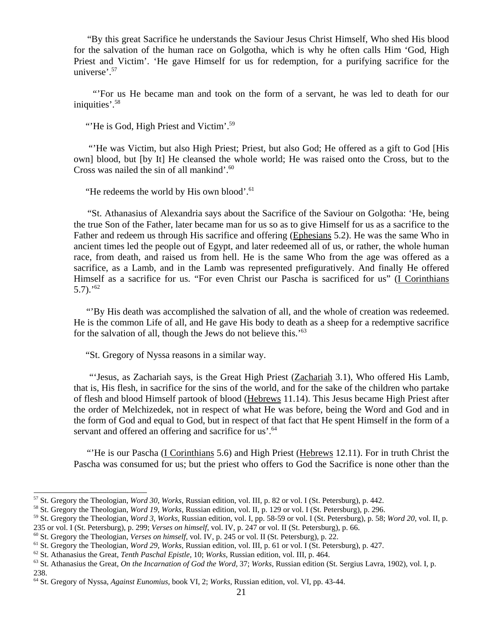"By this great Sacrifice he understands the Saviour Jesus Christ Himself, Who shed His blood for the salvation of the human race on Golgotha, which is why he often calls Him 'God, High Priest and Victim'. 'He gave Himself for us for redemption, for a purifying sacrifice for the universe'.57

 "'For us He became man and took on the form of a servant, he was led to death for our iniquities'.58

"'He is God, High Priest and Victim'.<sup>59</sup>

 "'He was Victim, but also High Priest; Priest, but also God; He offered as a gift to God [His own] blood, but [by It] He cleansed the whole world; He was raised onto the Cross, but to the Cross was nailed the sin of all mankind'. $60$ 

"He redeems the world by His own blood'.<sup>61</sup>

 "St. Athanasius of Alexandria says about the Sacrifice of the Saviour on Golgotha: 'He, being the true Son of the Father, later became man for us so as to give Himself for us as a sacrifice to the Father and redeem us through His sacrifice and offering (Ephesians 5.2). He was the same Who in ancient times led the people out of Egypt, and later redeemed all of us, or rather, the whole human race, from death, and raised us from hell. He is the same Who from the age was offered as a sacrifice, as a Lamb, and in the Lamb was represented prefiguratively. And finally He offered Himself as a sacrifice for us. "For even Christ our Pascha is sacrificed for us" (I Corinthians  $5.7$ ).<sup>'62</sup>

 "'By His death was accomplished the salvation of all, and the whole of creation was redeemed. He is the common Life of all, and He gave His body to death as a sheep for a redemptive sacrifice for the salvation of all, though the Jews do not believe this.<sup>563</sup>

"St. Gregory of Nyssa reasons in a similar way.

 "'Jesus, as Zachariah says, is the Great High Priest (Zachariah 3.1), Who offered His Lamb, that is, His flesh, in sacrifice for the sins of the world, and for the sake of the children who partake of flesh and blood Himself partook of blood (Hebrews 11.14). This Jesus became High Priest after the order of Melchizedek, not in respect of what He was before, being the Word and God and in the form of God and equal to God, but in respect of that fact that He spent Himself in the form of a servant and offered an offering and sacrifice for us'.<sup>64</sup>

 "'He is our Pascha (I Corinthians 5.6) and High Priest (Hebrews 12.11). For in truth Christ the Pascha was consumed for us; but the priest who offers to God the Sacrifice is none other than the

<sup>57</sup> St. Gregory the Theologian, *Word 30, Works,* Russian edition, vol. III, p. 82 or vol. I (St. Petersburg), p. 442.

<sup>58</sup> St. Gregory the Theologian, *Word 19, Works,* Russian edition, vol. II, p. 129 or vol. I (St. Petersburg), p. 296.

<sup>59</sup> St. Gregory the Theologian, *Word 3, Works,* Russian edition, vol. I, pp. 58-59 or vol. I (St. Petersburg), p. 58; *Word 20,* vol. II, p.

<sup>235</sup> or vol. I (St. Petersburg), p. 299; *Verses on himself,* vol. IV, p. 247 or vol. II (St. Petersburg), p. 66.

<sup>60</sup> St. Gregory the Theologian, *Verses on himself,* vol. IV, p. 245 or vol. II (St. Petersburg), p. 22.

<sup>61</sup> St. Gregory the Theologian, *Word 29, Works,* Russian edition, vol. III, p. 61 or vol. I (St. Petersburg), p. 427.

<sup>62</sup> St. Athanasius the Great, *Tenth Paschal Epistle,* 10; *Works,* Russian edition, vol. III, p. 464.

<sup>63</sup> St. Athanasius the Great, *On the Incarnation of God the Word,* 37; *Works,* Russian edition (St. Sergius Lavra, 1902), vol. I, p. 238.

<sup>64</sup> St. Gregory of Nyssa, *Against Eunomius,* book VI, 2; *Works,* Russian edition, vol. VI, pp. 43-44.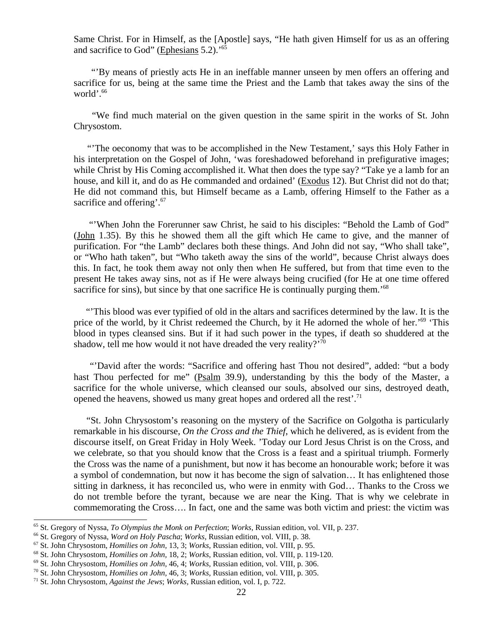Same Christ. For in Himself, as the [Apostle] says, "He hath given Himself for us as an offering and sacrifice to God" (Ephesians 5.2).<sup>'65</sup>

 "'By means of priestly acts He in an ineffable manner unseen by men offers an offering and sacrifice for us, being at the same time the Priest and the Lamb that takes away the sins of the world'.66

 "We find much material on the given question in the same spirit in the works of St. John Chrysostom.

 "'The oeconomy that was to be accomplished in the New Testament,' says this Holy Father in his interpretation on the Gospel of John, 'was foreshadowed beforehand in prefigurative images; while Christ by His Coming accomplished it. What then does the type say? "Take ye a lamb for an house, and kill it, and do as He commanded and ordained' (Exodus 12). But Christ did not do that; He did not command this, but Himself became as a Lamb, offering Himself to the Father as a sacrifice and offering'.<sup>67</sup>

"When John the Forerunner saw Christ, he said to his disciples: "Behold the Lamb of God" (John 1.35). By this he showed them all the gift which He came to give, and the manner of purification. For "the Lamb" declares both these things. And John did not say, "Who shall take", or "Who hath taken", but "Who taketh away the sins of the world", because Christ always does this. In fact, he took them away not only then when He suffered, but from that time even to the present He takes away sins, not as if He were always being crucified (for He at one time offered sacrifice for sins), but since by that one sacrifice He is continually purging them.<sup>'68</sup>

 "'This blood was ever typified of old in the altars and sacrifices determined by the law. It is the price of the world, by it Christ redeemed the Church, by it He adorned the whole of her.<sup>'69</sup> 'This blood in types cleansed sins. But if it had such power in the types, if death so shuddered at the shadow, tell me how would it not have dreaded the very reality? $170$ 

 "'David after the words: "Sacrifice and offering hast Thou not desired", added: "but a body hast Thou perfected for me" (Psalm 39.9), understanding by this the body of the Master, a sacrifice for the whole universe, which cleansed our souls, absolved our sins, destroyed death, opened the heavens, showed us many great hopes and ordered all the rest'.<sup>71</sup>

 "St. John Chrysostom's reasoning on the mystery of the Sacrifice on Golgotha is particularly remarkable in his discourse, *On the Cross and the Thief*, which he delivered, as is evident from the discourse itself, on Great Friday in Holy Week. 'Today our Lord Jesus Christ is on the Cross, and we celebrate, so that you should know that the Cross is a feast and a spiritual triumph. Formerly the Cross was the name of a punishment, but now it has become an honourable work; before it was a symbol of condemnation, but now it has become the sign of salvation… It has enlightened those sitting in darkness, it has reconciled us, who were in enmity with God… Thanks to the Cross we do not tremble before the tyrant, because we are near the King. That is why we celebrate in commemorating the Cross…. In fact, one and the same was both victim and priest: the victim was

<sup>65</sup> St. Gregory of Nyssa, *To Olympius the Monk on Perfection*; *Works,* Russian edition, vol. VII, p. 237.

<sup>66</sup> St. Gregory of Nyssa, *Word on Holy Pascha*; *Works,* Russian edition, vol. VIII, p. 38.

<sup>67</sup> St. John Chrysostom, *Homilies on John,* 13, 3; *Works,* Russian edition, vol. VIII, p. 95.

<sup>68</sup> St. John Chrysostom, *Homilies on John,* 18, 2; *Works,* Russian edition, vol. VIII, p. 119-120.

<sup>69</sup> St. John Chrysostom, *Homilies on John,* 46, 4; *Works,* Russian edition, vol. VIII, p. 306.

<sup>70</sup> St. John Chrysostom, *Homilies on John,* 46, 3; *Works,* Russian edition, vol. VIII, p. 305.

<sup>71</sup> St. John Chrysostom, *Against the Jews*; *Works,* Russian edition, vol. I, p. 722.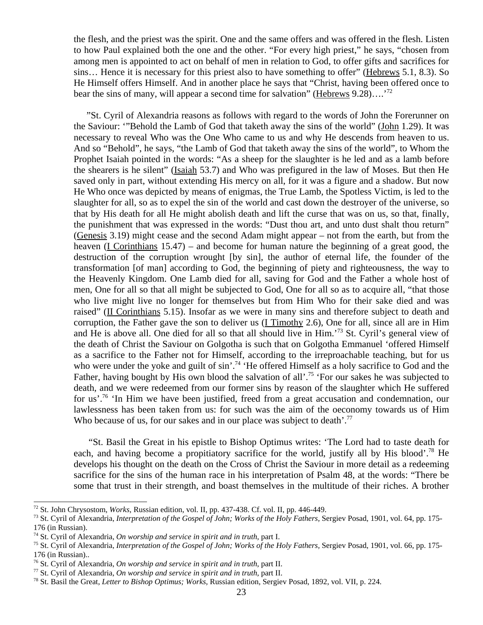the flesh, and the priest was the spirit. One and the same offers and was offered in the flesh. Listen to how Paul explained both the one and the other. "For every high priest," he says, "chosen from among men is appointed to act on behalf of men in relation to God, to offer gifts and sacrifices for sins… Hence it is necessary for this priest also to have something to offer" (Hebrews 5.1, 8.3). So He Himself offers Himself. And in another place he says that "Christ, having been offered once to bear the sins of many, will appear a second time for salvation" (Hebrews 9.28)....<sup>'72</sup>

 "St. Cyril of Alexandria reasons as follows with regard to the words of John the Forerunner on the Saviour: '"Behold the Lamb of God that taketh away the sins of the world" (John 1.29). It was necessary to reveal Who was the One Who came to us and why He descends from heaven to us. And so "Behold", he says, "the Lamb of God that taketh away the sins of the world", to Whom the Prophet Isaiah pointed in the words: "As a sheep for the slaughter is he led and as a lamb before the shearers is he silent" (Isaiah 53.7) and Who was prefigured in the law of Moses. But then He saved only in part, without extending His mercy on all, for it was a figure and a shadow. But now He Who once was depicted by means of enigmas, the True Lamb, the Spotless Victim, is led to the slaughter for all, so as to expel the sin of the world and cast down the destroyer of the universe, so that by His death for all He might abolish death and lift the curse that was on us, so that, finally, the punishment that was expressed in the words: "Dust thou art, and unto dust shalt thou return" (Genesis 3.19) might cease and the second Adam might appear – not from the earth, but from the heaven (I Corinthians 15.47) – and become for human nature the beginning of a great good, the destruction of the corruption wrought [by sin], the author of eternal life, the founder of the transformation [of man] according to God, the beginning of piety and righteousness, the way to the Heavenly Kingdom. One Lamb died for all, saving for God and the Father a whole host of men, One for all so that all might be subjected to God, One for all so as to acquire all, "that those who live might live no longer for themselves but from Him Who for their sake died and was raised" (II Corinthians 5.15). Insofar as we were in many sins and therefore subject to death and corruption, the Father gave the son to deliver us (I Timothy 2.6), One for all, since all are in Him and He is above all. One died for all so that all should live in Him.<sup>'73</sup> St. Cyril's general view of the death of Christ the Saviour on Golgotha is such that on Golgotha Emmanuel 'offered Himself as a sacrifice to the Father not for Himself, according to the irreproachable teaching, but for us who were under the yoke and guilt of sin'.<sup>74</sup> 'He offered Himself as a holy sacrifice to God and the Father, having bought by His own blood the salvation of all'.<sup>75</sup> 'For our sakes he was subjected to death, and we were redeemed from our former sins by reason of the slaughter which He suffered for us'.<sup>76</sup> 'In Him we have been justified, freed from a great accusation and condemnation, our lawlessness has been taken from us: for such was the aim of the oeconomy towards us of Him Who because of us, for our sakes and in our place was subject to death'.<sup>77</sup>

 "St. Basil the Great in his epistle to Bishop Optimus writes: 'The Lord had to taste death for each, and having become a propitiatory sacrifice for the world, justify all by His blood'.<sup>78</sup> He develops his thought on the death on the Cross of Christ the Saviour in more detail as a redeeming sacrifice for the sins of the human race in his interpretation of Psalm 48, at the words: "There be some that trust in their strength, and boast themselves in the multitude of their riches. A brother

<sup>72</sup> St. John Chrysostom, *Works*, Russian edition, vol. II, pp. 437-438. Cf. vol. II, pp. 446-449.

<sup>73</sup> St. Cyril of Alexandria, *Interpretation of the Gospel of John; Works of the Holy Fathers,* Sergiev Posad, 1901, vol. 64, pp. 175- 176 (in Russian).

<sup>74</sup> St. Cyril of Alexandria, *On worship and service in spirit and in truth*, part I.

<sup>75</sup> St. Cyril of Alexandria, *Interpretation of the Gospel of John; Works of the Holy Fathers,* Sergiev Posad, 1901, vol. 66, pp. 175- 176 (in Russian)..

<sup>76</sup> St. Cyril of Alexandria, *On worship and service in spirit and in truth*, part II.

<sup>77</sup> St. Cyril of Alexandria, *On worship and service in spirit and in truth*, part II.

<sup>78</sup> St. Basil the Great, *Letter to Bishop Optimus; Works,* Russian edition, Sergiev Posad, 1892, vol. VII, p. 224.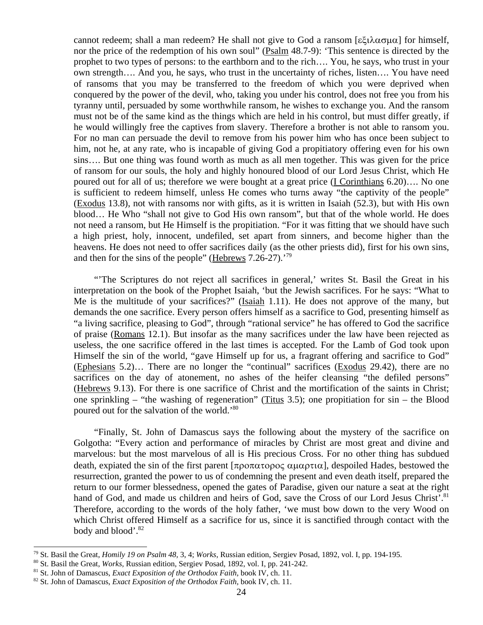cannot redeem; shall a man redeem? He shall not give to God a ransom [εξιλασμα] for himself, nor the price of the redemption of his own soul" (Psalm 48.7-9): 'This sentence is directed by the prophet to two types of persons: to the earthborn and to the rich…. You, he says, who trust in your own strength…. And you, he says, who trust in the uncertainty of riches, listen…. You have need of ransoms that you may be transferred to the freedom of which you were deprived when conquered by the power of the devil, who, taking you under his control, does not free you from his tyranny until, persuaded by some worthwhile ransom, he wishes to exchange you. And the ransom must not be of the same kind as the things which are held in his control, but must differ greatly, if he would willingly free the captives from slavery. Therefore a brother is not able to ransom you. For no man can persuade the devil to remove from his power him who has once been subject to him, not he, at any rate, who is incapable of giving God a propitiatory offering even for his own sins…. But one thing was found worth as much as all men together. This was given for the price of ransom for our souls, the holy and highly honoured blood of our Lord Jesus Christ, which He poured out for all of us; therefore we were bought at a great price (I Corinthians 6.20).... No one is sufficient to redeem himself, unless He comes who turns away "the captivity of the people" (Exodus 13.8), not with ransoms nor with gifts, as it is written in Isaiah (52.3), but with His own blood… He Who "shall not give to God His own ransom", but that of the whole world. He does not need a ransom, but He Himself is the propitiation. "For it was fitting that we should have such a high priest, holy, innocent, undefiled, set apart from sinners, and become higher than the heavens. He does not need to offer sacrifices daily (as the other priests did), first for his own sins, and then for the sins of the people" (Hebrews  $7.26-27$ ).<sup>'79</sup>

"The Scriptures do not reject all sacrifices in general,' writes St. Basil the Great in his interpretation on the book of the Prophet Isaiah, 'but the Jewish sacrifices. For he says: "What to Me is the multitude of your sacrifices?" (Isaiah 1.11). He does not approve of the many, but demands the one sacrifice. Every person offers himself as a sacrifice to God, presenting himself as "a living sacrifice, pleasing to God", through "rational service" he has offered to God the sacrifice of praise (Romans 12.1). But insofar as the many sacrifices under the law have been rejected as useless, the one sacrifice offered in the last times is accepted. For the Lamb of God took upon Himself the sin of the world, "gave Himself up for us, a fragrant offering and sacrifice to God" (Ephesians 5.2)… There are no longer the "continual" sacrifices (Exodus 29.42), there are no sacrifices on the day of atonement, no ashes of the heifer cleansing "the defiled persons" (Hebrews 9.13). For there is one sacrifice of Christ and the mortification of the saints in Christ; one sprinkling – "the washing of regeneration" (Titus 3.5); one propitiation for  $sin - the Blood$ poured out for the salvation of the world.<sup>80</sup>

 "Finally, St. John of Damascus says the following about the mystery of the sacrifice on Golgotha: "Every action and performance of miracles by Christ are most great and divine and marvelous: but the most marvelous of all is His precious Cross. For no other thing has subdued death, expiated the sin of the first parent [προπατορος αμαρτια], despoiled Hades, bestowed the resurrection, granted the power to us of condemning the present and even death itself, prepared the return to our former blessedness, opened the gates of Paradise, given our nature a seat at the right hand of God, and made us children and heirs of God, save the Cross of our Lord Jesus Christ'.<sup>81</sup> Therefore, according to the words of the holy father, 'we must bow down to the very Wood on which Christ offered Himself as a sacrifice for us, since it is sanctified through contact with the body and blood'.<sup>82</sup>

<sup>79</sup> St. Basil the Great, *Homily 19 on Psalm 48,* 3, 4; *Works*, Russian edition, Sergiev Posad, 1892, vol. I, pp. 194-195.

<sup>80</sup> St. Basil the Great, *Works,* Russian edition, Sergiev Posad, 1892, vol. I, pp. 241-242.

<sup>81</sup> St. John of Damascus, *Exact Exposition of the Orthodox Faith,* book IV, ch. 11.

<sup>82</sup> St. John of Damascus, *Exact Exposition of the Orthodox Faith,* book IV, ch. 11.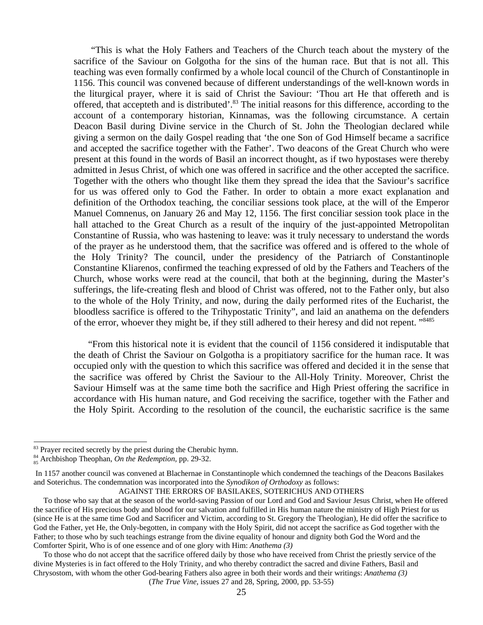"This is what the Holy Fathers and Teachers of the Church teach about the mystery of the sacrifice of the Saviour on Golgotha for the sins of the human race. But that is not all. This teaching was even formally confirmed by a whole local council of the Church of Constantinople in 1156. This council was convened because of different understandings of the well-known words in the liturgical prayer, where it is said of Christ the Saviour: 'Thou art He that offereth and is offered, that accepteth and is distributed'.<sup>83</sup> The initial reasons for this difference, according to the account of a contemporary historian, Kinnamas, was the following circumstance. A certain Deacon Basil during Divine service in the Church of St. John the Theologian declared while giving a sermon on the daily Gospel reading that 'the one Son of God Himself became a sacrifice and accepted the sacrifice together with the Father'. Two deacons of the Great Church who were present at this found in the words of Basil an incorrect thought, as if two hypostases were thereby admitted in Jesus Christ, of which one was offered in sacrifice and the other accepted the sacrifice. Together with the others who thought like them they spread the idea that the Saviour's sacrifice for us was offered only to God the Father. In order to obtain a more exact explanation and definition of the Orthodox teaching, the conciliar sessions took place, at the will of the Emperor Manuel Comnenus, on January 26 and May 12, 1156. The first conciliar session took place in the hall attached to the Great Church as a result of the inquiry of the just-appointed Metropolitan Constantine of Russia, who was hastening to leave: was it truly necessary to understand the words of the prayer as he understood them, that the sacrifice was offered and is offered to the whole of the Holy Trinity? The council, under the presidency of the Patriarch of Constantinople Constantine Kliarenos, confirmed the teaching expressed of old by the Fathers and Teachers of the Church, whose works were read at the council, that both at the beginning, during the Master's sufferings, the life-creating flesh and blood of Christ was offered, not to the Father only, but also to the whole of the Holy Trinity, and now, during the daily performed rites of the Eucharist, the bloodless sacrifice is offered to the Trihypostatic Trinity", and laid an anathema on the defenders of the error, whoever they might be, if they still adhered to their heresy and did not repent. "8485

 "From this historical note it is evident that the council of 1156 considered it indisputable that the death of Christ the Saviour on Golgotha is a propitiatory sacrifice for the human race. It was occupied only with the question to which this sacrifice was offered and decided it in the sense that the sacrifice was offered by Christ the Saviour to the All-Holy Trinity. Moreover, Christ the Saviour Himself was at the same time both the sacrifice and High Priest offering the sacrifice in accordance with His human nature, and God receiving the sacrifice, together with the Father and the Holy Spirit. According to the resolution of the council, the eucharistic sacrifice is the same

AGAINST THE ERRORS OF BASILAKES, SOTERICHUS AND OTHERS

 $83$  Prayer recited secretly by the priest during the Cherubic hymn.

<sup>84</sup> Archbishop Theophan, *On the Redemption,* pp. 29-32. <sup>85</sup>

In 1157 another council was convened at Blachernae in Constantinople which condemned the teachings of the Deacons Basilakes and Soterichus. The condemnation was incorporated into the *Synodikon of Orthodoxy* as follows:

To those who say that at the season of the world-saving Passion of our Lord and God and Saviour Jesus Christ, when He offered the sacrifice of His precious body and blood for our salvation and fulfilled in His human nature the ministry of High Priest for us (since He is at the same time God and Sacrificer and Victim, according to St. Gregory the Theologian), He did offer the sacrifice to God the Father, yet He, the Only-begotten, in company with the Holy Spirit, did not accept the sacrifice as God together with the Father; to those who by such teachings estrange from the divine equality of honour and dignity both God the Word and the Comforter Spirit, Who is of one essence and of one glory with Him: *Anathema (3)*

To those who do not accept that the sacrifice offered daily by those who have received from Christ the priestly service of the divine Mysteries is in fact offered to the Holy Trinity, and who thereby contradict the sacred and divine Fathers, Basil and Chrysostom, with whom the other God-bearing Fathers also agree in both their words and their writings: *Anathema (3)*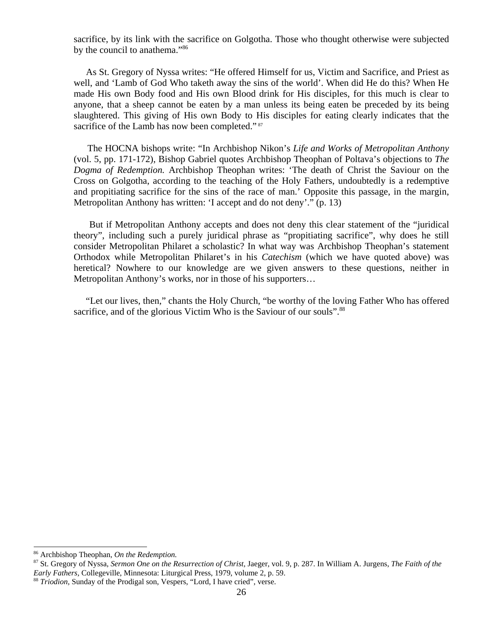sacrifice, by its link with the sacrifice on Golgotha. Those who thought otherwise were subjected by the council to anathema."<sup>86</sup>

 As St. Gregory of Nyssa writes: "He offered Himself for us, Victim and Sacrifice, and Priest as well, and 'Lamb of God Who taketh away the sins of the world'. When did He do this? When He made His own Body food and His own Blood drink for His disciples, for this much is clear to anyone, that a sheep cannot be eaten by a man unless its being eaten be preceded by its being slaughtered. This giving of His own Body to His disciples for eating clearly indicates that the sacrifice of the Lamb has now been completed."<sup>87</sup>

 The HOCNA bishops write: "In Archbishop Nikon's *Life and Works of Metropolitan Anthony* (vol. 5, pp. 171-172), Bishop Gabriel quotes Archbishop Theophan of Poltava's objections to *The Dogma of Redemption.* Archbishop Theophan writes: 'The death of Christ the Saviour on the Cross on Golgotha, according to the teaching of the Holy Fathers, undoubtedly is a redemptive and propitiating sacrifice for the sins of the race of man.' Opposite this passage, in the margin, Metropolitan Anthony has written: 'I accept and do not deny'." (p. 13)

 But if Metropolitan Anthony accepts and does not deny this clear statement of the "juridical theory", including such a purely juridical phrase as "propitiating sacrifice", why does he still consider Metropolitan Philaret a scholastic? In what way was Archbishop Theophan's statement Orthodox while Metropolitan Philaret's in his *Catechism* (which we have quoted above) was heretical? Nowhere to our knowledge are we given answers to these questions, neither in Metropolitan Anthony's works, nor in those of his supporters…

 "Let our lives, then," chants the Holy Church, "be worthy of the loving Father Who has offered sacrifice, and of the glorious Victim Who is the Saviour of our souls".<sup>88</sup>

<sup>86</sup> Archbishop Theophan, *On the Redemption.*

<sup>87</sup> St. Gregory of Nyssa, *Sermon One on the Resurrection of Christ*, Jaeger, vol. 9, p. 287. In William A. Jurgens, *The Faith of the Early Fathers,* Collegeville, Minnesota: Liturgical Press, 1979, volume 2, p. 59.

<sup>&</sup>lt;sup>88</sup> *Triodion*, Sunday of the Prodigal son, Vespers, "Lord, I have cried", verse.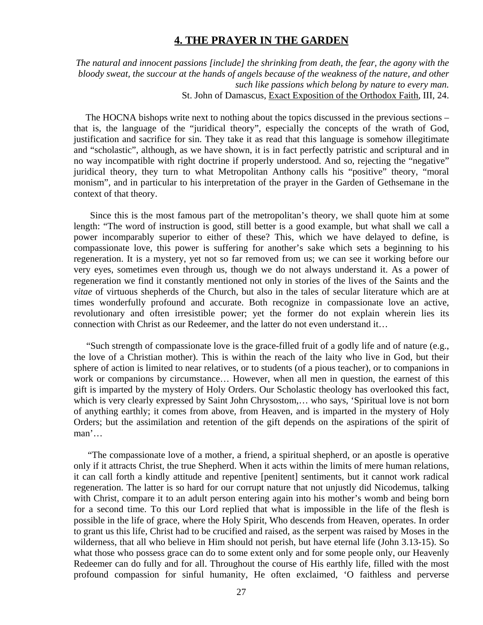### **4. THE PRAYER IN THE GARDEN**

*The natural and innocent passions [include] the shrinking from death, the fear, the agony with the bloody sweat, the succour at the hands of angels because of the weakness of the nature, and other such like passions which belong by nature to every man.* St. John of Damascus, Exact Exposition of the Orthodox Faith*,* III, 24.

The HOCNA bishops write next to nothing about the topics discussed in the previous sections – that is, the language of the "juridical theory", especially the concepts of the wrath of God, justification and sacrifice for sin. They take it as read that this language is somehow illegitimate and "scholastic", although, as we have shown, it is in fact perfectly patristic and scriptural and in no way incompatible with right doctrine if properly understood. And so, rejecting the "negative" juridical theory, they turn to what Metropolitan Anthony calls his "positive" theory, "moral monism", and in particular to his interpretation of the prayer in the Garden of Gethsemane in the context of that theory.

 Since this is the most famous part of the metropolitan's theory, we shall quote him at some length: "The word of instruction is good, still better is a good example, but what shall we call a power incomparably superior to either of these? This, which we have delayed to define, is compassionate love, this power is suffering for another's sake which sets a beginning to his regeneration. It is a mystery, yet not so far removed from us; we can see it working before our very eyes, sometimes even through us, though we do not always understand it. As a power of regeneration we find it constantly mentioned not only in stories of the lives of the Saints and the *vitae* of virtuous shepherds of the Church, but also in the tales of secular literature which are at times wonderfully profound and accurate. Both recognize in compassionate love an active, revolutionary and often irresistible power; yet the former do not explain wherein lies its connection with Christ as our Redeemer, and the latter do not even understand it…

 "Such strength of compassionate love is the grace-filled fruit of a godly life and of nature (e.g., the love of a Christian mother). This is within the reach of the laity who live in God, but their sphere of action is limited to near relatives, or to students (of a pious teacher), or to companions in work or companions by circumstance… However, when all men in question, the earnest of this gift is imparted by the mystery of Holy Orders. Our Scholastic theology has overlooked this fact, which is very clearly expressed by Saint John Chrysostom,… who says, 'Spiritual love is not born of anything earthly; it comes from above, from Heaven, and is imparted in the mystery of Holy Orders; but the assimilation and retention of the gift depends on the aspirations of the spirit of man'…

 "The compassionate love of a mother, a friend, a spiritual shepherd, or an apostle is operative only if it attracts Christ, the true Shepherd. When it acts within the limits of mere human relations, it can call forth a kindly attitude and repentive [penitent] sentiments, but it cannot work radical regeneration. The latter is so hard for our corrupt nature that not unjustly did Nicodemus, talking with Christ, compare it to an adult person entering again into his mother's womb and being born for a second time. To this our Lord replied that what is impossible in the life of the flesh is possible in the life of grace, where the Holy Spirit, Who descends from Heaven, operates. In order to grant us this life, Christ had to be crucified and raised, as the serpent was raised by Moses in the wilderness, that all who believe in Him should not perish, but have eternal life (John 3.13-15). So what those who possess grace can do to some extent only and for some people only, our Heavenly Redeemer can do fully and for all. Throughout the course of His earthly life, filled with the most profound compassion for sinful humanity, He often exclaimed, 'O faithless and perverse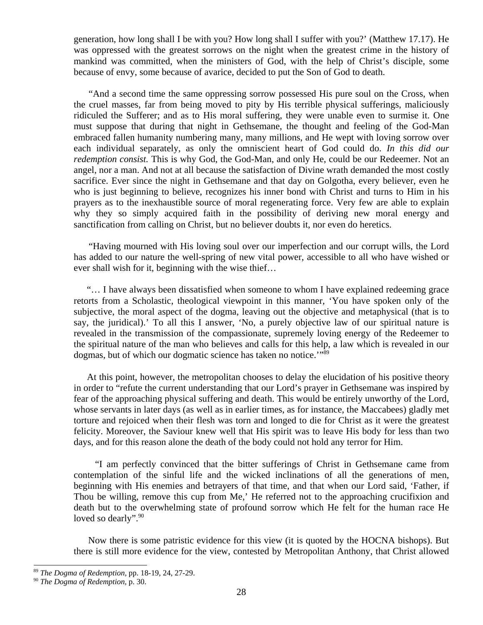generation, how long shall I be with you? How long shall I suffer with you?' (Matthew 17.17). He was oppressed with the greatest sorrows on the night when the greatest crime in the history of mankind was committed, when the ministers of God, with the help of Christ's disciple, some because of envy, some because of avarice, decided to put the Son of God to death.

 "And a second time the same oppressing sorrow possessed His pure soul on the Cross, when the cruel masses, far from being moved to pity by His terrible physical sufferings, maliciously ridiculed the Sufferer; and as to His moral suffering, they were unable even to surmise it. One must suppose that during that night in Gethsemane, the thought and feeling of the God-Man embraced fallen humanity numbering many, many millions, and He wept with loving sorrow over each individual separately, as only the omniscient heart of God could do. *In this did our redemption consist.* This is why God, the God-Man, and only He, could be our Redeemer. Not an angel, nor a man. And not at all because the satisfaction of Divine wrath demanded the most costly sacrifice. Ever since the night in Gethsemane and that day on Golgotha, every believer, even he who is just beginning to believe, recognizes his inner bond with Christ and turns to Him in his prayers as to the inexhaustible source of moral regenerating force. Very few are able to explain why they so simply acquired faith in the possibility of deriving new moral energy and sanctification from calling on Christ, but no believer doubts it, nor even do heretics.

 "Having mourned with His loving soul over our imperfection and our corrupt wills, the Lord has added to our nature the well-spring of new vital power, accessible to all who have wished or ever shall wish for it, beginning with the wise thief…

 "… I have always been dissatisfied when someone to whom I have explained redeeming grace retorts from a Scholastic, theological viewpoint in this manner, 'You have spoken only of the subjective, the moral aspect of the dogma, leaving out the objective and metaphysical (that is to say, the juridical).' To all this I answer, 'No, a purely objective law of our spiritual nature is revealed in the transmission of the compassionate, supremely loving energy of the Redeemer to the spiritual nature of the man who believes and calls for this help, a law which is revealed in our dogmas, but of which our dogmatic science has taken no notice.<sup>"89</sup>

 At this point, however, the metropolitan chooses to delay the elucidation of his positive theory in order to "refute the current understanding that our Lord's prayer in Gethsemane was inspired by fear of the approaching physical suffering and death. This would be entirely unworthy of the Lord, whose servants in later days (as well as in earlier times, as for instance, the Maccabees) gladly met torture and rejoiced when their flesh was torn and longed to die for Christ as it were the greatest felicity. Moreover, the Saviour knew well that His spirit was to leave His body for less than two days, and for this reason alone the death of the body could not hold any terror for Him.

 "I am perfectly convinced that the bitter sufferings of Christ in Gethsemane came from contemplation of the sinful life and the wicked inclinations of all the generations of men, beginning with His enemies and betrayers of that time, and that when our Lord said, 'Father, if Thou be willing, remove this cup from Me,' He referred not to the approaching crucifixion and death but to the overwhelming state of profound sorrow which He felt for the human race He loved so dearly".<sup>90</sup>

 Now there is some patristic evidence for this view (it is quoted by the HOCNA bishops). But there is still more evidence for the view, contested by Metropolitan Anthony, that Christ allowed

<sup>89</sup> *The Dogma of Redemption,* pp. 18-19, 24, 27-29.

<sup>90</sup> *The Dogma of Redemption*, p. 30.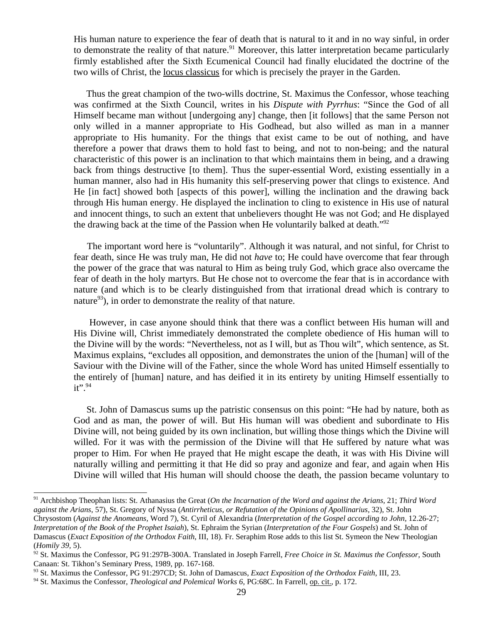His human nature to experience the fear of death that is natural to it and in no way sinful, in order to demonstrate the reality of that nature.<sup>91</sup> Moreover, this latter interpretation became particularly firmly established after the Sixth Ecumenical Council had finally elucidated the doctrine of the two wills of Christ, the locus classicus for which is precisely the prayer in the Garden.

 Thus the great champion of the two-wills doctrine, St. Maximus the Confessor, whose teaching was confirmed at the Sixth Council, writes in his *Dispute with Pyrrhus*: "Since the God of all Himself became man without [undergoing any] change, then [it follows] that the same Person not only willed in a manner appropriate to His Godhead, but also willed as man in a manner appropriate to His humanity. For the things that exist came to be out of nothing, and have therefore a power that draws them to hold fast to being, and not to non-being; and the natural characteristic of this power is an inclination to that which maintains them in being, and a drawing back from things destructive [to them]. Thus the super-essential Word, existing essentially in a human manner, also had in His humanity this self-preserving power that clings to existence. And He [in fact] showed both [aspects of this power], willing the inclination and the drawing back through His human energy. He displayed the inclination to cling to existence in His use of natural and innocent things, to such an extent that unbelievers thought He was not God; and He displayed the drawing back at the time of the Passion when He voluntarily balked at death."<sup>92</sup>

 The important word here is "voluntarily". Although it was natural, and not sinful, for Christ to fear death, since He was truly man, He did not *have* to; He could have overcome that fear through the power of the grace that was natural to Him as being truly God, which grace also overcame the fear of death in the holy martyrs. But He chose not to overcome the fear that is in accordance with nature (and which is to be clearly distinguished from that irrational dread which is contrary to nature<sup>93</sup>), in order to demonstrate the reality of that nature.

 However, in case anyone should think that there was a conflict between His human will and His Divine will, Christ immediately demonstrated the complete obedience of His human will to the Divine will by the words: "Nevertheless, not as I will, but as Thou wilt", which sentence, as St. Maximus explains, "excludes all opposition, and demonstrates the union of the [human] will of the Saviour with the Divine will of the Father, since the whole Word has united Himself essentially to the entirely of [human] nature, and has deified it in its entirety by uniting Himself essentially to  $it$ ".  $94$ 

 St. John of Damascus sums up the patristic consensus on this point: "He had by nature, both as God and as man, the power of will. But His human will was obedient and subordinate to His Divine will, not being guided by its own inclination, but willing those things which the Divine will willed. For it was with the permission of the Divine will that He suffered by nature what was proper to Him. For when He prayed that He might escape the death, it was with His Divine will naturally willing and permitting it that He did so pray and agonize and fear, and again when His Divine will willed that His human will should choose the death, the passion became voluntary to

<sup>91</sup> Archbishop Theophan lists: St. Athanasius the Great (*On the Incarnation of the Word and against the Arians,* 21; *Third Word against the Arians*, 57), St. Gregory of Nyssa (*Antirrheticus, or Refutation of the Opinions of Apollinarius,* 32), St. John Chrysostom (*Against the Anomeans,* Word 7), St. Cyril of Alexandria (*Interpretation of the Gospel according to John,* 12.26-27; *Interpretation of the Book of the Prophet Isaiah*), St. Ephraim the Syrian (*Interpretation of the Four Gospels*) and St. John of Damascus (*Exact Exposition of the Orthodox Faith*, III, 18). Fr. Seraphim Rose adds to this list St. Symeon the New Theologian (*Homily 39,* 5).

<sup>&</sup>lt;sup>92</sup> St. Maximus the Confessor, PG 91:297B-300A. Translated in Joseph Farrell, *Free Choice in St. Maximus the Confessor*, South Canaan: St. Tikhon's Seminary Press, 1989, pp. 167-168.

<sup>93</sup> St. Maximus the Confessor, PG 91:297CD; St. John of Damascus, *Exact Exposition of the Orthodox Faith,* III, 23.

<sup>94</sup> St. Maximus the Confessor, *Theological and Polemical Works 6,* PG:68C. In Farrell, op. cit., p. 172.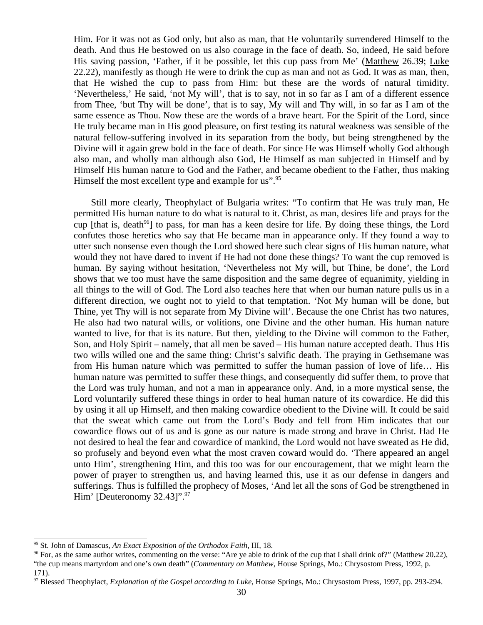Him. For it was not as God only, but also as man, that He voluntarily surrendered Himself to the death. And thus He bestowed on us also courage in the face of death. So, indeed, He said before His saving passion, 'Father, if it be possible, let this cup pass from Me' (Matthew 26.39; Luke 22.22), manifestly as though He were to drink the cup as man and not as God. It was as man, then, that He wished the cup to pass from Him: but these are the words of natural timidity. 'Nevertheless,' He said, 'not My will', that is to say, not in so far as I am of a different essence from Thee, 'but Thy will be done', that is to say, My will and Thy will, in so far as I am of the same essence as Thou. Now these are the words of a brave heart. For the Spirit of the Lord, since He truly became man in His good pleasure, on first testing its natural weakness was sensible of the natural fellow-suffering involved in its separation from the body, but being strengthened by the Divine will it again grew bold in the face of death. For since He was Himself wholly God although also man, and wholly man although also God, He Himself as man subjected in Himself and by Himself His human nature to God and the Father, and became obedient to the Father, thus making Himself the most excellent type and example for us".<sup>95</sup>

 Still more clearly, Theophylact of Bulgaria writes: "To confirm that He was truly man, He permitted His human nature to do what is natural to it. Christ, as man, desires life and prays for the cup [that is, death<sup>96</sup>] to pass, for man has a keen desire for life. By doing these things, the Lord confutes those heretics who say that He became man in appearance only. If they found a way to utter such nonsense even though the Lord showed here such clear signs of His human nature, what would they not have dared to invent if He had not done these things? To want the cup removed is human. By saying without hesitation, 'Nevertheless not My will, but Thine, be done', the Lord shows that we too must have the same disposition and the same degree of equanimity, yielding in all things to the will of God. The Lord also teaches here that when our human nature pulls us in a different direction, we ought not to yield to that temptation. 'Not My human will be done, but Thine, yet Thy will is not separate from My Divine will'. Because the one Christ has two natures, He also had two natural wills, or volitions, one Divine and the other human. His human nature wanted to live, for that is its nature. But then, yielding to the Divine will common to the Father, Son, and Holy Spirit – namely, that all men be saved – His human nature accepted death. Thus His two wills willed one and the same thing: Christ's salvific death. The praying in Gethsemane was from His human nature which was permitted to suffer the human passion of love of life… His human nature was permitted to suffer these things, and consequently did suffer them, to prove that the Lord was truly human, and not a man in appearance only. And, in a more mystical sense, the Lord voluntarily suffered these things in order to heal human nature of its cowardice. He did this by using it all up Himself, and then making cowardice obedient to the Divine will. It could be said that the sweat which came out from the Lord's Body and fell from Him indicates that our cowardice flows out of us and is gone as our nature is made strong and brave in Christ. Had He not desired to heal the fear and cowardice of mankind, the Lord would not have sweated as He did, so profusely and beyond even what the most craven coward would do. 'There appeared an angel unto Him', strengthening Him, and this too was for our encouragement, that we might learn the power of prayer to strengthen us, and having learned this, use it as our defense in dangers and sufferings. Thus is fulfilled the prophecy of Moses, 'And let all the sons of God be strengthened in Him' [Deuteronomy  $32.43$ ]".<sup>97</sup>

<sup>95</sup> St. John of Damascus, *An Exact Exposition of the Orthodox Faith,* III, 18.

<sup>&</sup>lt;sup>96</sup> For, as the same author writes, commenting on the verse: "Are ye able to drink of the cup that I shall drink of?" (Matthew 20.22), "the cup means martyrdom and one's own death" (*Commentary on Matthew,* House Springs, Mo.: Chrysostom Press, 1992, p. 171).

<sup>97</sup> Blessed Theophylact, *Explanation of the Gospel according to Luke,* House Springs, Mo.: Chrysostom Press, 1997, pp. 293-294.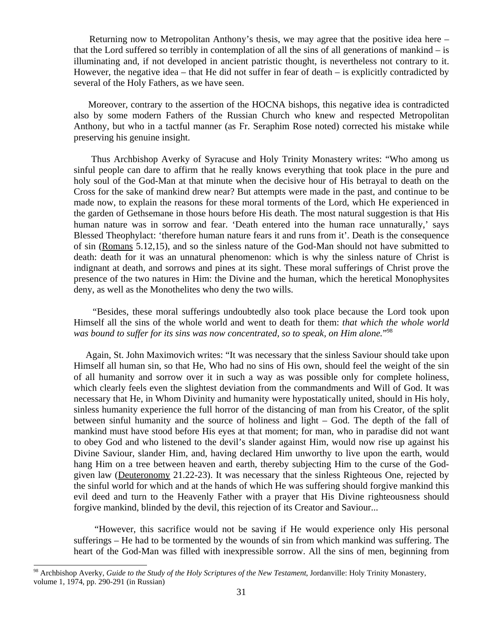Returning now to Metropolitan Anthony's thesis, we may agree that the positive idea here – that the Lord suffered so terribly in contemplation of all the sins of all generations of mankind – is illuminating and, if not developed in ancient patristic thought, is nevertheless not contrary to it. However, the negative idea – that He did not suffer in fear of death – is explicitly contradicted by several of the Holy Fathers, as we have seen.

 Moreover, contrary to the assertion of the HOCNA bishops, this negative idea is contradicted also by some modern Fathers of the Russian Church who knew and respected Metropolitan Anthony, but who in a tactful manner (as Fr. Seraphim Rose noted) corrected his mistake while preserving his genuine insight.

 Thus Archbishop Averky of Syracuse and Holy Trinity Monastery writes: "Who among us sinful people can dare to affirm that he really knows everything that took place in the pure and holy soul of the God-Man at that minute when the decisive hour of His betrayal to death on the Cross for the sake of mankind drew near? But attempts were made in the past, and continue to be made now, to explain the reasons for these moral torments of the Lord, which He experienced in the garden of Gethsemane in those hours before His death. The most natural suggestion is that His human nature was in sorrow and fear. 'Death entered into the human race unnaturally,' says Blessed Theophylact: 'therefore human nature fears it and runs from it'. Death is the consequence of sin (Romans 5.12,15), and so the sinless nature of the God-Man should not have submitted to death: death for it was an unnatural phenomenon: which is why the sinless nature of Christ is indignant at death, and sorrows and pines at its sight. These moral sufferings of Christ prove the presence of the two natures in Him: the Divine and the human, which the heretical Monophysites deny, as well as the Monothelites who deny the two wills.

 "Besides, these moral sufferings undoubtedly also took place because the Lord took upon Himself all the sins of the whole world and went to death for them: *that which the whole world was bound to suffer for its sins was now concentrated, so to speak, on Him alone.*"98

 Again, St. John Maximovich writes: "It was necessary that the sinless Saviour should take upon Himself all human sin, so that He, Who had no sins of His own, should feel the weight of the sin of all humanity and sorrow over it in such a way as was possible only for complete holiness, which clearly feels even the slightest deviation from the commandments and Will of God. It was necessary that He, in Whom Divinity and humanity were hypostatically united, should in His holy, sinless humanity experience the full horror of the distancing of man from his Creator, of the split between sinful humanity and the source of holiness and light – God. The depth of the fall of mankind must have stood before His eyes at that moment; for man, who in paradise did not want to obey God and who listened to the devil's slander against Him, would now rise up against his Divine Saviour, slander Him, and, having declared Him unworthy to live upon the earth, would hang Him on a tree between heaven and earth, thereby subjecting Him to the curse of the Godgiven law (Deuteronomy 21.22-23). It was necessary that the sinless Righteous One, rejected by the sinful world for which and at the hands of which He was suffering should forgive mankind this evil deed and turn to the Heavenly Father with a prayer that His Divine righteousness should forgive mankind, blinded by the devil, this rejection of its Creator and Saviour...

 "However, this sacrifice would not be saving if He would experience only His personal sufferings – He had to be tormented by the wounds of sin from which mankind was suffering. The heart of the God-Man was filled with inexpressible sorrow. All the sins of men, beginning from

<sup>98</sup> Archbishop Averky, *Guide to the Study of the Holy Scriptures of the New Testament*, Jordanville: Holy Trinity Monastery, volume 1, 1974, pp. 290-291 (in Russian)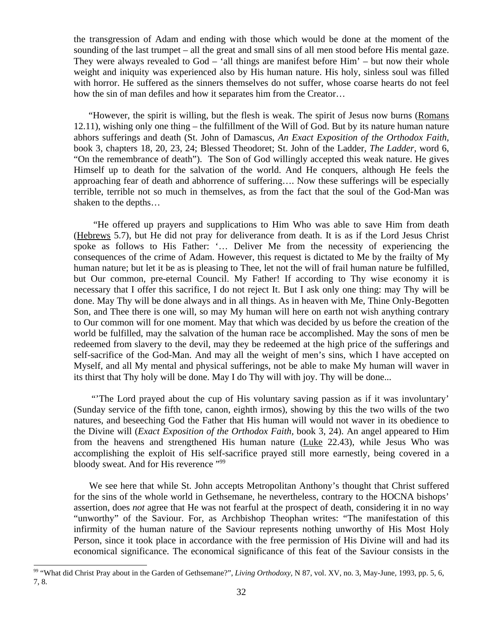the transgression of Adam and ending with those which would be done at the moment of the sounding of the last trumpet – all the great and small sins of all men stood before His mental gaze. They were always revealed to God – 'all things are manifest before Him' – but now their whole weight and iniquity was experienced also by His human nature. His holy, sinless soul was filled with horror. He suffered as the sinners themselves do not suffer, whose coarse hearts do not feel how the sin of man defiles and how it separates him from the Creator…

 "However, the spirit is willing, but the flesh is weak. The spirit of Jesus now burns (Romans 12.11), wishing only one thing – the fulfillment of the Will of God. But by its nature human nature abhors sufferings and death (St. John of Damascus, *An Exact Exposition of the Orthodox Faith*, book 3, chapters 18, 20, 23, 24; Blessed Theodoret; St. John of the Ladder, *The Ladder*, word 6, "On the remembrance of death"). The Son of God willingly accepted this weak nature. He gives Himself up to death for the salvation of the world. And He conquers, although He feels the approaching fear of death and abhorrence of suffering…. Now these sufferings will be especially terrible, terrible not so much in themselves, as from the fact that the soul of the God-Man was shaken to the depths…

 "He offered up prayers and supplications to Him Who was able to save Him from death (Hebrews 5.7), but He did not pray for deliverance from death. It is as if the Lord Jesus Christ spoke as follows to His Father: '… Deliver Me from the necessity of experiencing the consequences of the crime of Adam. However, this request is dictated to Me by the frailty of My human nature; but let it be as is pleasing to Thee, let not the will of frail human nature be fulfilled, but Our common, pre-eternal Council. My Father! If according to Thy wise economy it is necessary that I offer this sacrifice, I do not reject It. But I ask only one thing: may Thy will be done. May Thy will be done always and in all things. As in heaven with Me, Thine Only-Begotten Son, and Thee there is one will, so may My human will here on earth not wish anything contrary to Our common will for one moment. May that which was decided by us before the creation of the world be fulfilled, may the salvation of the human race be accomplished. May the sons of men be redeemed from slavery to the devil, may they be redeemed at the high price of the sufferings and self-sacrifice of the God-Man. And may all the weight of men's sins, which I have accepted on Myself, and all My mental and physical sufferings, not be able to make My human will waver in its thirst that Thy holy will be done. May I do Thy will with joy. Thy will be done...

"The Lord prayed about the cup of His voluntary saving passion as if it was involuntary' (Sunday service of the fifth tone, canon, eighth irmos), showing by this the two wills of the two natures, and beseeching God the Father that His human will would not waver in its obedience to the Divine will (*Exact Exposition of the Orthodox Faith,* book 3, 24). An angel appeared to Him from the heavens and strengthened His human nature (Luke 22.43), while Jesus Who was accomplishing the exploit of His self-sacrifice prayed still more earnestly, being covered in a bloody sweat. And for His reverence "99"

 We see here that while St. John accepts Metropolitan Anthony's thought that Christ suffered for the sins of the whole world in Gethsemane, he nevertheless, contrary to the HOCNA bishops' assertion, does *not* agree that He was not fearful at the prospect of death, considering it in no way "unworthy" of the Saviour. For, as Archbishop Theophan writes: "The manifestation of this infirmity of the human nature of the Saviour represents nothing unworthy of His Most Holy Person, since it took place in accordance with the free permission of His Divine will and had its economical significance. The economical significance of this feat of the Saviour consists in the

<sup>99 &</sup>quot;What did Christ Pray about in the Garden of Gethsemane?", *Living Orthodoxy,* N 87, vol. XV, no. 3, May-June, 1993, pp. 5, 6, 7, 8.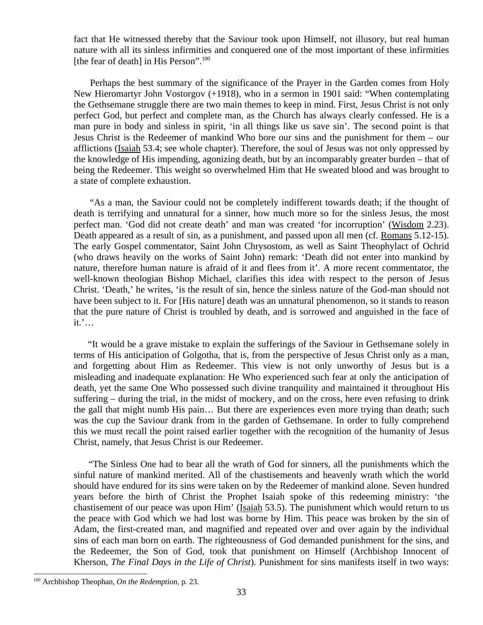fact that He witnessed thereby that the Saviour took upon Himself, not illusory, but real human nature with all its sinless infirmities and conquered one of the most important of these infirmities [the fear of death] in His Person".<sup>100</sup>

 Perhaps the best summary of the significance of the Prayer in the Garden comes from Holy New Hieromartyr John Vostorgov (+1918), who in a sermon in 1901 said: "When contemplating the Gethsemane struggle there are two main themes to keep in mind. First, Jesus Christ is not only perfect God, but perfect and complete man, as the Church has always clearly confessed. He is a man pure in body and sinless in spirit, 'in all things like us save sin'. The second point is that Jesus Christ is the Redeemer of mankind Who bore our sins and the punishment for them – our afflictions (Isaiah 53.4; see whole chapter). Therefore, the soul of Jesus was not only oppressed by the knowledge of His impending, agonizing death, but by an incomparably greater burden – that of being the Redeemer. This weight so overwhelmed Him that He sweated blood and was brought to a state of complete exhaustion.

 "As a man, the Saviour could not be completely indifferent towards death; if the thought of death is terrifying and unnatural for a sinner, how much more so for the sinless Jesus, the most perfect man. 'God did not create death' and man was created 'for incorruption' (Wisdom 2.23). Death appeared as a result of sin, as a punishment, and passed upon all men (cf. Romans 5.12-15). The early Gospel commentator, Saint John Chrysostom, as well as Saint Theophylact of Ochrid (who draws heavily on the works of Saint John) remark: 'Death did not enter into mankind by nature, therefore human nature is afraid of it and flees from it'. A more recent commentator, the well-known theologian Bishop Michael, clarifies this idea with respect to the person of Jesus Christ. 'Death,' he writes, 'is the result of sin, hence the sinless nature of the God-man should not have been subject to it. For [His nature] death was an unnatural phenomenon, so it stands to reason that the pure nature of Christ is troubled by death, and is sorrowed and anguished in the face of it.'…

 "It would be a grave mistake to explain the sufferings of the Saviour in Gethsemane solely in terms of His anticipation of Golgotha, that is, from the perspective of Jesus Christ only as a man, and forgetting about Him as Redeemer. This view is not only unworthy of Jesus but is a misleading and inadequate explanation: He Who experienced such fear at only the anticipation of death, yet the same One Who possessed such divine tranquility and maintained it throughout His suffering – during the trial, in the midst of mockery, and on the cross, here even refusing to drink the gall that might numb His pain… But there are experiences even more trying than death; such was the cup the Saviour drank from in the garden of Gethsemane. In order to fully comprehend this we must recall the point raised earlier together with the recognition of the humanity of Jesus Christ, namely, that Jesus Christ is our Redeemer.

 "The Sinless One had to bear all the wrath of God for sinners, all the punishments which the sinful nature of mankind merited. All of the chastisements and heavenly wrath which the world should have endured for its sins were taken on by the Redeemer of mankind alone. Seven hundred years before the birth of Christ the Prophet Isaiah spoke of this redeeming ministry: 'the chastisement of our peace was upon Him' (Isaiah 53.5). The punishment which would return to us the peace with God which we had lost was borne by Him. This peace was broken by the sin of Adam, the first-created man, and magnified and repeated over and over again by the individual sins of each man born on earth. The righteousness of God demanded punishment for the sins, and the Redeemer, the Son of God, took that punishment on Himself (Archbishop Innocent of Kherson, *The Final Days in the Life of Christ*). Punishment for sins manifests itself in two ways:

<sup>100</sup> Archbishop Theophan, *On the Redemption*, p. 23.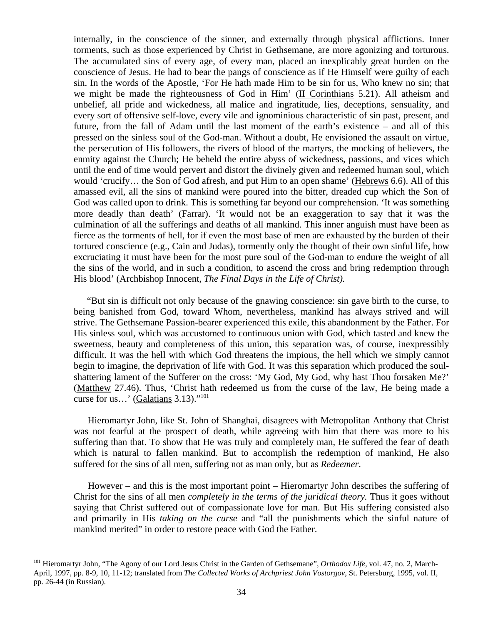internally, in the conscience of the sinner, and externally through physical afflictions. Inner torments, such as those experienced by Christ in Gethsemane, are more agonizing and torturous. The accumulated sins of every age, of every man, placed an inexplicably great burden on the conscience of Jesus. He had to bear the pangs of conscience as if He Himself were guilty of each sin. In the words of the Apostle, 'For He hath made Him to be sin for us, Who knew no sin; that we might be made the righteousness of God in Him' (II Corinthians 5.21). All atheism and unbelief, all pride and wickedness, all malice and ingratitude, lies, deceptions, sensuality, and every sort of offensive self-love, every vile and ignominious characteristic of sin past, present, and future, from the fall of Adam until the last moment of the earth's existence – and all of this pressed on the sinless soul of the God-man. Without a doubt, He envisioned the assault on virtue, the persecution of His followers, the rivers of blood of the martyrs, the mocking of believers, the enmity against the Church; He beheld the entire abyss of wickedness, passions, and vices which until the end of time would pervert and distort the divinely given and redeemed human soul, which would 'crucify… the Son of God afresh, and put Him to an open shame' (Hebrews 6.6). All of this amassed evil, all the sins of mankind were poured into the bitter, dreaded cup which the Son of God was called upon to drink. This is something far beyond our comprehension. 'It was something more deadly than death' (Farrar). 'It would not be an exaggeration to say that it was the culmination of all the sufferings and deaths of all mankind. This inner anguish must have been as fierce as the torments of hell, for if even the most base of men are exhausted by the burden of their tortured conscience (e.g., Cain and Judas), tormently only the thought of their own sinful life, how excruciating it must have been for the most pure soul of the God-man to endure the weight of all the sins of the world, and in such a condition, to ascend the cross and bring redemption through His blood' (Archbishop Innocent, *The Final Days in the Life of Christ).*

"But sin is difficult not only because of the gnawing conscience: sin gave birth to the curse, to being banished from God, toward Whom, nevertheless, mankind has always strived and will strive. The Gethsemane Passion-bearer experienced this exile, this abandonment by the Father. For His sinless soul, which was accustomed to continuous union with God, which tasted and knew the sweetness, beauty and completeness of this union, this separation was, of course, inexpressibly difficult. It was the hell with which God threatens the impious, the hell which we simply cannot begin to imagine, the deprivation of life with God. It was this separation which produced the soulshattering lament of the Sufferer on the cross: 'My God, My God, why hast Thou forsaken Me?' (Matthew 27.46). Thus, 'Christ hath redeemed us from the curse of the law, He being made a curse for us...' (Galatians 3.13)."<sup>101</sup>

 Hieromartyr John, like St. John of Shanghai, disagrees with Metropolitan Anthony that Christ was not fearful at the prospect of death, while agreeing with him that there was more to his suffering than that. To show that He was truly and completely man, He suffered the fear of death which is natural to fallen mankind. But to accomplish the redemption of mankind, He also suffered for the sins of all men, suffering not as man only, but as *Redeemer*.

 However – and this is the most important point – Hieromartyr John describes the suffering of Christ for the sins of all men *completely in the terms of the juridical theory.* Thus it goes without saying that Christ suffered out of compassionate love for man. But His suffering consisted also and primarily in His *taking on the curse* and "all the punishments which the sinful nature of mankind merited" in order to restore peace with God the Father.

<sup>101</sup> Hieromartyr John, "The Agony of our Lord Jesus Christ in the Garden of Gethsemane", *Orthodox Life,* vol. 47, no. 2, March-April, 1997, pp. 8-9, 10, 11-12; translated from *The Collected Works of Archpriest John Vostorgov*, St. Petersburg, 1995, vol. II, pp. 26-44 (in Russian).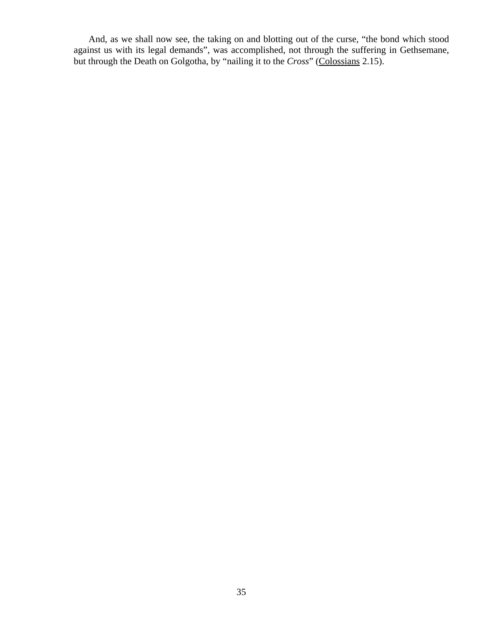And, as we shall now see, the taking on and blotting out of the curse, "the bond which stood against us with its legal demands", was accomplished, not through the suffering in Gethsemane, but through the Death on Golgotha, by "nailing it to the *Cross*" (Colossians 2.15).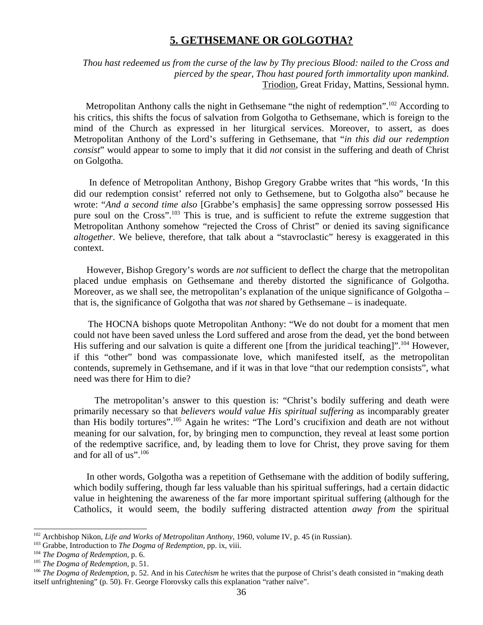## **5. GETHSEMANE OR GOLGOTHA?**

*Thou hast redeemed us from the curse of the law by Thy precious Blood: nailed to the Cross and pierced by the spear, Thou hast poured forth immortality upon mankind.* Triodion*,* Great Friday, Mattins, Sessional hymn.

Metropolitan Anthony calls the night in Gethsemane "the night of redemption".<sup>102</sup> According to his critics, this shifts the focus of salvation from Golgotha to Gethsemane, which is foreign to the mind of the Church as expressed in her liturgical services. Moreover, to assert, as does Metropolitan Anthony of the Lord's suffering in Gethsemane, that "*in this did our redemption consist*" would appear to some to imply that it did *not* consist in the suffering and death of Christ on Golgotha.

 In defence of Metropolitan Anthony, Bishop Gregory Grabbe writes that "his words, 'In this did our redemption consist' referred not only to Gethsemene, but to Golgotha also" because he wrote: "*And a second time also* [Grabbe's emphasis] the same oppressing sorrow possessed His pure soul on the Cross".<sup>103</sup> This is true, and is sufficient to refute the extreme suggestion that Metropolitan Anthony somehow "rejected the Cross of Christ" or denied its saving significance *altogether*. We believe, therefore, that talk about a "stavroclastic" heresy is exaggerated in this context.

 However, Bishop Gregory's words are *not* sufficient to deflect the charge that the metropolitan placed undue emphasis on Gethsemane and thereby distorted the significance of Golgotha. Moreover, as we shall see, the metropolitan's explanation of the unique significance of Golgotha – that is, the significance of Golgotha that was *not* shared by Gethsemane – is inadequate.

 The HOCNA bishops quote Metropolitan Anthony: "We do not doubt for a moment that men could not have been saved unless the Lord suffered and arose from the dead, yet the bond between His suffering and our salvation is quite a different one [from the juridical teaching]".<sup>104</sup> However, if this "other" bond was compassionate love, which manifested itself, as the metropolitan contends, supremely in Gethsemane, and if it was in that love "that our redemption consists", what need was there for Him to die?

 The metropolitan's answer to this question is: "Christ's bodily suffering and death were primarily necessary so that *believers would value His spiritual suffering* as incomparably greater than His bodily tortures".105 Again he writes: "The Lord's crucifixion and death are not without meaning for our salvation, for, by bringing men to compunction, they reveal at least some portion of the redemptive sacrifice, and, by leading them to love for Christ, they prove saving for them and for all of us". $106$ 

 In other words, Golgotha was a repetition of Gethsemane with the addition of bodily suffering, which bodily suffering, though far less valuable than his spiritual sufferings, had a certain didactic value in heightening the awareness of the far more important spiritual suffering (although for the Catholics, it would seem, the bodily suffering distracted attention *away from* the spiritual

<sup>102</sup> Archbishop Nikon, *Life and Works of Metropolitan Anthony,* 1960, volume IV, p. 45 (in Russian).

<sup>&</sup>lt;sup>103</sup> Grabbe, Introduction to *The Dogma of Redemption*, pp. ix, viii.<br><sup>104</sup> *The Dogma of Redemption*, p. 6.

<sup>&</sup>lt;sup>105</sup> The Dogma of Redemption, p. 51.<br><sup>106</sup> The Dogma of Redemption, p. 52. And in his *Catechism* he writes that the purpose of Christ's death consisted in "making death" itself unfrightening" (p. 50). Fr. George Florovsky calls this explanation "rather naïve".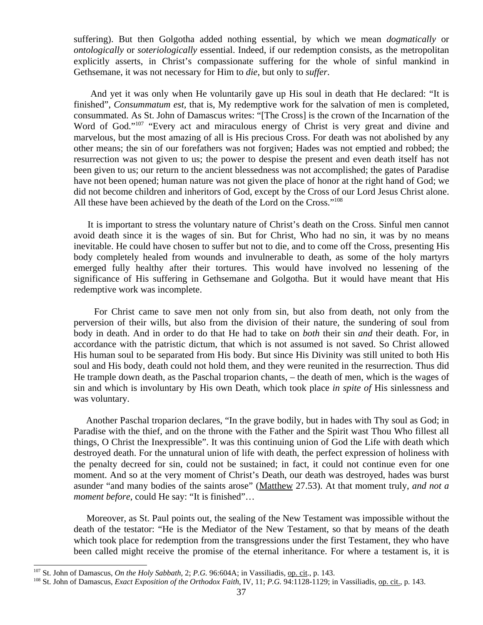suffering). But then Golgotha added nothing essential, by which we mean *dogmatically* or *ontologically* or *soteriologically* essential. Indeed, if our redemption consists, as the metropolitan explicitly asserts, in Ehrist's compassionate suffering for the whole of sinful mankind in Gethsemane, it was not necessary for Him to *die*, but only to *suffer*.

 And yet it was only when He voluntarily gave up His soul in death that He declared: "It is finished", *Consummatum est,* that is, My redemptive work for the salvation of men is completed, consummated. As St. John of Damascus writes: "[The Cross] is the crown of the Incarnation of the Word of God."<sup>107</sup> "Every act and miraculous energy of Christ is very great and divine and marvelous, but the most amazing of all is His precious Cross. For death was not abolished by any other means; the sin of our forefathers was not forgiven; Hades was not emptied and robbed; the resurrection was not given to us; the power to despise the present and even death itself has not been given to us; our return to the ancient blessedness was not accomplished; the gates of Paradise have not been opened; human nature was not given the place of honor at the right hand of God; we did not become children and inheritors of God, except by the Cross of our Lord Jesus Christ alone. All these have been achieved by the death of the Lord on the Cross."<sup>108</sup>

 It is important to stress the voluntary nature of Christ's death on the Cross. Sinful men cannot avoid death since it is the wages of sin. But for Christ, Who had no sin, it was by no means inevitable. He could have chosen to suffer but not to die, and to come off the Cross, presenting His body completely healed from wounds and invulnerable to death, as some of the holy martyrs emerged fully healthy after their tortures. This would have involved no lessening of the significance of His suffering in Gethsemane and Golgotha. But it would have meant that His redemptive work was incomplete.

 For Christ came to save men not only from sin, but also from death, not only from the perversion of their wills, but also from the division of their nature, the sundering of soul from body in death. And in order to do that He had to take on *both* their sin *and* their death. For, in accordance with the patristic dictum, that which is not assumed is not saved. So Christ allowed His human soul to be separated from His body. But since His Divinity was still united to both His soul and His body, death could not hold them, and they were reunited in the resurrection. Thus did He trample down death, as the Paschal troparion chants, – the death of men, which is the wages of sin and which is involuntary by His own Death, which took place *in spite of* His sinlessness and was voluntary.

 Another Paschal troparion declares, "In the grave bodily, but in hades with Thy soul as God; in Paradise with the thief, and on the throne with the Father and the Spirit wast Thou Who fillest all things, O Christ the Inexpressible". It was this continuing union of God the Life with death which destroyed death. For the unnatural union of life with death, the perfect expression of holiness with the penalty decreed for sin, could not be sustained; in fact, it could not continue even for one moment. And so at the very moment of Christ's Death, our death was destroyed, hades was burst asunder "and many bodies of the saints arose" (Matthew 27.53). At that moment truly, *and not a moment before*, could He say: "It is finished"…

 Moreover, as St. Paul points out, the sealing of the New Testament was impossible without the death of the testator: "He is the Mediator of the New Testament, so that by means of the death which took place for redemption from the transgressions under the first Testament, they who have been called might receive the promise of the eternal inheritance. For where a testament is, it is

<sup>107</sup> St. John of Damascus, *On the Holy Sabbath,* 2; *P.G.* 96:604A; in Vassiliadis, op. cit., p. 143.

<sup>108</sup> St. John of Damascus, *Exact Exposition of the Orthodox Faith,* IV, 11; *P.G.* 94:1128-1129; in Vassiliadis, op. cit., p. 143.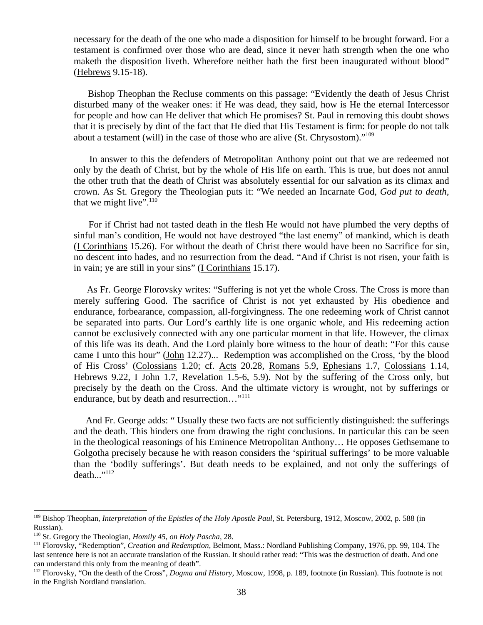necessary for the death of the one who made a disposition for himself to be brought forward. For a testament is confirmed over those who are dead, since it never hath strength when the one who maketh the disposition liveth. Wherefore neither hath the first been inaugurated without blood" (Hebrews 9.15-18).

 Bishop Theophan the Recluse comments on this passage: "Evidently the death of Jesus Christ disturbed many of the weaker ones: if He was dead, they said, how is He the eternal Intercessor for people and how can He deliver that which He promises? St. Paul in removing this doubt shows that it is precisely by dint of the fact that He died that His Testament is firm: for people do not talk about a testament (will) in the case of those who are alive (St. Chrysostom)."<sup>109</sup>

 In answer to this the defenders of Metropolitan Anthony point out that we are redeemed not only by the death of Christ, but by the whole of His life on earth. This is true, but does not annul the other truth that the death of Christ was absolutely essential for our salvation as its climax and crown. As St. Gregory the Theologian puts it: "We needed an Incarnate God, *God put to death,* that we might live".<sup>110</sup>

 For if Christ had not tasted death in the flesh He would not have plumbed the very depths of sinful man's condition, He would not have destroyed "the last enemy" of mankind, which is death (I Corinthians 15.26). For without the death of Christ there would have been no Sacrifice for sin, no descent into hades, and no resurrection from the dead. "And if Christ is not risen, your faith is in vain; ye are still in your sins" (I Corinthians 15.17).

 As Fr. George Florovsky writes: "Suffering is not yet the whole Cross. The Cross is more than merely suffering Good. The sacrifice of Christ is not yet exhausted by His obedience and endurance, forbearance, compassion, all-forgivingness. The one redeeming work of Christ cannot be separated into parts. Our Lord's earthly life is one organic whole, and His redeeming action cannot be exclusively connected with any one particular moment in that life. However, the climax of this life was its death. And the Lord plainly bore witness to the hour of death: "For this cause came I unto this hour" (John 12.27)... Redemption was accomplished on the Cross, 'by the blood of His Cross' (Colossians 1.20; cf. Acts 20.28, Romans 5.9, Ephesians 1.7, Colossians 1.14, Hebrews 9.22, I John 1.7, Revelation 1.5-6, 5.9). Not by the suffering of the Cross only, but precisely by the death on the Cross. And the ultimate victory is wrought, not by sufferings or endurance, but by death and resurrection..."<sup>111</sup>

 And Fr. George adds: " Usually these two facts are not sufficiently distinguished: the sufferings and the death. This hinders one from drawing the right conclusions. In particular this can be seen in the theological reasonings of his Eminence Metropolitan Anthony… He opposes Gethsemane to Golgotha precisely because he with reason considers the 'spiritual sufferings' to be more valuable than the 'bodily sufferings'. But death needs to be explained, and not only the sufferings of  $death...$ "<sup>112</sup>

<sup>&</sup>lt;sup>109</sup> Bishop Theophan, *Interpretation of the Epistles of the Holy Apostle Paul*, St. Petersburg, 1912, Moscow, 2002, p. 588 (in Russian).

<sup>&</sup>lt;sup>110</sup> St. Gregory the Theologian, *Homily 45, on Holy Pascha*, 28.<br><sup>111</sup> Florovsky, "Redemption", *Creation and Redemption*, Belmont, Mass.: Nordland Publishing Company, 1976, pp. 99, 104. The last sentence here is not an accurate translation of the Russian. It should rather read: "This was the destruction of death. And one can understand this only from the meaning of death".

<sup>112</sup> Florovsky, "On the death of the Cross", *Dogma and History,* Moscow, 1998, p. 189, footnote (in Russian). This footnote is not in the English Nordland translation.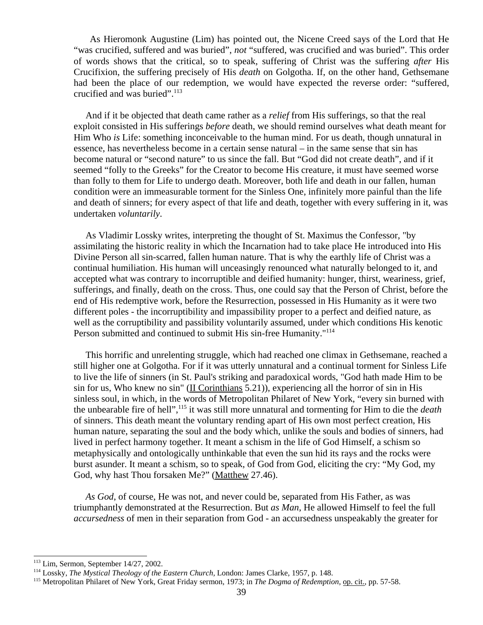As Hieromonk Augustine (Lim) has pointed out, the Nicene Creed says of the Lord that He "was crucified, suffered and was buried", *not* "suffered, was crucified and was buried". This order of words shows that the critical, so to speak, suffering of Christ was the suffering *after* His Crucifixion, the suffering precisely of His *death* on Golgotha. If, on the other hand, Gethsemane had been the place of our redemption, we would have expected the reverse order: "suffered, crucified and was buried".<sup>113</sup>

 And if it be objected that death came rather as a *relief* from His sufferings, so that the real exploit consisted in His sufferings *before* death, we should remind ourselves what death meant for Him Who *is* Life: something inconceivable to the human mind. For us death, though unnatural in essence, has nevertheless become in a certain sense natural – in the same sense that sin has become natural or "second nature" to us since the fall. But "God did not create death", and if it seemed "folly to the Greeks" for the Creator to become His creature, it must have seemed worse than folly to them for Life to undergo death. Moreover, both life and death in our fallen, human condition were an immeasurable torment for the Sinless One, infinitely more painful than the life and death of sinners; for every aspect of that life and death, together with every suffering in it, was undertaken *voluntarily*.

 As Vladimir Lossky writes, interpreting the thought of St. Maximus the Confessor, "by assimilating the historic reality in which the Incarnation had to take place He introduced into His Divine Person all sin-scarred, fallen human nature. That is why the earthly life of Christ was a continual humiliation. His human will unceasingly renounced what naturally belonged to it, and accepted what was contrary to incorruptible and deified humanity: hunger, thirst, weariness, grief, sufferings, and finally, death on the cross. Thus, one could say that the Person of Christ, before the end of His redemptive work, before the Resurrection, possessed in His Humanity as it were two different poles - the incorruptibility and impassibility proper to a perfect and deified nature, as well as the corruptibility and passibility voluntarily assumed, under which conditions His kenotic Person submitted and continued to submit His sin-free Humanity."<sup>114</sup>

This horrific and unrelenting struggle, which had reached one climax in Gethsemane, reached a still higher one at Golgotha. For if it was utterly unnatural and a continual torment for Sinless Life to live the life of sinners (in St. Paul's striking and paradoxical words, "God hath made Him to be sin for us, Who knew no sin" (II Corinthians 5.21)), experiencing all the horror of sin in His sinless soul, in which, in the words of Metropolitan Philaret of New York, "every sin burned with the unbearable fire of hell",115 it was still more unnatural and tormenting for Him to die the *death* of sinners. This death meant the voluntary rending apart of His own most perfect creation, His human nature, separating the soul and the body which, unlike the souls and bodies of sinners, had lived in perfect harmony together. It meant a schism in the life of God Himself, a schism so metaphysically and ontologically unthinkable that even the sun hid its rays and the rocks were burst asunder. It meant a schism, so to speak, of God from God, eliciting the cry: "My God, my God, why hast Thou forsaken Me?" (Matthew 27.46).

 *As God*, of course, He was not, and never could be, separated from His Father, as was triumphantly demonstrated at the Resurrection. But *as Man*, He allowed Himself to feel the full *accursedness* of men in their separation from God - an accursedness unspeakably the greater for

<sup>113</sup> Lim, Sermon, September 14/27, 2002.

<sup>114</sup> Lossky, *The Mystical Theology of the Eastern Church,* London: James Clarke, 1957, p. 148.

<sup>115</sup> Metropolitan Philaret of New York, Great Friday sermon, 1973; in *The Dogma of Redemption,* op. cit., pp. 57-58.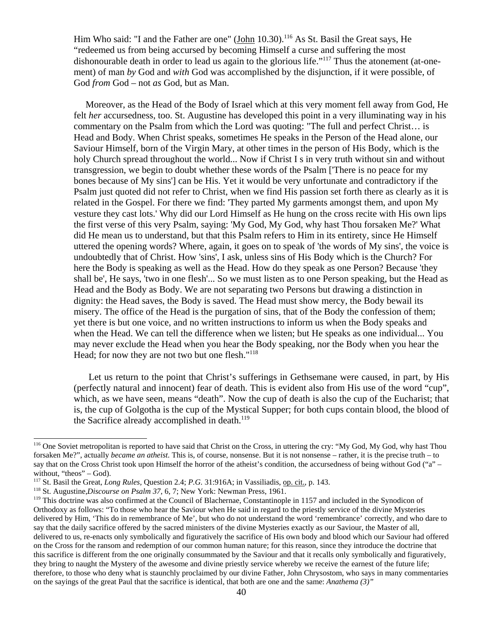Him Who said: "I and the Father are one" (John 10.30).<sup>116</sup> As St. Basil the Great says, He "redeemed us from being accursed by becoming Himself a curse and suffering the most dishonourable death in order to lead us again to the glorious life."<sup>117</sup> Thus the atonement (at-onement) of man *by* God and *with* God was accomplished by the disjunction, if it were possible, of God *from* God – not *as* God, but as Man.

 Moreover, as the Head of the Body of Israel which at this very moment fell away from God, He felt *her* accursedness, too. St. Augustine has developed this point in a very illuminating way in his commentary on the Psalm from which the Lord was quoting: "The full and perfect Christ… is Head and Body. When Christ speaks, sometimes He speaks in the Person of the Head alone, our Saviour Himself, born of the Virgin Mary, at other times in the person of His Body, which is the holy Church spread throughout the world... Now if Christ I s in very truth without sin and without transgression, we begin to doubt whether these words of the Psalm ['There is no peace for my bones because of My sins'] can be His. Yet it would be very unfortunate and contradictory if the Psalm just quoted did not refer to Christ, when we find His passion set forth there as clearly as it is related in the Gospel. For there we find: 'They parted My garments amongst them, and upon My vesture they cast lots.' Why did our Lord Himself as He hung on the cross recite with His own lips the first verse of this very Psalm, saying: 'My God, My God, why hast Thou forsaken Me?' What did He mean us to understand, but that this Psalm refers to Him in its entirety, since He Himself uttered the opening words? Where, again, it goes on to speak of 'the words of My sins', the voice is undoubtedly that of Christ. How 'sins', I ask, unless sins of His Body which is the Church? For here the Body is speaking as well as the Head. How do they speak as one Person? Because 'they shall be', He says, 'two in one flesh'... So we must listen as to one Person speaking, but the Head as Head and the Body as Body. We are not separating two Persons but drawing a distinction in dignity: the Head saves, the Body is saved. The Head must show mercy, the Body bewail its misery. The office of the Head is the purgation of sins, that of the Body the confession of them; yet there is but one voice, and no written instructions to inform us when the Body speaks and when the Head. We can tell the difference when we listen; but He speaks as one individual... You may never exclude the Head when you hear the Body speaking, nor the Body when you hear the Head; for now they are not two but one flesh."<sup>118</sup>

 Let us return to the point that Christ's sufferings in Gethsemane were caused, in part, by His (perfectly natural and innocent) fear of death. This is evident also from His use of the word "cup", which, as we have seen, means "death". Now the cup of death is also the cup of the Eucharist; that is, the cup of Golgotha is the cup of the Mystical Supper; for both cups contain blood, the blood of the Sacrifice already accomplished in death.<sup>119</sup>

<sup>&</sup>lt;sup>116</sup> One Soviet metropolitan is reported to have said that Christ on the Cross, in uttering the cry: "My God, My God, why hast Thou forsaken Me?", actually *became an atheist.* This is, of course, nonsense. But it is not nonsense – rather, it is the precise truth – to say that on the Cross Christ took upon Himself the horror of the atheist's condition, the accursedness of being without God ("a" – without, "theos" – God).

<sup>117</sup> St. Basil the Great, *Long Rules,* Question 2.4; *P.G.* 31:916A; in Vassiliadis, op. cit., p. 143.

<sup>118</sup> St. Augustine,*Discourse on Psalm 37*, 6, 7; New York: Newman Press, 1961.

<sup>&</sup>lt;sup>119</sup> This doctrine was also confirmed at the Council of Blachernae, Constantinople in 1157 and included in the Synodicon of Orthodoxy as follows: "To those who hear the Saviour when He said in regard to the priestly service of the divine Mysteries delivered by Him, 'This do in remembrance of Me', but who do not understand the word 'remembrance' correctly, and who dare to say that the daily sacrifice offered by the sacred ministers of the divine Mysteries exactly as our Saviour, the Master of all, delivered to us, re-enacts only symbolically and figuratively the sacrifice of His own body and blood which our Saviour had offered on the Cross for the ransom and redemption of our common human nature; for this reason, since they introduce the doctrine that this sacrifice is different from the one originally consummated by the Saviour and that it recalls only symbolically and figuratively, they bring to naught the Mystery of the awesome and divine priestly service whereby we receive the earnest of the future life; therefore, to those who deny what is staunchly proclaimed by our divine Father, John Chrysostom, who says in many commentaries on the sayings of the great Paul that the sacrifice is identical, that both are one and the same: *Anathema (3)"*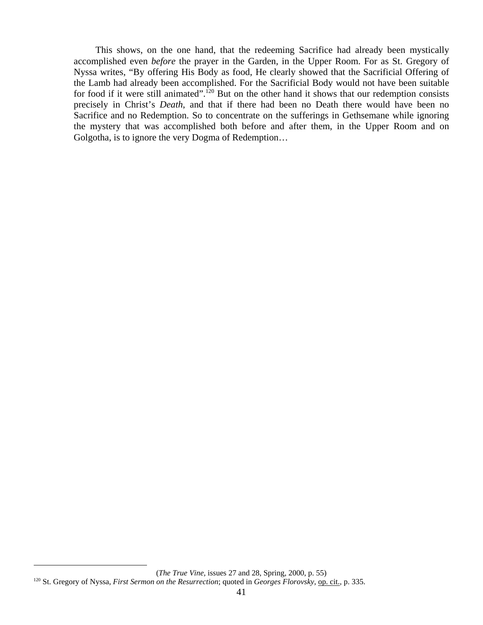This shows, on the one hand, that the redeeming Sacrifice had already been mystically accomplished even *before* the prayer in the Garden, in the Upper Room. For as St. Gregory of Nyssa writes, "By offering His Body as food, He clearly showed that the Sacrificial Offering of the Lamb had already been accomplished. For the Sacrificial Body would not have been suitable for food if it were still animated".<sup>120</sup> But on the other hand it shows that our redemption consists precisely in Christ's *Death*, and that if there had been no Death there would have been no Sacrifice and no Redemption. So to concentrate on the sufferings in Gethsemane while ignoring the mystery that was accomplished both before and after them, in the Upper Room and on Golgotha, is to ignore the very Dogma of Redemption…

<sup>(</sup>*The True Vine,* issues 27 and 28, Spring, 2000, p. 55)

<sup>&</sup>lt;sup>120</sup> St. Gregory of Nyssa, *First Sermon on the Resurrection*; quoted in *Georges Florovsky*, op. cit., p. 335.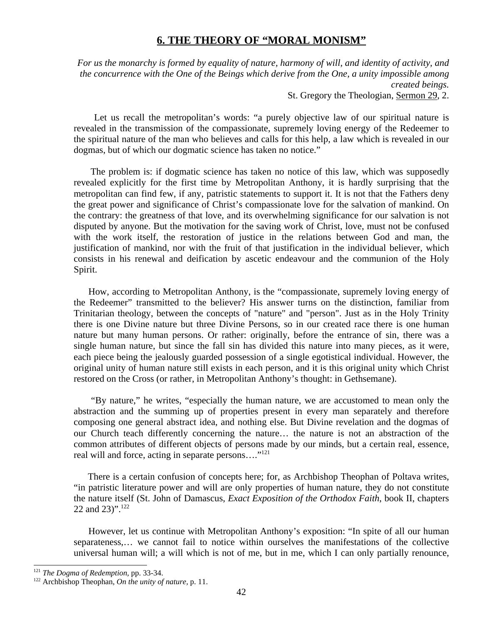## **6. THE THEORY OF "MORAL MONISM"**

*For us the monarchy is formed by equality of nature, harmony of will, and identity of activity, and the concurrence with the One of the Beings which derive from the One, a unity impossible among created beings.*

St. Gregory the Theologian, Sermon 29, 2.

 Let us recall the metropolitan's words: "a purely objective law of our spiritual nature is revealed in the transmission of the compassionate, supremely loving energy of the Redeemer to the spiritual nature of the man who believes and calls for this help, a law which is revealed in our dogmas, but of which our dogmatic science has taken no notice."

 The problem is: if dogmatic science has taken no notice of this law, which was supposedly revealed explicitly for the first time by Metropolitan Anthony, it is hardly surprising that the metropolitan can find few, if any, patristic statements to support it. It is not that the Fathers deny the great power and significance of Christ's compassionate love for the salvation of mankind. On the contrary: the greatness of that love, and its overwhelming significance for our salvation is not disputed by anyone. But the motivation for the saving work of Christ, love, must not be confused with the work itself, the restoration of justice in the relations between God and man, the justification of mankind, nor with the fruit of that justification in the individual believer, which consists in his renewal and deification by ascetic endeavour and the communion of the Holy Spirit.

 How, according to Metropolitan Anthony, is the "compassionate, supremely loving energy of the Redeemer" transmitted to the believer? His answer turns on the distinction, familiar from Trinitarian theology, between the concepts of "nature" and "person". Just as in the Holy Trinity there is one Divine nature but three Divine Persons, so in our created race there is one human nature but many human persons. Or rather: originally, before the entrance of sin, there was a single human nature, but since the fall sin has divided this nature into many pieces, as it were, each piece being the jealously guarded possession of a single egotistical individual. However, the original unity of human nature still exists in each person, and it is this original unity which Christ restored on the Cross (or rather, in Metropolitan Anthony's thought: in Gethsemane).

 "By nature," he writes, "especially the human nature, we are accustomed to mean only the abstraction and the summing up of properties present in every man separately and therefore composing one general abstract idea, and nothing else. But Divine revelation and the dogmas of our Church teach differently concerning the nature… the nature is not an abstraction of the common attributes of different objects of persons made by our minds, but a certain real, essence, real will and force, acting in separate persons...."<sup>121</sup>

 There is a certain confusion of concepts here; for, as Archbishop Theophan of Poltava writes, "in patristic literature power and will are only properties of human nature, they do not constitute the nature itself (St. John of Damascus, *Exact Exposition of the Orthodox Faith*, book II, chapters 22 and  $23$ ".<sup>122</sup>

 However, let us continue with Metropolitan Anthony's exposition: "In spite of all our human separateness,… we cannot fail to notice within ourselves the manifestations of the collective universal human will; a will which is not of me, but in me, which I can only partially renounce,

<sup>121</sup> *The Dogma of Redemption,* pp. 33-34.

<sup>122</sup> Archbishop Theophan, *On the unity of nature,* p. 11.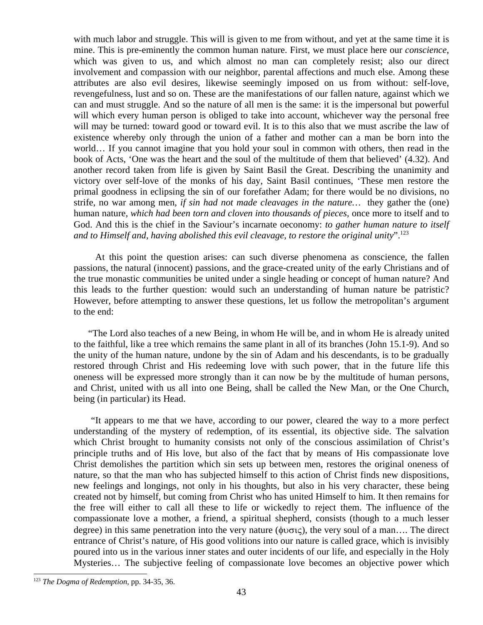with much labor and struggle. This will is given to me from without, and yet at the same time it is mine. This is pre-eminently the common human nature. First, we must place here our *conscience*, which was given to us, and which almost no man can completely resist; also our direct involvement and compassion with our neighbor, parental affections and much else. Among these attributes are also evil desires, likewise seemingly imposed on us from without: self-love, revengefulness, lust and so on. These are the manifestations of our fallen nature, against which we can and must struggle. And so the nature of all men is the same: it is the impersonal but powerful will which every human person is obliged to take into account, whichever way the personal free will may be turned: toward good or toward evil. It is to this also that we must ascribe the law of existence whereby only through the union of a father and mother can a man be born into the world… If you cannot imagine that you hold your soul in common with others, then read in the book of Acts, 'One was the heart and the soul of the multitude of them that believed' (4.32). And another record taken from life is given by Saint Basil the Great. Describing the unanimity and victory over self-love of the monks of his day, Saint Basil continues, 'These men restore the primal goodness in eclipsing the sin of our forefather Adam; for there would be no divisions, no strife, no war among men, *if sin had not made cleavages in the nature…* they gather the (one) human nature, *which had been torn and cloven into thousands of pieces,* once more to itself and to God. And this is the chief in the Saviour's incarnate oeconomy: *to gather human nature to itself* and to Himself and, having abolished this evil cleavage, to restore the original unity".<sup>123</sup>

 At this point the question arises: can such diverse phenomena as conscience, the fallen passions, the natural (innocent) passions, and the grace-created unity of the early Christians and of the true monastic communities be united under a single heading or concept of human nature? And this leads to the further question: would such an understanding of human nature be patristic? However, before attempting to answer these questions, let us follow the metropolitan's argument to the end:

 "The Lord also teaches of a new Being, in whom He will be, and in whom He is already united to the faithful, like a tree which remains the same plant in all of its branches (John 15.1-9). And so the unity of the human nature, undone by the sin of Adam and his descendants, is to be gradually restored through Christ and His redeeming love with such power, that in the future life this oneness will be expressed more strongly than it can now be by the multitude of human persons, and Christ, united with us all into one Being, shall be called the New Man, or the One Church, being (in particular) its Head.

 "It appears to me that we have, according to our power, cleared the way to a more perfect understanding of the mystery of redemption, of its essential, its objective side. The salvation which Christ brought to humanity consists not only of the conscious assimilation of Christ's principle truths and of His love, but also of the fact that by means of His compassionate love Christ demolishes the partition which sin sets up between men, restores the original oneness of nature, so that the man who has subjected himself to this action of Christ finds new dispositions, new feelings and longings, not only in his thoughts, but also in his very character, these being created not by himself, but coming from Christ who has united Himself to him. It then remains for the free will either to call all these to life or wickedly to reject them. The influence of the compassionate love a mother, a friend, a spiritual shepherd, consists (though to a much lesser degree) in this same penetration into the very nature ( $\phi \nu \sigma \iota \zeta$ ), the very soul of a man.... The direct entrance of Christ's nature, of His good volitions into our nature is called grace, which is invisibly poured into us in the various inner states and outer incidents of our life, and especially in the Holy Mysteries… The subjective feeling of compassionate love becomes an objective power which

<sup>123</sup> *The Dogma of Redemption,* pp. 34-35, 36.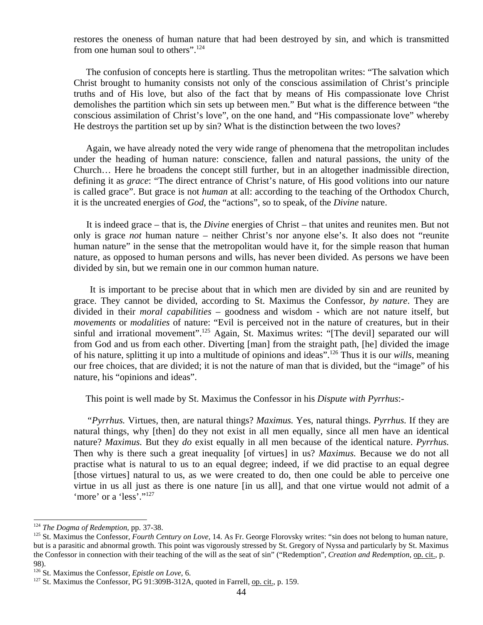restores the oneness of human nature that had been destroyed by sin, and which is transmitted from one human soul to others".<sup>124</sup>

 The confusion of concepts here is startling. Thus the metropolitan writes: "The salvation which Christ brought to humanity consists not only of the conscious assimilation of Christ's principle truths and of His love, but also of the fact that by means of His compassionate love Christ demolishes the partition which sin sets up between men." But what is the difference between "the conscious assimilation of Christ's love", on the one hand, and "His compassionate love" whereby He destroys the partition set up by sin? What is the distinction between the two loves?

 Again, we have already noted the very wide range of phenomena that the metropolitan includes under the heading of human nature: conscience, fallen and natural passions, the unity of the Church… Here he broadens the concept still further, but in an altogether inadmissible direction, defining it as *grace*: "The direct entrance of Christ's nature, of His good volitions into our nature is called grace". But grace is not *human* at all: according to the teaching of the Orthodox Church, it is the uncreated energies of *God*, the "actions", so to speak, of the *Divine* nature.

 It is indeed grace – that is, the *Divine* energies of Christ – that unites and reunites men. But not only is grace *not* human nature – neither Christ's nor anyone else's. It also does not "reunite human nature" in the sense that the metropolitan would have it, for the simple reason that human nature, as opposed to human persons and wills, has never been divided. As persons we have been divided by sin, but we remain one in our common human nature.

 It is important to be precise about that in which men are divided by sin and are reunited by grace. They cannot be divided, according to St. Maximus the Confessor, *by nature*. They are divided in their *moral capabilities* – goodness and wisdom - which are not nature itself, but *movements* or *modalities* of nature: "Evil is perceived not in the nature of creatures, but in their sinful and irrational movement".<sup>125</sup> Again, St. Maximus writes: "[The devil] separated our will from God and us from each other. Diverting [man] from the straight path, [he] divided the image of his nature, splitting it up into a multitude of opinions and ideas".126 Thus it is our *wills*, meaning our free choices, that are divided; it is not the nature of man that is divided, but the "image" of his nature, his "opinions and ideas".

This point is well made by St. Maximus the Confessor in his *Dispute with Pyrrhus*:-

 "*Pyrrhus.* Virtues, then, are natural things? *Maximus.* Yes, natural things. *Pyrrhus.* If they are natural things, why [then] do they not exist in all men equally, since all men have an identical nature? *Maximus.* But they *do* exist equally in all men because of the identical nature. *Pyrrhus.* Then why is there such a great inequality [of virtues] in us? *Maximus.* Because we do not all practise what is natural to us to an equal degree; indeed, if we did practise to an equal degree [those virtues] natural to us, as we were created to do, then one could be able to perceive one virtue in us all just as there is one nature [in us all], and that one virtue would not admit of a 'more' or a 'less'."<sup>127</sup>

<sup>124</sup> *The Dogma of Redemption,* pp. 37-38.

<sup>125</sup> St. Maximus the Confessor, *Fourth Century on Love,* 14. As Fr. George Florovsky writes: "sin does not belong to human nature, but is a parasitic and abnormal growth. This point was vigorously stressed by St. Gregory of Nyssa and particularly by St. Maximus the Confessor in connection with their teaching of the will as the seat of sin" ("Redemption", *Creation and Redemption*, op. cit., p. 98).

<sup>126</sup> St. Maximus the Confessor, *Epistle on Love*, 6.

<sup>&</sup>lt;sup>127</sup> St. Maximus the Confessor, PG 91:309B-312A, quoted in Farrell, op. cit., p. 159.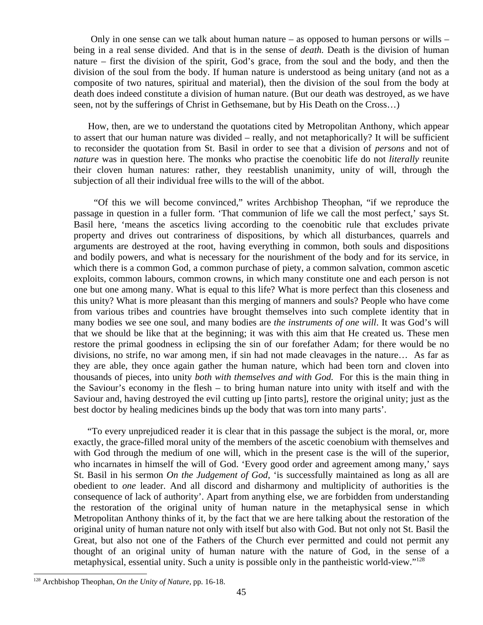Only in one sense can we talk about human nature – as opposed to human persons or wills – being in a real sense divided. And that is in the sense of *death.* Death is the division of human nature – first the division of the spirit, God's grace, from the soul and the body, and then the division of the soul from the body. If human nature is understood as being unitary (and not as a composite of two natures, spiritual and material), then the division of the soul from the body at death does indeed constitute a division of human nature. (But our death was destroyed, as we have seen, not by the sufferings of Christ in Gethsemane, but by His Death on the Cross…)

 How, then, are we to understand the quotations cited by Metropolitan Anthony, which appear to assert that our human nature was divided – really, and not metaphorically? It will be sufficient to reconsider the quotation from St. Basil in order to see that a division of *persons* and not of *nature* was in question here. The monks who practise the coenobitic life do not *literally* reunite their cloven human natures: rather, they reestablish unanimity, unity of will, through the subjection of all their individual free wills to the will of the abbot.

 "Of this we will become convinced," writes Archbishop Theophan, "if we reproduce the passage in question in a fuller form. 'That communion of life we call the most perfect,' says St. Basil here, 'means the ascetics living according to the coenobitic rule that excludes private property and drives out contrariness of dispositions, by which all disturbances, quarrels and arguments are destroyed at the root, having everything in common, both souls and dispositions and bodily powers, and what is necessary for the nourishment of the body and for its service, in which there is a common God, a common purchase of piety, a common salvation, common ascetic exploits, common labours, common crowns, in which many constitute one and each person is not one but one among many. What is equal to this life? What is more perfect than this closeness and this unity? What is more pleasant than this merging of manners and souls? People who have come from various tribes and countries have brought themselves into such complete identity that in many bodies we see one soul, and many bodies are *the instruments of one will*. It was God's will that we should be like that at the beginning; it was with this aim that He created us. These men restore the primal goodness in eclipsing the sin of our forefather Adam; for there would be no divisions, no strife, no war among men, if sin had not made cleavages in the nature… As far as they are able, they once again gather the human nature, which had been torn and cloven into thousands of pieces, into unity *both with themselves and with God.* For this is the main thing in the Saviour's economy in the flesh – to bring human nature into unity with itself and with the Saviour and, having destroyed the evil cutting up [into parts], restore the original unity; just as the best doctor by healing medicines binds up the body that was torn into many parts'.

 "To every unprejudiced reader it is clear that in this passage the subject is the moral, or, more exactly, the grace-filled moral unity of the members of the ascetic coenobium with themselves and with God through the medium of one will, which in the present case is the will of the superior, who incarnates in himself the will of God. 'Every good order and agreement among many,' says St. Basil in his sermon *On the Judgement of God,* 'is successfully maintained as long as all are obedient to *one* leader. And all discord and disharmony and multiplicity of authorities is the consequence of lack of authority'. Apart from anything else, we are forbidden from understanding the restoration of the original unity of human nature in the metaphysical sense in which Metropolitan Anthony thinks of it, by the fact that we are here talking about the restoration of the original unity of human nature not only with itself but also with God. But not only not St. Basil the Great, but also not one of the Fathers of the Church ever permitted and could not permit any thought of an original unity of human nature with the nature of God, in the sense of a metaphysical, essential unity. Such a unity is possible only in the pantheistic world-view."128

<sup>128</sup> Archbishop Theophan, *On the Unity of Nature,* pp. 16-18.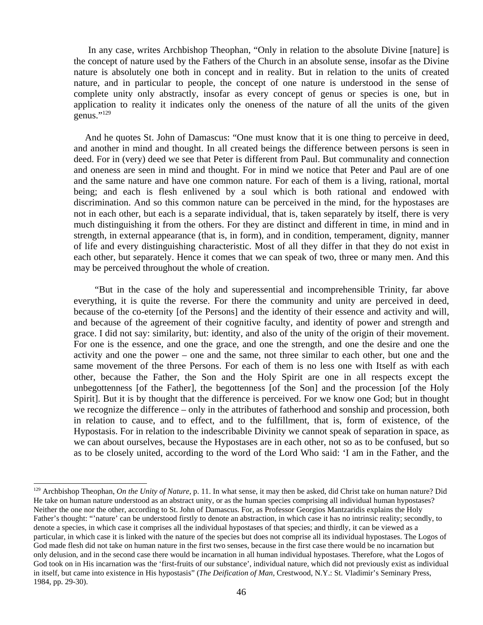In any case, writes Archbishop Theophan, "Only in relation to the absolute Divine [nature] is the concept of nature used by the Fathers of the Church in an absolute sense, insofar as the Divine nature is absolutely one both in concept and in reality. But in relation to the units of created nature, and in particular to people, the concept of one nature is understood in the sense of complete unity only abstractly, insofar as every concept of genus or species is one, but in application to reality it indicates only the oneness of the nature of all the units of the given genus."<sup>129</sup>

 And he quotes St. John of Damascus: "One must know that it is one thing to perceive in deed, and another in mind and thought. In all created beings the difference between persons is seen in deed. For in (very) deed we see that Peter is different from Paul. But communality and connection and oneness are seen in mind and thought. For in mind we notice that Peter and Paul are of one and the same nature and have one common nature. For each of them is a living, rational, mortal being; and each is flesh enlivened by a soul which is both rational and endowed with discrimination. And so this common nature can be perceived in the mind, for the hypostases are not in each other, but each is a separate individual, that is, taken separately by itself, there is very much distinguishing it from the others. For they are distinct and different in time, in mind and in strength, in external appearance (that is, in form), and in condition, temperament, dignity, manner of life and every distinguishing characteristic. Most of all they differ in that they do not exist in each other, but separately. Hence it comes that we can speak of two, three or many men. And this may be perceived throughout the whole of creation.

 "But in the case of the holy and superessential and incomprehensible Trinity, far above everything, it is quite the reverse. For there the community and unity are perceived in deed, because of the co-eternity [of the Persons] and the identity of their essence and activity and will, and because of the agreement of their cognitive faculty, and identity of power and strength and grace. I did not say: similarity, but: identity, and also of the unity of the origin of their movement. For one is the essence, and one the grace, and one the strength, and one the desire and one the activity and one the power – one and the same, not three similar to each other, but one and the same movement of the three Persons. For each of them is no less one with Itself as with each other, because the Father, the Son and the Holy Spirit are one in all respects except the unbegottenness [of the Father], the begottenness [of the Son] and the procession [of the Holy Spirit]. But it is by thought that the difference is perceived. For we know one God; but in thought we recognize the difference – only in the attributes of fatherhood and sonship and procession, both in relation to cause, and to effect, and to the fulfillment, that is, form of existence, of the Hypostasis. For in relation to the indescribable Divinity we cannot speak of separation in space, as we can about ourselves, because the Hypostases are in each other, not so as to be confused, but so as to be closely united, according to the word of the Lord Who said: 'I am in the Father, and the

<sup>&</sup>lt;sup>129</sup> Archbishop Theophan, *On the Unity of Nature*, p. 11. In what sense, it may then be asked, did Christ take on human nature? Did He take on human nature understood as an abstract unity, or as the human species comprising all individual human hypostases? Neither the one nor the other, according to St. John of Damascus. For, as Professor Georgios Mantzaridis explains the Holy Father's thought: "'nature' can be understood firstly to denote an abstraction, in which case it has no intrinsic reality; secondly, to denote a species, in which case it comprises all the individual hypostases of that species; and thirdly, it can be viewed as a particular, in which case it is linked with the nature of the species but does not comprise all its individual hypostases. The Logos of God made flesh did not take on human nature in the first two senses, because in the first case there would be no incarnation but only delusion, and in the second case there would be incarnation in all human individual hypostases. Therefore, what the Logos of God took on in His incarnation was the 'first-fruits of our substance', individual nature, which did not previously exist as individual in itself, but came into existence in His hypostasis" (*The Deification of Man,* Crestwood, N.Y.: St. Vladimir's Seminary Press, 1984, pp. 29-30).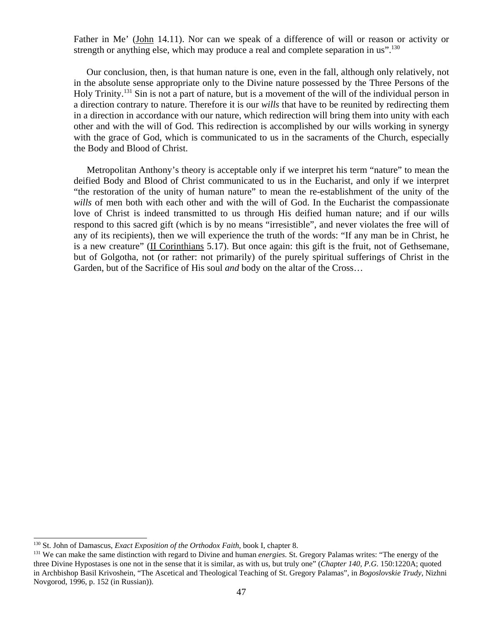Father in Me' (John 14.11). Nor can we speak of a difference of will or reason or activity or strength or anything else, which may produce a real and complete separation in us".<sup>130</sup>

 Our conclusion, then, is that human nature is one, even in the fall, although only relatively, not in the absolute sense appropriate only to the Divine nature possessed by the Three Persons of the Holy Trinity.<sup>131</sup> Sin is not a part of nature, but is a movement of the will of the individual person in a direction contrary to nature. Therefore it is our *wills* that have to be reunited by redirecting them in a direction in accordance with our nature, which redirection will bring them into unity with each other and with the will of God. This redirection is accomplished by our wills working in synergy with the grace of God, which is communicated to us in the sacraments of the Church, especially the Body and Blood of Christ.

 Metropolitan Anthony's theory is acceptable only if we interpret his term "nature" to mean the deified Body and Blood of Christ communicated to us in the Eucharist, and only if we interpret "the restoration of the unity of human nature" to mean the re-establishment of the unity of the *wills* of men both with each other and with the will of God. In the Eucharist the compassionate love of Christ is indeed transmitted to us through His deified human nature; and if our wills respond to this sacred gift (which is by no means "irresistible", and never violates the free will of any of its recipients), then we will experience the truth of the words: "If any man be in Christ, he is a new creature" (II Corinthians 5.17). But once again: this gift is the fruit, not of Gethsemane, but of Golgotha, not (or rather: not primarily) of the purely spiritual sufferings of Christ in the Garden, but of the Sacrifice of His soul *and* body on the altar of the Cross…

<sup>&</sup>lt;sup>130</sup> St. John of Damascus, *Exact Exposition of the Orthodox Faith*, book I, chapter 8.<br><sup>131</sup> We can make the same distinction with regard to Divine and human *energies*. St. Gregory Palamas writes: "The energy of the three Divine Hypostases is one not in the sense that it is similar, as with us, but truly one" (*Chapter 140, P.G.* 150:1220A; quoted in Archbishop Basil Krivoshein, "The Ascetical and Theological Teaching of St. Gregory Palamas", in *Bogoslovskie Trudy*, Nizhni Novgorod, 1996, p. 152 (in Russian)).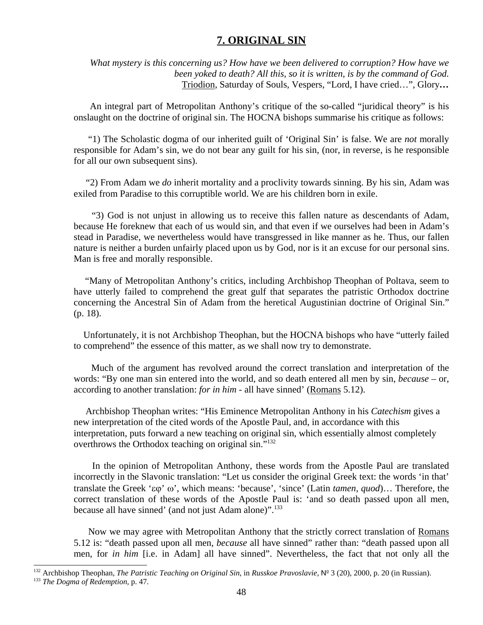# **7. ORIGINAL SIN**

*What mystery is this concerning us? How have we been delivered to corruption? How have we been yoked to death? All this, so it is written, is by the command of God.* Triodion, Saturday of Souls, Vespers, "Lord, I have cried…", Glory*…*

 An integral part of Metropolitan Anthony's critique of the so-called "juridical theory" is his onslaught on the doctrine of original sin. The HOCNA bishops summarise his critique as follows:

 "1) The Scholastic dogma of our inherited guilt of 'Original Sin' is false. We are *not* morally responsible for Adam's sin, we do not bear any guilt for his sin, (nor, in reverse, is he responsible for all our own subsequent sins).

 "2) From Adam we *do* inherit mortality and a proclivity towards sinning. By his sin, Adam was exiled from Paradise to this corruptible world. We are his children born in exile.

 "3) God is not unjust in allowing us to receive this fallen nature as descendants of Adam, because He foreknew that each of us would sin, and that even if we ourselves had been in Adam's stead in Paradise, we nevertheless would have transgressed in like manner as he. Thus, our fallen nature is neither a burden unfairly placed upon us by God, nor is it an excuse for our personal sins. Man is free and morally responsible.

 "Many of Metropolitan Anthony's critics, including Archbishop Theophan of Poltava, seem to have utterly failed to comprehend the great gulf that separates the patristic Orthodox doctrine concerning the Ancestral Sin of Adam from the heretical Augustinian doctrine of Original Sin." (p. 18).

 Unfortunately, it is not Archbishop Theophan, but the HOCNA bishops who have "utterly failed to comprehend" the essence of this matter, as we shall now try to demonstrate.

 Much of the argument has revolved around the correct translation and interpretation of the words: "By one man sin entered into the world, and so death entered all men by sin, *because* – or, according to another translation: *for in him* - all have sinned' (Romans 5.12).

 Archbishop Theophan writes: "His Eminence Metropolitan Anthony in his *Catechism* gives a new interpretation of the cited words of the Apostle Paul, and, in accordance with this interpretation, puts forward a new teaching on original sin, which essentially almost completely overthrows the Orthodox teaching on original sin."132

 In the opinion of Metropolitan Anthony, these words from the Apostle Paul are translated incorrectly in the Slavonic translation: "Let us consider the original Greek text: the words 'in that' translate the Greek 'εϕ' ω', which means: 'because', 'since' (Latin *tamen, quod*)… Therefore, the correct translation of these words of the Apostle Paul is: 'and so death passed upon all men, because all have sinned' (and not just Adam alone)".<sup>133</sup>

 Now we may agree with Metropolitan Anthony that the strictly correct translation of Romans 5.12 is: "death passed upon all men, *because* all have sinned" rather than: "death passed upon all men, for *in him* [i.e. in Adam] all have sinned". Nevertheless, the fact that not only all the

<sup>132</sup> Archbishop Theophan, *The Patristic Teaching on Original Sin*, in *Russkoe Pravoslavie*, Nº 3 (20), 2000, p. 20 (in Russian). <sup>133</sup> *The Dogma of Redemption,* p. 47.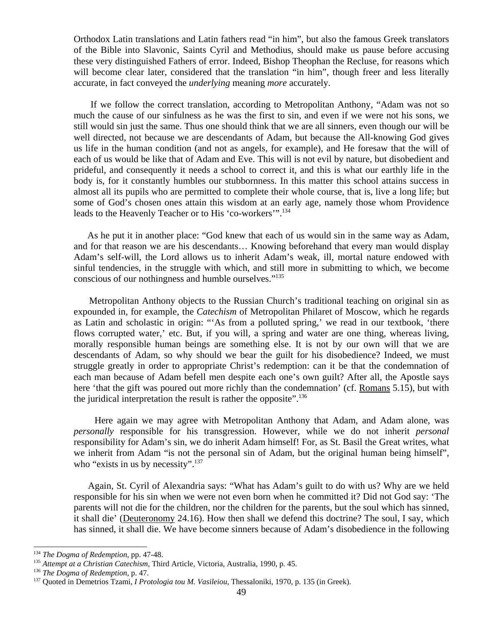Orthodox Latin translations and Latin fathers read "in him", but also the famous Greek translators of the Bible into Slavonic, Saints Cyril and Methodius, should make us pause before accusing these very distinguished Fathers of error. Indeed, Bishop Theophan the Recluse, for reasons which will become clear later, considered that the translation "in him", though freer and less literally accurate, in fact conveyed the *underlying* meaning *more* accurately.

 If we follow the correct translation, according to Metropolitan Anthony, "Adam was not so much the cause of our sinfulness as he was the first to sin, and even if we were not his sons, we still would sin just the same. Thus one should think that we are all sinners, even though our will be well directed, not because we are descendants of Adam, but because the All-knowing God gives us life in the human condition (and not as angels, for example), and He foresaw that the will of each of us would be like that of Adam and Eve. This will is not evil by nature, but disobedient and prideful, and consequently it needs a school to correct it, and this is what our earthly life in the body is, for it constantly humbles our stubbornness. In this matter this school attains success in almost all its pupils who are permitted to complete their whole course, that is, live a long life; but some of God's chosen ones attain this wisdom at an early age, namely those whom Providence leads to the Heavenly Teacher or to His 'co-workers'".<sup>134</sup>

 As he put it in another place: "God knew that each of us would sin in the same way as Adam, and for that reason we are his descendants… Knowing beforehand that every man would display Adam's self-will, the Lord allows us to inherit Adam's weak, ill, mortal nature endowed with sinful tendencies, in the struggle with which, and still more in submitting to which, we become conscious of our nothingness and humble ourselves."135

 Metropolitan Anthony objects to the Russian Church's traditional teaching on original sin as expounded in, for example, the *Catechism* of Metropolitan Philaret of Moscow, which he regards as Latin and scholastic in origin: "'As from a polluted spring,' we read in our textbook, 'there flows corrupted water,' etc. But, if you will, a spring and water are one thing, whereas living, morally responsible human beings are something else. It is not by our own will that we are descendants of Adam, so why should we bear the guilt for his disobedience? Indeed, we must struggle greatly in order to appropriate Christ's redemption: can it be that the condemnation of each man because of Adam befell men despite each one's own guilt? After all, the Apostle says here 'that the gift was poured out more richly than the condemnation' (cf. Romans 5.15), but with the juridical interpretation the result is rather the opposite".<sup>136</sup>

 Here again we may agree with Metropolitan Anthony that Adam, and Adam alone, was *personally* responsible for his transgression. However, while we do not inherit *personal* responsibility for Adam's sin, we do inherit Adam himself! For, as St. Basil the Great writes, what we inherit from Adam "is not the personal sin of Adam, but the original human being himself", who "exists in us by necessity".<sup>137</sup>

 Again, St. Cyril of Alexandria says: "What has Adam's guilt to do with us? Why are we held responsible for his sin when we were not even born when he committed it? Did not God say: 'The parents will not die for the children, nor the children for the parents, but the soul which has sinned, it shall die' (Deuteronomy 24.16). How then shall we defend this doctrine? The soul, I say, which has sinned, it shall die. We have become sinners because of Adam's disobedience in the following

<sup>&</sup>lt;sup>134</sup> *The Dogma of Redemption, pp. 47-48.* 135 *Attempt at a Christian Catechism, Third Article, Victoria, Australia, 1990, p. 45.* 

<sup>136</sup> *The Dogma of Redemption,* p. 47.

<sup>137</sup> Quoted in Demetrios Tzami, *I Protologia tou M. Vasileiou*, Thessaloniki, 1970, p. 135 (in Greek).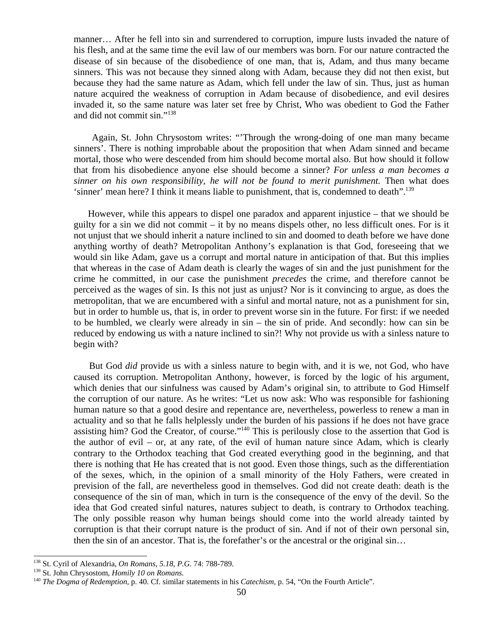manner… After he fell into sin and surrendered to corruption, impure lusts invaded the nature of his flesh, and at the same time the evil law of our members was born. For our nature contracted the disease of sin because of the disobedience of one man, that is, Adam, and thus many became sinners. This was not because they sinned along with Adam, because they did not then exist, but because they had the same nature as Adam, which fell under the law of sin. Thus, just as human nature acquired the weakness of corruption in Adam because of disobedience, and evil desires invaded it, so the same nature was later set free by Christ, Who was obedient to God the Father and did not commit sin."138

 Again, St. John Chrysostom writes: "'Through the wrong-doing of one man many became sinners'. There is nothing improbable about the proposition that when Adam sinned and became mortal, those who were descended from him should become mortal also. But how should it follow that from his disobedience anyone else should become a sinner? *For unless a man becomes a sinner on his own responsibility, he will not be found to merit punishment.* Then what does 'sinner' mean here? I think it means liable to punishment, that is, condemned to death'.<sup>139</sup>

 However, while this appears to dispel one paradox and apparent injustice – that we should be guilty for a sin we did not commit – it by no means dispels other, no less difficult ones. For is it not unjust that we should inherit a nature inclined to sin and doomed to death before we have done anything worthy of death? Metropolitan Anthony's explanation is that God, foreseeing that we would sin like Adam, gave us a corrupt and mortal nature in anticipation of that. But this implies that whereas in the case of Adam death is clearly the wages of sin and the just punishment for the crime he committed, in our case the punishment *precedes* the crime, and therefore cannot be perceived as the wages of sin. Is this not just as unjust? Nor is it convincing to argue, as does the metropolitan, that we are encumbered with a sinful and mortal nature, not as a punishment for sin, but in order to humble us, that is, in order to prevent worse sin in the future. For first: if we needed to be humbled, we clearly were already in sin – the sin of pride. And secondly: how can sin be reduced by endowing us with a nature inclined to sin?! Why not provide us with a sinless nature to begin with?

 But God *did* provide us with a sinless nature to begin with, and it is we, not God, who have caused its corruption. Metropolitan Anthony, however, is forced by the logic of his argument, which denies that our sinfulness was caused by Adam's original sin, to attribute to God Himself the corruption of our nature. As he writes: "Let us now ask: Who was responsible for fashioning human nature so that a good desire and repentance are, nevertheless, powerless to renew a man in actuality and so that he falls helplessly under the burden of his passions if he does not have grace assisting him? God the Creator, of course."140 This is perilously close to the assertion that God is the author of evil – or, at any rate, of the evil of human nature since Adam, which is clearly contrary to the Orthodox teaching that God created everything good in the beginning, and that there is nothing that He has created that is not good. Even those things, such as the differentiation of the sexes, which, in the opinion of a small minority of the Holy Fathers, were created in prevision of the fall, are nevertheless good in themselves. God did not create death: death is the consequence of the sin of man, which in turn is the consequence of the envy of the devil. So the idea that God created sinful natures, natures subject to death, is contrary to Orthodox teaching. The only possible reason why human beings should come into the world already tainted by corruption is that their corrupt nature is the product of sin. And if not of their own personal sin, then the sin of an ancestor. That is, the forefather's or the ancestral or the original sin…

<sup>138</sup> St. Cyril of Alexandria, *On Romans, 5.18*, *P.G.* 74: 788-789.

<sup>139</sup> St. John Chrysostom, *Homily 10 on Romans.*

<sup>140</sup> *The Dogma of Redemption,* p. 40. Cf. similar statements in his *Catechism,* p. 54, "On the Fourth Article".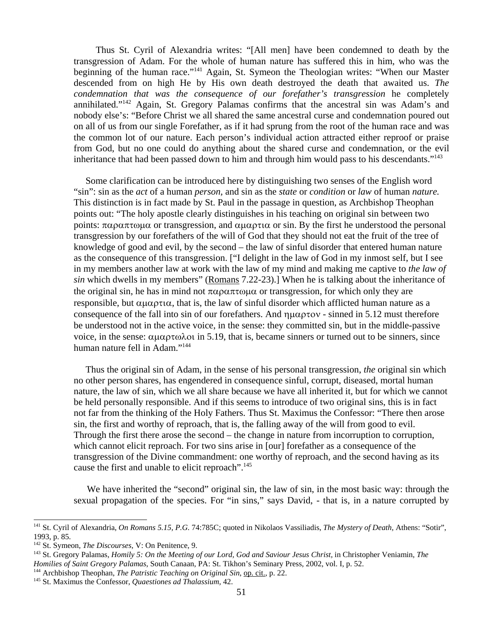Thus St. Cyril of Alexandria writes: "[All men] have been condemned to death by the transgression of Adam. For the whole of human nature has suffered this in him, who was the beginning of the human race."<sup>141</sup> Again, St. Symeon the Theologian writes: "When our Master descended from on high He by His own death destroyed the death that awaited us. *The condemnation that was the consequence of our forefather's transgression* he completely annihilated."142 Again, St. Gregory Palamas confirms that the ancestral sin was Adam's and nobody else's: "Before Christ we all shared the same ancestral curse and condemnation poured out on all of us from our single Forefather, as if it had sprung from the root of the human race and was the common lot of our nature. Each person's individual action attracted either reproof or praise from God, but no one could do anything about the shared curse and condemnation, or the evil inheritance that had been passed down to him and through him would pass to his descendants."<sup>143</sup>

 Some clarification can be introduced here by distinguishing two senses of the English word "sin": sin as the *act* of a human *person,* and sin as the *state* or *condition* or *law* of human *nature.* This distinction is in fact made by St. Paul in the passage in question, as Archbishop Theophan points out: "The holy apostle clearly distinguishes in his teaching on original sin between two points: παραπτωμα or transgression, and αμαρτια or sin. By the first he understood the personal transgression by our forefathers of the will of God that they should not eat the fruit of the tree of knowledge of good and evil, by the second – the law of sinful disorder that entered human nature as the consequence of this transgression. ["I delight in the law of God in my inmost self, but I see in my members another law at work with the law of my mind and making me captive to *the law of sin* which dwells in my members" (Romans 7.22-23).] When he is talking about the inheritance of the original sin, he has in mind not  $\pi \alpha \rho \alpha \pi \tau \omega \mu \alpha$  or transgression, for which only they are responsible, but αμαρτια, that is, the law of sinful disorder which afflicted human nature as a consequence of the fall into sin of our forefathers. And ημαρτον - sinned in 5.12 must therefore be understood not in the active voice, in the sense: they committed sin, but in the middle-passive voice, in the sense: αμαρτωλοι in 5.19, that is, became sinners or turned out to be sinners, since human nature fell in Adam."<sup>144</sup>

 Thus the original sin of Adam, in the sense of his personal transgression, *the* original sin which no other person shares, has engendered in consequence sinful, corrupt, diseased, mortal human nature, the law of sin, which we all share because we have all inherited it, but for which we cannot be held personally responsible. And if this seems to introduce of two original sins, this is in fact not far from the thinking of the Holy Fathers. Thus St. Maximus the Confessor: "There then arose sin, the first and worthy of reproach, that is, the falling away of the will from good to evil. Through the first there arose the second – the change in nature from incorruption to corruption, which cannot elicit reproach. For two sins arise in [our] forefather as a consequence of the transgression of the Divine commandment: one worthy of reproach, and the second having as its cause the first and unable to elicit reproach".<sup>145</sup>

We have inherited the "second" original sin, the law of sin, in the most basic way: through the sexual propagation of the species. For "in sins," says David, - that is, in a nature corrupted by

<sup>141</sup> St. Cyril of Alexandria, *On Romans 5.15, P.G.* 74:785C; quoted in Nikolaos Vassiliadis, *The Mystery of Death,* Athens: "Sotir", 1993, p. 85.

<sup>142</sup> St. Symeon, *The Discourses,* V: On Penitence, 9.

<sup>143</sup> St. Gregory Palamas, *Homily 5: On the Meeting of our Lord, God and Saviour Jesus Christ,* in Christopher Veniamin, *The Homilies of Saint Gregory Palamas*, South Canaan, PA: St. Tikhon's Seminary Press, 2002, vol. I, p. 52.

<sup>144</sup> Archbishop Theophan, *The Patristic Teaching on Original Sin*, op. cit., p. 22.

<sup>145</sup> St. Maximus the Confessor, *Quaestiones ad Thalassium,* 42.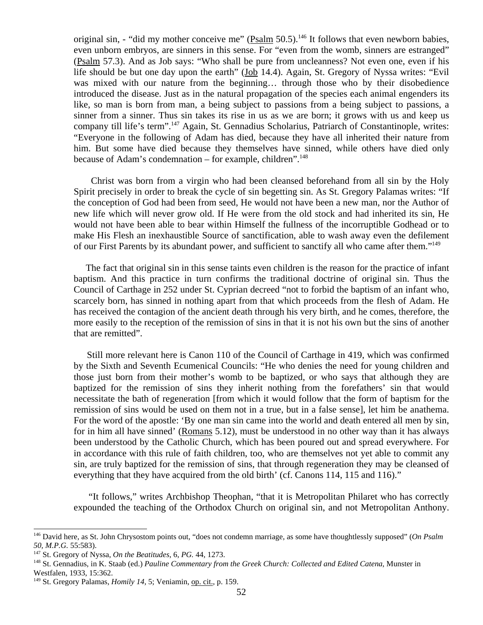original sin, - "did my mother conceive me" (Psalm  $50.5$ ).<sup>146</sup> It follows that even newborn babies, even unborn embryos, are sinners in this sense. For "even from the womb, sinners are estranged" (Psalm 57.3). And as Job says: "Who shall be pure from uncleanness? Not even one, even if his life should be but one day upon the earth" (Job 14.4). Again, St. Gregory of Nyssa writes: "Evil was mixed with our nature from the beginning… through those who by their disobedience introduced the disease. Just as in the natural propagation of the species each animal engenders its like, so man is born from man, a being subject to passions from a being subject to passions, a sinner from a sinner. Thus sin takes its rise in us as we are born; it grows with us and keep us company till life's term".147 Again, St. Gennadius Scholarius, Patriarch of Constantinople, writes: "Everyone in the following of Adam has died, because they have all inherited their nature from him. But some have died because they themselves have sinned, while others have died only because of Adam's condemnation – for example, children". $^{148}$ 

 Christ was born from a virgin who had been cleansed beforehand from all sin by the Holy Spirit precisely in order to break the cycle of sin begetting sin. As St. Gregory Palamas writes: "If the conception of God had been from seed, He would not have been a new man, nor the Author of new life which will never grow old. If He were from the old stock and had inherited its sin, He would not have been able to bear within Himself the fullness of the incorruptible Godhead or to make His Flesh an inexhaustible Source of sanctification, able to wash away even the defilement of our First Parents by its abundant power, and sufficient to sanctify all who came after them."149

 The fact that original sin in this sense taints even children is the reason for the practice of infant baptism. And this practice in turn confirms the traditional doctrine of original sin. Thus the Council of Carthage in 252 under St. Cyprian decreed "not to forbid the baptism of an infant who, scarcely born, has sinned in nothing apart from that which proceeds from the flesh of Adam. He has received the contagion of the ancient death through his very birth, and he comes, therefore, the more easily to the reception of the remission of sins in that it is not his own but the sins of another that are remitted".

 Still more relevant here is Canon 110 of the Council of Carthage in 419, which was confirmed by the Sixth and Seventh Ecumenical Councils: "He who denies the need for young children and those just born from their mother's womb to be baptized, or who says that although they are baptized for the remission of sins they inherit nothing from the forefathers' sin that would necessitate the bath of regeneration [from which it would follow that the form of baptism for the remission of sins would be used on them not in a true, but in a false sense], let him be anathema. For the word of the apostle: 'By one man sin came into the world and death entered all men by sin, for in him all have sinned' (Romans 5.12), must be understood in no other way than it has always been understood by the Catholic Church, which has been poured out and spread everywhere. For in accordance with this rule of faith children, too, who are themselves not yet able to commit any sin, are truly baptized for the remission of sins, that through regeneration they may be cleansed of everything that they have acquired from the old birth' (cf. Canons 114, 115 and 116)."

 "It follows," writes Archbishop Theophan, "that it is Metropolitan Philaret who has correctly expounded the teaching of the Orthodox Church on original sin, and not Metropolitan Anthony.

<sup>146</sup> David here, as St. John Chrysostom points out, "does not condemn marriage, as some have thoughtlessly supposed" (*On Psalm 50, M.P.G.* 55:583).

<sup>147</sup> St. Gregory of Nyssa, *On the Beatitudes*, 6, *PG.* 44, 1273.

<sup>148</sup> St. Gennadius, in K. Staab (ed.) *Pauline Commentary from the Greek Church: Collected and Edited Catena*, Munster in Westfalen, 1933, 15:362.

<sup>149</sup> St. Gregory Palamas, *Homily 14,* 5; Veniamin, op. cit., p. 159.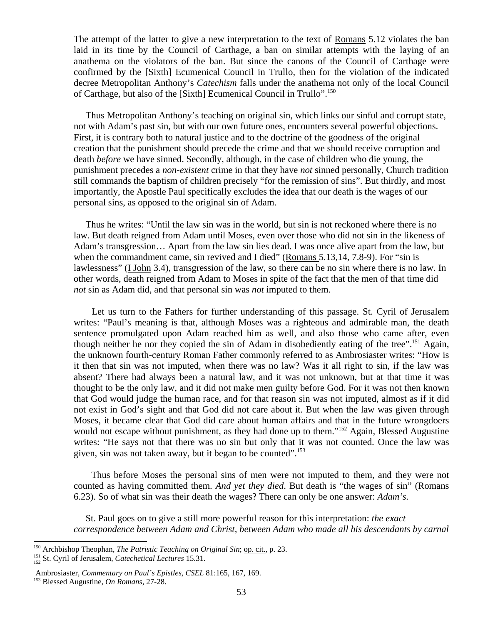The attempt of the latter to give a new interpretation to the text of Romans 5.12 violates the ban laid in its time by the Council of Carthage, a ban on similar attempts with the laying of an anathema on the violators of the ban. But since the canons of the Council of Carthage were confirmed by the [Sixth] Ecumenical Council in Trullo, then for the violation of the indicated decree Metropolitan Anthony's *Catechism* falls under the anathema not only of the local Council of Carthage, but also of the [Sixth] Ecumenical Council in Trullo".150

 Thus Metropolitan Anthony's teaching on original sin, which links our sinful and corrupt state, not with Adam's past sin, but with our own future ones, encounters several powerful objections. First, it is contrary both to natural justice and to the doctrine of the goodness of the original creation that the punishment should precede the crime and that we should receive corruption and death *before* we have sinned. Secondly, although, in the case of children who die young, the punishment precedes a *non-existent* crime in that they have *not* sinned personally, Church tradition still commands the baptism of children precisely "for the remission of sins". But thirdly, and most importantly, the Apostle Paul specifically excludes the idea that our death is the wages of our personal sins, as opposed to the original sin of Adam.

 Thus he writes: "Until the law sin was in the world, but sin is not reckoned where there is no law. But death reigned from Adam until Moses, even over those who did not sin in the likeness of Adam's transgression… Apart from the law sin lies dead. I was once alive apart from the law, but when the commandment came, sin revived and I died" (Romans 5.13,14, 7.8-9). For "sin is lawlessness" (I John 3.4), transgression of the law, so there can be no sin where there is no law. In other words, death reigned from Adam to Moses in spite of the fact that the men of that time did *not* sin as Adam did, and that personal sin was *not* imputed to them.

 Let us turn to the Fathers for further understanding of this passage. St. Cyril of Jerusalem writes: "Paul's meaning is that, although Moses was a righteous and admirable man, the death sentence promulgated upon Adam reached him as well, and also those who came after, even though neither he nor they copied the sin of Adam in disobediently eating of the tree".<sup>151</sup> Again, the unknown fourth-century Roman Father commonly referred to as Ambrosiaster writes: "How is it then that sin was not imputed, when there was no law? Was it all right to sin, if the law was absent? There had always been a natural law, and it was not unknown, but at that time it was thought to be the only law, and it did not make men guilty before God. For it was not then known that God would judge the human race, and for that reason sin was not imputed, almost as if it did not exist in God's sight and that God did not care about it. But when the law was given through Moses, it became clear that God did care about human affairs and that in the future wrongdoers would not escape without punishment, as they had done up to them."<sup>152</sup> Again, Blessed Augustine writes: "He says not that there was no sin but only that it was not counted. Once the law was given, sin was not taken away, but it began to be counted".<sup>153</sup>

 Thus before Moses the personal sins of men were not imputed to them, and they were not counted as having committed them. *And yet they died*. But death is "the wages of sin" (Romans 6.23). So of what sin was their death the wages? There can only be one answer: *Adam's.*

 St. Paul goes on to give a still more powerful reason for this interpretation: *the exact correspondence between Adam and Christ, between Adam who made all his descendants by carnal*

<sup>150</sup> Archbishop Theophan, *The Patristic Teaching on Original Sin*; op. cit., p. 23.

<sup>&</sup>lt;sup>151</sup> St. Cyril of Jerusalem, *Catechetical Lectures* 15.31.

Ambrosiaster, *Commentary on Paul's Epistles*, *CSEL* 81:165, 167, 169. 153 Blessed Augustine, *On Romans*, 27-28.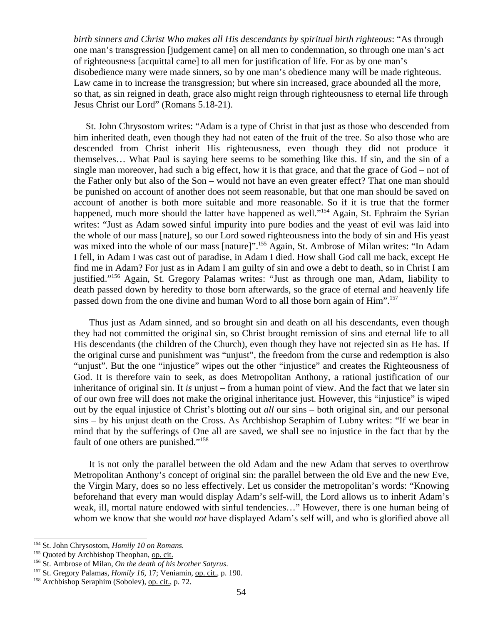*birth sinners and Christ Who makes all His descendants by spiritual birth righteous*: "As through one man's transgression [judgement came] on all men to condemnation, so through one man's act of righteousness [acquittal came] to all men for justification of life. For as by one man's disobedience many were made sinners, so by one man's obedience many will be made righteous. Law came in to increase the transgression; but where sin increased, grace abounded all the more, so that, as sin reigned in death, grace also might reign through righteousness to eternal life through Jesus Christ our Lord" (Romans 5.18-21).

 St. John Chrysostom writes: "Adam is a type of Christ in that just as those who descended from him inherited death, even though they had not eaten of the fruit of the tree. So also those who are descended from Christ inherit His righteousness, even though they did not produce it themselves… What Paul is saying here seems to be something like this. If sin, and the sin of a single man moreover, had such a big effect, how it is that grace, and that the grace of God – not of the Father only but also of the Son – would not have an even greater effect? That one man should be punished on account of another does not seem reasonable, but that one man should be saved on account of another is both more suitable and more reasonable. So if it is true that the former happened, much more should the latter have happened as well."<sup>154</sup> Again, St. Ephraim the Syrian writes: "Just as Adam sowed sinful impurity into pure bodies and the yeast of evil was laid into the whole of our mass [nature], so our Lord sowed righteousness into the body of sin and His yeast was mixed into the whole of our mass [nature]".<sup>155</sup> Again, St. Ambrose of Milan writes: "In Adam I fell, in Adam I was cast out of paradise, in Adam I died. How shall God call me back, except He find me in Adam? For just as in Adam I am guilty of sin and owe a debt to death, so in Christ I am justified."156 Again, St. Gregory Palamas writes: "Just as through one man, Adam, liability to death passed down by heredity to those born afterwards, so the grace of eternal and heavenly life passed down from the one divine and human Word to all those born again of Him".<sup>157</sup>

 Thus just as Adam sinned, and so brought sin and death on all his descendants, even though they had not committed the original sin, so Christ brought remission of sins and eternal life to all His descendants (the children of the Church), even though they have not rejected sin as He has. If the original curse and punishment was "unjust", the freedom from the curse and redemption is also "unjust". But the one "injustice" wipes out the other "injustice" and creates the Righteousness of God. It is therefore vain to seek, as does Metropolitan Anthony, a rational justification of our inheritance of original sin. It *is* unjust – from a human point of view. And the fact that we later sin of our own free will does not make the original inheritance just. However, this "injustice" is wiped out by the equal injustice of Christ's blotting out *all* our sins – both original sin, and our personal sins – by his unjust death on the Cross. As Archbishop Seraphim of Lubny writes: "If we bear in mind that by the sufferings of One all are saved, we shall see no injustice in the fact that by the fault of one others are punished."158

 It is not only the parallel between the old Adam and the new Adam that serves to overthrow Metropolitan Anthony's concept of original sin: the parallel between the old Eve and the new Eve, the Virgin Mary, does so no less effectively. Let us consider the metropolitan's words: "Knowing beforehand that every man would display Adam's self-will, the Lord allows us to inherit Adam's weak, ill, mortal nature endowed with sinful tendencies…" However, there is one human being of whom we know that she would *not* have displayed Adam's self will, and who is glorified above all

<sup>154</sup> St. John Chrysostom, *Homily 10 on Romans.*

<sup>&</sup>lt;sup>155</sup> Quoted by Archbishop Theophan, op. cit.

<sup>156</sup> St. Ambrose of Milan, *On the death of his brother Satyrus*.

<sup>&</sup>lt;sup>157</sup> St. Gregory Palamas, *Homily 16*, 17; Veniamin, op. cit., p. 190.

<sup>&</sup>lt;sup>158</sup> Archbishop Seraphim (Sobolev), op. cit., p. 72.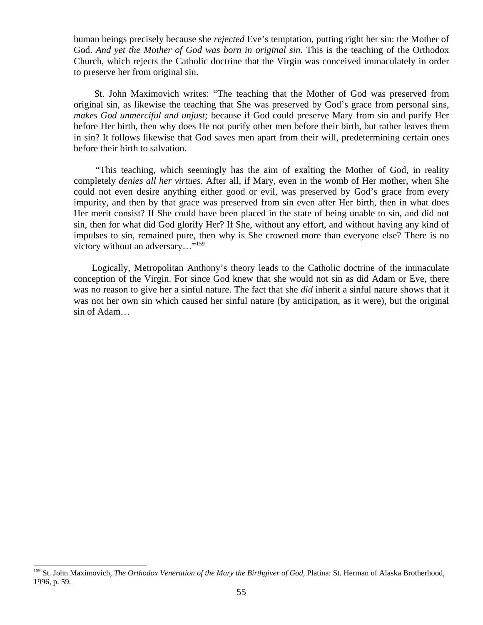human beings precisely because she *rejected* Eve's temptation, putting right her sin: the Mother of God. *And yet the Mother of God was born in original sin.* This is the teaching of the Orthodox Church, which rejects the Catholic doctrine that the Virgin was conceived immaculately in order to preserve her from original sin.

 St. John Maximovich writes: "The teaching that the Mother of God was preserved from original sin, as likewise the teaching that She was preserved by God's grace from personal sins, *makes God unmerciful and unjust;* because if God could preserve Mary from sin and purify Her before Her birth, then why does He not purify other men before their birth, but rather leaves them in sin? It follows likewise that God saves men apart from their will, predetermining certain ones before their birth to salvation.

 "This teaching, which seemingly has the aim of exalting the Mother of God, in reality completely *denies all her virtues*. After all, if Mary, even in the womb of Her mother, when She could not even desire anything either good or evil, was preserved by God's grace from every impurity, and then by that grace was preserved from sin even after Her birth, then in what does Her merit consist? If She could have been placed in the state of being unable to sin, and did not sin, then for what did God glorify Her? If She, without any effort, and without having any kind of impulses to sin, remained pure, then why is She crowned more than everyone else? There is no victory without an adversary…"159

 Logically, Metropolitan Anthony's theory leads to the Catholic doctrine of the immaculate conception of the Virgin. For since God knew that she would not sin as did Adam or Eve, there was no reason to give her a sinful nature. The fact that she *did* inherit a sinful nature shows that it was not her own sin which caused her sinful nature (by anticipation, as it were), but the original sin of Adam…

<sup>&</sup>lt;sup>159</sup> St. John Maximovich, *The Orthodox Veneration of the Mary the Birthgiver of God*, Platina: St. Herman of Alaska Brotherhood, 1996, p. 59.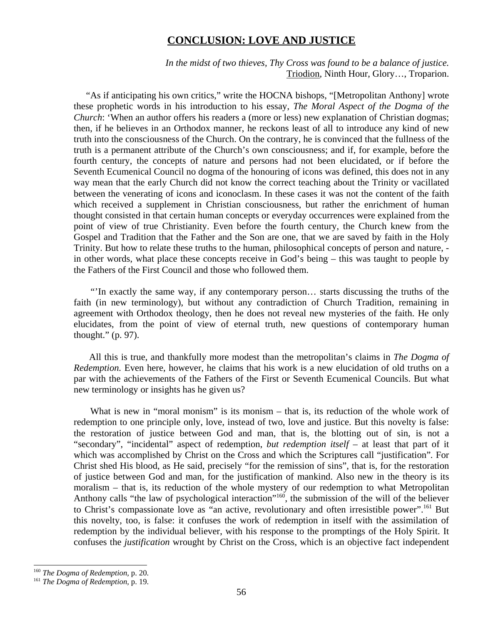## **CONCLUSION: LOVE AND JUSTICE**

*In the midst of two thieves, Thy Cross was found to be a balance of justice.* Triodion*,* Ninth Hour, Glory…, Troparion.

 "As if anticipating his own critics," write the HOCNA bishops, "[Metropolitan Anthony] wrote these prophetic words in his introduction to his essay, *The Moral Aspect of the Dogma of the Church*: 'When an author offers his readers a (more or less) new explanation of Christian dogmas; then, if he believes in an Orthodox manner, he reckons least of all to introduce any kind of new truth into the consciousness of the Church. On the contrary, he is convinced that the fullness of the truth is a permanent attribute of the Church's own consciousness; and if, for example, before the fourth century, the concepts of nature and persons had not been elucidated, or if before the Seventh Ecumenical Council no dogma of the honouring of icons was defined, this does not in any way mean that the early Church did not know the correct teaching about the Trinity or vacillated between the venerating of icons and iconoclasm. In these cases it was not the content of the faith which received a supplement in Christian consciousness, but rather the enrichment of human thought consisted in that certain human concepts or everyday occurrences were explained from the point of view of true Christianity. Even before the fourth century, the Church knew from the Gospel and Tradition that the Father and the Son are one, that we are saved by faith in the Holy Trinity. But how to relate these truths to the human, philosophical concepts of person and nature, in other words, what place these concepts receive in God's being – this was taught to people by the Fathers of the First Council and those who followed them.

 "'In exactly the same way, if any contemporary person… starts discussing the truths of the faith (in new terminology), but without any contradiction of Church Tradition, remaining in agreement with Orthodox theology, then he does not reveal new mysteries of the faith. He only elucidates, from the point of view of eternal truth, new questions of contemporary human thought." (p. 97).

 All this is true, and thankfully more modest than the metropolitan's claims in *The Dogma of Redemption.* Even here, however, he claims that his work is a new elucidation of old truths on a par with the achievements of the Fathers of the First or Seventh Ecumenical Councils. But what new terminology or insights has he given us?

What is new in "moral monism" is its monism – that is, its reduction of the whole work of redemption to one principle only, love, instead of two, love and justice. But this novelty is false: the restoration of justice between God and man, that is, the blotting out of sin, is not a "secondary", "incidental" aspect of redemption, *but redemption itself* – at least that part of it which was accomplished by Christ on the Cross and which the Scriptures call "justification"*.* For Christ shed His blood, as He said, precisely "for the remission of sins", that is, for the restoration of justice between God and man, for the justification of mankind. Also new in the theory is its moralism – that is, its reduction of the whole mystery of our redemption to what Metropolitan Anthony calls "the law of psychological interaction"<sup>160</sup>, the submission of the will of the believer to Christ's compassionate love as "an active, revolutionary and often irresistible power".<sup>161</sup> But this novelty, too, is false: it confuses the work of redemption in itself with the assimilation of redemption by the individual believer, with his response to the promptings of the Holy Spirit. It confuses the *justification* wrought by Christ on the Cross, which is an objective fact independent

<sup>160</sup> *The Dogma of Redemption,* p. 20.

<sup>161</sup> *The Dogma of Redemption,* p. 19.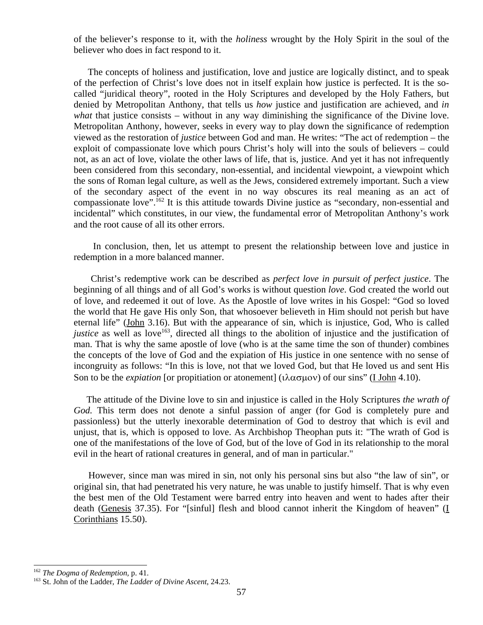of the believer's response to it, with the *holiness* wrought by the Holy Spirit in the soul of the believer who does in fact respond to it.

 The concepts of holiness and justification, love and justice are logically distinct, and to speak of the perfection of Christ's love does not in itself explain how justice is perfected. It is the socalled "juridical theory", rooted in the Holy Scriptures and developed by the Holy Fathers, but denied by Metropolitan Anthony, that tells us *how* justice and justification are achieved, and *in what* that justice consists – without in any way diminishing the significance of the Divine love. Metropolitan Anthony, however, seeks in every way to play down the significance of redemption viewed as the restoration of *justice* between God and man. He writes: "The act of redemption – the exploit of compassionate love which pours Christ's holy will into the souls of believers – could not, as an act of love, violate the other laws of life, that is, justice. And yet it has not infrequently been considered from this secondary, non-essential, and incidental viewpoint, a viewpoint which the sons of Roman legal culture, as well as the Jews, considered extremely important. Such a view of the secondary aspect of the event in no way obscures its real meaning as an act of compassionate love".<sup>162</sup> It is this attitude towards Divine justice as "secondary, non-essential and incidental" which constitutes, in our view, the fundamental error of Metropolitan Anthony's work and the root cause of all its other errors.

 In conclusion, then, let us attempt to present the relationship between love and justice in redemption in a more balanced manner.

 Christ's redemptive work can be described as *perfect love in pursuit of perfect justice*. The beginning of all things and of all God's works is without question *love*. God created the world out of love, and redeemed it out of love. As the Apostle of love writes in his Gospel: "God so loved the world that He gave His only Son, that whosoever believeth in Him should not perish but have eternal life" (John 3.16). But with the appearance of sin, which is injustice, God, Who is called *justice* as well as love<sup>163</sup>, directed all things to the abolition of injustice and the justification of man. That is why the same apostle of love (who is at the same time the son of thunder) combines the concepts of the love of God and the expiation of His justice in one sentence with no sense of incongruity as follows: "In this is love, not that we loved God, but that He loved us and sent His Son to be the *expiation* [or propitiation or atonement] (ιλασμον) of our sins" (I John 4.10).

 The attitude of the Divine love to sin and injustice is called in the Holy Scriptures *the wrath of* God. This term does not denote a sinful passion of anger (for God is completely pure and passionless) but the utterly inexorable determination of God to destroy that which is evil and unjust, that is, which is opposed to love. As Archbishop Theophan puts it: "The wrath of God is one of the manifestations of the love of God, but of the love of God in its relationship to the moral evil in the heart of rational creatures in general, and of man in particular."

 However, since man was mired in sin, not only his personal sins but also "the law of sin", or original sin, that had penetrated his very nature, he was unable to justify himself. That is why even the best men of the Old Testament were barred entry into heaven and went to hades after their death (Genesis 37.35). For "[sinful] flesh and blood cannot inherit the Kingdom of heaven" ( $\underline{I}$ Corinthians 15.50).

<sup>162</sup> *The Dogma of Redemption,* p. 41.

<sup>163</sup> St. John of the Ladder, *The Ladder of Divine Ascent*, 24.23.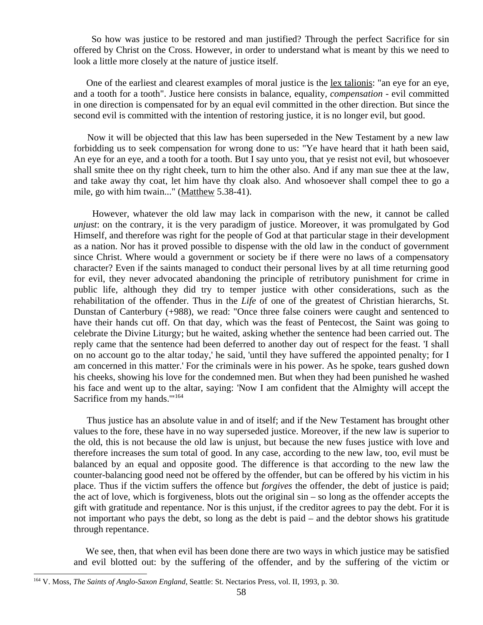So how was justice to be restored and man justified? Through the perfect Sacrifice for sin offered by Christ on the Cross. However, in order to understand what is meant by this we need to look a little more closely at the nature of justice itself.

One of the earliest and clearest examples of moral justice is the lex talionis: "an eye for an eye, and a tooth for a tooth". Justice here consists in balance, equality, *compensation* - evil committed in one direction is compensated for by an equal evil committed in the other direction. But since the second evil is committed with the intention of restoring justice, it is no longer evil, but good.

 Now it will be objected that this law has been superseded in the New Testament by a new law forbidding us to seek compensation for wrong done to us: "Ye have heard that it hath been said, An eye for an eye, and a tooth for a tooth. But I say unto you, that ye resist not evil, but whosoever shall smite thee on thy right cheek, turn to him the other also. And if any man sue thee at the law, and take away thy coat, let him have thy cloak also. And whosoever shall compel thee to go a mile, go with him twain..." (Matthew 5.38-41).

 However, whatever the old law may lack in comparison with the new, it cannot be called *unjust*: on the contrary, it is the very paradigm of justice. Moreover, it was promulgated by God Himself, and therefore was right for the people of God at that particular stage in their development as a nation. Nor has it proved possible to dispense with the old law in the conduct of government since Christ. Where would a government or society be if there were no laws of a compensatory character? Even if the saints managed to conduct their personal lives by at all time returning good for evil, they never advocated abandoning the principle of retributory punishment for crime in public life, although they did try to temper justice with other considerations, such as the rehabilitation of the offender. Thus in the *Life* of one of the greatest of Christian hierarchs, St. Dunstan of Canterbury (+988), we read: "Once three false coiners were caught and sentenced to have their hands cut off. On that day, which was the feast of Pentecost, the Saint was going to celebrate the Divine Liturgy; but he waited, asking whether the sentence had been carried out. The reply came that the sentence had been deferred to another day out of respect for the feast. 'I shall on no account go to the altar today,' he said, 'until they have suffered the appointed penalty; for I am concerned in this matter.' For the criminals were in his power. As he spoke, tears gushed down his cheeks, showing his love for the condemned men. But when they had been punished he washed his face and went up to the altar, saying: 'Now I am confident that the Almighty will accept the Sacrifice from my hands."<sup>164</sup>

 Thus justice has an absolute value in and of itself; and if the New Testament has brought other values to the fore, these have in no way superseded justice. Moreover, if the new law is superior to the old, this is not because the old law is unjust, but because the new fuses justice with love and therefore increases the sum total of good. In any case, according to the new law, too, evil must be balanced by an equal and opposite good. The difference is that according to the new law the counter-balancing good need not be offered by the offender, but can be offered by his victim in his place. Thus if the victim suffers the offence but *forgives* the offender, the debt of justice is paid; the act of love, which is forgiveness, blots out the original sin – so long as the offender accepts the gift with gratitude and repentance. Nor is this unjust, if the creditor agrees to pay the debt. For it is not important who pays the debt, so long as the debt is paid – and the debtor shows his gratitude through repentance.

 We see, then, that when evil has been done there are two ways in which justice may be satisfied and evil blotted out: by the suffering of the offender, and by the suffering of the victim or

<sup>164</sup> V. Moss, *The Saints of Anglo-Saxon England,* Seattle: St. Nectarios Press, vol. II, 1993, p. 30.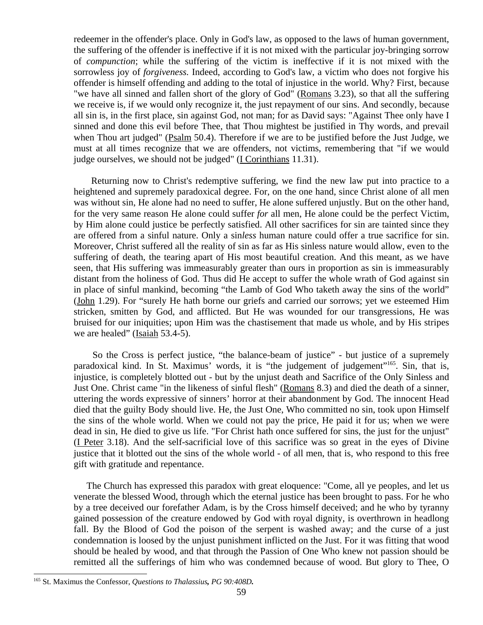redeemer in the offender's place. Only in God's law, as opposed to the laws of human government, the suffering of the offender is ineffective if it is not mixed with the particular joy-bringing sorrow of *compunction*; while the suffering of the victim is ineffective if it is not mixed with the sorrowless joy of *forgiveness.* Indeed, according to God's law, a victim who does not forgive his offender is himself offending and adding to the total of injustice in the world. Why? First, because "we have all sinned and fallen short of the glory of God" (Romans 3.23), so that all the suffering we receive is, if we would only recognize it, the just repayment of our sins. And secondly, because all sin is, in the first place, sin against God, not man; for as David says: "Against Thee only have I sinned and done this evil before Thee, that Thou mightest be justified in Thy words, and prevail when Thou art judged" ( $Psalm 50.4$ ). Therefore if we are to be justified before the Just Judge, we</u> must at all times recognize that we are offenders, not victims, remembering that "if we would judge ourselves, we should not be judged" (I Corinthians 11.31).

 Returning now to Christ's redemptive suffering, we find the new law put into practice to a heightened and supremely paradoxical degree. For, on the one hand, since Christ alone of all men was without sin, He alone had no need to suffer, He alone suffered unjustly. But on the other hand, for the very same reason He alone could suffer *for* all men, He alone could be the perfect Victim, by Him alone could justice be perfectly satisfied. All other sacrifices for sin are tainted since they are offered from a sinful nature. Only a sin*less* human nature could offer a true sacrifice for sin. Moreover, Christ suffered all the reality of sin as far as His sinless nature would allow, even to the suffering of death, the tearing apart of His most beautiful creation. And this meant, as we have seen, that His suffering was immeasurably greater than ours in proportion as sin is immeasurably distant from the holiness of God. Thus did He accept to suffer the whole wrath of God against sin in place of sinful mankind, becoming "the Lamb of God Who taketh away the sins of the world" (John 1.29). For "surely He hath borne our griefs and carried our sorrows; yet we esteemed Him stricken, smitten by God, and afflicted. But He was wounded for our transgressions, He was bruised for our iniquities; upon Him was the chastisement that made us whole, and by His stripes we are healed" (**Isaiah** 53.4-5).

 So the Cross is perfect justice, "the balance-beam of justice" - but justice of a supremely paradoxical kind. In St. Maximus' words, it is "the judgement of judgement"<sup>165</sup>. Sin, that is, injustice, is completely blotted out - but by the unjust death and Sacrifice of the Only Sinless and Just One. Christ came "in the likeness of sinful flesh" (Romans 8.3) and died the death of a sinner, uttering the words expressive of sinners' horror at their abandonment by God. The innocent Head died that the guilty Body should live. He, the Just One, Who committed no sin, took upon Himself the sins of the whole world. When we could not pay the price, He paid it for us; when we were dead in sin, He died to give us life. "For Christ hath once suffered for sins, the just for the unjust" (I Peter 3.18). And the self-sacrificial love of this sacrifice was so great in the eyes of Divine justice that it blotted out the sins of the whole world - of all men, that is, who respond to this free gift with gratitude and repentance.

 The Church has expressed this paradox with great eloquence: "Come, all ye peoples, and let us venerate the blessed Wood, through which the eternal justice has been brought to pass. For he who by a tree deceived our forefather Adam, is by the Cross himself deceived; and he who by tyranny gained possession of the creature endowed by God with royal dignity, is overthrown in headlong fall. By the Blood of God the poison of the serpent is washed away; and the curse of a just condemnation is loosed by the unjust punishment inflicted on the Just. For it was fitting that wood should be healed by wood, and that through the Passion of One Who knew not passion should be remitted all the sufferings of him who was condemned because of wood. But glory to Thee, O

<sup>165</sup> St. Maximus the Confessor, *Questions to Thalassius, PG 90:408D.*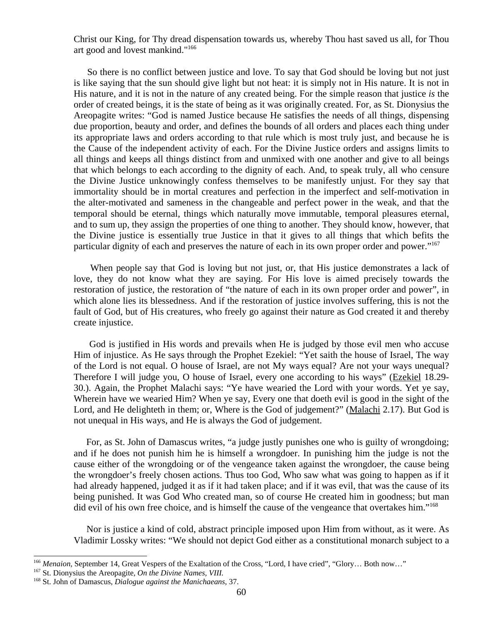Christ our King, for Thy dread dispensation towards us, whereby Thou hast saved us all, for Thou art good and lovest mankind."166

 So there is no conflict between justice and love. To say that God should be loving but not just is like saying that the sun should give light but not heat: it is simply not in His nature. It is not in His nature, and it is not in the nature of any created being. For the simple reason that justice *is* the order of created beings, it is the state of being as it was originally created. For, as St. Dionysius the Areopagite writes: "God is named Justice because He satisfies the needs of all things, dispensing due proportion, beauty and order, and defines the bounds of all orders and places each thing under its appropriate laws and orders according to that rule which is most truly just, and because he is the Cause of the independent activity of each. For the Divine Justice orders and assigns limits to all things and keeps all things distinct from and unmixed with one another and give to all beings that which belongs to each according to the dignity of each. And, to speak truly, all who censure the Divine Justice unknowingly confess themselves to be manifestly unjust. For they say that immortality should be in mortal creatures and perfection in the imperfect and self-motivation in the alter-motivated and sameness in the changeable and perfect power in the weak, and that the temporal should be eternal, things which naturally move immutable, temporal pleasures eternal, and to sum up, they assign the properties of one thing to another. They should know, however, that the Divine justice is essentially true Justice in that it gives to all things that which befits the particular dignity of each and preserves the nature of each in its own proper order and power."<sup>167</sup>

 When people say that God is loving but not just, or, that His justice demonstrates a lack of love, they do not know what they are saying. For His love is aimed precisely towards the restoration of justice, the restoration of "the nature of each in its own proper order and power", in which alone lies its blessedness. And if the restoration of justice involves suffering, this is not the fault of God, but of His creatures, who freely go against their nature as God created it and thereby create injustice.

 God is justified in His words and prevails when He is judged by those evil men who accuse Him of injustice. As He says through the Prophet Ezekiel: "Yet saith the house of Israel, The way of the Lord is not equal. O house of Israel, are not My ways equal? Are not your ways unequal? Therefore I will judge you, O house of Israel, every one according to his ways" (Ezekiel 18.29- 30.). Again, the Prophet Malachi says: "Ye have wearied the Lord with your words. Yet ye say, Wherein have we wearied Him? When ye say, Every one that doeth evil is good in the sight of the Lord, and He delighteth in them; or, Where is the God of judgement?" (Malachi 2.17). But God is not unequal in His ways, and He is always the God of judgement.

 For, as St. John of Damascus writes, "a judge justly punishes one who is guilty of wrongdoing; and if he does not punish him he is himself a wrongdoer. In punishing him the judge is not the cause either of the wrongdoing or of the vengeance taken against the wrongdoer, the cause being the wrongdoer's freely chosen actions. Thus too God, Who saw what was going to happen as if it had already happened, judged it as if it had taken place; and if it was evil, that was the cause of its being punished. It was God Who created man, so of course He created him in goodness; but man did evil of his own free choice, and is himself the cause of the vengeance that overtakes him."<sup>168</sup>

 Nor is justice a kind of cold, abstract principle imposed upon Him from without, as it were. As Vladimir Lossky writes: "We should not depict God either as a constitutional monarch subject to a

<sup>166</sup> *Menaion,* September 14, Great Vespers of the Exaltation of the Cross, "Lord, I have cried", "Glory… Both now…"

<sup>167</sup> St. Dionysius the Areopagite, *On the Divine Names, VIII.*

<sup>168</sup> St. John of Damascus, *Dialogue against the Manichaeans*, 37.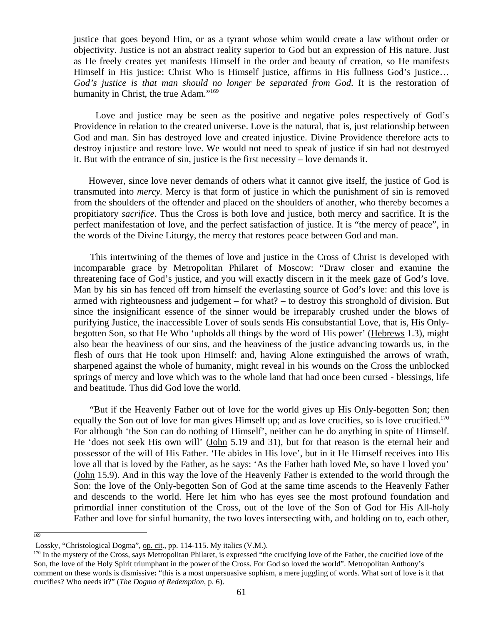justice that goes beyond Him, or as a tyrant whose whim would create a law without order or objectivity. Justice is not an abstract reality superior to God but an expression of His nature. Just as He freely creates yet manifests Himself in the order and beauty of creation, so He manifests Himself in His justice: Christ Who is Himself justice, affirms in His fullness God's justice… *God's justice is that man should no longer be separated from God*. It is the restoration of humanity in Christ, the true Adam."<sup>169</sup>

Love and justice may be seen as the positive and negative poles respectively of God's Providence in relation to the created universe. Love is the natural, that is, just relationship between God and man. Sin has destroyed love and created injustice. Divine Providence therefore acts to destroy injustice and restore love. We would not need to speak of justice if sin had not destroyed it. But with the entrance of sin, justice is the first necessity – love demands it.

 However, since love never demands of others what it cannot give itself, the justice of God is transmuted into *mercy.* Mercy is that form of justice in which the punishment of sin is removed from the shoulders of the offender and placed on the shoulders of another, who thereby becomes a propitiatory *sacrifice*. Thus the Cross is both love and justice, both mercy and sacrifice. It is the perfect manifestation of love, and the perfect satisfaction of justice. It is "the mercy of peace", in the words of the Divine Liturgy, the mercy that restores peace between God and man.

This intertwining of the themes of love and justice in the Cross of Christ is developed with incomparable grace by Metropolitan Philaret of Moscow: "Draw closer and examine the threatening face of God's justice, and you will exactly discern in it the meek gaze of God's love. Man by his sin has fenced off from himself the everlasting source of God's love: and this love is armed with righteousness and judgement – for what? – to destroy this stronghold of division. But since the insignificant essence of the sinner would be irreparably crushed under the blows of purifying Justice, the inaccessible Lover of souls sends His consubstantial Love, that is, His Onlybegotten Son, so that He Who 'upholds all things by the word of His power' (Hebrews 1.3), might also bear the heaviness of our sins, and the heaviness of the justice advancing towards us, in the flesh of ours that He took upon Himself: and, having Alone extinguished the arrows of wrath, sharpened against the whole of humanity, might reveal in his wounds on the Cross the unblocked springs of mercy and love which was to the whole land that had once been cursed - blessings, life and beatitude. Thus did God love the world.

 "But if the Heavenly Father out of love for the world gives up His Only-begotten Son; then equally the Son out of love for man gives Himself up; and as love crucifies, so is love crucified.<sup>170</sup> For although 'the Son can do nothing of Himself', neither can he do anything in spite of Himself. He 'does not seek His own will' (John 5.19 and 31), but for that reason is the eternal heir and possessor of the will of His Father. 'He abides in His love', but in it He Himself receives into His love all that is loved by the Father, as he says: 'As the Father hath loved Me, so have I loved you' (John 15.9). And in this way the love of the Heavenly Father is extended to the world through the Son: the love of the Only-begotten Son of God at the same time ascends to the Heavenly Father and descends to the world. Here let him who has eyes see the most profound foundation and primordial inner constitution of the Cross, out of the love of the Son of God for His All-holy Father and love for sinful humanity, the two loves intersecting with, and holding on to, each other,

169

Lossky, "Christological Dogma", op. cit., pp. 114-115. My italics (V.M.).

<sup>&</sup>lt;sup>170</sup> In the mystery of the Cross, says Metropolitan Philaret, is expressed "the crucifying love of the Father, the crucified love of the Son, the love of the Holy Spirit triumphant in the power of the Cross. For God so loved the world". Metropolitan Anthony's comment on these words is dismissive**:** "this is a most unpersuasive sophism, a mere juggling of words. What sort of love is it that crucifies? Who needs it?" (*The Dogma of Redemption*, p. 6).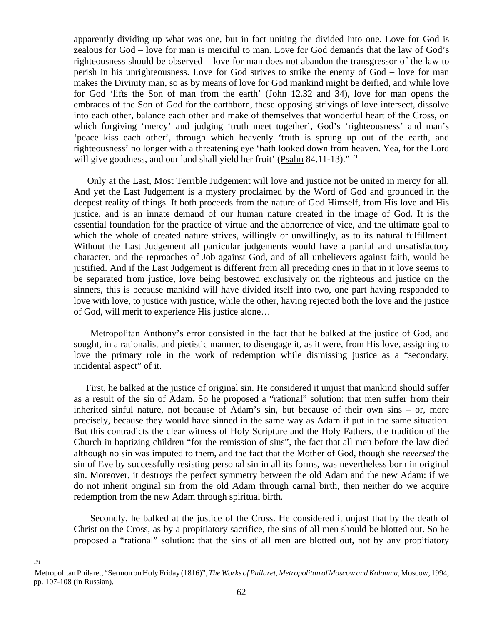apparently dividing up what was one, but in fact uniting the divided into one. Love for God is zealous for God – love for man is merciful to man. Love for God demands that the law of God's righteousness should be observed – love for man does not abandon the transgressor of the law to perish in his unrighteousness. Love for God strives to strike the enemy of God – love for man makes the Divinity man, so as by means of love for God mankind might be deified, and while love for God 'lifts the Son of man from the earth' (John 12.32 and 34), love for man opens the embraces of the Son of God for the earthborn, these opposing strivings of love intersect, dissolve into each other, balance each other and make of themselves that wonderful heart of the Cross, on which forgiving 'mercy' and judging 'truth meet together', God's 'righteousness' and man's 'peace kiss each other', through which heavenly 'truth is sprung up out of the earth, and righteousness' no longer with a threatening eye 'hath looked down from heaven. Yea, for the Lord will give goodness, and our land shall yield her fruit' ( $\frac{Psalm}{2}$  84.11-13)."<sup>171</sup>

 Only at the Last, Most Terrible Judgement will love and justice not be united in mercy for all. And yet the Last Judgement is a mystery proclaimed by the Word of God and grounded in the deepest reality of things. It both proceeds from the nature of God Himself, from His love and His justice, and is an innate demand of our human nature created in the image of God. It is the essential foundation for the practice of virtue and the abhorrence of vice, and the ultimate goal to which the whole of created nature strives, willingly or unwillingly, as to its natural fulfillment. Without the Last Judgement all particular judgements would have a partial and unsatisfactory character, and the reproaches of Job against God, and of all unbelievers against faith, would be justified. And if the Last Judgement is different from all preceding ones in that in it love seems to be separated from justice, love being bestowed exclusively on the righteous and justice on the sinners, this is because mankind will have divided itself into two, one part having responded to love with love, to justice with justice, while the other, having rejected both the love and the justice of God, will merit to experience His justice alone…

 Metropolitan Anthony's error consisted in the fact that he balked at the justice of God, and sought, in a rationalist and pietistic manner, to disengage it, as it were, from His love, assigning to love the primary role in the work of redemption while dismissing justice as a "secondary, incidental aspect" of it.

 First, he balked at the justice of original sin. He considered it unjust that mankind should suffer as a result of the sin of Adam. So he proposed a "rational" solution: that men suffer from their inherited sinful nature, not because of Adam's sin, but because of their own sins – or, more precisely, because they would have sinned in the same way as Adam if put in the same situation. But this contradicts the clear witness of Holy Scripture and the Holy Fathers, the tradition of the Church in baptizing children "for the remission of sins", the fact that all men before the law died although no sin was imputed to them, and the fact that the Mother of God, though she *reversed* the sin of Eve by successfully resisting personal sin in all its forms, was nevertheless born in original sin. Moreover, it destroys the perfect symmetry between the old Adam and the new Adam: if we do not inherit original sin from the old Adam through carnal birth, then neither do we acquire redemption from the new Adam through spiritual birth.

 Secondly, he balked at the justice of the Cross. He considered it unjust that by the death of Christ on the Cross, as by a propitiatory sacrifice, the sins of all men should be blotted out. So he proposed a "rational" solution: that the sins of all men are blotted out, not by any propitiatory

171

Metropolitan Philaret, "Sermon on Holy Friday (1816)", *The Works of Philaret, Metropolitan of Moscow and Kolomna*, Moscow, 1994, pp. 107-108 (in Russian).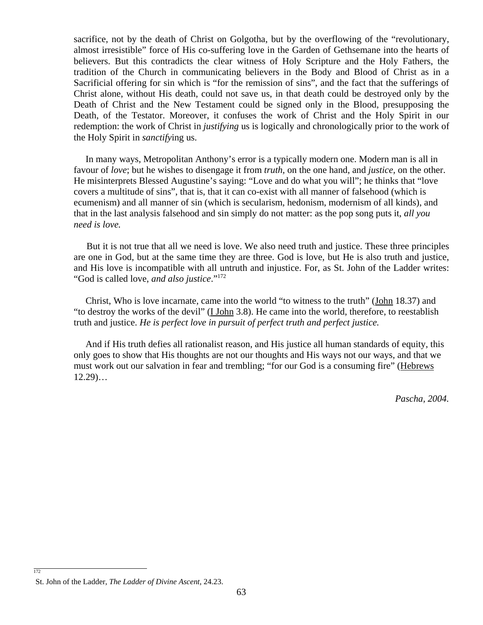sacrifice, not by the death of Christ on Golgotha, but by the overflowing of the "revolutionary, almost irresistible" force of His co-suffering love in the Garden of Gethsemane into the hearts of believers. But this contradicts the clear witness of Holy Scripture and the Holy Fathers, the tradition of the Church in communicating believers in the Body and Blood of Christ as in a Sacrificial offering for sin which is "for the remission of sins", and the fact that the sufferings of Christ alone, without His death, could not save us, in that death could be destroyed only by the Death of Christ and the New Testament could be signed only in the Blood, presupposing the Death, of the Testator. Moreover, it confuses the work of Christ and the Holy Spirit in our redemption: the work of Christ in *justifying* us is logically and chronologically prior to the work of the Holy Spirit in *sanctify*ing us.

 In many ways, Metropolitan Anthony's error is a typically modern one. Modern man is all in favour of *love*; but he wishes to disengage it from *truth,* on the one hand, and *justice,* on the other. He misinterprets Blessed Augustine's saying: "Love and do what you will"; he thinks that "love covers a multitude of sins", that is, that it can co-exist with all manner of falsehood (which is ecumenism) and all manner of sin (which is secularism, hedonism, modernism of all kinds), and that in the last analysis falsehood and sin simply do not matter: as the pop song puts it, *all you need is love.* 

 But it is not true that all we need is love. We also need truth and justice. These three principles are one in God, but at the same time they are three. God is love, but He is also truth and justice, and His love is incompatible with all untruth and injustice. For, as St. John of the Ladder writes: "God is called love, *and also justice*."172

 Christ, Who is love incarnate, came into the world "to witness to the truth" (John 18.37) and "to destroy the works of the devil" (**I** John 3.8). He came into the world, therefore, to reestablish truth and justice. *He is perfect love in pursuit of perfect truth and perfect justice.* 

And if His truth defies all rationalist reason, and His justice all human standards of equity, this only goes to show that His thoughts are not our thoughts and His ways not our ways, and that we must work out our salvation in fear and trembling; "for our God is a consuming fire" (Hebrews  $12.29...$ 

*Pascha, 2004.*

172

St. John of the Ladder, *The Ladder of Divine Ascent*, 24.23.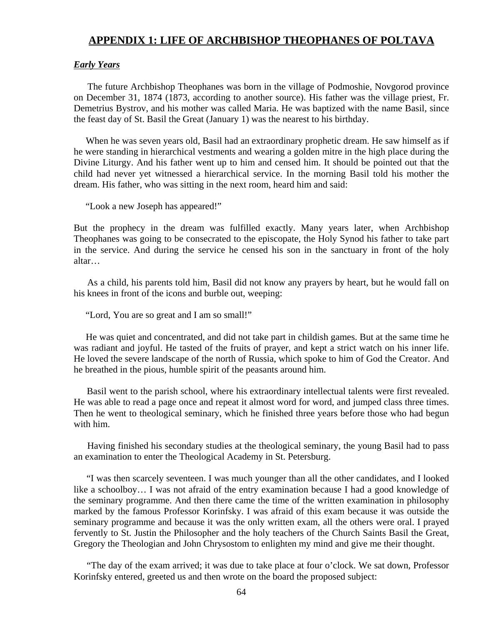## **APPENDIX 1: LIFE OF ARCHBISHOP THEOPHANES OF POLTAVA**

#### *Early Years*

 The future Archbishop Theophanes was born in the village of Podmoshie, Novgorod province on December 31, 1874 (1873, according to another source). His father was the village priest, Fr. Demetrius Bystrov, and his mother was called Maria. He was baptized with the name Basil, since the feast day of St. Basil the Great (January 1) was the nearest to his birthday.

 When he was seven years old, Basil had an extraordinary prophetic dream. He saw himself as if he were standing in hierarchical vestments and wearing a golden mitre in the high place during the Divine Liturgy. And his father went up to him and censed him. It should be pointed out that the child had never yet witnessed a hierarchical service. In the morning Basil told his mother the dream. His father, who was sitting in the next room, heard him and said:

"Look a new Joseph has appeared!"

But the prophecy in the dream was fulfilled exactly. Many years later, when Archbishop Theophanes was going to be consecrated to the episcopate, the Holy Synod his father to take part in the service. And during the service he censed his son in the sanctuary in front of the holy altar…

 As a child, his parents told him, Basil did not know any prayers by heart, but he would fall on his knees in front of the icons and burble out, weeping:

"Lord, You are so great and I am so small!"

 He was quiet and concentrated, and did not take part in childish games. But at the same time he was radiant and joyful. He tasted of the fruits of prayer, and kept a strict watch on his inner life. He loved the severe landscape of the north of Russia, which spoke to him of God the Creator. And he breathed in the pious, humble spirit of the peasants around him.

 Basil went to the parish school, where his extraordinary intellectual talents were first revealed. He was able to read a page once and repeat it almost word for word, and jumped class three times. Then he went to theological seminary, which he finished three years before those who had begun with him.

 Having finished his secondary studies at the theological seminary, the young Basil had to pass an examination to enter the Theological Academy in St. Petersburg.

 "I was then scarcely seventeen. I was much younger than all the other candidates, and I looked like a schoolboy… I was not afraid of the entry examination because I had a good knowledge of the seminary programme. And then there came the time of the written examination in philosophy marked by the famous Professor Korinfsky. I was afraid of this exam because it was outside the seminary programme and because it was the only written exam, all the others were oral. I prayed fervently to St. Justin the Philosopher and the holy teachers of the Church Saints Basil the Great, Gregory the Theologian and John Chrysostom to enlighten my mind and give me their thought.

 "The day of the exam arrived; it was due to take place at four o'clock. We sat down, Professor Korinfsky entered, greeted us and then wrote on the board the proposed subject: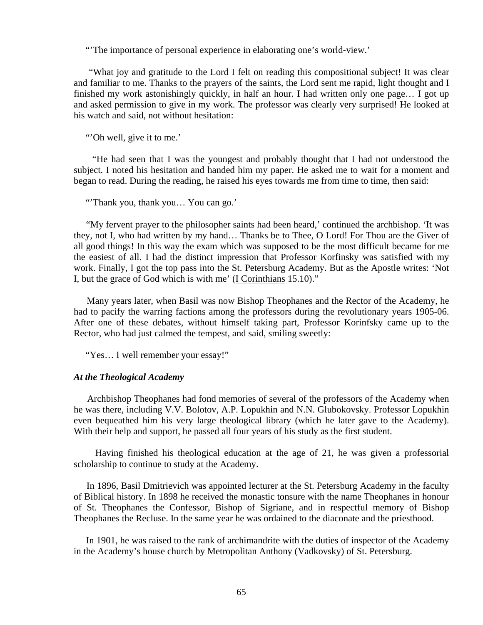"'The importance of personal experience in elaborating one's world-view.'

 "What joy and gratitude to the Lord I felt on reading this compositional subject! It was clear and familiar to me. Thanks to the prayers of the saints, the Lord sent me rapid, light thought and I finished my work astonishingly quickly, in half an hour. I had written only one page… I got up and asked permission to give in my work. The professor was clearly very surprised! He looked at his watch and said, not without hesitation:

"Oh well, give it to me."

 "He had seen that I was the youngest and probably thought that I had not understood the subject. I noted his hesitation and handed him my paper. He asked me to wait for a moment and began to read. During the reading, he raised his eyes towards me from time to time, then said:

"'Thank you, thank you… You can go.'

 "My fervent prayer to the philosopher saints had been heard,' continued the archbishop. 'It was they, not I, who had written by my hand… Thanks be to Thee, O Lord! For Thou are the Giver of all good things! In this way the exam which was supposed to be the most difficult became for me the easiest of all. I had the distinct impression that Professor Korfinsky was satisfied with my work. Finally, I got the top pass into the St. Petersburg Academy. But as the Apostle writes: 'Not I, but the grace of God which is with me' (I Corinthians 15.10)."

 Many years later, when Basil was now Bishop Theophanes and the Rector of the Academy, he had to pacify the warring factions among the professors during the revolutionary years 1905-06. After one of these debates, without himself taking part, Professor Korinfsky came up to the Rector, who had just calmed the tempest, and said, smiling sweetly:

"Yes… I well remember your essay!"

#### *At the Theological Academy*

 Archbishop Theophanes had fond memories of several of the professors of the Academy when he was there, including V.V. Bolotov, A.P. Lopukhin and N.N. Glubokovsky. Professor Lopukhin even bequeathed him his very large theological library (which he later gave to the Academy). With their help and support, he passed all four years of his study as the first student.

 Having finished his theological education at the age of 21, he was given a professorial scholarship to continue to study at the Academy.

 In 1896, Basil Dmitrievich was appointed lecturer at the St. Petersburg Academy in the faculty of Biblical history. In 1898 he received the monastic tonsure with the name Theophanes in honour of St. Theophanes the Confessor, Bishop of Sigriane, and in respectful memory of Bishop Theophanes the Recluse. In the same year he was ordained to the diaconate and the priesthood.

 In 1901, he was raised to the rank of archimandrite with the duties of inspector of the Academy in the Academy's house church by Metropolitan Anthony (Vadkovsky) of St. Petersburg.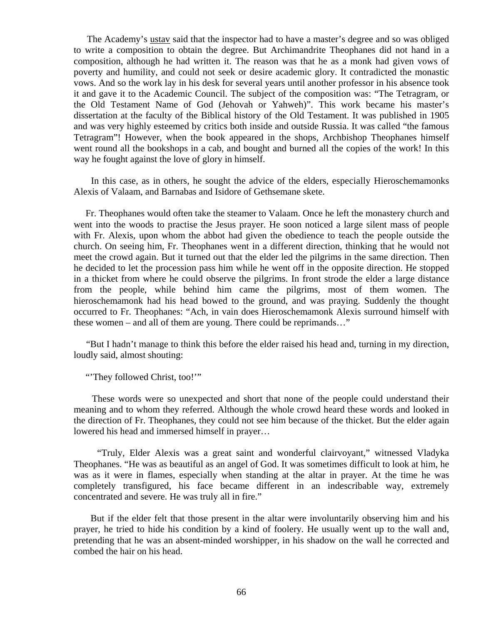The Academy's ustav said that the inspector had to have a master's degree and so was obliged to write a composition to obtain the degree. But Archimandrite Theophanes did not hand in a composition, although he had written it. The reason was that he as a monk had given vows of poverty and humility, and could not seek or desire academic glory. It contradicted the monastic vows. And so the work lay in his desk for several years until another professor in his absence took it and gave it to the Academic Council. The subject of the composition was: "The Tetragram, or the Old Testament Name of God (Jehovah or Yahweh)". This work became his master's dissertation at the faculty of the Biblical history of the Old Testament. It was published in 1905 and was very highly esteemed by critics both inside and outside Russia. It was called "the famous Tetragram"! However, when the book appeared in the shops, Archbishop Theophanes himself went round all the bookshops in a cab, and bought and burned all the copies of the work! In this way he fought against the love of glory in himself.

 In this case, as in others, he sought the advice of the elders, especially Hieroschemamonks Alexis of Valaam, and Barnabas and Isidore of Gethsemane skete.

 Fr. Theophanes would often take the steamer to Valaam. Once he left the monastery church and went into the woods to practise the Jesus prayer. He soon noticed a large silent mass of people with Fr. Alexis, upon whom the abbot had given the obedience to teach the people outside the church. On seeing him, Fr. Theophanes went in a different direction, thinking that he would not meet the crowd again. But it turned out that the elder led the pilgrims in the same direction. Then he decided to let the procession pass him while he went off in the opposite direction. He stopped in a thicket from where he could observe the pilgrims. In front strode the elder a large distance from the people, while behind him came the pilgrims, most of them women. The hieroschemamonk had his head bowed to the ground, and was praying. Suddenly the thought occurred to Fr. Theophanes: "Ach, in vain does Hieroschemamonk Alexis surround himself with these women – and all of them are young. There could be reprimands…"

 "But I hadn't manage to think this before the elder raised his head and, turning in my direction, loudly said, almost shouting:

"'They followed Christ, too!'"

 These words were so unexpected and short that none of the people could understand their meaning and to whom they referred. Although the whole crowd heard these words and looked in the direction of Fr. Theophanes, they could not see him because of the thicket. But the elder again lowered his head and immersed himself in prayer…

 "Truly, Elder Alexis was a great saint and wonderful clairvoyant," witnessed Vladyka Theophanes. "He was as beautiful as an angel of God. It was sometimes difficult to look at him, he was as it were in flames, especially when standing at the altar in prayer. At the time he was completely transfigured, his face became different in an indescribable way, extremely concentrated and severe. He was truly all in fire."

 But if the elder felt that those present in the altar were involuntarily observing him and his prayer, he tried to hide his condition by a kind of foolery. He usually went up to the wall and, pretending that he was an absent-minded worshipper, in his shadow on the wall he corrected and combed the hair on his head.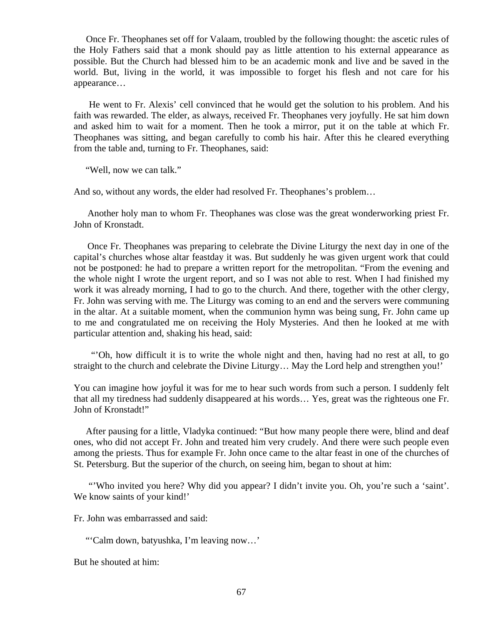Once Fr. Theophanes set off for Valaam, troubled by the following thought: the ascetic rules of the Holy Fathers said that a monk should pay as little attention to his external appearance as possible. But the Church had blessed him to be an academic monk and live and be saved in the world. But, living in the world, it was impossible to forget his flesh and not care for his appearance…

 He went to Fr. Alexis' cell convinced that he would get the solution to his problem. And his faith was rewarded. The elder, as always, received Fr. Theophanes very joyfully. He sat him down and asked him to wait for a moment. Then he took a mirror, put it on the table at which Fr. Theophanes was sitting, and began carefully to comb his hair. After this he cleared everything from the table and, turning to Fr. Theophanes, said:

"Well, now we can talk."

And so, without any words, the elder had resolved Fr. Theophanes's problem…

 Another holy man to whom Fr. Theophanes was close was the great wonderworking priest Fr. John of Kronstadt.

 Once Fr. Theophanes was preparing to celebrate the Divine Liturgy the next day in one of the capital's churches whose altar feastday it was. But suddenly he was given urgent work that could not be postponed: he had to prepare a written report for the metropolitan. "From the evening and the whole night I wrote the urgent report, and so I was not able to rest. When I had finished my work it was already morning, I had to go to the church. And there, together with the other clergy, Fr. John was serving with me. The Liturgy was coming to an end and the servers were communing in the altar. At a suitable moment, when the communion hymn was being sung, Fr. John came up to me and congratulated me on receiving the Holy Mysteries. And then he looked at me with particular attention and, shaking his head, said:

 "'Oh, how difficult it is to write the whole night and then, having had no rest at all, to go straight to the church and celebrate the Divine Liturgy… May the Lord help and strengthen you!'

You can imagine how joyful it was for me to hear such words from such a person. I suddenly felt that all my tiredness had suddenly disappeared at his words… Yes, great was the righteous one Fr. John of Kronstadt!"

 After pausing for a little, Vladyka continued: "But how many people there were, blind and deaf ones, who did not accept Fr. John and treated him very crudely. And there were such people even among the priests. Thus for example Fr. John once came to the altar feast in one of the churches of St. Petersburg. But the superior of the church, on seeing him, began to shout at him:

"Who invited you here? Why did you appear? I didn't invite you. Oh, you're such a 'saint'. We know saints of your kind!'

Fr. John was embarrassed and said:

"'Calm down, batyushka, I'm leaving now…'

But he shouted at him: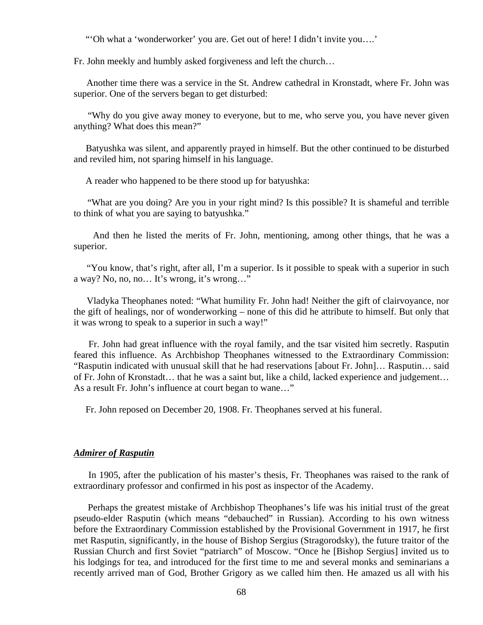"'Oh what a 'wonderworker' you are. Get out of here! I didn't invite you….'

Fr. John meekly and humbly asked forgiveness and left the church…

 Another time there was a service in the St. Andrew cathedral in Kronstadt, where Fr. John was superior. One of the servers began to get disturbed:

 "Why do you give away money to everyone, but to me, who serve you, you have never given anything? What does this mean?"

 Batyushka was silent, and apparently prayed in himself. But the other continued to be disturbed and reviled him, not sparing himself in his language.

A reader who happened to be there stood up for batyushka:

 "What are you doing? Are you in your right mind? Is this possible? It is shameful and terrible to think of what you are saying to batyushka."

 And then he listed the merits of Fr. John, mentioning, among other things, that he was a superior.

 "You know, that's right, after all, I'm a superior. Is it possible to speak with a superior in such a way? No, no, no… It's wrong, it's wrong…"

 Vladyka Theophanes noted: "What humility Fr. John had! Neither the gift of clairvoyance, nor the gift of healings, nor of wonderworking – none of this did he attribute to himself. But only that it was wrong to speak to a superior in such a way!"

 Fr. John had great influence with the royal family, and the tsar visited him secretly. Rasputin feared this influence. As Archbishop Theophanes witnessed to the Extraordinary Commission: "Rasputin indicated with unusual skill that he had reservations [about Fr. John]… Rasputin… said of Fr. John of Kronstadt… that he was a saint but, like a child, lacked experience and judgement… As a result Fr. John's influence at court began to wane…"

Fr. John reposed on December 20, 1908. Fr. Theophanes served at his funeral.

### *Admirer of Rasputin*

 In 1905, after the publication of his master's thesis, Fr. Theophanes was raised to the rank of extraordinary professor and confirmed in his post as inspector of the Academy.

 Perhaps the greatest mistake of Archbishop Theophanes's life was his initial trust of the great pseudo-elder Rasputin (which means "debauched" in Russian). According to his own witness before the Extraordinary Commission established by the Provisional Government in 1917, he first met Rasputin, significantly, in the house of Bishop Sergius (Stragorodsky), the future traitor of the Russian Church and first Soviet "patriarch" of Moscow. "Once he [Bishop Sergius] invited us to his lodgings for tea, and introduced for the first time to me and several monks and seminarians a recently arrived man of God, Brother Grigory as we called him then. He amazed us all with his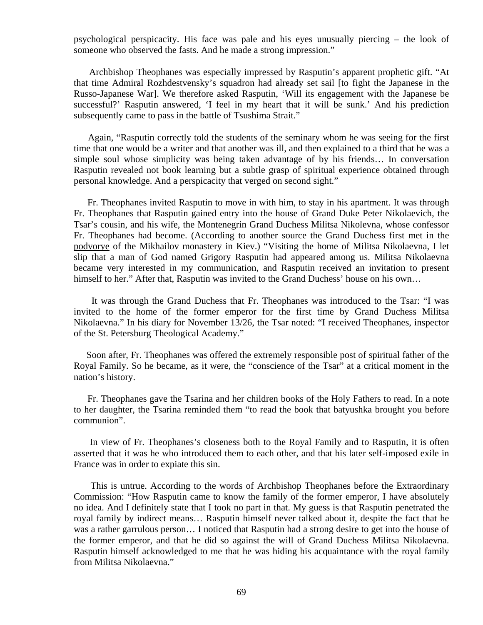psychological perspicacity. His face was pale and his eyes unusually piercing – the look of someone who observed the fasts. And he made a strong impression."

 Archbishop Theophanes was especially impressed by Rasputin's apparent prophetic gift. "At that time Admiral Rozhdestvensky's squadron had already set sail [to fight the Japanese in the Russo-Japanese War]. We therefore asked Rasputin, 'Will its engagement with the Japanese be successful?' Rasputin answered, 'I feel in my heart that it will be sunk.' And his prediction subsequently came to pass in the battle of Tsushima Strait."

 Again, "Rasputin correctly told the students of the seminary whom he was seeing for the first time that one would be a writer and that another was ill, and then explained to a third that he was a simple soul whose simplicity was being taken advantage of by his friends… In conversation Rasputin revealed not book learning but a subtle grasp of spiritual experience obtained through personal knowledge. And a perspicacity that verged on second sight."

 Fr. Theophanes invited Rasputin to move in with him, to stay in his apartment. It was through Fr. Theophanes that Rasputin gained entry into the house of Grand Duke Peter Nikolaevich, the Tsar's cousin, and his wife, the Montenegrin Grand Duchess Militsa Nikolevna, whose confessor Fr. Theophanes had become. (According to another source the Grand Duchess first met in the podvorye of the Mikhailov monastery in Kiev.) "Visiting the home of Militsa Nikolaevna, I let slip that a man of God named Grigory Rasputin had appeared among us. Militsa Nikolaevna became very interested in my communication, and Rasputin received an invitation to present himself to her." After that, Rasputin was invited to the Grand Duchess' house on his own...

 It was through the Grand Duchess that Fr. Theophanes was introduced to the Tsar: "I was invited to the home of the former emperor for the first time by Grand Duchess Militsa Nikolaevna." In his diary for November 13/26, the Tsar noted: "I received Theophanes, inspector of the St. Petersburg Theological Academy."

 Soon after, Fr. Theophanes was offered the extremely responsible post of spiritual father of the Royal Family. So he became, as it were, the "conscience of the Tsar" at a critical moment in the nation's history.

 Fr. Theophanes gave the Tsarina and her children books of the Holy Fathers to read. In a note to her daughter, the Tsarina reminded them "to read the book that batyushka brought you before communion".

 In view of Fr. Theophanes's closeness both to the Royal Family and to Rasputin, it is often asserted that it was he who introduced them to each other, and that his later self-imposed exile in France was in order to expiate this sin.

 This is untrue. According to the words of Archbishop Theophanes before the Extraordinary Commission: "How Rasputin came to know the family of the former emperor, I have absolutely no idea. And I definitely state that I took no part in that. My guess is that Rasputin penetrated the royal family by indirect means… Rasputin himself never talked about it, despite the fact that he was a rather garrulous person… I noticed that Rasputin had a strong desire to get into the house of the former emperor, and that he did so against the will of Grand Duchess Militsa Nikolaevna. Rasputin himself acknowledged to me that he was hiding his acquaintance with the royal family from Militsa Nikolaevna."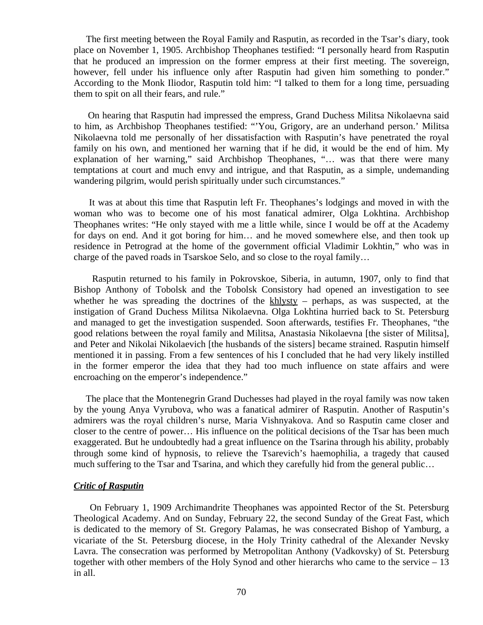The first meeting between the Royal Family and Rasputin, as recorded in the Tsar's diary, took place on November 1, 1905. Archbishop Theophanes testified: "I personally heard from Rasputin that he produced an impression on the former empress at their first meeting. The sovereign, however, fell under his influence only after Rasputin had given him something to ponder." According to the Monk Iliodor, Rasputin told him: "I talked to them for a long time, persuading them to spit on all their fears, and rule."

 On hearing that Rasputin had impressed the empress, Grand Duchess Militsa Nikolaevna said to him, as Archbishop Theophanes testified: "'You, Grigory, are an underhand person.' Militsa Nikolaevna told me personally of her dissatisfaction with Rasputin's have penetrated the royal family on his own, and mentioned her warning that if he did, it would be the end of him. My explanation of her warning," said Archbishop Theophanes, "… was that there were many temptations at court and much envy and intrigue, and that Rasputin, as a simple, undemanding wandering pilgrim, would perish spiritually under such circumstances."

 It was at about this time that Rasputin left Fr. Theophanes's lodgings and moved in with the woman who was to become one of his most fanatical admirer, Olga Lokhtina. Archbishop Theophanes writes: "He only stayed with me a little while, since I would be off at the Academy for days on end. And it got boring for him… and he moved somewhere else, and then took up residence in Petrograd at the home of the government official Vladimir Lokhtin," who was in charge of the paved roads in Tsarskoe Selo, and so close to the royal family…

 Rasputin returned to his family in Pokrovskoe, Siberia, in autumn, 1907, only to find that Bishop Anthony of Tobolsk and the Tobolsk Consistory had opened an investigation to see whether he was spreading the doctrines of the  $k$ hlysty – perhaps, as was suspected, at the instigation of Grand Duchess Militsa Nikolaevna. Olga Lokhtina hurried back to St. Petersburg and managed to get the investigation suspended. Soon afterwards, testifies Fr. Theophanes, "the good relations between the royal family and Militsa, Anastasia Nikolaevna [the sister of Militsa], and Peter and Nikolai Nikolaevich [the husbands of the sisters] became strained. Rasputin himself mentioned it in passing. From a few sentences of his I concluded that he had very likely instilled in the former emperor the idea that they had too much influence on state affairs and were encroaching on the emperor's independence."

 The place that the Montenegrin Grand Duchesses had played in the royal family was now taken by the young Anya Vyrubova, who was a fanatical admirer of Rasputin. Another of Rasputin's admirers was the royal children's nurse, Maria Vishnyakova. And so Rasputin came closer and closer to the centre of power… His influence on the political decisions of the Tsar has been much exaggerated. But he undoubtedly had a great influence on the Tsarina through his ability, probably through some kind of hypnosis, to relieve the Tsarevich's haemophilia, a tragedy that caused much suffering to the Tsar and Tsarina, and which they carefully hid from the general public…

### *Critic of Rasputin*

 On February 1, 1909 Archimandrite Theophanes was appointed Rector of the St. Petersburg Theological Academy. And on Sunday, February 22, the second Sunday of the Great Fast, which is dedicated to the memory of St. Gregory Palamas, he was consecrated Bishop of Yamburg, a vicariate of the St. Petersburg diocese, in the Holy Trinity cathedral of the Alexander Nevsky Lavra. The consecration was performed by Metropolitan Anthony (Vadkovsky) of St. Petersburg together with other members of the Holy Synod and other hierarchs who came to the service – 13 in all.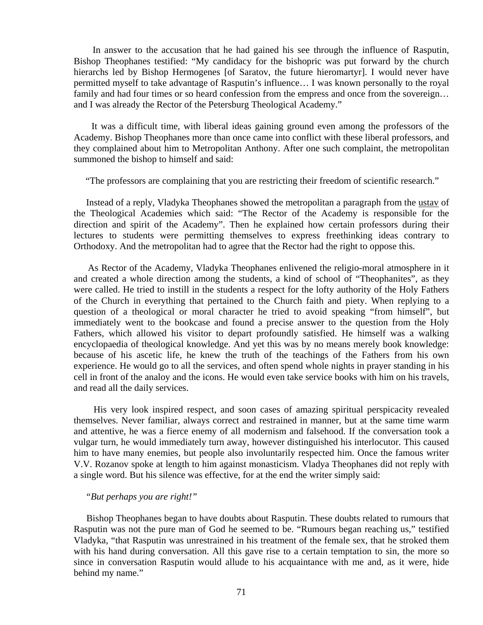In answer to the accusation that he had gained his see through the influence of Rasputin, Bishop Theophanes testified: "My candidacy for the bishopric was put forward by the church hierarchs led by Bishop Hermogenes [of Saratov, the future hieromartyr]. I would never have permitted myself to take advantage of Rasputin's influence… I was known personally to the royal family and had four times or so heard confession from the empress and once from the sovereign... and I was already the Rector of the Petersburg Theological Academy."

 It was a difficult time, with liberal ideas gaining ground even among the professors of the Academy. Bishop Theophanes more than once came into conflict with these liberal professors, and they complained about him to Metropolitan Anthony. After one such complaint, the metropolitan summoned the bishop to himself and said:

"The professors are complaining that you are restricting their freedom of scientific research."

 Instead of a reply, Vladyka Theophanes showed the metropolitan a paragraph from the ustav of the Theological Academies which said: "The Rector of the Academy is responsible for the direction and spirit of the Academy". Then he explained how certain professors during their lectures to students were permitting themselves to express freethinking ideas contrary to Orthodoxy. And the metropolitan had to agree that the Rector had the right to oppose this.

 As Rector of the Academy, Vladyka Theophanes enlivened the religio-moral atmosphere in it and created a whole direction among the students, a kind of school of "Theophanites", as they were called. He tried to instill in the students a respect for the lofty authority of the Holy Fathers of the Church in everything that pertained to the Church faith and piety. When replying to a question of a theological or moral character he tried to avoid speaking "from himself", but immediately went to the bookcase and found a precise answer to the question from the Holy Fathers, which allowed his visitor to depart profoundly satisfied. He himself was a walking encyclopaedia of theological knowledge. And yet this was by no means merely book knowledge: because of his ascetic life, he knew the truth of the teachings of the Fathers from his own experience. He would go to all the services, and often spend whole nights in prayer standing in his cell in front of the analoy and the icons. He would even take service books with him on his travels, and read all the daily services.

 His very look inspired respect, and soon cases of amazing spiritual perspicacity revealed themselves. Never familiar, always correct and restrained in manner, but at the same time warm and attentive, he was a fierce enemy of all modernism and falsehood. If the conversation took a vulgar turn, he would immediately turn away, however distinguished his interlocutor. This caused him to have many enemies, but people also involuntarily respected him. Once the famous writer V.V. Rozanov spoke at length to him against monasticism. Vladya Theophanes did not reply with a single word. But his silence was effective, for at the end the writer simply said:

#### *"But perhaps you are right!"*

 Bishop Theophanes began to have doubts about Rasputin. These doubts related to rumours that Rasputin was not the pure man of God he seemed to be. "Rumours began reaching us," testified Vladyka, "that Rasputin was unrestrained in his treatment of the female sex, that he stroked them with his hand during conversation. All this gave rise to a certain temptation to sin, the more so since in conversation Rasputin would allude to his acquaintance with me and, as it were, hide behind my name."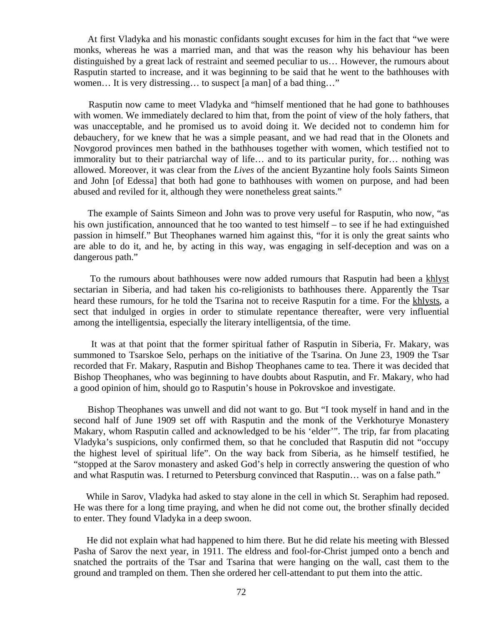At first Vladyka and his monastic confidants sought excuses for him in the fact that "we were monks, whereas he was a married man, and that was the reason why his behaviour has been distinguished by a great lack of restraint and seemed peculiar to us… However, the rumours about Rasputin started to increase, and it was beginning to be said that he went to the bathhouses with women… It is very distressing… to suspect [a man] of a bad thing…"

 Rasputin now came to meet Vladyka and "himself mentioned that he had gone to bathhouses with women. We immediately declared to him that, from the point of view of the holy fathers, that was unacceptable, and he promised us to avoid doing it. We decided not to condemn him for debauchery, for we knew that he was a simple peasant, and we had read that in the Olonets and Novgorod provinces men bathed in the bathhouses together with women, which testified not to immorality but to their patriarchal way of life… and to its particular purity, for… nothing was allowed. Moreover, it was clear from the *Lives* of the ancient Byzantine holy fools Saints Simeon and John [of Edessa] that both had gone to bathhouses with women on purpose, and had been abused and reviled for it, although they were nonetheless great saints."

 The example of Saints Simeon and John was to prove very useful for Rasputin, who now, "as his own justification, announced that he too wanted to test himself – to see if he had extinguished passion in himself." But Theophanes warned him against this, "for it is only the great saints who are able to do it, and he, by acting in this way, was engaging in self-deception and was on a dangerous path."

 To the rumours about bathhouses were now added rumours that Rasputin had been a khlyst sectarian in Siberia, and had taken his co-religionists to bathhouses there. Apparently the Tsar heard these rumours, for he told the Tsarina not to receive Rasputin for a time. For the khlysts, a sect that indulged in orgies in order to stimulate repentance thereafter, were very influential among the intelligentsia, especially the literary intelligentsia, of the time.

 It was at that point that the former spiritual father of Rasputin in Siberia, Fr. Makary, was summoned to Tsarskoe Selo, perhaps on the initiative of the Tsarina. On June 23, 1909 the Tsar recorded that Fr. Makary, Rasputin and Bishop Theophanes came to tea. There it was decided that Bishop Theophanes, who was beginning to have doubts about Rasputin, and Fr. Makary, who had a good opinion of him, should go to Rasputin's house in Pokrovskoe and investigate.

 Bishop Theophanes was unwell and did not want to go. But "I took myself in hand and in the second half of June 1909 set off with Rasputin and the monk of the Verkhoturye Monastery Makary, whom Rasputin called and acknowledged to be his 'elder'". The trip, far from placating Vladyka's suspicions, only confirmed them, so that he concluded that Rasputin did not "occupy the highest level of spiritual life". On the way back from Siberia, as he himself testified, he "stopped at the Sarov monastery and asked God's help in correctly answering the question of who and what Rasputin was. I returned to Petersburg convinced that Rasputin… was on a false path."

 While in Sarov, Vladyka had asked to stay alone in the cell in which St. Seraphim had reposed. He was there for a long time praying, and when he did not come out, the brother sfinally decided to enter. They found Vladyka in a deep swoon.

 He did not explain what had happened to him there. But he did relate his meeting with Blessed Pasha of Sarov the next year, in 1911. The eldress and fool-for-Christ jumped onto a bench and snatched the portraits of the Tsar and Tsarina that were hanging on the wall, cast them to the ground and trampled on them. Then she ordered her cell-attendant to put them into the attic.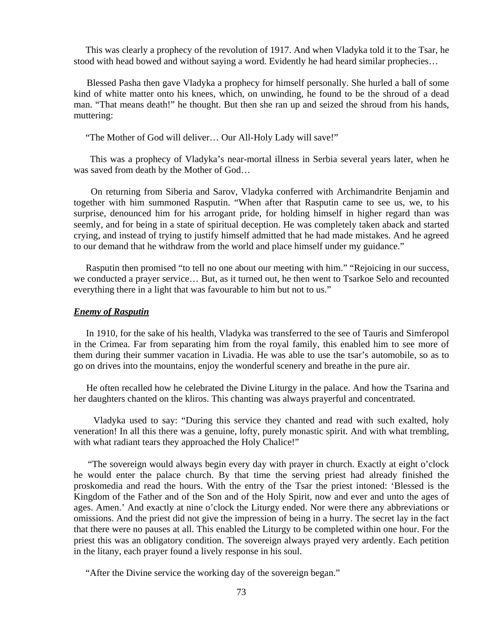This was clearly a prophecy of the revolution of 1917. And when Vladyka told it to the Tsar, he stood with head bowed and without saying a word. Evidently he had heard similar prophecies…

 Blessed Pasha then gave Vladyka a prophecy for himself personally. She hurled a ball of some kind of white matter onto his knees, which, on unwinding, he found to be the shroud of a dead man. "That means death!" he thought. But then she ran up and seized the shroud from his hands, muttering:

"The Mother of God will deliver… Our All-Holy Lady will save!"

 This was a prophecy of Vladyka's near-mortal illness in Serbia several years later, when he was saved from death by the Mother of God…

 On returning from Siberia and Sarov, Vladyka conferred with Archimandrite Benjamin and together with him summoned Rasputin. "When after that Rasputin came to see us, we, to his surprise, denounced him for his arrogant pride, for holding himself in higher regard than was seemly, and for being in a state of spiritual deception. He was completely taken aback and started crying, and instead of trying to justify himself admitted that he had made mistakes. And he agreed to our demand that he withdraw from the world and place himself under my guidance."

 Rasputin then promised "to tell no one about our meeting with him." "Rejoicing in our success, we conducted a prayer service… But, as it turned out, he then went to Tsarkoe Selo and recounted everything there in a light that was favourable to him but not to us."

## *Enemy of Rasputin*

 In 1910, for the sake of his health, Vladyka was transferred to the see of Tauris and Simferopol in the Crimea. Far from separating him from the royal family, this enabled him to see more of them during their summer vacation in Livadia. He was able to use the tsar's automobile, so as to go on drives into the mountains, enjoy the wonderful scenery and breathe in the pure air.

 He often recalled how he celebrated the Divine Liturgy in the palace. And how the Tsarina and her daughters chanted on the kliros. This chanting was always prayerful and concentrated.

 Vladyka used to say: "During this service they chanted and read with such exalted, holy veneration! In all this there was a genuine, lofty, purely monastic spirit. And with what trembling, with what radiant tears they approached the Holy Chalice!"

 "The sovereign would always begin every day with prayer in church. Exactly at eight o'clock he would enter the palace church. By that time the serving priest had already finished the proskomedia and read the hours. With the entry of the Tsar the priest intoned: 'Blessed is the Kingdom of the Father and of the Son and of the Holy Spirit, now and ever and unto the ages of ages. Amen.' And exactly at nine o'clock the Liturgy ended. Nor were there any abbreviations or omissions. And the priest did not give the impression of being in a hurry. The secret lay in the fact that there were no pauses at all. This enabled the Liturgy to be completed within one hour. For the priest this was an obligatory condition. The sovereign always prayed very ardently. Each petition in the litany, each prayer found a lively response in his soul.

"After the Divine service the working day of the sovereign began."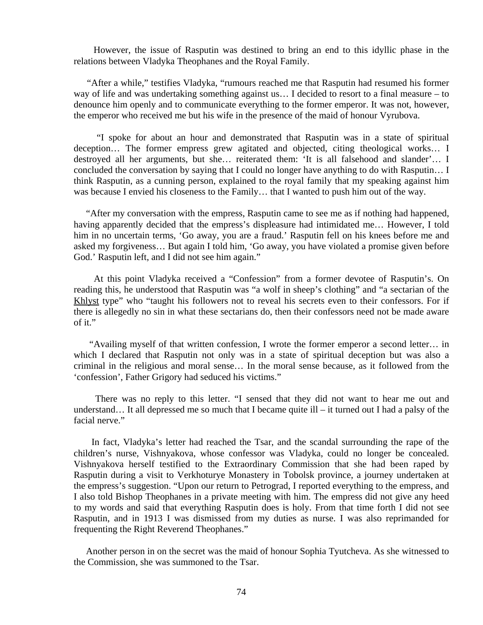However, the issue of Rasputin was destined to bring an end to this idyllic phase in the relations between Vladyka Theophanes and the Royal Family.

 "After a while," testifies Vladyka, "rumours reached me that Rasputin had resumed his former way of life and was undertaking something against us… I decided to resort to a final measure – to denounce him openly and to communicate everything to the former emperor. It was not, however, the emperor who received me but his wife in the presence of the maid of honour Vyrubova.

 "I spoke for about an hour and demonstrated that Rasputin was in a state of spiritual deception… The former empress grew agitated and objected, citing theological works… I destroyed all her arguments, but she… reiterated them: 'It is all falsehood and slander'… I concluded the conversation by saying that I could no longer have anything to do with Rasputin… I think Rasputin, as a cunning person, explained to the royal family that my speaking against him was because I envied his closeness to the Family… that I wanted to push him out of the way.

 "After my conversation with the empress, Rasputin came to see me as if nothing had happened, having apparently decided that the empress's displeasure had intimidated me… However, I told him in no uncertain terms, 'Go away, you are a fraud.' Rasputin fell on his knees before me and asked my forgiveness… But again I told him, 'Go away, you have violated a promise given before God.' Rasputin left, and I did not see him again."

 At this point Vladyka received a "Confession" from a former devotee of Rasputin's. On reading this, he understood that Rasputin was "a wolf in sheep's clothing" and "a sectarian of the Khlyst type" who "taught his followers not to reveal his secrets even to their confessors. For if there is allegedly no sin in what these sectarians do, then their confessors need not be made aware of it."

 "Availing myself of that written confession, I wrote the former emperor a second letter… in which I declared that Rasputin not only was in a state of spiritual deception but was also a criminal in the religious and moral sense… In the moral sense because, as it followed from the 'confession', Father Grigory had seduced his victims."

 There was no reply to this letter. "I sensed that they did not want to hear me out and understand… It all depressed me so much that I became quite ill – it turned out I had a palsy of the facial nerve."

 In fact, Vladyka's letter had reached the Tsar, and the scandal surrounding the rape of the children's nurse, Vishnyakova, whose confessor was Vladyka, could no longer be concealed. Vishnyakova herself testified to the Extraordinary Commission that she had been raped by Rasputin during a visit to Verkhoturye Monastery in Tobolsk province, a journey undertaken at the empress's suggestion. "Upon our return to Petrograd, I reported everything to the empress, and I also told Bishop Theophanes in a private meeting with him. The empress did not give any heed to my words and said that everything Rasputin does is holy. From that time forth I did not see Rasputin, and in 1913 I was dismissed from my duties as nurse. I was also reprimanded for frequenting the Right Reverend Theophanes."

 Another person in on the secret was the maid of honour Sophia Tyutcheva. As she witnessed to the Commission, she was summoned to the Tsar.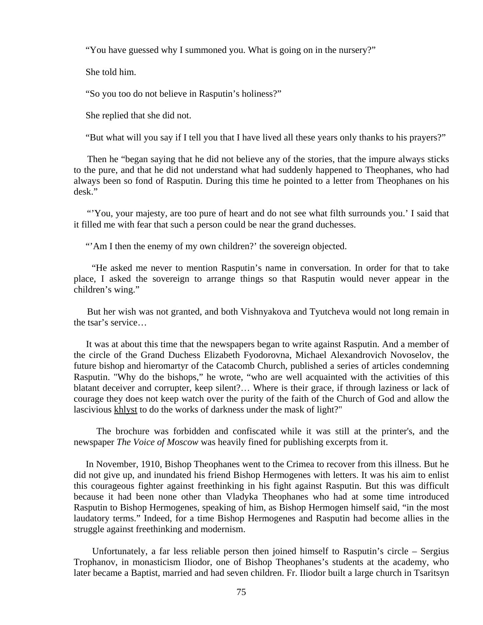"You have guessed why I summoned you. What is going on in the nursery?"

She told him.

"So you too do not believe in Rasputin's holiness?"

She replied that she did not.

"But what will you say if I tell you that I have lived all these years only thanks to his prayers?"

 Then he "began saying that he did not believe any of the stories, that the impure always sticks to the pure, and that he did not understand what had suddenly happened to Theophanes, who had always been so fond of Rasputin. During this time he pointed to a letter from Theophanes on his desk."

 "'You, your majesty, are too pure of heart and do not see what filth surrounds you.' I said that it filled me with fear that such a person could be near the grand duchesses.

"'Am I then the enemy of my own children?' the sovereign objected.

 "He asked me never to mention Rasputin's name in conversation. In order for that to take place, I asked the sovereign to arrange things so that Rasputin would never appear in the children's wing."

 But her wish was not granted, and both Vishnyakova and Tyutcheva would not long remain in the tsar's service…

 It was at about this time that the newspapers began to write against Rasputin. And a member of the circle of the Grand Duchess Elizabeth Fyodorovna, Michael Alexandrovich Novoselov, the future bishop and hieromartyr of the Catacomb Church, published a series of articles condemning Rasputin. "Why do the bishops," he wrote, "who are well acquainted with the activities of this blatant deceiver and corrupter, keep silent?… Where is their grace, if through laziness or lack of courage they does not keep watch over the purity of the faith of the Church of God and allow the lascivious khlyst to do the works of darkness under the mask of light?"

 The brochure was forbidden and confiscated while it was still at the printer's, and the newspaper *The Voice of Moscow* was heavily fined for publishing excerpts from it.

 In November, 1910, Bishop Theophanes went to the Crimea to recover from this illness. But he did not give up, and inundated his friend Bishop Hermogenes with letters. It was his aim to enlist this courageous fighter against freethinking in his fight against Rasputin. But this was difficult because it had been none other than Vladyka Theophanes who had at some time introduced Rasputin to Bishop Hermogenes, speaking of him, as Bishop Hermogen himself said, "in the most laudatory terms." Indeed, for a time Bishop Hermogenes and Rasputin had become allies in the struggle against freethinking and modernism.

 Unfortunately, a far less reliable person then joined himself to Rasputin's circle – Sergius Trophanov, in monasticism Iliodor, one of Bishop Theophanes's students at the academy, who later became a Baptist, married and had seven children. Fr. Iliodor built a large church in Tsaritsyn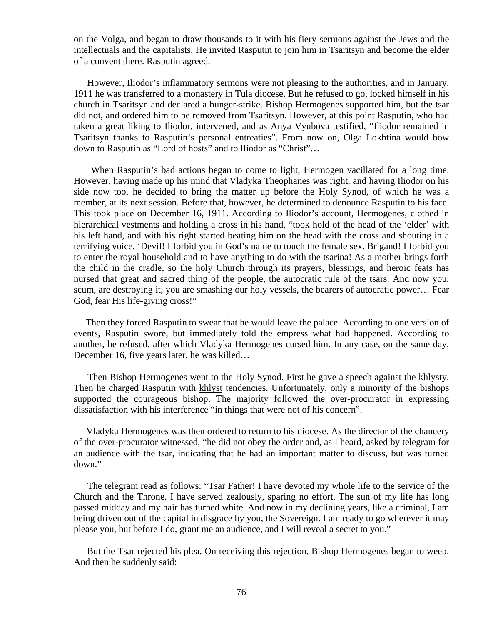on the Volga, and began to draw thousands to it with his fiery sermons against the Jews and the intellectuals and the capitalists. He invited Rasputin to join him in Tsaritsyn and become the elder of a convent there. Rasputin agreed.

 However, Iliodor's inflammatory sermons were not pleasing to the authorities, and in January, 1911 he was transferred to a monastery in Tula diocese. But he refused to go, locked himself in his church in Tsaritsyn and declared a hunger-strike. Bishop Hermogenes supported him, but the tsar did not, and ordered him to be removed from Tsaritsyn. However, at this point Rasputin, who had taken a great liking to Iliodor, intervened, and as Anya Vyubova testified, "Iliodor remained in Tsaritsyn thanks to Rasputin's personal entreaties". From now on, Olga Lokhtina would bow down to Rasputin as "Lord of hosts" and to Iliodor as "Christ"…

 When Rasputin's bad actions began to come to light, Hermogen vacillated for a long time. However, having made up his mind that Vladyka Theophanes was right, and having Iliodor on his side now too, he decided to bring the matter up before the Holy Synod, of which he was a member, at its next session. Before that, however, he determined to denounce Rasputin to his face. This took place on December 16, 1911. According to Iliodor's account, Hermogenes, clothed in hierarchical vestments and holding a cross in his hand, "took hold of the head of the 'elder' with his left hand, and with his right started beating him on the head with the cross and shouting in a terrifying voice, 'Devil! I forbid you in God's name to touch the female sex. Brigand! I forbid you to enter the royal household and to have anything to do with the tsarina! As a mother brings forth the child in the cradle, so the holy Church through its prayers, blessings, and heroic feats has nursed that great and sacred thing of the people, the autocratic rule of the tsars. And now you, scum, are destroying it, you are smashing our holy vessels, the bearers of autocratic power… Fear God, fear His life-giving cross!"

 Then they forced Rasputin to swear that he would leave the palace. According to one version of events, Rasputin swore, but immediately told the empress what had happened. According to another, he refused, after which Vladyka Hermogenes cursed him. In any case, on the same day, December 16, five years later, he was killed…

 Then Bishop Hermogenes went to the Holy Synod. First he gave a speech against the khlysty. Then he charged Rasputin with khlyst tendencies. Unfortunately, only a minority of the bishops supported the courageous bishop. The majority followed the over-procurator in expressing dissatisfaction with his interference "in things that were not of his concern".

 Vladyka Hermogenes was then ordered to return to his diocese. As the director of the chancery of the over-procurator witnessed, "he did not obey the order and, as I heard, asked by telegram for an audience with the tsar, indicating that he had an important matter to discuss, but was turned down."

 The telegram read as follows: "Tsar Father! I have devoted my whole life to the service of the Church and the Throne. I have served zealously, sparing no effort. The sun of my life has long passed midday and my hair has turned white. And now in my declining years, like a criminal, I am being driven out of the capital in disgrace by you, the Sovereign. I am ready to go wherever it may please you, but before I do, grant me an audience, and I will reveal a secret to you."

 But the Tsar rejected his plea. On receiving this rejection, Bishop Hermogenes began to weep. And then he suddenly said: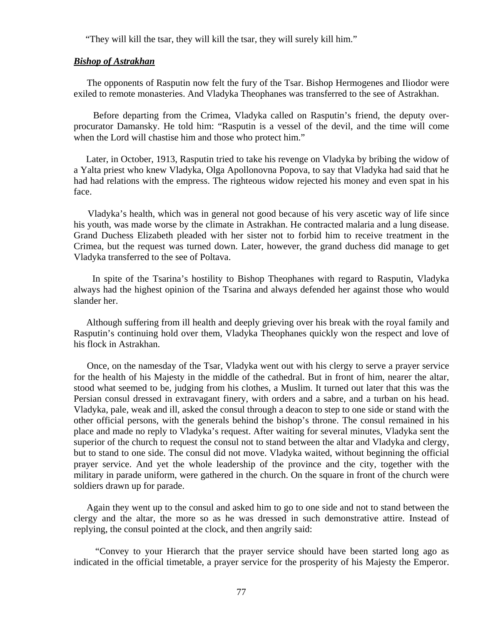"They will kill the tsar, they will kill the tsar, they will surely kill him."

## *Bishop of Astrakhan*

 The opponents of Rasputin now felt the fury of the Tsar. Bishop Hermogenes and Iliodor were exiled to remote monasteries. And Vladyka Theophanes was transferred to the see of Astrakhan.

 Before departing from the Crimea, Vladyka called on Rasputin's friend, the deputy overprocurator Damansky. He told him: "Rasputin is a vessel of the devil, and the time will come when the Lord will chastise him and those who protect him."

 Later, in October, 1913, Rasputin tried to take his revenge on Vladyka by bribing the widow of a Yalta priest who knew Vladyka, Olga Apollonovna Popova, to say that Vladyka had said that he had had relations with the empress. The righteous widow rejected his money and even spat in his face.

 Vladyka's health, which was in general not good because of his very ascetic way of life since his youth, was made worse by the climate in Astrakhan. He contracted malaria and a lung disease. Grand Duchess Elizabeth pleaded with her sister not to forbid him to receive treatment in the Crimea, but the request was turned down. Later, however, the grand duchess did manage to get Vladyka transferred to the see of Poltava.

 In spite of the Tsarina's hostility to Bishop Theophanes with regard to Rasputin, Vladyka always had the highest opinion of the Tsarina and always defended her against those who would slander her.

 Although suffering from ill health and deeply grieving over his break with the royal family and Rasputin's continuing hold over them, Vladyka Theophanes quickly won the respect and love of his flock in Astrakhan.

 Once, on the namesday of the Tsar, Vladyka went out with his clergy to serve a prayer service for the health of his Majesty in the middle of the cathedral. But in front of him, nearer the altar, stood what seemed to be, judging from his clothes, a Muslim. It turned out later that this was the Persian consul dressed in extravagant finery, with orders and a sabre, and a turban on his head. Vladyka, pale, weak and ill, asked the consul through a deacon to step to one side or stand with the other official persons, with the generals behind the bishop's throne. The consul remained in his place and made no reply to Vladyka's request. After waiting for several minutes, Vladyka sent the superior of the church to request the consul not to stand between the altar and Vladyka and clergy, but to stand to one side. The consul did not move. Vladyka waited, without beginning the official prayer service. And yet the whole leadership of the province and the city, together with the military in parade uniform, were gathered in the church. On the square in front of the church were soldiers drawn up for parade.

 Again they went up to the consul and asked him to go to one side and not to stand between the clergy and the altar, the more so as he was dressed in such demonstrative attire. Instead of replying, the consul pointed at the clock, and then angrily said:

 "Convey to your Hierarch that the prayer service should have been started long ago as indicated in the official timetable, a prayer service for the prosperity of his Majesty the Emperor.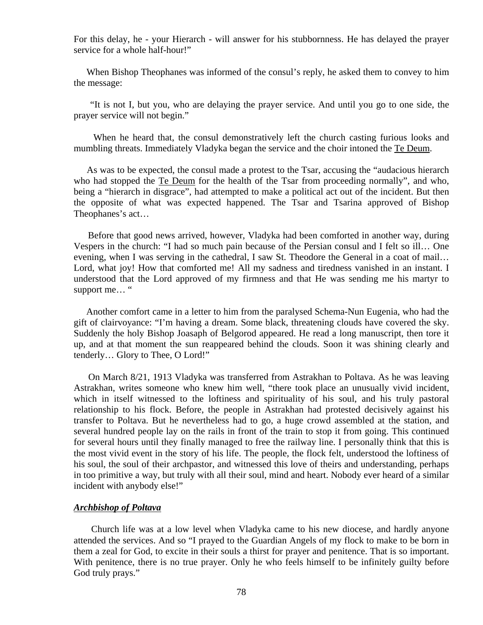For this delay, he - your Hierarch - will answer for his stubbornness. He has delayed the prayer service for a whole half-hour!"

 When Bishop Theophanes was informed of the consul's reply, he asked them to convey to him the message:

 "It is not I, but you, who are delaying the prayer service. And until you go to one side, the prayer service will not begin."

 When he heard that, the consul demonstratively left the church casting furious looks and mumbling threats. Immediately Vladyka began the service and the choir intoned the Te Deum.

 As was to be expected, the consul made a protest to the Tsar, accusing the "audacious hierarch who had stopped the Te Deum for the health of the Tsar from proceeding normally", and who, being a "hierarch in disgrace", had attempted to make a political act out of the incident. But then the opposite of what was expected happened. The Tsar and Tsarina approved of Bishop Theophanes's act…

 Before that good news arrived, however, Vladyka had been comforted in another way, during Vespers in the church: "I had so much pain because of the Persian consul and I felt so ill… One evening, when I was serving in the cathedral, I saw St. Theodore the General in a coat of mail… Lord, what joy! How that comforted me! All my sadness and tiredness vanished in an instant. I understood that the Lord approved of my firmness and that He was sending me his martyr to support me... "

 Another comfort came in a letter to him from the paralysed Schema-Nun Eugenia, who had the gift of clairvoyance: "I'm having a dream. Some black, threatening clouds have covered the sky. Suddenly the holy Bishop Joasaph of Belgorod appeared. He read a long manuscript, then tore it up, and at that moment the sun reappeared behind the clouds. Soon it was shining clearly and tenderly… Glory to Thee, O Lord!"

 On March 8/21, 1913 Vladyka was transferred from Astrakhan to Poltava. As he was leaving Astrakhan, writes someone who knew him well, "there took place an unusually vivid incident, which in itself witnessed to the loftiness and spirituality of his soul, and his truly pastoral relationship to his flock. Before, the people in Astrakhan had protested decisively against his transfer to Poltava. But he nevertheless had to go, a huge crowd assembled at the station, and several hundred people lay on the rails in front of the train to stop it from going. This continued for several hours until they finally managed to free the railway line. I personally think that this is the most vivid event in the story of his life. The people, the flock felt, understood the loftiness of his soul, the soul of their archpastor, and witnessed this love of theirs and understanding, perhaps in too primitive a way, but truly with all their soul, mind and heart. Nobody ever heard of a similar incident with anybody else!"

## *Archbishop of Poltava*

 Church life was at a low level when Vladyka came to his new diocese, and hardly anyone attended the services. And so "I prayed to the Guardian Angels of my flock to make to be born in them a zeal for God, to excite in their souls a thirst for prayer and penitence. That is so important. With penitence, there is no true prayer. Only he who feels himself to be infinitely guilty before God truly prays."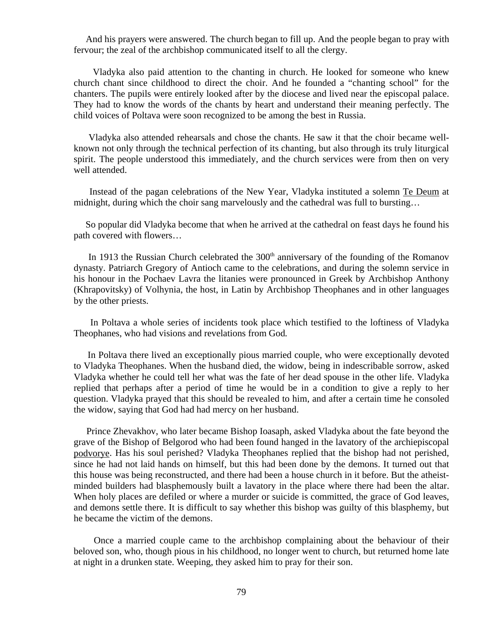And his prayers were answered. The church began to fill up. And the people began to pray with fervour; the zeal of the archbishop communicated itself to all the clergy.

 Vladyka also paid attention to the chanting in church. He looked for someone who knew church chant since childhood to direct the choir. And he founded a "chanting school" for the chanters. The pupils were entirely looked after by the diocese and lived near the episcopal palace. They had to know the words of the chants by heart and understand their meaning perfectly. The child voices of Poltava were soon recognized to be among the best in Russia.

 Vladyka also attended rehearsals and chose the chants. He saw it that the choir became wellknown not only through the technical perfection of its chanting, but also through its truly liturgical spirit. The people understood this immediately, and the church services were from then on very well attended.

 Instead of the pagan celebrations of the New Year, Vladyka instituted a solemn Te Deum at midnight, during which the choir sang marvelously and the cathedral was full to bursting…

 So popular did Vladyka become that when he arrived at the cathedral on feast days he found his path covered with flowers…

In 1913 the Russian Church celebrated the  $300<sup>th</sup>$  anniversary of the founding of the Romanov dynasty. Patriarch Gregory of Antioch came to the celebrations, and during the solemn service in his honour in the Pochaev Lavra the litanies were pronounced in Greek by Archbishop Anthony (Khrapovitsky) of Volhynia, the host, in Latin by Archbishop Theophanes and in other languages by the other priests.

 In Poltava a whole series of incidents took place which testified to the loftiness of Vladyka Theophanes, who had visions and revelations from God*.*

 In Poltava there lived an exceptionally pious married couple, who were exceptionally devoted to Vladyka Theophanes. When the husband died, the widow, being in indescribable sorrow, asked Vladyka whether he could tell her what was the fate of her dead spouse in the other life. Vladyka replied that perhaps after a period of time he would be in a condition to give a reply to her question. Vladyka prayed that this should be revealed to him, and after a certain time he consoled the widow, saying that God had had mercy on her husband.

 Prince Zhevakhov, who later became Bishop Ioasaph, asked Vladyka about the fate beyond the grave of the Bishop of Belgorod who had been found hanged in the lavatory of the archiepiscopal podvorye. Has his soul perished? Vladyka Theophanes replied that the bishop had not perished, since he had not laid hands on himself, but this had been done by the demons. It turned out that this house was being reconstructed, and there had been a house church in it before. But the atheistminded builders had blasphemously built a lavatory in the place where there had been the altar. When holy places are defiled or where a murder or suicide is committed, the grace of God leaves, and demons settle there. It is difficult to say whether this bishop was guilty of this blasphemy, but he became the victim of the demons.

 Once a married couple came to the archbishop complaining about the behaviour of their beloved son, who, though pious in his childhood, no longer went to church, but returned home late at night in a drunken state. Weeping, they asked him to pray for their son.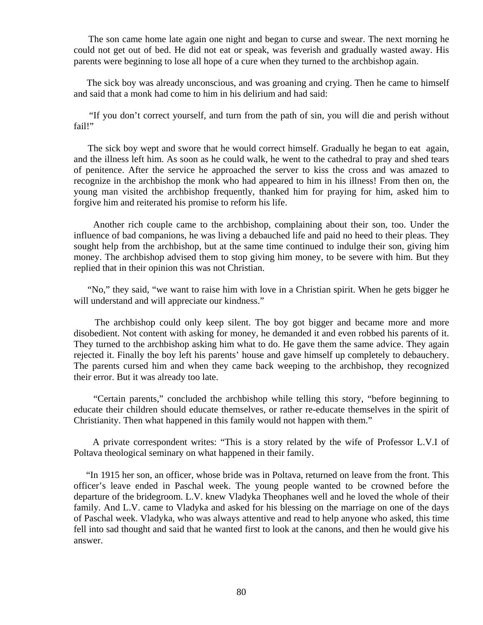The son came home late again one night and began to curse and swear. The next morning he could not get out of bed. He did not eat or speak, was feverish and gradually wasted away. His parents were beginning to lose all hope of a cure when they turned to the archbishop again.

 The sick boy was already unconscious, and was groaning and crying. Then he came to himself and said that a monk had come to him in his delirium and had said:

 "If you don't correct yourself, and turn from the path of sin, you will die and perish without fail!"

 The sick boy wept and swore that he would correct himself. Gradually he began to eat again, and the illness left him. As soon as he could walk, he went to the cathedral to pray and shed tears of penitence. After the service he approached the server to kiss the cross and was amazed to recognize in the archbishop the monk who had appeared to him in his illness! From then on, the young man visited the archbishop frequently, thanked him for praying for him, asked him to forgive him and reiterated his promise to reform his life.

 Another rich couple came to the archbishop, complaining about their son, too. Under the influence of bad companions, he was living a debauched life and paid no heed to their pleas. They sought help from the archbishop, but at the same time continued to indulge their son, giving him money. The archbishop advised them to stop giving him money, to be severe with him. But they replied that in their opinion this was not Christian.

 "No," they said, "we want to raise him with love in a Christian spirit. When he gets bigger he will understand and will appreciate our kindness."

 The archbishop could only keep silent. The boy got bigger and became more and more disobedient. Not content with asking for money, he demanded it and even robbed his parents of it. They turned to the archbishop asking him what to do. He gave them the same advice. They again rejected it. Finally the boy left his parents' house and gave himself up completely to debauchery. The parents cursed him and when they came back weeping to the archbishop, they recognized their error. But it was already too late.

 "Certain parents," concluded the archbishop while telling this story, "before beginning to educate their children should educate themselves, or rather re-educate themselves in the spirit of Christianity. Then what happened in this family would not happen with them."

 A private correspondent writes: "This is a story related by the wife of Professor L.V.I of Poltava theological seminary on what happened in their family.

 "In 1915 her son, an officer, whose bride was in Poltava, returned on leave from the front. This officer's leave ended in Paschal week. The young people wanted to be crowned before the departure of the bridegroom. L.V. knew Vladyka Theophanes well and he loved the whole of their family. And L.V. came to Vladyka and asked for his blessing on the marriage on one of the days of Paschal week. Vladyka, who was always attentive and read to help anyone who asked, this time fell into sad thought and said that he wanted first to look at the canons, and then he would give his answer.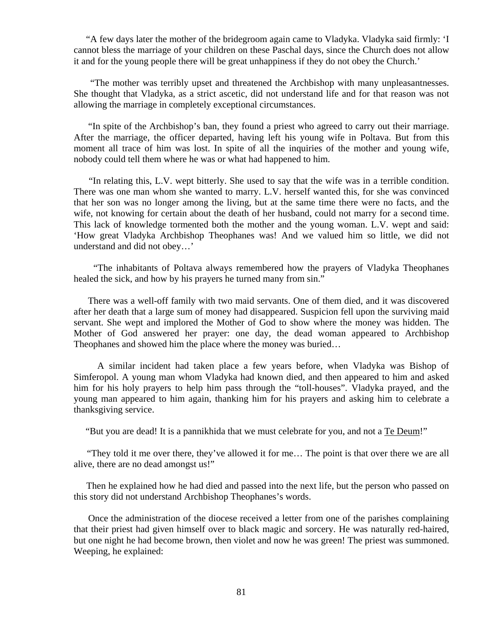"A few days later the mother of the bridegroom again came to Vladyka. Vladyka said firmly: 'I cannot bless the marriage of your children on these Paschal days, since the Church does not allow it and for the young people there will be great unhappiness if they do not obey the Church.'

 "The mother was terribly upset and threatened the Archbishop with many unpleasantnesses. She thought that Vladyka, as a strict ascetic, did not understand life and for that reason was not allowing the marriage in completely exceptional circumstances.

 "In spite of the Archbishop's ban, they found a priest who agreed to carry out their marriage. After the marriage, the officer departed, having left his young wife in Poltava. But from this moment all trace of him was lost. In spite of all the inquiries of the mother and young wife, nobody could tell them where he was or what had happened to him.

 "In relating this, L.V. wept bitterly. She used to say that the wife was in a terrible condition. There was one man whom she wanted to marry. L.V. herself wanted this, for she was convinced that her son was no longer among the living, but at the same time there were no facts, and the wife, not knowing for certain about the death of her husband, could not marry for a second time. This lack of knowledge tormented both the mother and the young woman. L.V. wept and said: 'How great Vladyka Archbishop Theophanes was! And we valued him so little, we did not understand and did not obey…'

 "The inhabitants of Poltava always remembered how the prayers of Vladyka Theophanes healed the sick, and how by his prayers he turned many from sin."

 There was a well-off family with two maid servants. One of them died, and it was discovered after her death that a large sum of money had disappeared. Suspicion fell upon the surviving maid servant. She wept and implored the Mother of God to show where the money was hidden. The Mother of God answered her prayer: one day, the dead woman appeared to Archbishop Theophanes and showed him the place where the money was buried…

 A similar incident had taken place a few years before, when Vladyka was Bishop of Simferopol. A young man whom Vladyka had known died, and then appeared to him and asked him for his holy prayers to help him pass through the "toll-houses". Vladyka prayed, and the young man appeared to him again, thanking him for his prayers and asking him to celebrate a thanksgiving service.

"But you are dead! It is a pannikhida that we must celebrate for you, and not a Te Deum!"

 "They told it me over there, they've allowed it for me… The point is that over there we are all alive, there are no dead amongst us!"

 Then he explained how he had died and passed into the next life, but the person who passed on this story did not understand Archbishop Theophanes's words.

 Once the administration of the diocese received a letter from one of the parishes complaining that their priest had given himself over to black magic and sorcery. He was naturally red-haired, but one night he had become brown, then violet and now he was green! The priest was summoned. Weeping, he explained: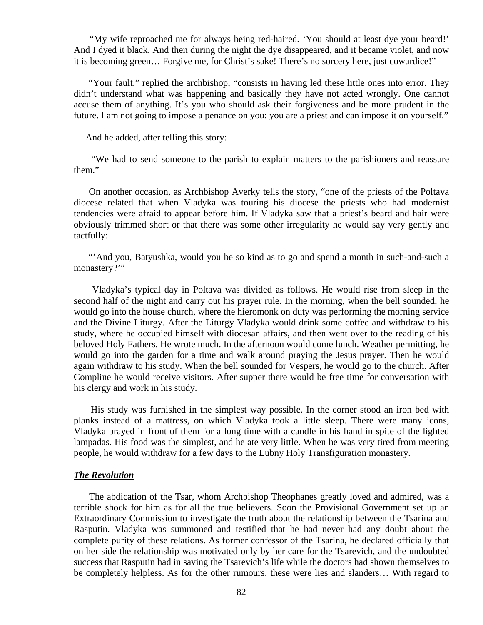"My wife reproached me for always being red-haired. 'You should at least dye your beard!' And I dyed it black. And then during the night the dye disappeared, and it became violet, and now it is becoming green… Forgive me, for Christ's sake! There's no sorcery here, just cowardice!"

 "Your fault," replied the archbishop, "consists in having led these little ones into error. They didn't understand what was happening and basically they have not acted wrongly. One cannot accuse them of anything. It's you who should ask their forgiveness and be more prudent in the future. I am not going to impose a penance on you: you are a priest and can impose it on yourself."

And he added, after telling this story:

 "We had to send someone to the parish to explain matters to the parishioners and reassure them."

 On another occasion, as Archbishop Averky tells the story, "one of the priests of the Poltava diocese related that when Vladyka was touring his diocese the priests who had modernist tendencies were afraid to appear before him. If Vladyka saw that a priest's beard and hair were obviously trimmed short or that there was some other irregularity he would say very gently and tactfully:

"'And you, Batyushka, would you be so kind as to go and spend a month in such-and-such a monastery?"

 Vladyka's typical day in Poltava was divided as follows. He would rise from sleep in the second half of the night and carry out his prayer rule. In the morning, when the bell sounded, he would go into the house church, where the hieromonk on duty was performing the morning service and the Divine Liturgy. After the Liturgy Vladyka would drink some coffee and withdraw to his study, where he occupied himself with diocesan affairs, and then went over to the reading of his beloved Holy Fathers. He wrote much. In the afternoon would come lunch. Weather permitting, he would go into the garden for a time and walk around praying the Jesus prayer. Then he would again withdraw to his study. When the bell sounded for Vespers, he would go to the church. After Compline he would receive visitors. After supper there would be free time for conversation with his clergy and work in his study.

 His study was furnished in the simplest way possible. In the corner stood an iron bed with planks instead of a mattress, on which Vladyka took a little sleep. There were many icons, Vladyka prayed in front of them for a long time with a candle in his hand in spite of the lighted lampadas. His food was the simplest, and he ate very little. When he was very tired from meeting people, he would withdraw for a few days to the Lubny Holy Transfiguration monastery.

#### *The Revolution*

 The abdication of the Tsar, whom Archbishop Theophanes greatly loved and admired, was a terrible shock for him as for all the true believers. Soon the Provisional Government set up an Extraordinary Commission to investigate the truth about the relationship between the Tsarina and Rasputin. Vladyka was summoned and testified that he had never had any doubt about the complete purity of these relations. As former confessor of the Tsarina, he declared officially that on her side the relationship was motivated only by her care for the Tsarevich, and the undoubted success that Rasputin had in saving the Tsarevich's life while the doctors had shown themselves to be completely helpless. As for the other rumours, these were lies and slanders… With regard to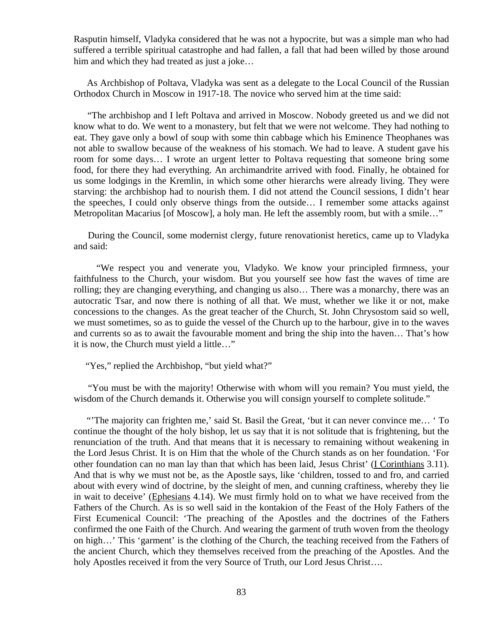Rasputin himself, Vladyka considered that he was not a hypocrite, but was a simple man who had suffered a terrible spiritual catastrophe and had fallen, a fall that had been willed by those around him and which they had treated as just a joke…

 As Archbishop of Poltava, Vladyka was sent as a delegate to the Local Council of the Russian Orthodox Church in Moscow in 1917-18. The novice who served him at the time said:

 "The archbishop and I left Poltava and arrived in Moscow. Nobody greeted us and we did not know what to do. We went to a monastery, but felt that we were not welcome. They had nothing to eat. They gave only a bowl of soup with some thin cabbage which his Eminence Theophanes was not able to swallow because of the weakness of his stomach. We had to leave. A student gave his room for some days… I wrote an urgent letter to Poltava requesting that someone bring some food, for there they had everything. An archimandrite arrived with food. Finally, he obtained for us some lodgings in the Kremlin, in which some other hierarchs were already living. They were starving: the archbishop had to nourish them. I did not attend the Council sessions, I didn't hear the speeches, I could only observe things from the outside… I remember some attacks against Metropolitan Macarius [of Moscow], a holy man. He left the assembly room, but with a smile…"

 During the Council, some modernist clergy, future renovationist heretics, came up to Vladyka and said:

 "We respect you and venerate you, Vladyko. We know your principled firmness, your faithfulness to the Church, your wisdom. But you yourself see how fast the waves of time are rolling; they are changing everything, and changing us also… There was a monarchy, there was an autocratic Tsar, and now there is nothing of all that. We must, whether we like it or not, make concessions to the changes. As the great teacher of the Church, St. John Chrysostom said so well, we must sometimes, so as to guide the vessel of the Church up to the harbour, give in to the waves and currents so as to await the favourable moment and bring the ship into the haven… That's how it is now, the Church must yield a little…"

"Yes," replied the Archbishop, "but yield what?"

 "You must be with the majority! Otherwise with whom will you remain? You must yield, the wisdom of the Church demands it. Otherwise you will consign yourself to complete solitude."

 "'The majority can frighten me,' said St. Basil the Great, 'but it can never convince me… ' To continue the thought of the holy bishop, let us say that it is not solitude that is frightening, but the renunciation of the truth. And that means that it is necessary to remaining without weakening in the Lord Jesus Christ. It is on Him that the whole of the Church stands as on her foundation. 'For other foundation can no man lay than that which has been laid, Jesus Christ' (I Corinthians 3.11). And that is why we must not be, as the Apostle says, like 'children, tossed to and fro, and carried about with every wind of doctrine, by the sleight of men, and cunning craftiness, whereby they lie in wait to deceive' (Ephesians 4.14). We must firmly hold on to what we have received from the Fathers of the Church. As is so well said in the kontakion of the Feast of the Holy Fathers of the First Ecumenical Council: 'The preaching of the Apostles and the doctrines of the Fathers confirmed the one Faith of the Church. And wearing the garment of truth woven from the theology on high…' This 'garment' is the clothing of the Church, the teaching received from the Fathers of the ancient Church, which they themselves received from the preaching of the Apostles. And the holy Apostles received it from the very Source of Truth, our Lord Jesus Christ….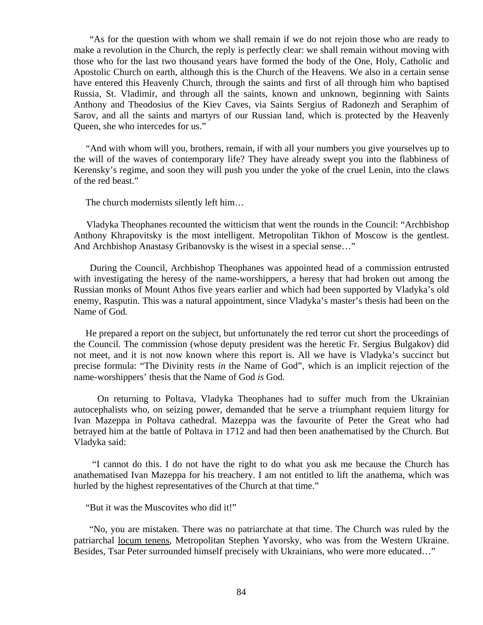"As for the question with whom we shall remain if we do not rejoin those who are ready to make a revolution in the Church, the reply is perfectly clear: we shall remain without moving with those who for the last two thousand years have formed the body of the One, Holy, Catholic and Apostolic Church on earth, although this is the Church of the Heavens. We also in a certain sense have entered this Heavenly Church, through the saints and first of all through him who baptised Russia, St. Vladimir, and through all the saints, known and unknown, beginning with Saints Anthony and Theodosius of the Kiev Caves, via Saints Sergius of Radonezh and Seraphim of Sarov, and all the saints and martyrs of our Russian land, which is protected by the Heavenly Queen, she who intercedes for us."

 "And with whom will you, brothers, remain, if with all your numbers you give yourselves up to the will of the waves of contemporary life? They have already swept you into the flabbiness of Kerensky's regime, and soon they will push you under the yoke of the cruel Lenin, into the claws of the red beast."

The church modernists silently left him…

 Vladyka Theophanes recounted the witticism that went the rounds in the Council: "Archbishop Anthony Khrapovitsky is the most intelligent. Metropolitan Tikhon of Moscow is the gentlest. And Archbishop Anastasy Gribanovsky is the wisest in a special sense…"

 During the Council, Archbishop Theophanes was appointed head of a commission entrusted with investigating the heresy of the name-worshippers, a heresy that had broken out among the Russian monks of Mount Athos five years earlier and which had been supported by Vladyka's old enemy, Rasputin. This was a natural appointment, since Vladyka's master's thesis had been on the Name of God.

 He prepared a report on the subject, but unfortunately the red terror cut short the proceedings of the Council. The commission (whose deputy president was the heretic Fr. Sergius Bulgakov) did not meet, and it is not now known where this report is. All we have is Vladyka's succinct but precise formula: "The Divinity rests *in* the Name of God", which is an implicit rejection of the name-worshippers' thesis that the Name of God *is* God*.*

 On returning to Poltava, Vladyka Theophanes had to suffer much from the Ukrainian autocephalists who, on seizing power, demanded that he serve a triumphant requiem liturgy for Ivan Mazeppa in Poltava cathedral. Mazeppa was the favourite of Peter the Great who had betrayed him at the battle of Poltava in 1712 and had then been anathematised by the Church. But Vladyka said:

 "I cannot do this. I do not have the right to do what you ask me because the Church has anathematised Ivan Mazeppa for his treachery. I am not entitled to lift the anathema, which was hurled by the highest representatives of the Church at that time."

"But it was the Muscovites who did it!"

 "No, you are mistaken. There was no patriarchate at that time. The Church was ruled by the patriarchal locum tenens, Metropolitan Stephen Yavorsky, who was from the Western Ukraine. Besides, Tsar Peter surrounded himself precisely with Ukrainians, who were more educated…"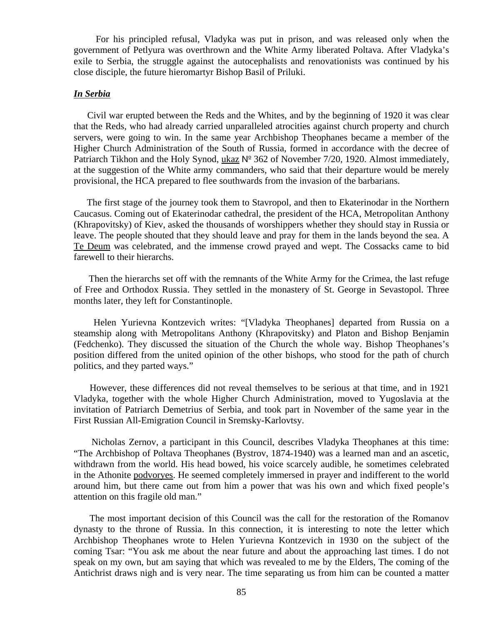For his principled refusal, Vladyka was put in prison, and was released only when the government of Petlyura was overthrown and the White Army liberated Poltava. After Vladyka's exile to Serbia, the struggle against the autocephalists and renovationists was continued by his close disciple, the future hieromartyr Bishop Basil of Priluki.

#### *In Serbia*

 Civil war erupted between the Reds and the Whites, and by the beginning of 1920 it was clear that the Reds, who had already carried unparalleled atrocities against church property and church servers, were going to win. In the same year Archbishop Theophanes became a member of the Higher Church Administration of the South of Russia, formed in accordance with the decree of Patriarch Tikhon and the Holy Synod,  $\underline{ukaz}$  N<sup>o</sup> 362 of November 7/20, 1920. Almost immediately, at the suggestion of the White army commanders, who said that their departure would be merely provisional, the HCA prepared to flee southwards from the invasion of the barbarians.

 The first stage of the journey took them to Stavropol, and then to Ekaterinodar in the Northern Caucasus. Coming out of Ekaterinodar cathedral, the president of the HCA, Metropolitan Anthony (Khrapovitsky) of Kiev, asked the thousands of worshippers whether they should stay in Russia or leave. The people shouted that they should leave and pray for them in the lands beyond the sea. A Te Deum was celebrated, and the immense crowd prayed and wept. The Cossacks came to bid farewell to their hierarchs.

 Then the hierarchs set off with the remnants of the White Army for the Crimea, the last refuge of Free and Orthodox Russia. They settled in the monastery of St. George in Sevastopol. Three months later, they left for Constantinople.

 Helen Yurievna Kontzevich writes: "[Vladyka Theophanes] departed from Russia on a steamship along with Metropolitans Anthony (Khrapovitsky) and Platon and Bishop Benjamin (Fedchenko). They discussed the situation of the Church the whole way. Bishop Theophanes's position differed from the united opinion of the other bishops, who stood for the path of church politics, and they parted ways."

 However, these differences did not reveal themselves to be serious at that time, and in 1921 Vladyka, together with the whole Higher Church Administration, moved to Yugoslavia at the invitation of Patriarch Demetrius of Serbia, and took part in November of the same year in the First Russian All-Emigration Council in Sremsky-Karlovtsy.

 Nicholas Zernov, a participant in this Council, describes Vladyka Theophanes at this time: "The Archbishop of Poltava Theophanes (Bystrov, 1874-1940) was a learned man and an ascetic, withdrawn from the world. His head bowed, his voice scarcely audible, he sometimes celebrated in the Athonite podvoryes. He seemed completely immersed in prayer and indifferent to the world around him, but there came out from him a power that was his own and which fixed people's attention on this fragile old man."

 The most important decision of this Council was the call for the restoration of the Romanov dynasty to the throne of Russia. In this connection, it is interesting to note the letter which Archbishop Theophanes wrote to Helen Yurievna Kontzevich in 1930 on the subject of the coming Tsar: "You ask me about the near future and about the approaching last times. I do not speak on my own, but am saying that which was revealed to me by the Elders, The coming of the Antichrist draws nigh and is very near. The time separating us from him can be counted a matter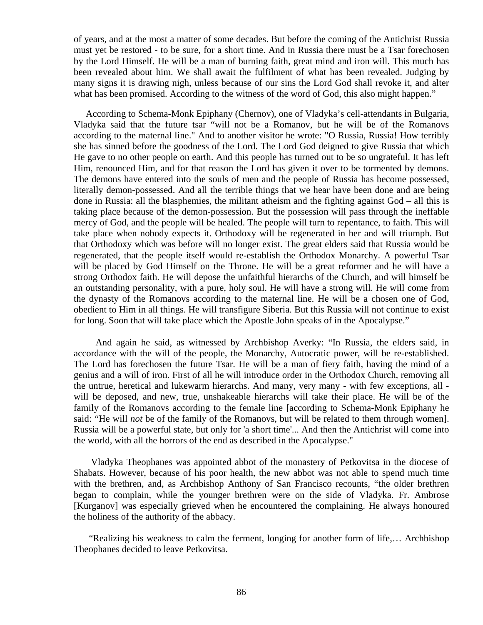of years, and at the most a matter of some decades. But before the coming of the Antichrist Russia must yet be restored - to be sure, for a short time. And in Russia there must be a Tsar forechosen by the Lord Himself. He will be a man of burning faith, great mind and iron will. This much has been revealed about him. We shall await the fulfilment of what has been revealed. Judging by many signs it is drawing nigh, unless because of our sins the Lord God shall revoke it, and alter what has been promised. According to the witness of the word of God, this also might happen."

 According to Schema-Monk Epiphany (Chernov), one of Vladyka's cell-attendants in Bulgaria, Vladyka said that the future tsar "will not be a Romanov, but he will be of the Romanovs according to the maternal line." And to another visitor he wrote: "O Russia, Russia! How terribly she has sinned before the goodness of the Lord. The Lord God deigned to give Russia that which He gave to no other people on earth. And this people has turned out to be so ungrateful. It has left Him, renounced Him, and for that reason the Lord has given it over to be tormented by demons. The demons have entered into the souls of men and the people of Russia has become possessed, literally demon-possessed. And all the terrible things that we hear have been done and are being done in Russia: all the blasphemies, the militant atheism and the fighting against God – all this is taking place because of the demon-possession. But the possession will pass through the ineffable mercy of God, and the people will be healed. The people will turn to repentance, to faith. This will take place when nobody expects it. Orthodoxy will be regenerated in her and will triumph. But that Orthodoxy which was before will no longer exist. The great elders said that Russia would be regenerated, that the people itself would re-establish the Orthodox Monarchy. A powerful Tsar will be placed by God Himself on the Throne. He will be a great reformer and he will have a strong Orthodox faith. He will depose the unfaithful hierarchs of the Church, and will himself be an outstanding personality, with a pure, holy soul. He will have a strong will. He will come from the dynasty of the Romanovs according to the maternal line. He will be a chosen one of God, obedient to Him in all things. He will transfigure Siberia. But this Russia will not continue to exist for long. Soon that will take place which the Apostle John speaks of in the Apocalypse."

 And again he said, as witnessed by Archbishop Averky: "In Russia, the elders said, in accordance with the will of the people, the Monarchy, Autocratic power, will be re-established. The Lord has forechosen the future Tsar. He will be a man of fiery faith, having the mind of a genius and a will of iron. First of all he will introduce order in the Orthodox Church, removing all the untrue, heretical and lukewarm hierarchs. And many, very many - with few exceptions, all will be deposed, and new, true, unshakeable hierarchs will take their place. He will be of the family of the Romanovs according to the female line [according to Schema-Monk Epiphany he said: "He will *not* be of the family of the Romanovs, but will be related to them through women]. Russia will be a powerful state, but only for 'a short time'... And then the Antichrist will come into the world, with all the horrors of the end as described in the Apocalypse."

 Vladyka Theophanes was appointed abbot of the monastery of Petkovitsa in the diocese of Shabats. However, because of his poor health, the new abbot was not able to spend much time with the brethren, and, as Archbishop Anthony of San Francisco recounts, "the older brethren began to complain, while the younger brethren were on the side of Vladyka. Fr. Ambrose [Kurganov] was especially grieved when he encountered the complaining. He always honoured the holiness of the authority of the abbacy.

 "Realizing his weakness to calm the ferment, longing for another form of life,… Archbishop Theophanes decided to leave Petkovitsa.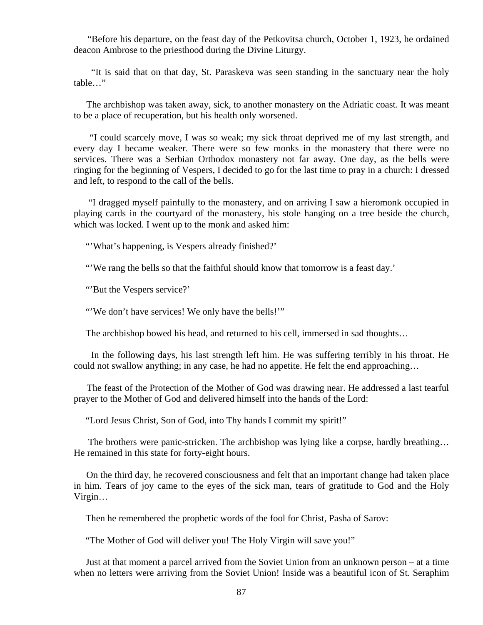"Before his departure, on the feast day of the Petkovitsa church, October 1, 1923, he ordained deacon Ambrose to the priesthood during the Divine Liturgy.

 "It is said that on that day, St. Paraskeva was seen standing in the sanctuary near the holy table…"

 The archbishop was taken away, sick, to another monastery on the Adriatic coast. It was meant to be a place of recuperation, but his health only worsened.

 "I could scarcely move, I was so weak; my sick throat deprived me of my last strength, and every day I became weaker. There were so few monks in the monastery that there were no services. There was a Serbian Orthodox monastery not far away. One day, as the bells were ringing for the beginning of Vespers, I decided to go for the last time to pray in a church: I dressed and left, to respond to the call of the bells.

 "I dragged myself painfully to the monastery, and on arriving I saw a hieromonk occupied in playing cards in the courtyard of the monastery, his stole hanging on a tree beside the church, which was locked. I went up to the monk and asked him:

"'What's happening, is Vespers already finished?'

"'We rang the bells so that the faithful should know that tomorrow is a feast day.'

"'But the Vespers service?'

"'We don't have services! We only have the bells!""

The archbishop bowed his head, and returned to his cell, immersed in sad thoughts…

 In the following days, his last strength left him. He was suffering terribly in his throat. He could not swallow anything; in any case, he had no appetite. He felt the end approaching…

 The feast of the Protection of the Mother of God was drawing near. He addressed a last tearful prayer to the Mother of God and delivered himself into the hands of the Lord:

"Lord Jesus Christ, Son of God, into Thy hands I commit my spirit!"

The brothers were panic-stricken. The archbishop was lying like a corpse, hardly breathing... He remained in this state for forty-eight hours.

 On the third day, he recovered consciousness and felt that an important change had taken place in him. Tears of joy came to the eyes of the sick man, tears of gratitude to God and the Holy Virgin…

Then he remembered the prophetic words of the fool for Christ, Pasha of Sarov:

"The Mother of God will deliver you! The Holy Virgin will save you!"

 Just at that moment a parcel arrived from the Soviet Union from an unknown person – at a time when no letters were arriving from the Soviet Union! Inside was a beautiful icon of St. Seraphim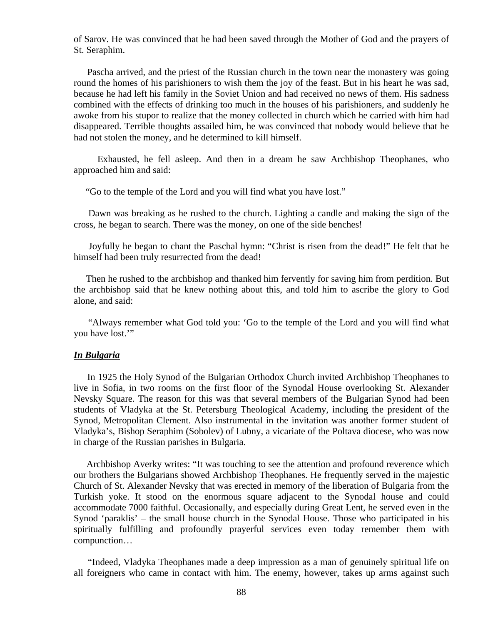of Sarov. He was convinced that he had been saved through the Mother of God and the prayers of St. Seraphim.

 Pascha arrived, and the priest of the Russian church in the town near the monastery was going round the homes of his parishioners to wish them the joy of the feast. But in his heart he was sad, because he had left his family in the Soviet Union and had received no news of them. His sadness combined with the effects of drinking too much in the houses of his parishioners, and suddenly he awoke from his stupor to realize that the money collected in church which he carried with him had disappeared. Terrible thoughts assailed him, he was convinced that nobody would believe that he had not stolen the money, and he determined to kill himself.

 Exhausted, he fell asleep. And then in a dream he saw Archbishop Theophanes, who approached him and said:

"Go to the temple of the Lord and you will find what you have lost."

 Dawn was breaking as he rushed to the church. Lighting a candle and making the sign of the cross, he began to search. There was the money, on one of the side benches!

 Joyfully he began to chant the Paschal hymn: "Christ is risen from the dead!" He felt that he himself had been truly resurrected from the dead!

 Then he rushed to the archbishop and thanked him fervently for saving him from perdition. But the archbishop said that he knew nothing about this, and told him to ascribe the glory to God alone, and said:

 "Always remember what God told you: 'Go to the temple of the Lord and you will find what you have lost.'"

#### *In Bulgaria*

 In 1925 the Holy Synod of the Bulgarian Orthodox Church invited Archbishop Theophanes to live in Sofia, in two rooms on the first floor of the Synodal House overlooking St. Alexander Nevsky Square. The reason for this was that several members of the Bulgarian Synod had been students of Vladyka at the St. Petersburg Theological Academy, including the president of the Synod, Metropolitan Clement. Also instrumental in the invitation was another former student of Vladyka's, Bishop Seraphim (Sobolev) of Lubny, a vicariate of the Poltava diocese, who was now in charge of the Russian parishes in Bulgaria.

 Archbishop Averky writes: "It was touching to see the attention and profound reverence which our brothers the Bulgarians showed Archbishop Theophanes. He frequently served in the majestic Church of St. Alexander Nevsky that was erected in memory of the liberation of Bulgaria from the Turkish yoke. It stood on the enormous square adjacent to the Synodal house and could accommodate 7000 faithful. Occasionally, and especially during Great Lent, he served even in the Synod 'paraklis' – the small house church in the Synodal House. Those who participated in his spiritually fulfilling and profoundly prayerful services even today remember them with compunction…

 "Indeed, Vladyka Theophanes made a deep impression as a man of genuinely spiritual life on all foreigners who came in contact with him. The enemy, however, takes up arms against such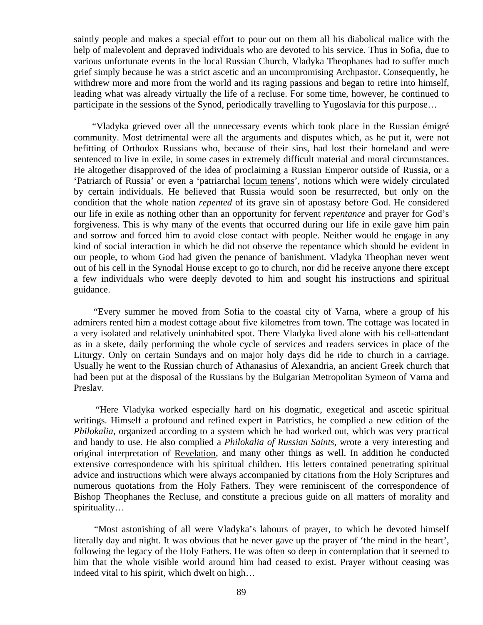saintly people and makes a special effort to pour out on them all his diabolical malice with the help of malevolent and depraved individuals who are devoted to his service. Thus in Sofia, due to various unfortunate events in the local Russian Church, Vladyka Theophanes had to suffer much grief simply because he was a strict ascetic and an uncompromising Archpastor. Consequently, he withdrew more and more from the world and its raging passions and began to retire into himself, leading what was already virtually the life of a recluse. For some time, however, he continued to participate in the sessions of the Synod, periodically travelling to Yugoslavia for this purpose…

 "Vladyka grieved over all the unnecessary events which took place in the Russian émigré community. Most detrimental were all the arguments and disputes which, as he put it, were not befitting of Orthodox Russians who, because of their sins, had lost their homeland and were sentenced to live in exile, in some cases in extremely difficult material and moral circumstances. He altogether disapproved of the idea of proclaiming a Russian Emperor outside of Russia, or a 'Patriarch of Russia' or even a 'patriarchal locum tenens', notions which were widely circulated by certain individuals. He believed that Russia would soon be resurrected, but only on the condition that the whole nation *repented* of its grave sin of apostasy before God. He considered our life in exile as nothing other than an opportunity for fervent *repentance* and prayer for God's forgiveness. This is why many of the events that occurred during our life in exile gave him pain and sorrow and forced him to avoid close contact with people. Neither would he engage in any kind of social interaction in which he did not observe the repentance which should be evident in our people, to whom God had given the penance of banishment. Vladyka Theophan never went out of his cell in the Synodal House except to go to church, nor did he receive anyone there except a few individuals who were deeply devoted to him and sought his instructions and spiritual guidance.

 "Every summer he moved from Sofia to the coastal city of Varna, where a group of his admirers rented him a modest cottage about five kilometres from town. The cottage was located in a very isolated and relatively uninhabited spot. There Vladyka lived alone with his cell-attendant as in a skete, daily performing the whole cycle of services and readers services in place of the Liturgy. Only on certain Sundays and on major holy days did he ride to church in a carriage. Usually he went to the Russian church of Athanasius of Alexandria, an ancient Greek church that had been put at the disposal of the Russians by the Bulgarian Metropolitan Symeon of Varna and Preslav.

 "Here Vladyka worked especially hard on his dogmatic, exegetical and ascetic spiritual writings. Himself a profound and refined expert in Patristics, he complied a new edition of the *Philokalia*, organized according to a system which he had worked out, which was very practical and handy to use. He also complied a *Philokalia of Russian Saints*, wrote a very interesting and original interpretation of Revelation, and many other things as well. In addition he conducted extensive correspondence with his spiritual children. His letters contained penetrating spiritual advice and instructions which were always accompanied by citations from the Holy Scriptures and numerous quotations from the Holy Fathers. They were reminiscent of the correspondence of Bishop Theophanes the Recluse, and constitute a precious guide on all matters of morality and spirituality…

 "Most astonishing of all were Vladyka's labours of prayer, to which he devoted himself literally day and night. It was obvious that he never gave up the prayer of 'the mind in the heart', following the legacy of the Holy Fathers. He was often so deep in contemplation that it seemed to him that the whole visible world around him had ceased to exist. Prayer without ceasing was indeed vital to his spirit, which dwelt on high…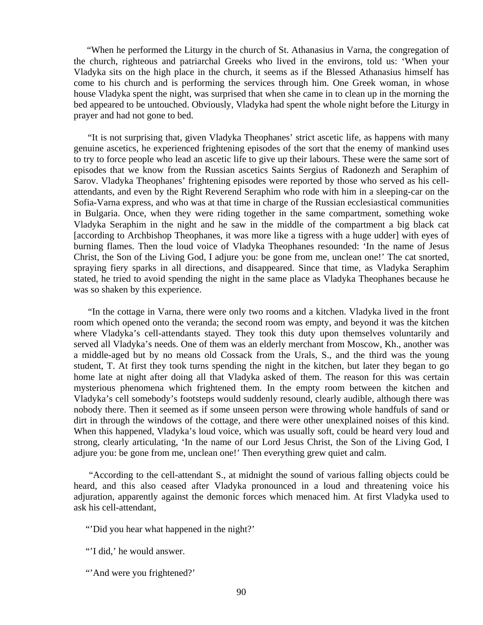"When he performed the Liturgy in the church of St. Athanasius in Varna, the congregation of the church, righteous and patriarchal Greeks who lived in the environs, told us: 'When your Vladyka sits on the high place in the church, it seems as if the Blessed Athanasius himself has come to his church and is performing the services through him. One Greek woman, in whose house Vladyka spent the night, was surprised that when she came in to clean up in the morning the bed appeared to be untouched. Obviously, Vladyka had spent the whole night before the Liturgy in prayer and had not gone to bed.

 "It is not surprising that, given Vladyka Theophanes' strict ascetic life, as happens with many genuine ascetics, he experienced frightening episodes of the sort that the enemy of mankind uses to try to force people who lead an ascetic life to give up their labours. These were the same sort of episodes that we know from the Russian ascetics Saints Sergius of Radonezh and Seraphim of Sarov. Vladyka Theophanes' frightening episodes were reported by those who served as his cellattendants, and even by the Right Reverend Seraphim who rode with him in a sleeping-car on the Sofia-Varna express, and who was at that time in charge of the Russian ecclesiastical communities in Bulgaria. Once, when they were riding together in the same compartment, something woke Vladyka Seraphim in the night and he saw in the middle of the compartment a big black cat [according to Archbishop Theophanes, it was more like a tigress with a huge udder] with eyes of burning flames. Then the loud voice of Vladyka Theophanes resounded: 'In the name of Jesus Christ, the Son of the Living God, I adjure you: be gone from me, unclean one!' The cat snorted, spraying fiery sparks in all directions, and disappeared. Since that time, as Vladyka Seraphim stated, he tried to avoid spending the night in the same place as Vladyka Theophanes because he was so shaken by this experience.

 "In the cottage in Varna, there were only two rooms and a kitchen. Vladyka lived in the front room which opened onto the veranda; the second room was empty, and beyond it was the kitchen where Vladyka's cell-attendants stayed. They took this duty upon themselves voluntarily and served all Vladyka's needs. One of them was an elderly merchant from Moscow, Kh., another was a middle-aged but by no means old Cossack from the Urals, S., and the third was the young student, T. At first they took turns spending the night in the kitchen, but later they began to go home late at night after doing all that Vladyka asked of them. The reason for this was certain mysterious phenomena which frightened them. In the empty room between the kitchen and Vladyka's cell somebody's footsteps would suddenly resound, clearly audible, although there was nobody there. Then it seemed as if some unseen person were throwing whole handfuls of sand or dirt in through the windows of the cottage, and there were other unexplained noises of this kind. When this happened, Vladyka's loud voice, which was usually soft, could be heard very loud and strong, clearly articulating, 'In the name of our Lord Jesus Christ, the Son of the Living God, I adjure you: be gone from me, unclean one!' Then everything grew quiet and calm.

 "According to the cell-attendant S., at midnight the sound of various falling objects could be heard, and this also ceased after Vladyka pronounced in a loud and threatening voice his adjuration, apparently against the demonic forces which menaced him. At first Vladyka used to ask his cell-attendant,

"'Did you hear what happened in the night?'

"'I did,' he would answer.

"'And were you frightened?'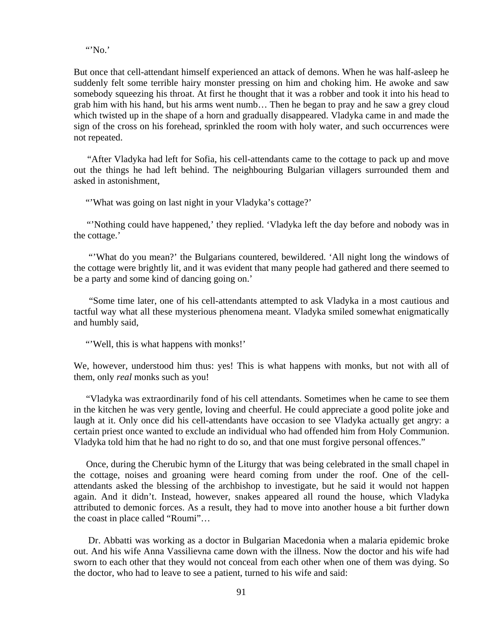$\mathcal{C}$ No.'

But once that cell-attendant himself experienced an attack of demons. When he was half-asleep he suddenly felt some terrible hairy monster pressing on him and choking him. He awoke and saw somebody squeezing his throat. At first he thought that it was a robber and took it into his head to grab him with his hand, but his arms went numb… Then he began to pray and he saw a grey cloud which twisted up in the shape of a horn and gradually disappeared. Vladyka came in and made the sign of the cross on his forehead, sprinkled the room with holy water, and such occurrences were not repeated.

 "After Vladyka had left for Sofia, his cell-attendants came to the cottage to pack up and move out the things he had left behind. The neighbouring Bulgarian villagers surrounded them and asked in astonishment,

"'What was going on last night in your Vladyka's cottage?'

 "'Nothing could have happened,' they replied. 'Vladyka left the day before and nobody was in the cottage.'

 "'What do you mean?' the Bulgarians countered, bewildered. 'All night long the windows of the cottage were brightly lit, and it was evident that many people had gathered and there seemed to be a party and some kind of dancing going on.'

 "Some time later, one of his cell-attendants attempted to ask Vladyka in a most cautious and tactful way what all these mysterious phenomena meant. Vladyka smiled somewhat enigmatically and humbly said,

"'Well, this is what happens with monks!'

We, however, understood him thus: yes! This is what happens with monks, but not with all of them, only *real* monks such as you!

 "Vladyka was extraordinarily fond of his cell attendants. Sometimes when he came to see them in the kitchen he was very gentle, loving and cheerful. He could appreciate a good polite joke and laugh at it. Only once did his cell-attendants have occasion to see Vladyka actually get angry: a certain priest once wanted to exclude an individual who had offended him from Holy Communion. Vladyka told him that he had no right to do so, and that one must forgive personal offences."

 Once, during the Cherubic hymn of the Liturgy that was being celebrated in the small chapel in the cottage, noises and groaning were heard coming from under the roof. One of the cellattendants asked the blessing of the archbishop to investigate, but he said it would not happen again. And it didn't. Instead, however, snakes appeared all round the house, which Vladyka attributed to demonic forces. As a result, they had to move into another house a bit further down the coast in place called "Roumi"…

 Dr. Abbatti was working as a doctor in Bulgarian Macedonia when a malaria epidemic broke out. And his wife Anna Vassilievna came down with the illness. Now the doctor and his wife had sworn to each other that they would not conceal from each other when one of them was dying. So the doctor, who had to leave to see a patient, turned to his wife and said: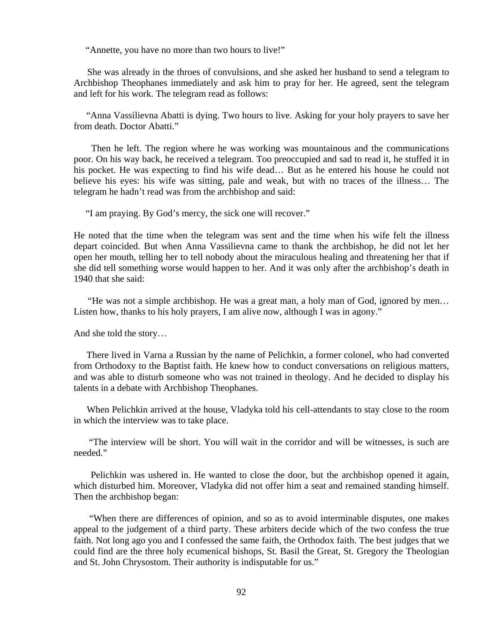"Annette, you have no more than two hours to live!"

 She was already in the throes of convulsions, and she asked her husband to send a telegram to Archbishop Theophanes immediately and ask him to pray for her. He agreed, sent the telegram and left for his work. The telegram read as follows:

 "Anna Vassilievna Abatti is dying. Two hours to live. Asking for your holy prayers to save her from death. Doctor Abatti."

 Then he left. The region where he was working was mountainous and the communications poor. On his way back, he received a telegram. Too preoccupied and sad to read it, he stuffed it in his pocket. He was expecting to find his wife dead… But as he entered his house he could not believe his eyes: his wife was sitting, pale and weak, but with no traces of the illness… The telegram he hadn't read was from the archbishop and said:

"I am praying. By God's mercy, the sick one will recover."

He noted that the time when the telegram was sent and the time when his wife felt the illness depart coincided. But when Anna Vassilievna came to thank the archbishop, he did not let her open her mouth, telling her to tell nobody about the miraculous healing and threatening her that if she did tell something worse would happen to her. And it was only after the archbishop's death in 1940 that she said:

 "He was not a simple archbishop. He was a great man, a holy man of God, ignored by men… Listen how, thanks to his holy prayers, I am alive now, although I was in agony."

And she told the story…

 There lived in Varna a Russian by the name of Pelichkin, a former colonel, who had converted from Orthodoxy to the Baptist faith. He knew how to conduct conversations on religious matters, and was able to disturb someone who was not trained in theology. And he decided to display his talents in a debate with Archbishop Theophanes.

 When Pelichkin arrived at the house, Vladyka told his cell-attendants to stay close to the room in which the interview was to take place.

 "The interview will be short. You will wait in the corridor and will be witnesses, is such are needed."

 Pelichkin was ushered in. He wanted to close the door, but the archbishop opened it again, which disturbed him. Moreover, Vladyka did not offer him a seat and remained standing himself. Then the archbishop began:

 "When there are differences of opinion, and so as to avoid interminable disputes, one makes appeal to the judgement of a third party. These arbiters decide which of the two confess the true faith. Not long ago you and I confessed the same faith, the Orthodox faith. The best judges that we could find are the three holy ecumenical bishops, St. Basil the Great, St. Gregory the Theologian and St. John Chrysostom. Their authority is indisputable for us."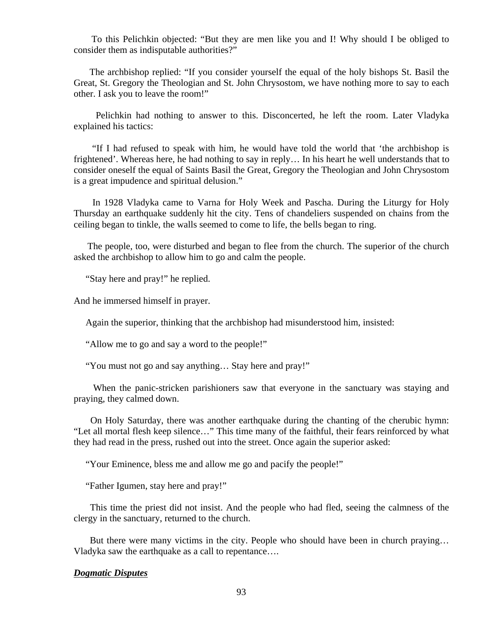To this Pelichkin objected: "But they are men like you and I! Why should I be obliged to consider them as indisputable authorities?"

 The archbishop replied: "If you consider yourself the equal of the holy bishops St. Basil the Great, St. Gregory the Theologian and St. John Chrysostom, we have nothing more to say to each other. I ask you to leave the room!"

 Pelichkin had nothing to answer to this. Disconcerted, he left the room. Later Vladyka explained his tactics:

 "If I had refused to speak with him, he would have told the world that 'the archbishop is frightened'. Whereas here, he had nothing to say in reply… In his heart he well understands that to consider oneself the equal of Saints Basil the Great, Gregory the Theologian and John Chrysostom is a great impudence and spiritual delusion."

 In 1928 Vladyka came to Varna for Holy Week and Pascha. During the Liturgy for Holy Thursday an earthquake suddenly hit the city. Tens of chandeliers suspended on chains from the ceiling began to tinkle, the walls seemed to come to life, the bells began to ring.

 The people, too, were disturbed and began to flee from the church. The superior of the church asked the archbishop to allow him to go and calm the people.

"Stay here and pray!" he replied.

And he immersed himself in prayer.

Again the superior, thinking that the archbishop had misunderstood him, insisted:

"Allow me to go and say a word to the people!"

"You must not go and say anything… Stay here and pray!"

When the panic-stricken parishioners saw that everyone in the sanctuary was staying and praying, they calmed down.

 On Holy Saturday, there was another earthquake during the chanting of the cherubic hymn: "Let all mortal flesh keep silence…" This time many of the faithful, their fears reinforced by what they had read in the press, rushed out into the street. Once again the superior asked:

"Your Eminence, bless me and allow me go and pacify the people!"

"Father Igumen, stay here and pray!"

 This time the priest did not insist. And the people who had fled, seeing the calmness of the clergy in the sanctuary, returned to the church.

But there were many victims in the city. People who should have been in church praying... Vladyka saw the earthquake as a call to repentance….

## *Dogmatic Disputes*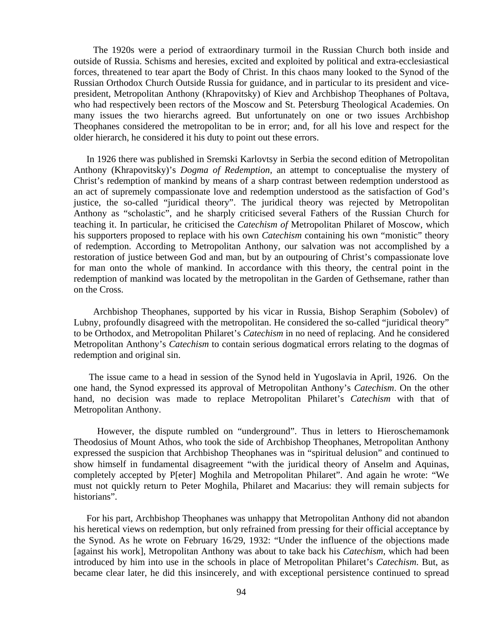The 1920s were a period of extraordinary turmoil in the Russian Church both inside and outside of Russia. Schisms and heresies, excited and exploited by political and extra-ecclesiastical forces, threatened to tear apart the Body of Christ. In this chaos many looked to the Synod of the Russian Orthodox Church Outside Russia for guidance, and in particular to its president and vicepresident, Metropolitan Anthony (Khrapovitsky) of Kiev and Archbishop Theophanes of Poltava, who had respectively been rectors of the Moscow and St. Petersburg Theological Academies. On many issues the two hierarchs agreed. But unfortunately on one or two issues Archbishop Theophanes considered the metropolitan to be in error; and, for all his love and respect for the older hierarch, he considered it his duty to point out these errors.

 In 1926 there was published in Sremski Karlovtsy in Serbia the second edition of Metropolitan Anthony (Khrapovitsky)'s *Dogma of Redemption,* an attempt to conceptualise the mystery of Christ's redemption of mankind by means of a sharp contrast between redemption understood as an act of supremely compassionate love and redemption understood as the satisfaction of God's justice, the so-called "juridical theory". The juridical theory was rejected by Metropolitan Anthony as "scholastic", and he sharply criticised several Fathers of the Russian Church for teaching it. In particular, he criticised the *Catechism of* Metropolitan Philaret of Moscow, which his supporters proposed to replace with his own *Catechism* containing his own "monistic" theory of redemption. According to Metropolitan Anthony, our salvation was not accomplished by a restoration of justice between God and man, but by an outpouring of Christ's compassionate love for man onto the whole of mankind. In accordance with this theory, the central point in the redemption of mankind was located by the metropolitan in the Garden of Gethsemane, rather than on the Cross.

 Archbishop Theophanes, supported by his vicar in Russia, Bishop Seraphim (Sobolev) of Lubny, profoundly disagreed with the metropolitan. He considered the so-called "juridical theory" to be Orthodox, and Metropolitan Philaret's *Catechism* in no need of replacing. And he considered Metropolitan Anthony's *Catechism* to contain serious dogmatical errors relating to the dogmas of redemption and original sin.

 The issue came to a head in session of the Synod held in Yugoslavia in April, 1926. On the one hand, the Synod expressed its approval of Metropolitan Anthony's *Catechism*. On the other hand, no decision was made to replace Metropolitan Philaret's *Catechism* with that of Metropolitan Anthony.

 However, the dispute rumbled on "underground". Thus in letters to Hieroschemamonk Theodosius of Mount Athos, who took the side of Archbishop Theophanes, Metropolitan Anthony expressed the suspicion that Archbishop Theophanes was in "spiritual delusion" and continued to show himself in fundamental disagreement "with the juridical theory of Anselm and Aquinas, completely accepted by P[eter] Moghila and Metropolitan Philaret". And again he wrote: "We must not quickly return to Peter Moghila, Philaret and Macarius: they will remain subjects for historians".

 For his part, Archbishop Theophanes was unhappy that Metropolitan Anthony did not abandon his heretical views on redemption, but only refrained from pressing for their official acceptance by the Synod. As he wrote on February 16/29, 1932: "Under the influence of the objections made [against his work], Metropolitan Anthony was about to take back his *Catechism*, which had been introduced by him into use in the schools in place of Metropolitan Philaret's *Catechism*. But, as became clear later, he did this insincerely, and with exceptional persistence continued to spread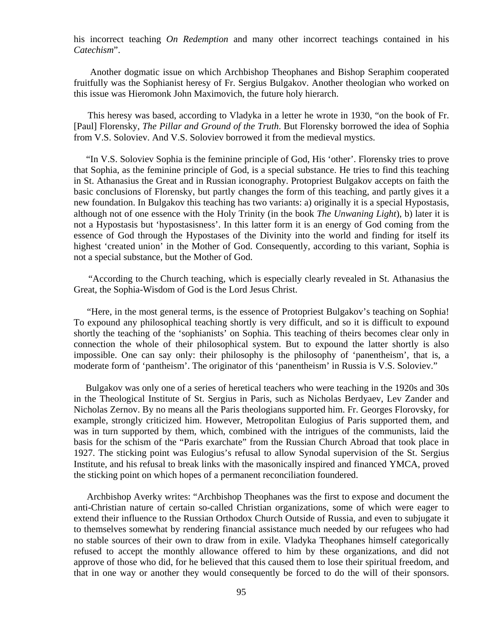his incorrect teaching *On Redemption* and many other incorrect teachings contained in his *Catechism*".

 Another dogmatic issue on which Archbishop Theophanes and Bishop Seraphim cooperated fruitfully was the Sophianist heresy of Fr. Sergius Bulgakov. Another theologian who worked on this issue was Hieromonk John Maximovich, the future holy hierarch.

 This heresy was based, according to Vladyka in a letter he wrote in 1930, "on the book of Fr. [Paul] Florensky, *The Pillar and Ground of the Truth*. But Florensky borrowed the idea of Sophia from V.S. Soloviev. And V.S. Soloviev borrowed it from the medieval mystics.

 "In V.S. Soloviev Sophia is the feminine principle of God, His 'other'. Florensky tries to prove that Sophia, as the feminine principle of God, is a special substance. He tries to find this teaching in St. Athanasius the Great and in Russian iconography. Protopriest Bulgakov accepts on faith the basic conclusions of Florensky, but partly changes the form of this teaching, and partly gives it a new foundation. In Bulgakov this teaching has two variants: a) originally it is a special Hypostasis, although not of one essence with the Holy Trinity (in the book *The Unwaning Light*), b) later it is not a Hypostasis but 'hypostasisness'. In this latter form it is an energy of God coming from the essence of God through the Hypostases of the Divinity into the world and finding for itself its highest 'created union' in the Mother of God. Consequently, according to this variant, Sophia is not a special substance, but the Mother of God.

 "According to the Church teaching, which is especially clearly revealed in St. Athanasius the Great, the Sophia-Wisdom of God is the Lord Jesus Christ.

 "Here, in the most general terms, is the essence of Protopriest Bulgakov's teaching on Sophia! To expound any philosophical teaching shortly is very difficult, and so it is difficult to expound shortly the teaching of the 'sophianists' on Sophia. This teaching of theirs becomes clear only in connection the whole of their philosophical system. But to expound the latter shortly is also impossible. One can say only: their philosophy is the philosophy of 'panentheism', that is, a moderate form of 'pantheism'. The originator of this 'panentheism' in Russia is V.S. Soloviev."

 Bulgakov was only one of a series of heretical teachers who were teaching in the 1920s and 30s in the Theological Institute of St. Sergius in Paris, such as Nicholas Berdyaev, Lev Zander and Nicholas Zernov. By no means all the Paris theologians supported him. Fr. Georges Florovsky, for example, strongly criticized him. However, Metropolitan Eulogius of Paris supported them, and was in turn supported by them, which, combined with the intrigues of the communists, laid the basis for the schism of the "Paris exarchate" from the Russian Church Abroad that took place in 1927. The sticking point was Eulogius's refusal to allow Synodal supervision of the St. Sergius Institute, and his refusal to break links with the masonically inspired and financed YMCA, proved the sticking point on which hopes of a permanent reconciliation foundered.

 Archbishop Averky writes: "Archbishop Theophanes was the first to expose and document the anti-Christian nature of certain so-called Christian organizations, some of which were eager to extend their influence to the Russian Orthodox Church Outside of Russia, and even to subjugate it to themselves somewhat by rendering financial assistance much needed by our refugees who had no stable sources of their own to draw from in exile. Vladyka Theophanes himself categorically refused to accept the monthly allowance offered to him by these organizations, and did not approve of those who did, for he believed that this caused them to lose their spiritual freedom, and that in one way or another they would consequently be forced to do the will of their sponsors.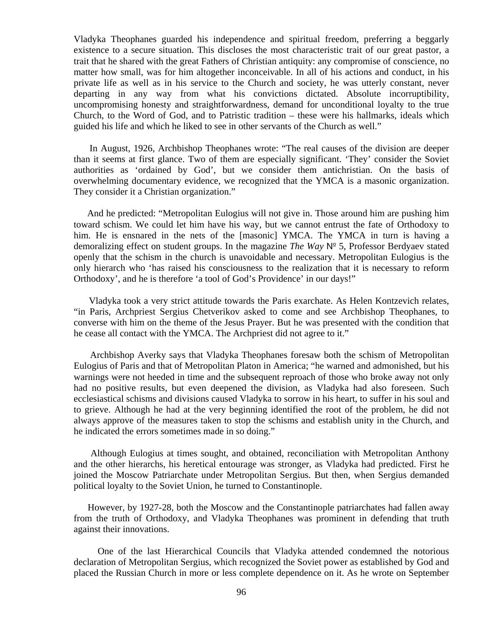Vladyka Theophanes guarded his independence and spiritual freedom, preferring a beggarly existence to a secure situation. This discloses the most characteristic trait of our great pastor, a trait that he shared with the great Fathers of Christian antiquity: any compromise of conscience, no matter how small, was for him altogether inconceivable. In all of his actions and conduct, in his private life as well as in his service to the Church and society, he was utterly constant, never departing in any way from what his convictions dictated. Absolute incorruptibility, uncompromising honesty and straightforwardness, demand for unconditional loyalty to the true Church, to the Word of God, and to Patristic tradition – these were his hallmarks, ideals which guided his life and which he liked to see in other servants of the Church as well."

 In August, 1926, Archbishop Theophanes wrote: "The real causes of the division are deeper than it seems at first glance. Two of them are especially significant. 'They' consider the Soviet authorities as 'ordained by God', but we consider them antichristian. On the basis of overwhelming documentary evidence, we recognized that the YMCA is a masonic organization. They consider it a Christian organization."

 And he predicted: "Metropolitan Eulogius will not give in. Those around him are pushing him toward schism. We could let him have his way, but we cannot entrust the fate of Orthodoxy to him. He is ensnared in the nets of the [masonic] YMCA. The YMCA in turn is having a demoralizing effect on student groups. In the magazine *The Way*  $N^{\circ}$  5, Professor Berdyaev stated openly that the schism in the church is unavoidable and necessary. Metropolitan Eulogius is the only hierarch who 'has raised his consciousness to the realization that it is necessary to reform Orthodoxy', and he is therefore 'a tool of God's Providence' in our days!"

 Vladyka took a very strict attitude towards the Paris exarchate. As Helen Kontzevich relates, "in Paris, Archpriest Sergius Chetverikov asked to come and see Archbishop Theophanes, to converse with him on the theme of the Jesus Prayer. But he was presented with the condition that he cease all contact with the YMCA. The Archpriest did not agree to it."

 Archbishop Averky says that Vladyka Theophanes foresaw both the schism of Metropolitan Eulogius of Paris and that of Metropolitan Platon in America; "he warned and admonished, but his warnings were not heeded in time and the subsequent reproach of those who broke away not only had no positive results, but even deepened the division, as Vladyka had also foreseen. Such ecclesiastical schisms and divisions caused Vladyka to sorrow in his heart, to suffer in his soul and to grieve. Although he had at the very beginning identified the root of the problem, he did not always approve of the measures taken to stop the schisms and establish unity in the Church, and he indicated the errors sometimes made in so doing."

 Although Eulogius at times sought, and obtained, reconciliation with Metropolitan Anthony and the other hierarchs, his heretical entourage was stronger, as Vladyka had predicted. First he joined the Moscow Patriarchate under Metropolitan Sergius. But then, when Sergius demanded political loyalty to the Soviet Union, he turned to Constantinople.

 However, by 1927-28, both the Moscow and the Constantinople patriarchates had fallen away from the truth of Orthodoxy, and Vladyka Theophanes was prominent in defending that truth against their innovations.

 One of the last Hierarchical Councils that Vladyka attended condemned the notorious declaration of Metropolitan Sergius, which recognized the Soviet power as established by God and placed the Russian Church in more or less complete dependence on it. As he wrote on September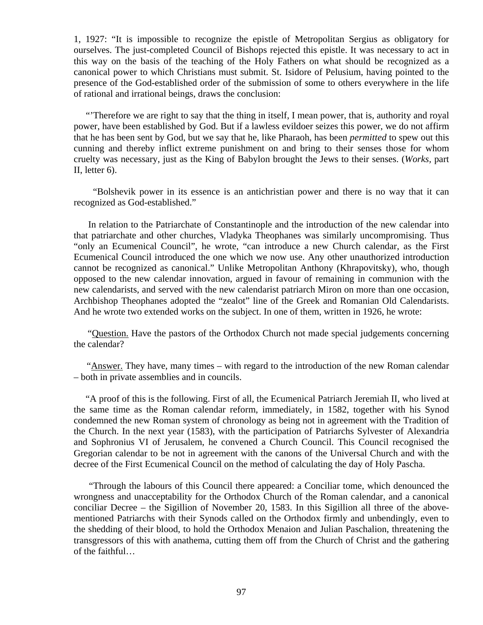1, 1927: "It is impossible to recognize the epistle of Metropolitan Sergius as obligatory for ourselves. The just-completed Council of Bishops rejected this epistle. It was necessary to act in this way on the basis of the teaching of the Holy Fathers on what should be recognized as a canonical power to which Christians must submit. St. Isidore of Pelusium, having pointed to the presence of the God-established order of the submission of some to others everywhere in the life of rational and irrational beings, draws the conclusion:

 "'Therefore we are right to say that the thing in itself, I mean power, that is, authority and royal power, have been established by God. But if a lawless evildoer seizes this power, we do not affirm that he has been sent by God, but we say that he, like Pharaoh, has been *permitted* to spew out this cunning and thereby inflict extreme punishment on and bring to their senses those for whom cruelty was necessary, just as the King of Babylon brought the Jews to their senses. (*Works,* part II, letter 6).

 "Bolshevik power in its essence is an antichristian power and there is no way that it can recognized as God-established."

 In relation to the Patriarchate of Constantinople and the introduction of the new calendar into that patriarchate and other churches, Vladyka Theophanes was similarly uncompromising. Thus "only an Ecumenical Council", he wrote, "can introduce a new Church calendar, as the First Ecumenical Council introduced the one which we now use. Any other unauthorized introduction cannot be recognized as canonical." Unlike Metropolitan Anthony (Khrapovitsky), who, though opposed to the new calendar innovation, argued in favour of remaining in communion with the new calendarists, and served with the new calendarist patriarch Miron on more than one occasion, Archbishop Theophanes adopted the "zealot" line of the Greek and Romanian Old Calendarists. And he wrote two extended works on the subject. In one of them, written in 1926, he wrote:

 "Question. Have the pastors of the Orthodox Church not made special judgements concerning the calendar?

 "Answer. They have, many times – with regard to the introduction of the new Roman calendar – both in private assemblies and in councils.

 "A proof of this is the following. First of all, the Ecumenical Patriarch Jeremiah II, who lived at the same time as the Roman calendar reform, immediately, in 1582, together with his Synod condemned the new Roman system of chronology as being not in agreement with the Tradition of the Church. In the next year (1583), with the participation of Patriarchs Sylvester of Alexandria and Sophronius VI of Jerusalem, he convened a Church Council. This Council recognised the Gregorian calendar to be not in agreement with the canons of the Universal Church and with the decree of the First Ecumenical Council on the method of calculating the day of Holy Pascha.

 "Through the labours of this Council there appeared: a Conciliar tome, which denounced the wrongness and unacceptability for the Orthodox Church of the Roman calendar, and a canonical conciliar Decree – the Sigillion of November 20, 1583. In this Sigillion all three of the abovementioned Patriarchs with their Synods called on the Orthodox firmly and unbendingly, even to the shedding of their blood, to hold the Orthodox Menaion and Julian Paschalion, threatening the transgressors of this with anathema, cutting them off from the Church of Christ and the gathering of the faithful…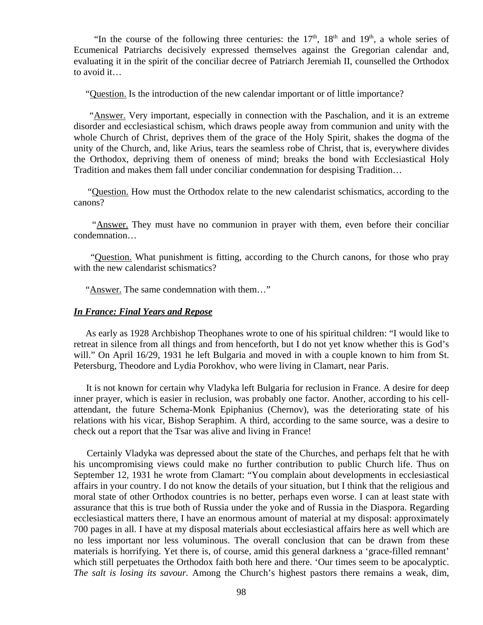"In the course of the following three centuries: the  $17<sup>th</sup>$ ,  $18<sup>th</sup>$  and  $19<sup>th</sup>$ , a whole series of Ecumenical Patriarchs decisively expressed themselves against the Gregorian calendar and, evaluating it in the spirit of the conciliar decree of Patriarch Jeremiah II, counselled the Orthodox to avoid it…

"Question. Is the introduction of the new calendar important or of little importance?

 "Answer. Very important, especially in connection with the Paschalion, and it is an extreme disorder and ecclesiastical schism, which draws people away from communion and unity with the whole Church of Christ, deprives them of the grace of the Holy Spirit, shakes the dogma of the unity of the Church, and, like Arius, tears the seamless robe of Christ, that is, everywhere divides the Orthodox, depriving them of oneness of mind; breaks the bond with Ecclesiastical Holy Tradition and makes them fall under conciliar condemnation for despising Tradition…

 "Question. How must the Orthodox relate to the new calendarist schismatics, according to the canons?

 "Answer. They must have no communion in prayer with them, even before their conciliar condemnation…

 "Question. What punishment is fitting, according to the Church canons, for those who pray with the new calendarist schismatics?

"Answer. The same condemnation with them…"

## *In France: Final Years and Repose*

 As early as 1928 Archbishop Theophanes wrote to one of his spiritual children: "I would like to retreat in silence from all things and from henceforth, but I do not yet know whether this is God's will." On April 16/29, 1931 he left Bulgaria and moved in with a couple known to him from St. Petersburg, Theodore and Lydia Porokhov, who were living in Clamart, near Paris.

 It is not known for certain why Vladyka left Bulgaria for reclusion in France. A desire for deep inner prayer, which is easier in reclusion, was probably one factor. Another, according to his cellattendant, the future Schema-Monk Epiphanius (Chernov), was the deteriorating state of his relations with his vicar, Bishop Seraphim. A third, according to the same source, was a desire to check out a report that the Tsar was alive and living in France!

 Certainly Vladyka was depressed about the state of the Churches, and perhaps felt that he with his uncompromising views could make no further contribution to public Church life. Thus on September 12, 1931 he wrote from Clamart: "You complain about developments in ecclesiastical affairs in your country. I do not know the details of your situation, but I think that the religious and moral state of other Orthodox countries is no better, perhaps even worse. I can at least state with assurance that this is true both of Russia under the yoke and of Russia in the Diaspora. Regarding ecclesiastical matters there, I have an enormous amount of material at my disposal: approximately 700 pages in all. I have at my disposal materials about ecclesiastical affairs here as well which are no less important nor less voluminous. The overall conclusion that can be drawn from these materials is horrifying. Yet there is, of course, amid this general darkness a 'grace-filled remnant' which still perpetuates the Orthodox faith both here and there. 'Our times seem to be apocalyptic. *The salt is losing its savour.* Among the Church's highest pastors there remains a weak, dim,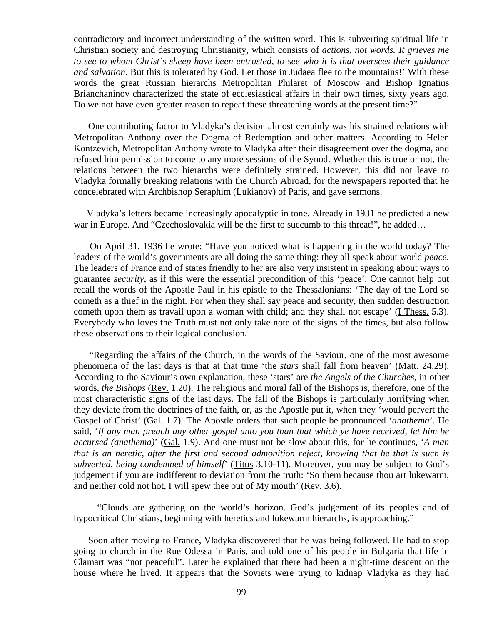contradictory and incorrect understanding of the written word. This is subverting spiritual life in Christian society and destroying Christianity, which consists of *actions, not words. It grieves me to see to whom Christ's sheep have been entrusted, to see who it is that oversees their guidance and salvation.* But this is tolerated by God. Let those in Judaea flee to the mountains!' With these words the great Russian hierarchs Metropolitan Philaret of Moscow and Bishop Ignatius Brianchaninov characterized the state of ecclesiastical affairs in their own times, sixty years ago. Do we not have even greater reason to repeat these threatening words at the present time?"

 One contributing factor to Vladyka's decision almost certainly was his strained relations with Metropolitan Anthony over the Dogma of Redemption and other matters. According to Helen Kontzevich, Metropolitan Anthony wrote to Vladyka after their disagreement over the dogma, and refused him permission to come to any more sessions of the Synod. Whether this is true or not, the relations between the two hierarchs were definitely strained. However, this did not leave to Vladyka formally breaking relations with the Church Abroad, for the newspapers reported that he concelebrated with Archbishop Seraphim (Lukianov) of Paris, and gave sermons.

 Vladyka's letters became increasingly apocalyptic in tone. Already in 1931 he predicted a new war in Europe. And "Czechoslovakia will be the first to succumb to this threat!", he added...

 On April 31, 1936 he wrote: "Have you noticed what is happening in the world today? The leaders of the world's governments are all doing the same thing: they all speak about world *peace*. The leaders of France and of states friendly to her are also very insistent in speaking about ways to guarantee *security*, as if this were the essential precondition of this 'peace'. One cannot help but recall the words of the Apostle Paul in his epistle to the Thessalonians: 'The day of the Lord so cometh as a thief in the night. For when they shall say peace and security, then sudden destruction cometh upon them as travail upon a woman with child; and they shall not escape' (I Thess. 5.3). Everybody who loves the Truth must not only take note of the signs of the times, but also follow these observations to their logical conclusion.

 "Regarding the affairs of the Church, in the words of the Saviour, one of the most awesome phenomena of the last days is that at that time 'the *stars* shall fall from heaven' (Matt. 24.29). According to the Saviour's own explanation, these 'stars' are *the Angels of the Churches*, in other words, *the Bishops* (Rev. 1.20). The religious and moral fall of the Bishops is, therefore, one of the most characteristic signs of the last days. The fall of the Bishops is particularly horrifying when they deviate from the doctrines of the faith, or, as the Apostle put it, when they 'would pervert the Gospel of Christ' (Gal. 1.7). The Apostle orders that such people be pronounced '*anathema*'. He said, '*If any man preach any other gospel unto you than that which ye have received, let him be accursed (anathema)*' (Gal. 1.9). And one must not be slow about this, for he continues, '*A man that is an heretic, after the first and second admonition reject, knowing that he that is such is subverted, being condemned of himself*' (Titus 3.10-11). Moreover, you may be subject to God's judgement if you are indifferent to deviation from the truth: 'So them because thou art lukewarm, and neither cold not hot, I will spew thee out of My mouth' (Rev. 3.6).

 "Clouds are gathering on the world's horizon. God's judgement of its peoples and of hypocritical Christians, beginning with heretics and lukewarm hierarchs, is approaching."

 Soon after moving to France, Vladyka discovered that he was being followed. He had to stop going to church in the Rue Odessa in Paris, and told one of his people in Bulgaria that life in Clamart was "not peaceful". Later he explained that there had been a night-time descent on the house where he lived. It appears that the Soviets were trying to kidnap Vladyka as they had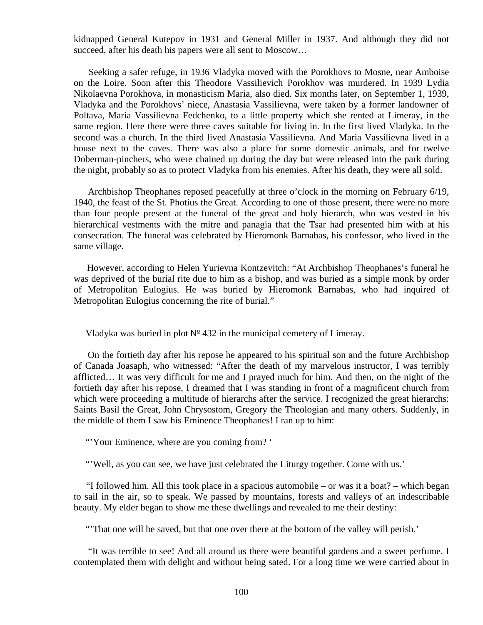kidnapped General Kutepov in 1931 and General Miller in 1937. And although they did not succeed, after his death his papers were all sent to Moscow...

 Seeking a safer refuge, in 1936 Vladyka moved with the Porokhovs to Mosne, near Amboise on the Loire. Soon after this Theodore Vassilievich Porokhov was murdered. In 1939 Lydia Nikolaevna Porokhova, in monasticism Maria, also died. Six months later, on September 1, 1939, Vladyka and the Porokhovs' niece, Anastasia Vassilievna, were taken by a former landowner of Poltava, Maria Vassilievna Fedchenko, to a little property which she rented at Limeray, in the same region. Here there were three caves suitable for living in. In the first lived Vladyka. In the second was a church. In the third lived Anastasia Vassilievna. And Maria Vassilievna lived in a house next to the caves. There was also a place for some domestic animals, and for twelve Doberman-pinchers, who were chained up during the day but were released into the park during the night, probably so as to protect Vladyka from his enemies. After his death, they were all sold.

 Archbishop Theophanes reposed peacefully at three o'clock in the morning on February 6/19, 1940, the feast of the St. Photius the Great. According to one of those present, there were no more than four people present at the funeral of the great and holy hierarch, who was vested in his hierarchical vestments with the mitre and panagia that the Tsar had presented him with at his consecration. The funeral was celebrated by Hieromonk Barnabas, his confessor, who lived in the same village.

 However, according to Helen Yurievna Kontzevitch: "At Archbishop Theophanes's funeral he was deprived of the burial rite due to him as a bishop, and was buried as a simple monk by order of Metropolitan Eulogius. He was buried by Hieromonk Barnabas, who had inquired of Metropolitan Eulogius concerning the rite of burial."

Vladyka was buried in plot  $N^{\circ}$  432 in the municipal cemetery of Limeray.

 On the fortieth day after his repose he appeared to his spiritual son and the future Archbishop of Canada Joasaph, who witnessed: "After the death of my marvelous instructor, I was terribly afflicted… It was very difficult for me and I prayed much for him. And then, on the night of the fortieth day after his repose, I dreamed that I was standing in front of a magnificent church from which were proceeding a multitude of hierarchs after the service. I recognized the great hierarchs: Saints Basil the Great, John Chrysostom, Gregory the Theologian and many others. Suddenly, in the middle of them I saw his Eminence Theophanes! I ran up to him:

"Your Eminence, where are you coming from? "

"'Well, as you can see, we have just celebrated the Liturgy together. Come with us.'

 "I followed him. All this took place in a spacious automobile – or was it a boat? – which began to sail in the air, so to speak. We passed by mountains, forests and valleys of an indescribable beauty. My elder began to show me these dwellings and revealed to me their destiny:

"That one will be saved, but that one over there at the bottom of the valley will perish.'

 "It was terrible to see! And all around us there were beautiful gardens and a sweet perfume. I contemplated them with delight and without being sated. For a long time we were carried about in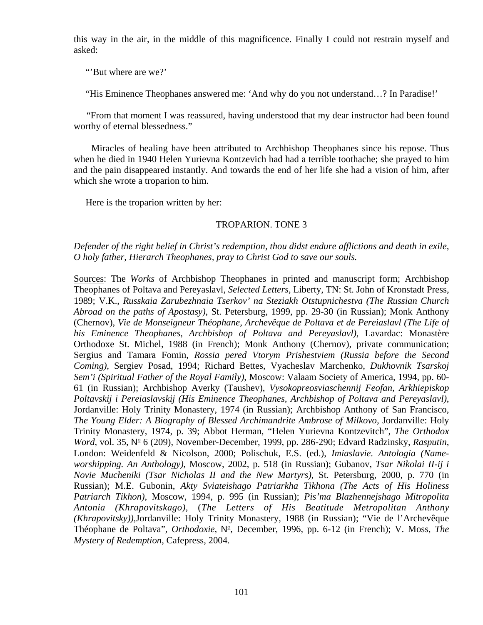this way in the air, in the middle of this magnificence. Finally I could not restrain myself and asked:

"'But where are we?'

"His Eminence Theophanes answered me: 'And why do you not understand…? In Paradise!'

 "From that moment I was reassured, having understood that my dear instructor had been found worthy of eternal blessedness."

 Miracles of healing have been attributed to Archbishop Theophanes since his repose. Thus when he died in 1940 Helen Yurievna Kontzevich had had a terrible toothache; she prayed to him and the pain disappeared instantly. And towards the end of her life she had a vision of him, after which she wrote a troparion to him.

Here is the troparion written by her:

# TROPARION. TONE 3

# *Defender of the right belief in Christ's redemption, thou didst endure afflictions and death in exile, O holy father, Hierarch Theophanes, pray to Christ God to save our souls.*

Sources: The *Works* of Archbishop Theophanes in printed and manuscript form; Archbishop Theophanes of Poltava and Pereyaslavl, *Selected Letters,* Liberty, TN: St. John of Kronstadt Press, 1989; V.K., *Russkaia Zarubezhnaia Tserkov' na Steziakh Otstupnichestva (The Russian Church Abroad on the paths of Apostasy)*, St. Petersburg, 1999, pp. 29-30 (in Russian); Monk Anthony (Chernov), *Vie de Monseigneur Théophane, Archevêque de Poltava et de Pereiaslavl (The Life of his Eminence Theophanes, Archbishop of Poltava and Pereyaslavl)*, Lavardac: Monastère Orthodoxe St. Michel, 1988 (in French); Monk Anthony (Chernov), private communication; Sergius and Tamara Fomin, *Rossia pered Vtorym Prishestviem (Russia before the Second Coming),* Sergiev Posad, 1994; Richard Bettes, Vyacheslav Marchenko, *Dukhovnik Tsarskoj Sem'i (Spiritual Father of the Royal Family)*, Moscow: Valaam Society of America, 1994, pp. 60- 61 (in Russian); Archbishop Averky (Taushev), *Vysokopreosviaschennij Feofan, Arkhiepiskop Poltavskij i Pereiaslavskij (His Eminence Theophanes, Archbishop of Poltava and Pereyaslavl)*, Jordanville: Holy Trinity Monastery, 1974 (in Russian); Archbishop Anthony of San Francisco, *The Young Elder: A Biography of Blessed Archimandrite Ambrose of Milkovo,* Jordanville: Holy Trinity Monastery, 1974, p. 39; Abbot Herman, "Helen Yurievna Kontzevitch", *The Orthodox Word*, vol. 35, № 6 (209), November-December, 1999, pp. 286-290; Edvard Radzinsky, *Rasputin*, London: Weidenfeld & Nicolson, 2000; Polischuk, E.S. (ed.), *Imiaslavie. Antologia (Nameworshipping. An Anthology)*, Moscow, 2002, p. 518 (in Russian); Gubanov, *Tsar Nikolai II-ij i Novie Mucheniki (Tsar Nicholas II and the New Martyrs),* St. Petersburg, 2000, p. 770 (in Russian); M.E. Gubonin, *Akty Sviateishago Patriarkha Tikhona (The Acts of His Holiness Patriarch Tikhon)*, Moscow, 1994, p. 995 (in Russian); *Pis'ma Blazhennejshago Mitropolita Antonia (Khrapovitskago),* (*The Letters of His Beatitude Metropolitan Anthony (Khrapovitsky)),*Jordanville: Holy Trinity Monastery, 1988 (in Russian); "Vie de l'Archevêque Théophane de Poltava", *Orthodoxie*, Nº, December, 1996, pp. 6-12 (in French); V. Moss, *The Mystery of Redemption*, Cafepress, 2004.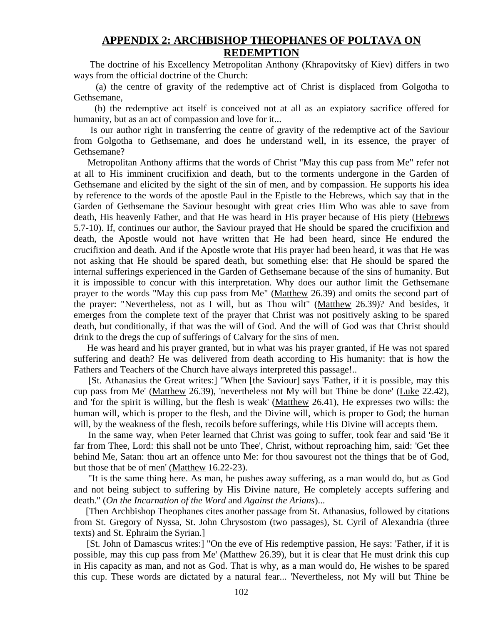# **APPENDIX 2: ARCHBISHOP THEOPHANES OF POLTAVA ON REDEMPTION**

 The doctrine of his Excellency Metropolitan Anthony (Khrapovitsky of Kiev) differs in two ways from the official doctrine of the Church:

 (a) the centre of gravity of the redemptive act of Christ is displaced from Golgotha to Gethsemane,

 (b) the redemptive act itself is conceived not at all as an expiatory sacrifice offered for humanity, but as an act of compassion and love for it...

 Is our author right in transferring the centre of gravity of the redemptive act of the Saviour from Golgotha to Gethsemane, and does he understand well, in its essence, the prayer of Gethsemane?

 Metropolitan Anthony affirms that the words of Christ "May this cup pass from Me" refer not at all to His imminent crucifixion and death, but to the torments undergone in the Garden of Gethsemane and elicited by the sight of the sin of men, and by compassion. He supports his idea by reference to the words of the apostle Paul in the Epistle to the Hebrews, which say that in the Garden of Gethsemane the Saviour besought with great cries Him Who was able to save from death, His heavenly Father, and that He was heard in His prayer because of His piety (Hebrews 5.7-10). If, continues our author, the Saviour prayed that He should be spared the crucifixion and death, the Apostle would not have written that He had been heard, since He endured the crucifixion and death. And if the Apostle wrote that His prayer had been heard, it was that He was not asking that He should be spared death, but something else: that He should be spared the internal sufferings experienced in the Garden of Gethsemane because of the sins of humanity. But it is impossible to concur with this interpretation. Why does our author limit the Gethsemane prayer to the words "May this cup pass from Me" (Matthew 26.39) and omits the second part of the prayer: "Nevertheless, not as I will, but as Thou wilt" (Matthew 26.39)? And besides, it emerges from the complete text of the prayer that Christ was not positively asking to be spared death, but conditionally, if that was the will of God. And the will of God was that Christ should drink to the dregs the cup of sufferings of Calvary for the sins of men.

 He was heard and his prayer granted, but in what was his prayer granted, if He was not spared suffering and death? He was delivered from death according to His humanity: that is how the Fathers and Teachers of the Church have always interpreted this passage!..

 [St. Athanasius the Great writes:] "When [the Saviour] says 'Father, if it is possible, may this cup pass from Me' (Matthew 26.39), 'nevertheless not My will but Thine be done' (Luke 22.42), and 'for the spirit is willing, but the flesh is weak' (Matthew 26.41), He expresses two wills: the human will, which is proper to the flesh, and the Divine will, which is proper to God; the human will, by the weakness of the flesh, recoils before sufferings, while His Divine will accepts them.

 In the same way, when Peter learned that Christ was going to suffer, took fear and said 'Be it far from Thee, Lord: this shall not be unto Thee', Christ, without reproaching him, said: 'Get thee behind Me, Satan: thou art an offence unto Me: for thou savourest not the things that be of God, but those that be of men' (Matthew 16.22-23).

 "It is the same thing here. As man, he pushes away suffering, as a man would do, but as God and not being subject to suffering by His Divine nature, He completely accepts suffering and death." (*On the Incarnation of the Word* and *Against the Arians*)...

 [Then Archbishop Theophanes cites another passage from St. Athanasius, followed by citations from St. Gregory of Nyssa, St. John Chrysostom (two passages), St. Cyril of Alexandria (three texts) and St. Ephraim the Syrian.]

 [St. John of Damascus writes:] "On the eve of His redemptive passion, He says: 'Father, if it is possible, may this cup pass from Me' (Matthew 26.39), but it is clear that He must drink this cup in His capacity as man, and not as God. That is why, as a man would do, He wishes to be spared this cup. These words are dictated by a natural fear... 'Nevertheless, not My will but Thine be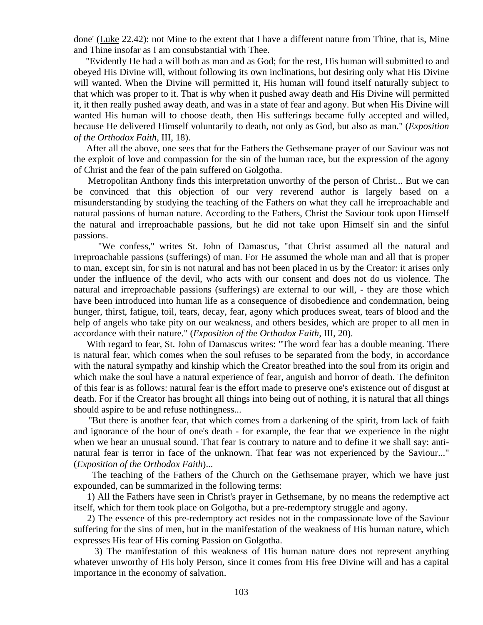done' (Luke 22.42): not Mine to the extent that I have a different nature from Thine, that is, Mine and Thine insofar as I am consubstantial with Thee.

 "Evidently He had a will both as man and as God; for the rest, His human will submitted to and obeyed His Divine will, without following its own inclinations, but desiring only what His Divine will wanted. When the Divine will permitted it, His human will found itself naturally subject to that which was proper to it. That is why when it pushed away death and His Divine will permitted it, it then really pushed away death, and was in a state of fear and agony. But when His Divine will wanted His human will to choose death, then His sufferings became fully accepted and willed, because He delivered Himself voluntarily to death, not only as God, but also as man." (*Exposition of the Orthodox Faith*, III, 18).

 After all the above, one sees that for the Fathers the Gethsemane prayer of our Saviour was not the exploit of love and compassion for the sin of the human race, but the expression of the agony of Christ and the fear of the pain suffered on Golgotha.

 Metropolitan Anthony finds this interpretation unworthy of the person of Christ... But we can be convinced that this objection of our very reverend author is largely based on a misunderstanding by studying the teaching of the Fathers on what they call he irreproachable and natural passions of human nature. According to the Fathers, Christ the Saviour took upon Himself the natural and irreproachable passions, but he did not take upon Himself sin and the sinful passions.

 "We confess," writes St. John of Damascus, "that Christ assumed all the natural and irreproachable passions (sufferings) of man. For He assumed the whole man and all that is proper to man, except sin, for sin is not natural and has not been placed in us by the Creator: it arises only under the influence of the devil, who acts with our consent and does not do us violence. The natural and irreproachable passions (sufferings) are external to our will, - they are those which have been introduced into human life as a consequence of disobedience and condemnation, being hunger, thirst, fatigue, toil, tears, decay, fear, agony which produces sweat, tears of blood and the help of angels who take pity on our weakness, and others besides, which are proper to all men in accordance with their nature." (*Exposition of the Orthodox Faith*, III, 20).

 With regard to fear, St. John of Damascus writes: "The word fear has a double meaning. There is natural fear, which comes when the soul refuses to be separated from the body, in accordance with the natural sympathy and kinship which the Creator breathed into the soul from its origin and which make the soul have a natural experience of fear, anguish and horror of death. The definiton of this fear is as follows: natural fear is the effort made to preserve one's existence out of disgust at death. For if the Creator has brought all things into being out of nothing, it is natural that all things should aspire to be and refuse nothingness...

 "But there is another fear, that which comes from a darkening of the spirit, from lack of faith and ignorance of the hour of one's death - for example, the fear that we experience in the night when we hear an unusual sound. That fear is contrary to nature and to define it we shall say: antinatural fear is terror in face of the unknown. That fear was not experienced by the Saviour..." (*Exposition of the Orthodox Faith*)...

 The teaching of the Fathers of the Church on the Gethsemane prayer, which we have just expounded, can be summarized in the following terms:

 1) All the Fathers have seen in Christ's prayer in Gethsemane, by no means the redemptive act itself, which for them took place on Golgotha, but a pre-redemptory struggle and agony.

 2) The essence of this pre-redemptory act resides not in the compassionate love of the Saviour suffering for the sins of men, but in the manifestation of the weakness of His human nature, which expresses His fear of His coming Passion on Golgotha.

 3) The manifestation of this weakness of His human nature does not represent anything whatever unworthy of His holy Person, since it comes from His free Divine will and has a capital importance in the economy of salvation.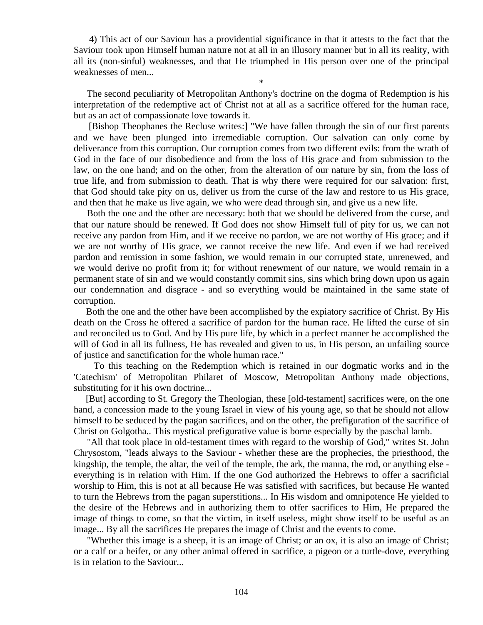4) This act of our Saviour has a providential significance in that it attests to the fact that the Saviour took upon Himself human nature not at all in an illusory manner but in all its reality, with all its (non-sinful) weaknesses, and that He triumphed in His person over one of the principal weaknesses of men...

 The second peculiarity of Metropolitan Anthony's doctrine on the dogma of Redemption is his interpretation of the redemptive act of Christ not at all as a sacrifice offered for the human race, but as an act of compassionate love towards it.

\*

 [Bishop Theophanes the Recluse writes:] "We have fallen through the sin of our first parents and we have been plunged into irremediable corruption. Our salvation can only come by deliverance from this corruption. Our corruption comes from two different evils: from the wrath of God in the face of our disobedience and from the loss of His grace and from submission to the law, on the one hand; and on the other, from the alteration of our nature by sin, from the loss of true life, and from submission to death. That is why there were required for our salvation: first, that God should take pity on us, deliver us from the curse of the law and restore to us His grace, and then that he make us live again, we who were dead through sin, and give us a new life.

 Both the one and the other are necessary: both that we should be delivered from the curse, and that our nature should be renewed. If God does not show Himself full of pity for us, we can not receive any pardon from Him, and if we receive no pardon, we are not worthy of His grace; and if we are not worthy of His grace, we cannot receive the new life. And even if we had received pardon and remission in some fashion, we would remain in our corrupted state, unrenewed, and we would derive no profit from it; for without renewment of our nature, we would remain in a permanent state of sin and we would constantly commit sins, sins which bring down upon us again our condemnation and disgrace - and so everything would be maintained in the same state of corruption.

 Both the one and the other have been accomplished by the expiatory sacrifice of Christ. By His death on the Cross he offered a sacrifice of pardon for the human race. He lifted the curse of sin and reconciled us to God. And by His pure life, by which in a perfect manner he accomplished the will of God in all its fullness, He has revealed and given to us, in His person, an unfailing source of justice and sanctification for the whole human race."

 To this teaching on the Redemption which is retained in our dogmatic works and in the 'Catechism' of Metropolitan Philaret of Moscow, Metropolitan Anthony made objections, substituting for it his own doctrine...

 [But] according to St. Gregory the Theologian, these [old-testament] sacrifices were, on the one hand, a concession made to the young Israel in view of his young age, so that he should not allow himself to be seduced by the pagan sacrifices, and on the other, the prefiguration of the sacrifice of Christ on Golgotha.. This mystical prefigurative value is borne especially by the paschal lamb.

 "All that took place in old-testament times with regard to the worship of God," writes St. John Chrysostom, "leads always to the Saviour - whether these are the prophecies, the priesthood, the kingship, the temple, the altar, the veil of the temple, the ark, the manna, the rod, or anything else everything is in relation with Him. If the one God authorized the Hebrews to offer a sacrificial worship to Him, this is not at all because He was satisfied with sacrifices, but because He wanted to turn the Hebrews from the pagan superstitions... In His wisdom and omnipotence He yielded to the desire of the Hebrews and in authorizing them to offer sacrifices to Him, He prepared the image of things to come, so that the victim, in itself useless, might show itself to be useful as an image... By all the sacrifices He prepares the image of Christ and the events to come.

 "Whether this image is a sheep, it is an image of Christ; or an ox, it is also an image of Christ; or a calf or a heifer, or any other animal offered in sacrifice, a pigeon or a turtle-dove, everything is in relation to the Saviour...